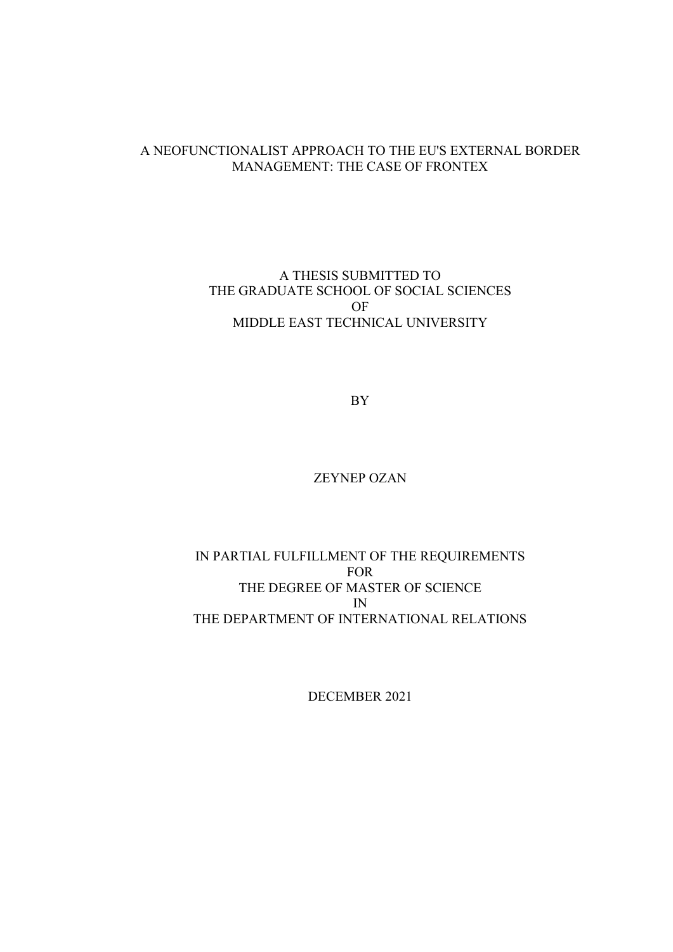### A NEOFUNCTIONALIST APPROACH TO THE EU'S EXTERNAL BORDER MANAGEMENT: THE CASE OF FRONTEX

# A THESIS SUBMITTED TO THE GRADUATE SCHOOL OF SOCIAL SCIENCES OF MIDDLE EAST TECHNICAL UNIVERSITY

BY

# ZEYNEP OZAN

### IN PARTIAL FULFILLMENT OF THE REQUIREMENTS FOR THE DEGREE OF MASTER OF SCIENCE IN THE DEPARTMENT OF INTERNATIONAL RELATIONS

DECEMBER 2021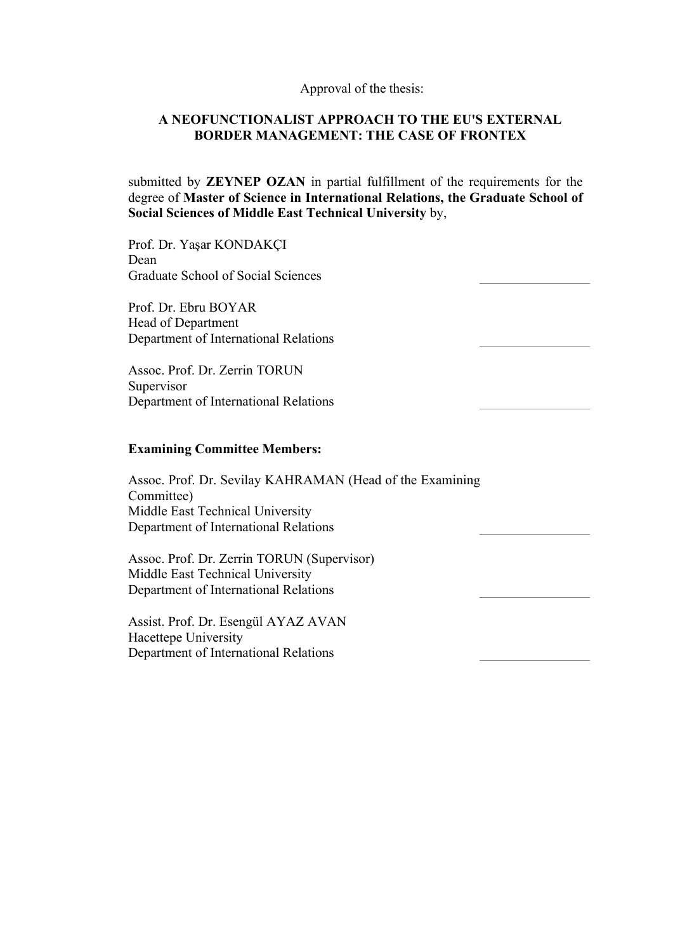Approval of the thesis:

# A NEOFUNCTIONALIST APPROACH TO THE EU'S EXTERNAL BORDER MANAGEMENT: THE CASE OF FRONTEX

submitted by ZEYNEP OZAN in partial fulfillment of the requirements for the degree of Master of Science in International Relations, the Graduate School of Social Sciences of Middle East Technical University by,

Prof. Dr. Yaşar KONDAKÇI Dean Graduate School of Social Sciences Prof. Dr. Ebru BOYAR Head of Department Department of International Relations Assoc. Prof. Dr. Zerrin TORUN Supervisor Department of International Relations Examining Committee Members: Assoc. Prof. Dr. Sevilay KAHRAMAN (Head of the Examining Committee) Middle East Technical University Department of International Relations Assoc. Prof. Dr. Zerrin TORUN (Supervisor) Middle East Technical University Department of International Relations Assist. Prof. Dr. Esengül AYAZ AVAN Hacettepe University Department of International Relations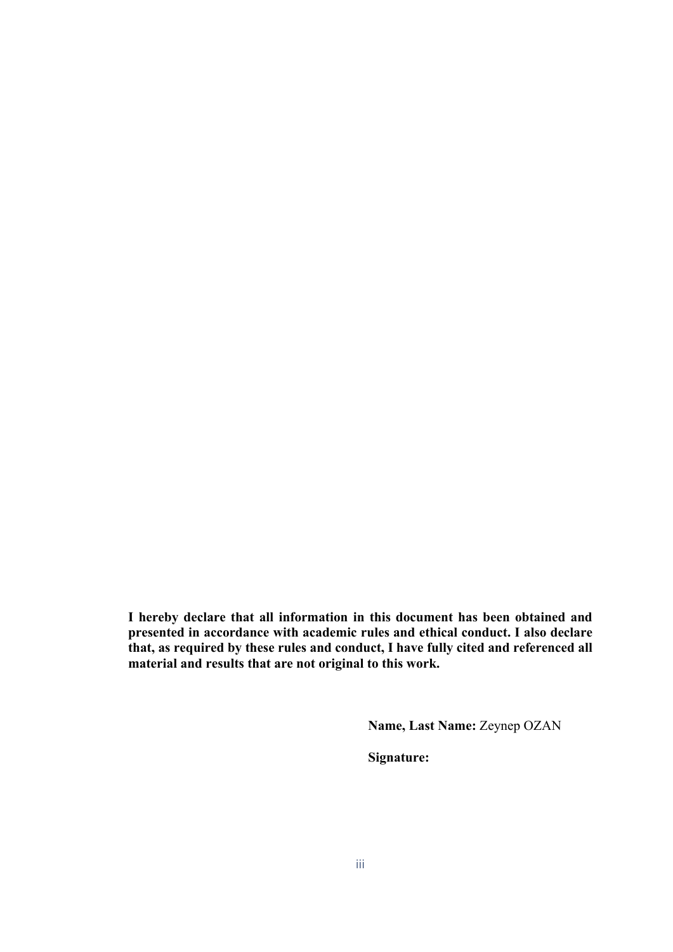<span id="page-4-0"></span>I hereby declare that all information in this document has been obtained and presented in accordance with academic rules and ethical conduct. I also declare that, as required by these rules and conduct, I have fully cited and referenced all material and results that are not original to this work.

Name, Last Name: Zeynep OZAN

Signature: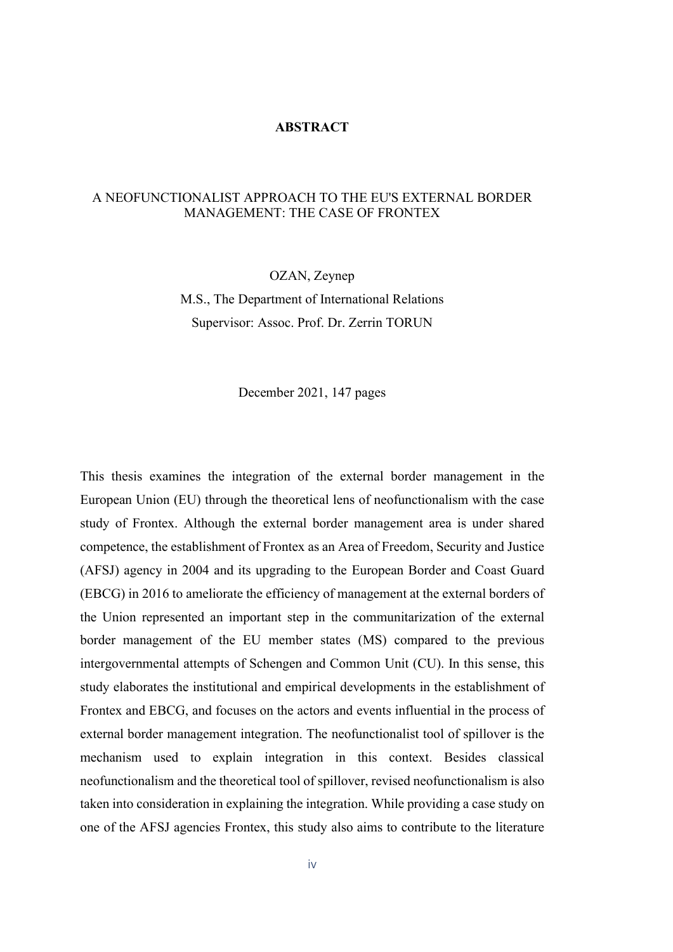### ABSTRACT

### <span id="page-5-0"></span>A NEOFUNCTIONALIST APPROACH TO THE EU'S EXTERNAL BORDER MANAGEMENT: THE CASE OF FRONTEX

OZAN, Zeynep M.S., The Department of International Relations Supervisor: Assoc. Prof. Dr. Zerrin TORUN

December 2021, 147 pages

This thesis examines the integration of the external border management in the European Union (EU) through the theoretical lens of neofunctionalism with the case study of Frontex. Although the external border management area is under shared competence, the establishment of Frontex as an Area of Freedom, Security and Justice (AFSJ) agency in 2004 and its upgrading to the European Border and Coast Guard (EBCG) in 2016 to ameliorate the efficiency of management at the external borders of the Union represented an important step in the communitarization of the external border management of the EU member states (MS) compared to the previous intergovernmental attempts of Schengen and Common Unit (CU). In this sense, this study elaborates the institutional and empirical developments in the establishment of Frontex and EBCG, and focuses on the actors and events influential in the process of external border management integration. The neofunctionalist tool of spillover is the mechanism used to explain integration in this context. Besides classical neofunctionalism and the theoretical tool of spillover, revised neofunctionalism is also taken into consideration in explaining the integration. While providing a case study on one of the AFSJ agencies Frontex, this study also aims to contribute to the literature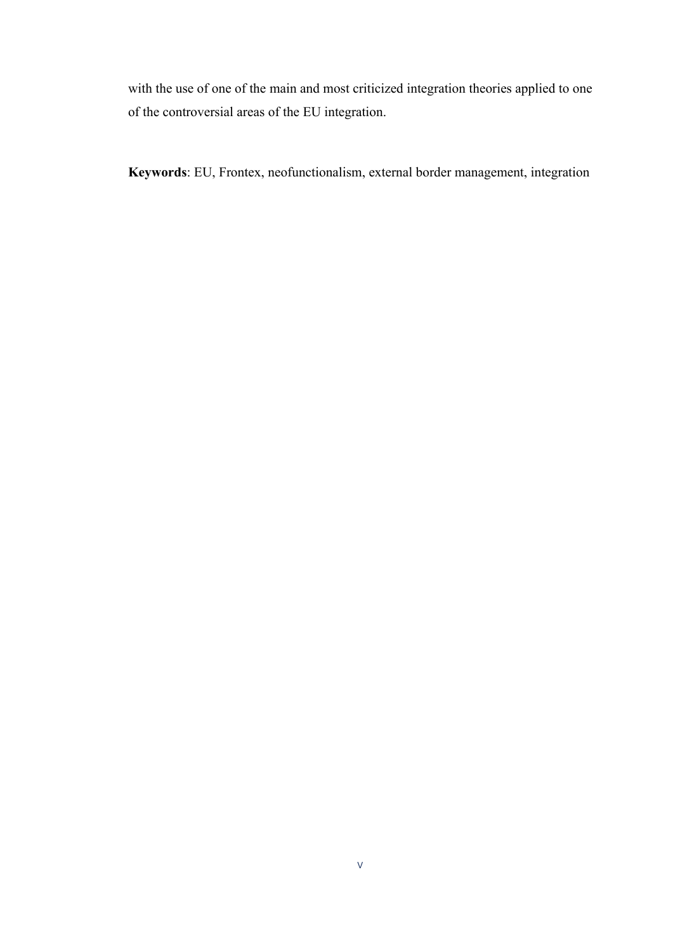with the use of one of the main and most criticized integration theories applied to one of the controversial areas of the EU integration.

Keywords: EU, Frontex, neofunctionalism, external border management, integration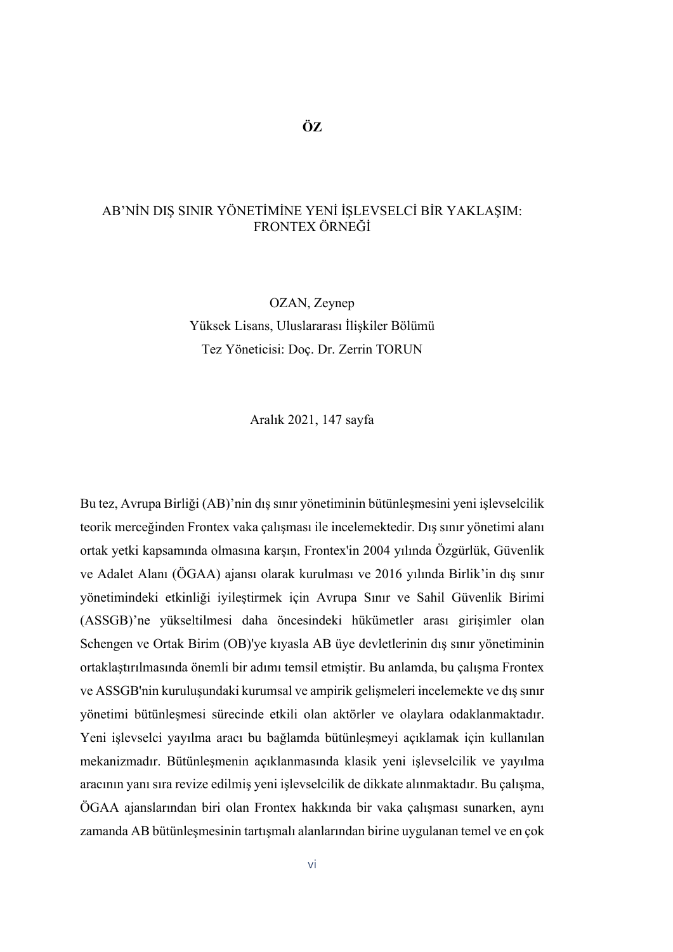# <span id="page-7-0"></span>AB'NİN DIŞ SINIR YÖNETİMİNE YENİ İŞLEVSELCİ BİR YAKLAŞIM: FRONTEX ÖRNEĞİ

OZAN, Zeynep Yüksek Lisans, Uluslararası İlişkiler Bölümü Tez Yöneticisi: Doç. Dr. Zerrin TORUN

Aralık 2021, 147 sayfa

Bu tez, Avrupa Birliği (AB)'nin dış sınır yönetiminin bütünleşmesini yeni işlevselcilik teorik merceğinden Frontex vaka çalışması ile incelemektedir. Dış sınır yönetimi alanı ortak yetki kapsamında olmasına karşın, Frontex'in 2004 yılında Özgürlük, Güvenlik ve Adalet Alanı (ÖGAA) ajansı olarak kurulması ve 2016 yılında Birlik'in dış sınır yönetimindeki etkinliği iyileştirmek için Avrupa Sınır ve Sahil Güvenlik Birimi (ASSGB)'ne yükseltilmesi daha öncesindeki hükümetler arası girişimler olan Schengen ve Ortak Birim (OB)'ye kıyasla AB üye devletlerinin dış sınır yönetiminin ortaklaştırılmasında önemli bir adımı temsil etmiştir. Bu anlamda, bu çalışma Frontex ve ASSGB'nin kuruluşundaki kurumsal ve ampirik gelişmeleri incelemekte ve dış sınır yönetimi bütünleşmesi sürecinde etkili olan aktörler ve olaylara odaklanmaktadır. Yeni işlevselci yayılma aracı bu bağlamda bütünleşmeyi açıklamak için kullanılan mekanizmadır. Bütünleşmenin açıklanmasında klasik yeni işlevselcilik ve yayılma aracının yanı sıra revize edilmiş yeni işlevselcilik de dikkate alınmaktadır. Bu çalışma, ÖGAA ajanslarından biri olan Frontex hakkında bir vaka çalışması sunarken, aynı zamanda AB bütünleşmesinin tartışmalı alanlarından birine uygulanan temel ve en çok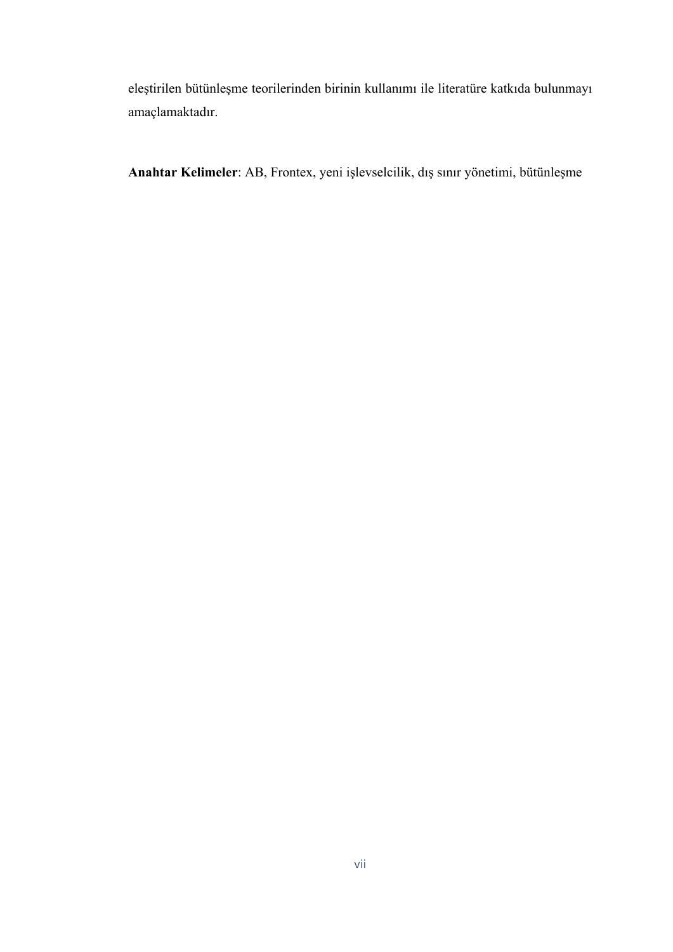eleştirilen bütünleşme teorilerinden birinin kullanımı ile literatüre katkıda bulunmayı amaçlamaktadır.

Anahtar Kelimeler: AB, Frontex, yeni işlevselcilik, dış sınır yönetimi, bütünleşme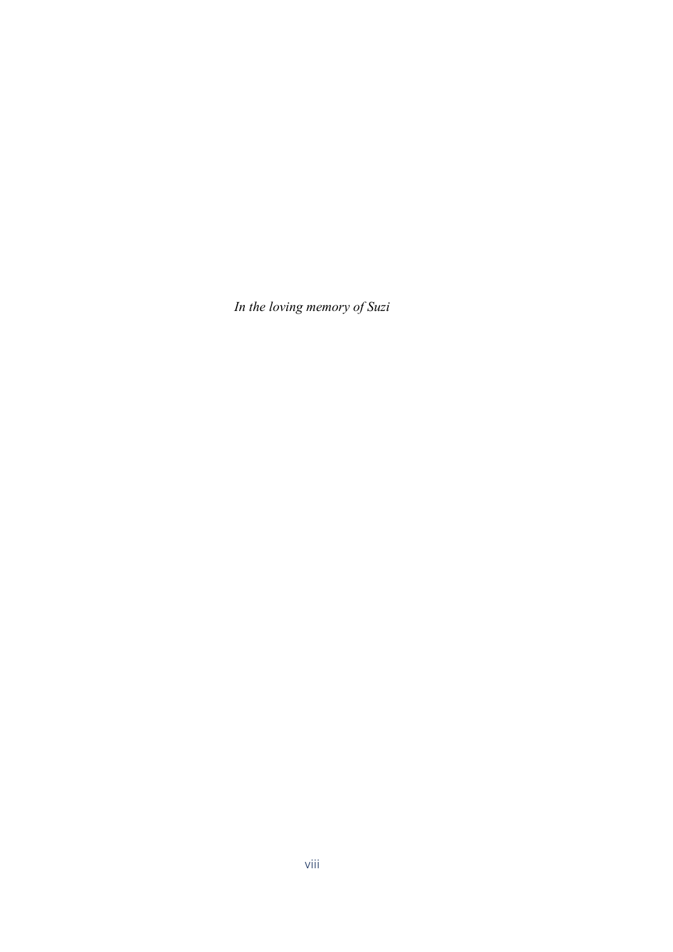<span id="page-9-0"></span>*In the loving memory of Suzi*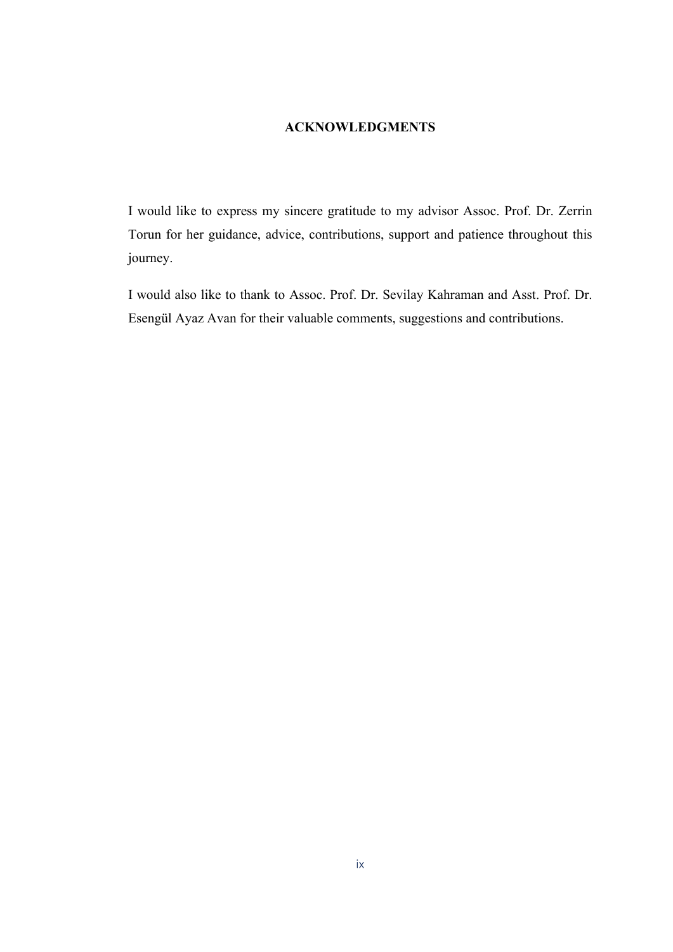### ACKNOWLEDGMENTS

<span id="page-10-0"></span>I would like to express my sincere gratitude to my advisor Assoc. Prof. Dr. Zerrin Torun for her guidance, advice, contributions, support and patience throughout this journey.

I would also like to thank to Assoc. Prof. Dr. Sevilay Kahraman and Asst. Prof. Dr. Esengül Ayaz Avan for their valuable comments, suggestions and contributions.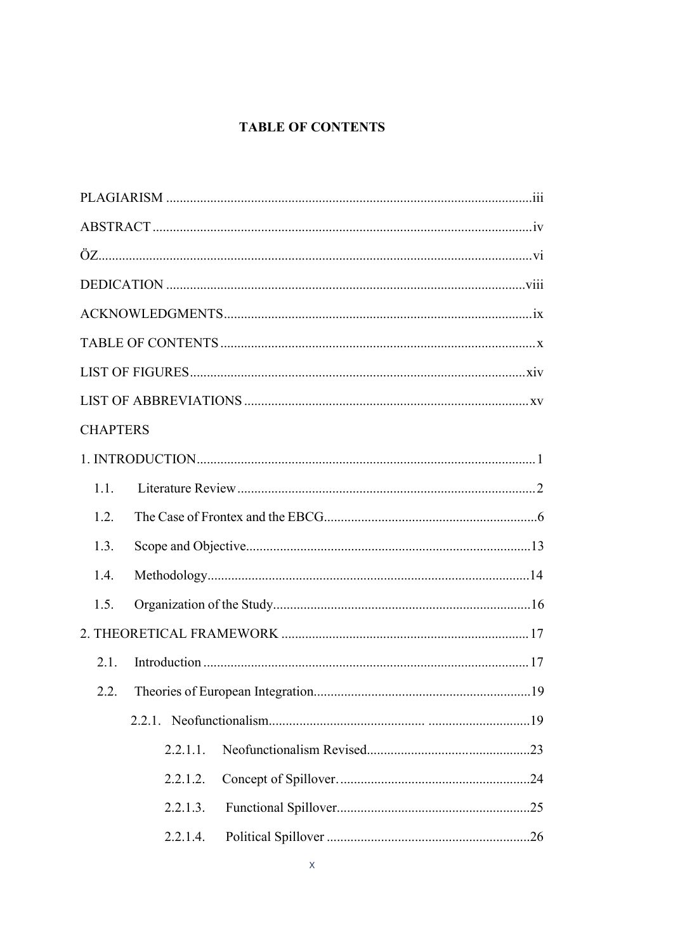# **TABLE OF CONTENTS**

<span id="page-11-0"></span>

| <b>CHAPTERS</b> |
|-----------------|
|                 |
| 1.1.            |
| 1.2.            |
| 1.3.            |
| 1.4.            |
| 1.5.            |
|                 |
| 2.1.            |
| 2.2.            |
|                 |
| 2.2.1.1.        |
| 2.2.1.2.        |
| 2.2.1.3.        |
| 2.2.1.4.        |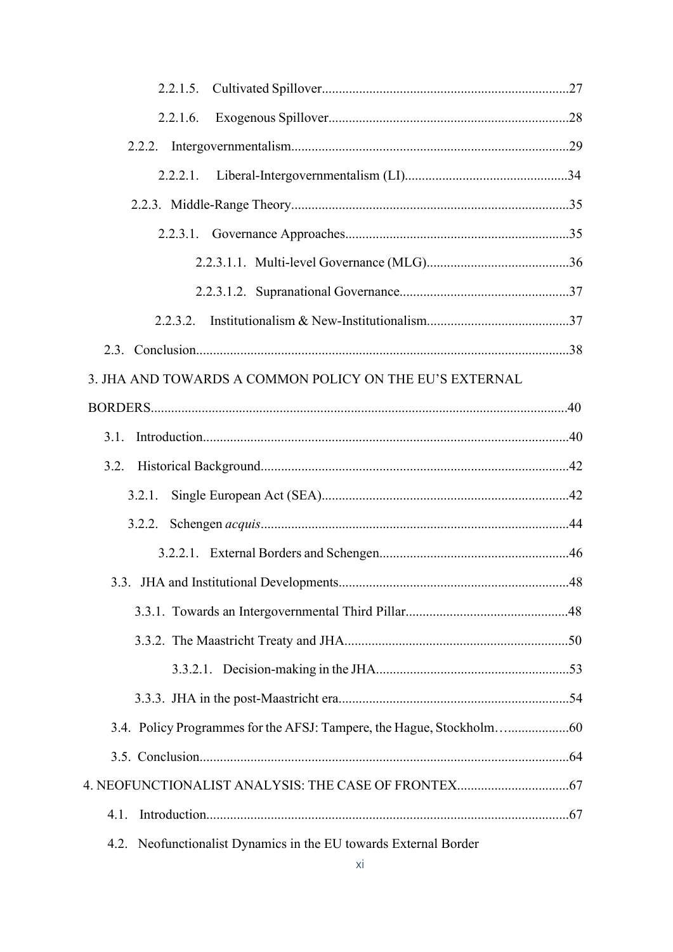| 2.2.1.6.                                                            |
|---------------------------------------------------------------------|
|                                                                     |
|                                                                     |
|                                                                     |
|                                                                     |
|                                                                     |
|                                                                     |
| 2.2.3.2.                                                            |
|                                                                     |
| 3. JHA AND TOWARDS A COMMON POLICY ON THE EU'S EXTERNAL             |
|                                                                     |
| 3.1.                                                                |
|                                                                     |
|                                                                     |
|                                                                     |
|                                                                     |
| 48                                                                  |
|                                                                     |
|                                                                     |
|                                                                     |
|                                                                     |
| 3.4. Policy Programmes for the AFSJ: Tampere, the Hague, Stockholm  |
|                                                                     |
|                                                                     |
| 4.1.                                                                |
| Neofunctionalist Dynamics in the EU towards External Border<br>4.2. |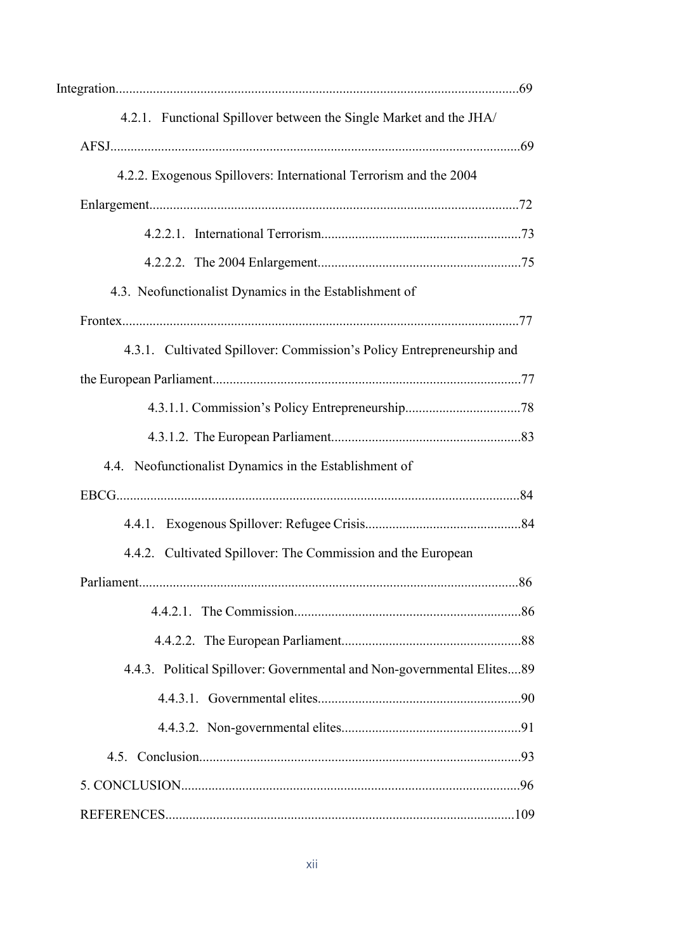| 4.2.1. Functional Spillover between the Single Market and the JHA/     |
|------------------------------------------------------------------------|
|                                                                        |
| 4.2.2. Exogenous Spillovers: International Terrorism and the 2004      |
|                                                                        |
|                                                                        |
|                                                                        |
| 4.3. Neofunctionalist Dynamics in the Establishment of                 |
|                                                                        |
| 4.3.1. Cultivated Spillover: Commission's Policy Entrepreneurship and  |
|                                                                        |
|                                                                        |
|                                                                        |
| 4.4. Neofunctionalist Dynamics in the Establishment of                 |
|                                                                        |
|                                                                        |
| 4.4.2. Cultivated Spillover: The Commission and the European           |
| Parliament<br>.86                                                      |
|                                                                        |
|                                                                        |
| 4.4.3. Political Spillover: Governmental and Non-governmental Elites89 |
|                                                                        |
|                                                                        |
|                                                                        |
|                                                                        |
|                                                                        |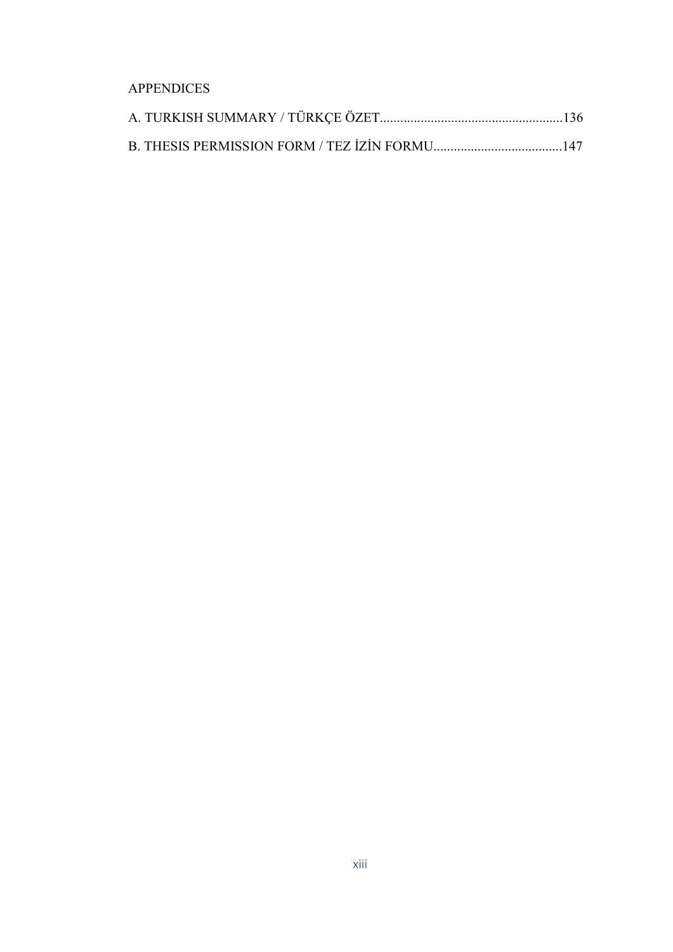# APPENDICES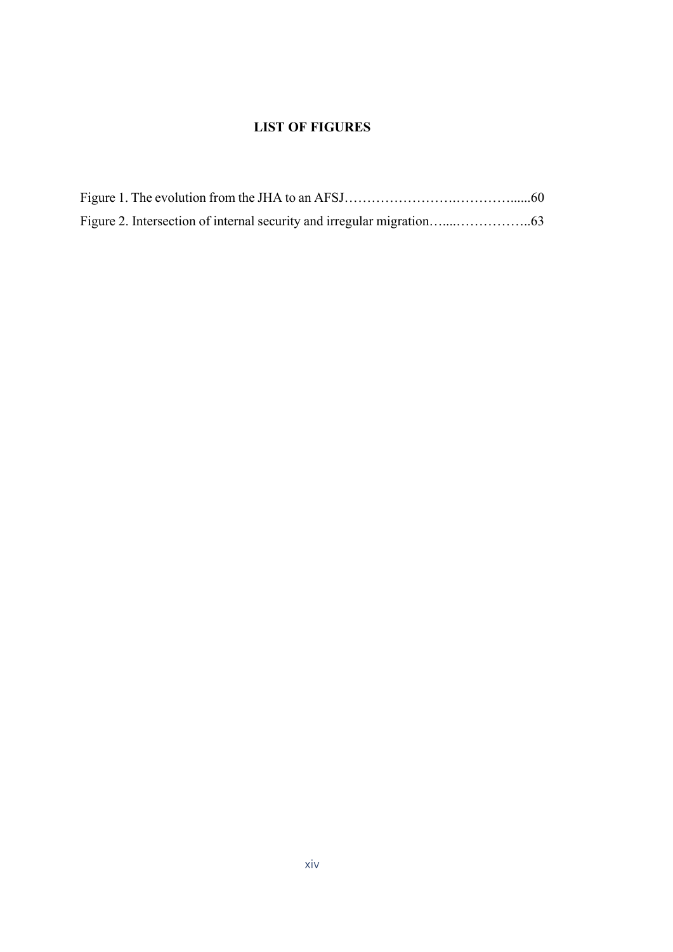# LIST OF FIGURES

<span id="page-15-0"></span>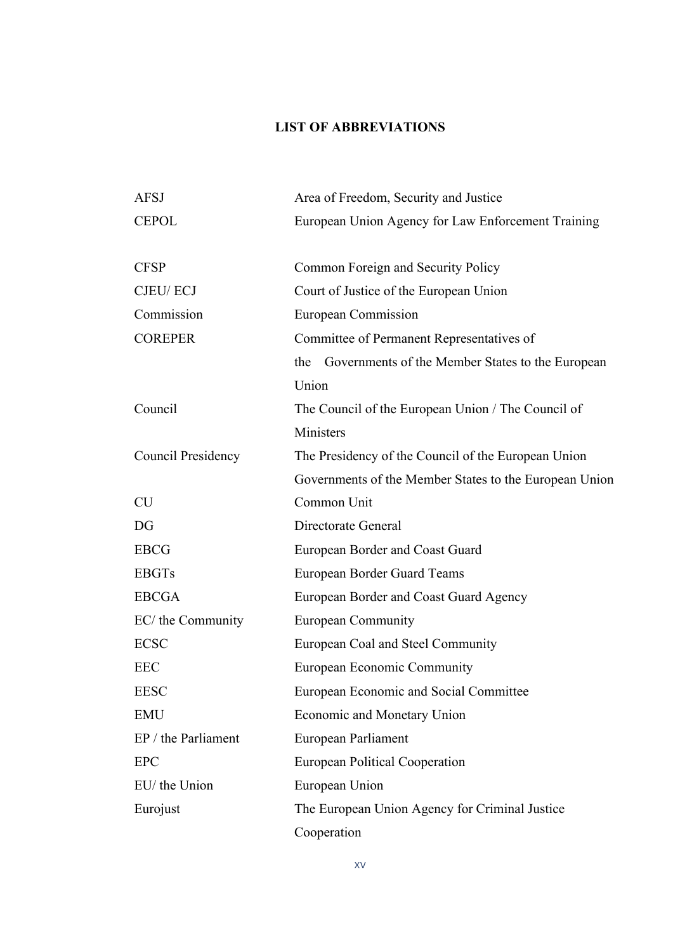# LIST OF ABBREVIATIONS

<span id="page-16-0"></span>

| <b>AFSJ</b>               | Area of Freedom, Security and Justice                  |
|---------------------------|--------------------------------------------------------|
| <b>CEPOL</b>              | European Union Agency for Law Enforcement Training     |
|                           |                                                        |
| <b>CFSP</b>               | Common Foreign and Security Policy                     |
| <b>CJEU/ECJ</b>           | Court of Justice of the European Union                 |
| Commission                | <b>European Commission</b>                             |
| <b>COREPER</b>            | Committee of Permanent Representatives of              |
|                           | the Governments of the Member States to the European   |
|                           | Union                                                  |
| Council                   | The Council of the European Union / The Council of     |
|                           | Ministers                                              |
| <b>Council Presidency</b> | The Presidency of the Council of the European Union    |
|                           | Governments of the Member States to the European Union |
| <b>CU</b>                 | Common Unit                                            |
| DG                        | Directorate General                                    |
| <b>EBCG</b>               | European Border and Coast Guard                        |
| <b>EBGTs</b>              | European Border Guard Teams                            |
| <b>EBCGA</b>              | European Border and Coast Guard Agency                 |
| EC/ the Community         | <b>European Community</b>                              |
| <b>ECSC</b>               | European Coal and Steel Community                      |
| <b>EEC</b>                | <b>European Economic Community</b>                     |
| <b>EESC</b>               | European Economic and Social Committee                 |
| <b>EMU</b>                | Economic and Monetary Union                            |
| EP / the Parliament       | European Parliament                                    |
| <b>EPC</b>                | <b>European Political Cooperation</b>                  |
| EU/ the Union             | European Union                                         |
| Eurojust                  | The European Union Agency for Criminal Justice         |
|                           | Cooperation                                            |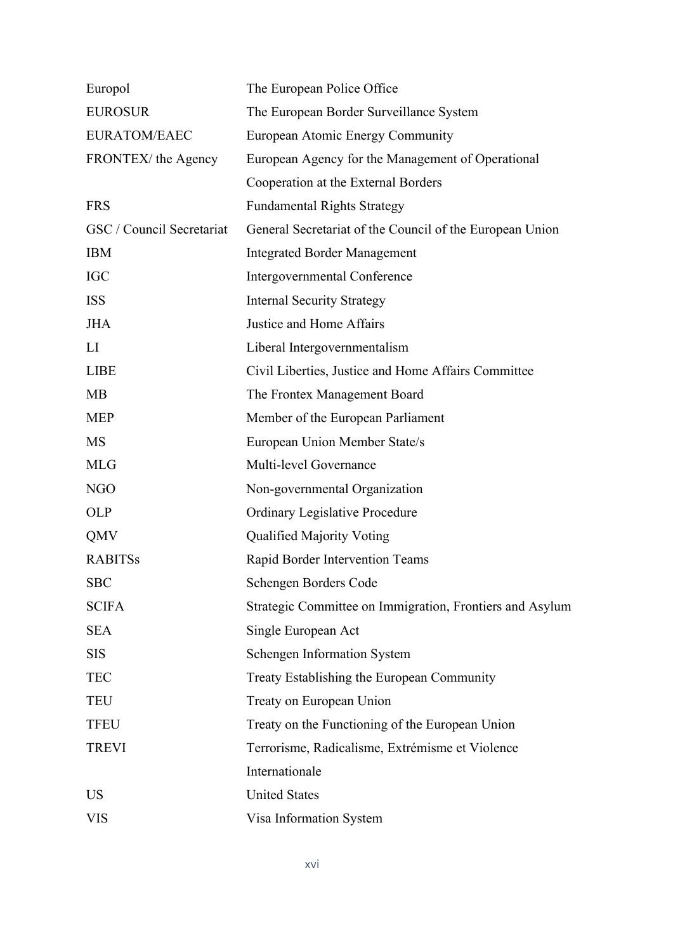| Europol                   | The European Police Office                               |
|---------------------------|----------------------------------------------------------|
| <b>EUROSUR</b>            | The European Border Surveillance System                  |
| <b>EURATOM/EAEC</b>       | European Atomic Energy Community                         |
| FRONTEX/ the Agency       | European Agency for the Management of Operational        |
|                           | Cooperation at the External Borders                      |
| <b>FRS</b>                | <b>Fundamental Rights Strategy</b>                       |
| GSC / Council Secretariat | General Secretariat of the Council of the European Union |
| <b>IBM</b>                | <b>Integrated Border Management</b>                      |
| <b>IGC</b>                | Intergovernmental Conference                             |
| <b>ISS</b>                | <b>Internal Security Strategy</b>                        |
| <b>JHA</b>                | Justice and Home Affairs                                 |
| LI                        | Liberal Intergovernmentalism                             |
| <b>LIBE</b>               | Civil Liberties, Justice and Home Affairs Committee      |
| <b>MB</b>                 | The Frontex Management Board                             |
| <b>MEP</b>                | Member of the European Parliament                        |
| <b>MS</b>                 | European Union Member State/s                            |
| <b>MLG</b>                | Multi-level Governance                                   |
| <b>NGO</b>                | Non-governmental Organization                            |
| <b>OLP</b>                | <b>Ordinary Legislative Procedure</b>                    |
| QMV                       | Qualified Majority Voting                                |
| <b>RABITSs</b>            | Rapid Border Intervention Teams                          |
| <b>SBC</b>                | Schengen Borders Code                                    |
| <b>SCIFA</b>              | Strategic Committee on Immigration, Frontiers and Asylum |
| <b>SEA</b>                | Single European Act                                      |
| <b>SIS</b>                | <b>Schengen Information System</b>                       |
| <b>TEC</b>                | Treaty Establishing the European Community               |
| <b>TEU</b>                | Treaty on European Union                                 |
| <b>TFEU</b>               | Treaty on the Functioning of the European Union          |
| <b>TREVI</b>              | Terrorisme, Radicalisme, Extrémisme et Violence          |
|                           | Internationale                                           |
| <b>US</b>                 | <b>United States</b>                                     |
| <b>VIS</b>                | Visa Information System                                  |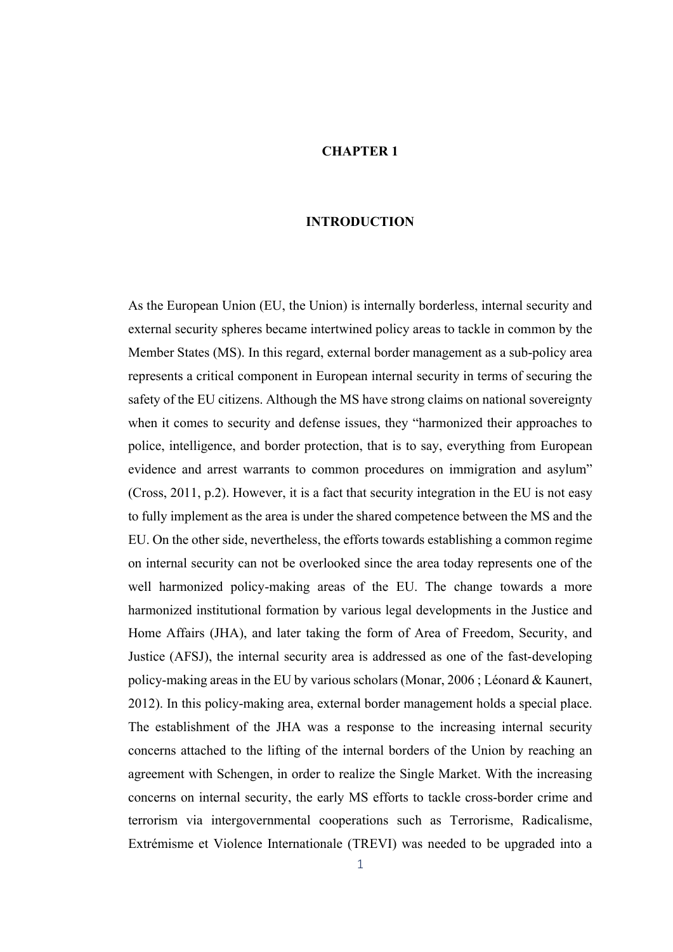### CHAPTER 1

### INTRODUCTION

<span id="page-18-0"></span>As the European Union (EU, the Union) is internally borderless, internal security and external security spheres became intertwined policy areas to tackle in common by the Member States (MS). In this regard, external border management as a sub-policy area represents a critical component in European internal security in terms of securing the safety of the EU citizens. Although the MS have strong claims on national sovereignty when it comes to security and defense issues, they "harmonized their approaches to police, intelligence, and border protection, that is to say, everything from European evidence and arrest warrants to common procedures on immigration and asylum" (Cross, 2011, p.2). However, it is a fact that security integration in the EU is not easy to fully implement as the area is under the shared competence between the MS and the EU. On the other side, nevertheless, the efforts towards establishing a common regime on internal security can not be overlooked since the area today represents one of the well harmonized policy-making areas of the EU. The change towards a more harmonized institutional formation by various legal developments in the Justice and Home Affairs (JHA), and later taking the form of Area of Freedom, Security, and Justice (AFSJ), the internal security area is addressed as one of the fast-developing policy-making areas in the EU by various scholars (Monar, 2006 ; Léonard & Kaunert, 2012). In this policy-making area, external border management holds a special place. The establishment of the JHA was a response to the increasing internal security concerns attached to the lifting of the internal borders of the Union by reaching an agreement with Schengen, in order to realize the Single Market. With the increasing concerns on internal security, the early MS efforts to tackle cross-border crime and terrorism via intergovernmental cooperations such as Terrorisme, Radicalisme, Extrémisme et Violence Internationale (TREVI) was needed to be upgraded into a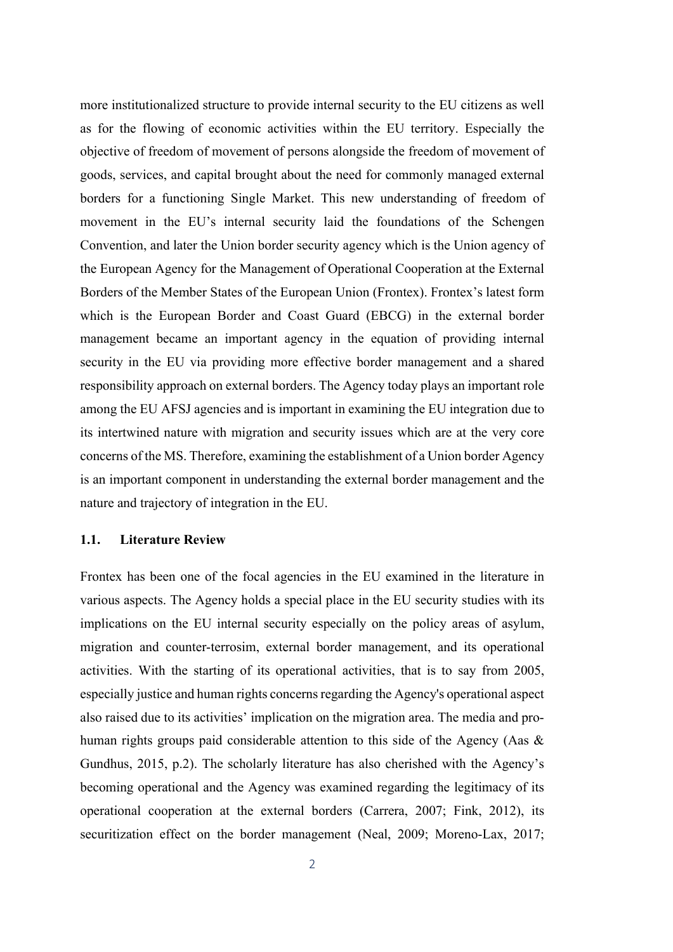more institutionalized structure to provide internal security to the EU citizens as well as for the flowing of economic activities within the EU territory. Especially the objective of freedom of movement of persons alongside the freedom of movement of goods, services, and capital brought about the need for commonly managed external borders for a functioning Single Market. This new understanding of freedom of movement in the EU's internal security laid the foundations of the Schengen Convention, and later the Union border security agency which is the Union agency of the European Agency for the Management of Operational Cooperation at the External Borders of the Member States of the European Union (Frontex). Frontex's latest form which is the European Border and Coast Guard (EBCG) in the external border management became an important agency in the equation of providing internal security in the EU via providing more effective border management and a shared responsibility approach on external borders. The Agency today plays an important role among the EU AFSJ agencies and is important in examining the EU integration due to its intertwined nature with migration and security issues which are at the very core concerns of the MS. Therefore, examining the establishment of a Union border Agency is an important component in understanding the external border management and the nature and trajectory of integration in the EU.

### 1.1. Literature Review

Frontex has been one of the focal agencies in the EU examined in the literature in various aspects. The Agency holds a special place in the EU security studies with its implications on the EU internal security especially on the policy areas of asylum, migration and counter-terrosim, external border management, and its operational activities. With the starting of its operational activities, that is to say from 2005, especially justice and human rights concerns regarding the Agency's operational aspect also raised due to its activities' implication on the migration area. The media and prohuman rights groups paid considerable attention to this side of the Agency (Aas & Gundhus, 2015, p.2). The scholarly literature has also cherished with the Agency's becoming operational and the Agency was examined regarding the legitimacy of its operational cooperation at the external borders (Carrera, 2007; Fink, 2012), its securitization effect on the border management (Neal, 2009; Moreno-Lax, 2017;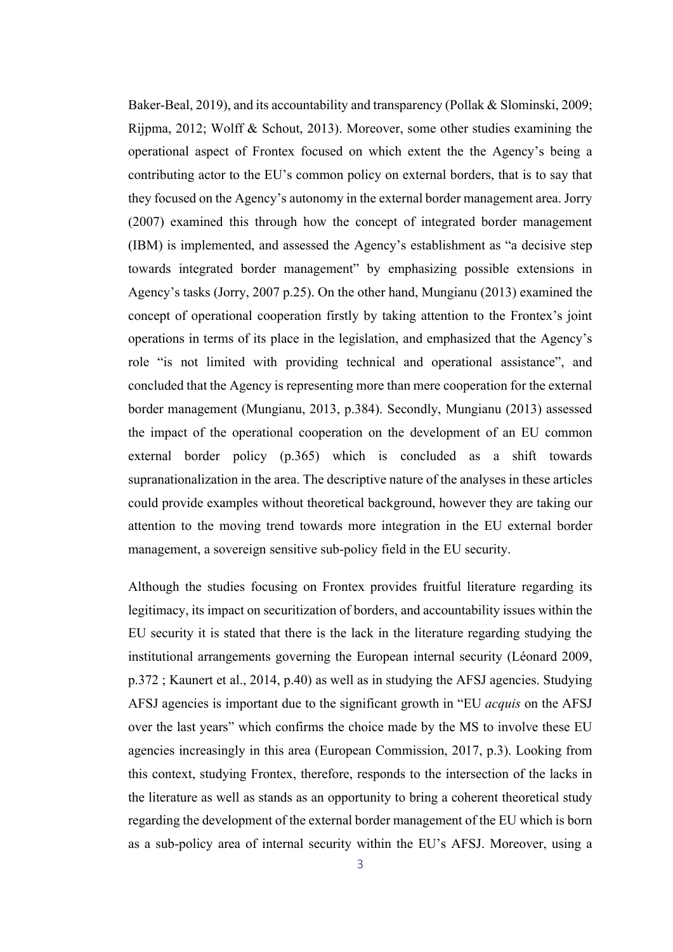Baker-Beal, 2019), and its accountability and transparency (Pollak & Slominski, 2009; Rijpma, 2012; Wolff & Schout, 2013). Moreover, some other studies examining the operational aspect of Frontex focused on which extent the the Agency's being a contributing actor to the EU's common policy on external borders, that is to say that they focused on the Agency's autonomy in the external border management area. Jorry (2007) examined this through how the concept of integrated border management (IBM) is implemented, and assessed the Agency's establishment as "a decisive step towards integrated border management" by emphasizing possible extensions in Agency's tasks (Jorry, 2007 p.25). On the other hand, Mungianu (2013) examined the concept of operational cooperation firstly by taking attention to the Frontex's joint operations in terms of its place in the legislation, and emphasized that the Agency's role "is not limited with providing technical and operational assistance", and concluded that the Agency is representing more than mere cooperation for the external border management (Mungianu, 2013, p.384). Secondly, Mungianu (2013) assessed the impact of the operational cooperation on the development of an EU common external border policy (p.365) which is concluded as a shift towards supranationalization in the area. The descriptive nature of the analyses in these articles could provide examples without theoretical background, however they are taking our attention to the moving trend towards more integration in the EU external border management, a sovereign sensitive sub-policy field in the EU security.

Although the studies focusing on Frontex provides fruitful literature regarding its legitimacy, its impact on securitization of borders, and accountability issues within the EU security it is stated that there is the lack in the literature regarding studying the institutional arrangements governing the European internal security (Léonard 2009, p.372 ; Kaunert et al., 2014, p.40) as well as in studying the AFSJ agencies. Studying AFSJ agencies is important due to the significant growth in "EU *acquis* on the AFSJ over the last years" which confirms the choice made by the MS to involve these EU agencies increasingly in this area (European Commission, 2017, p.3). Looking from this context, studying Frontex, therefore, responds to the intersection of the lacks in the literature as well as stands as an opportunity to bring a coherent theoretical study regarding the development of the external border management of the EU which is born as a sub-policy area of internal security within the EU's AFSJ. Moreover, using a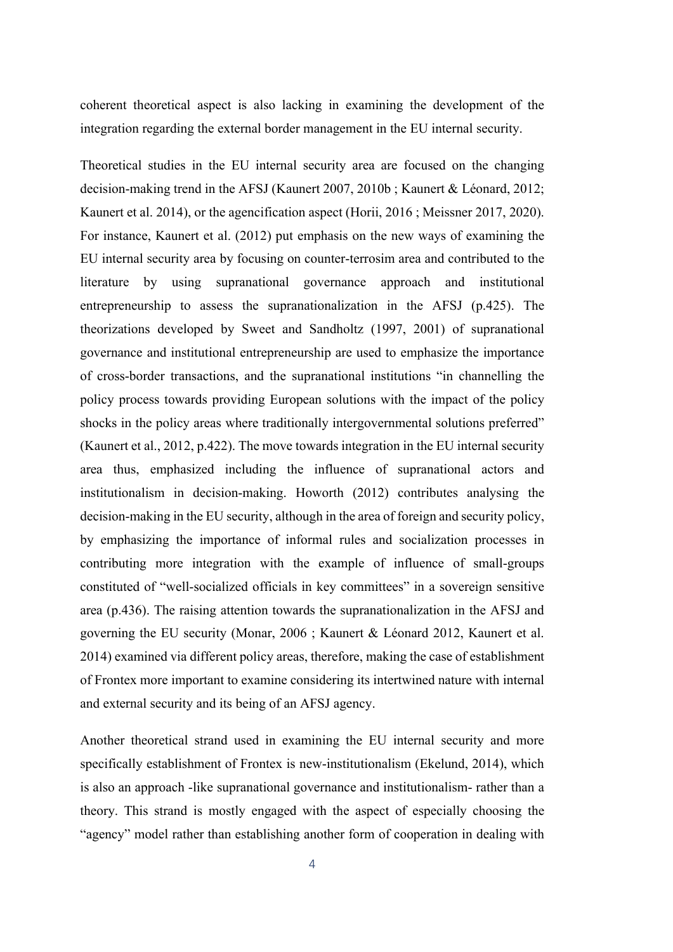coherent theoretical aspect is also lacking in examining the development of the integration regarding the external border management in the EU internal security.

Theoretical studies in the EU internal security area are focused on the changing decision-making trend in the AFSJ (Kaunert 2007, 2010b ; Kaunert & Léonard, 2012; Kaunert et al. 2014), or the agencification aspect (Horii, 2016 ; Meissner 2017, 2020). For instance, Kaunert et al. (2012) put emphasis on the new ways of examining the EU internal security area by focusing on counter-terrosim area and contributed to the literature by using supranational governance approach and institutional entrepreneurship to assess the supranationalization in the AFSJ (p.425). The theorizations developed by Sweet and Sandholtz (1997, 2001) of supranational governance and institutional entrepreneurship are used to emphasize the importance of cross-border transactions, and the supranational institutions "in channelling the policy process towards providing European solutions with the impact of the policy shocks in the policy areas where traditionally intergovernmental solutions preferred" (Kaunert et al., 2012, p.422). The move towards integration in the EU internal security area thus, emphasized including the influence of supranational actors and institutionalism in decision-making. Howorth (2012) contributes analysing the decision-making in the EU security, although in the area of foreign and security policy, by emphasizing the importance of informal rules and socialization processes in contributing more integration with the example of influence of small-groups constituted of "well-socialized officials in key committees" in a sovereign sensitive area (p.436). The raising attention towards the supranationalization in the AFSJ and governing the EU security (Monar, 2006 ; Kaunert & Léonard 2012, Kaunert et al. 2014) examined via different policy areas, therefore, making the case of establishment of Frontex more important to examine considering its intertwined nature with internal and external security and its being of an AFSJ agency.

Another theoretical strand used in examining the EU internal security and more specifically establishment of Frontex is new-institutionalism (Ekelund, 2014), which is also an approach -like supranational governance and institutionalism- rather than a theory. This strand is mostly engaged with the aspect of especially choosing the "agency" model rather than establishing another form of cooperation in dealing with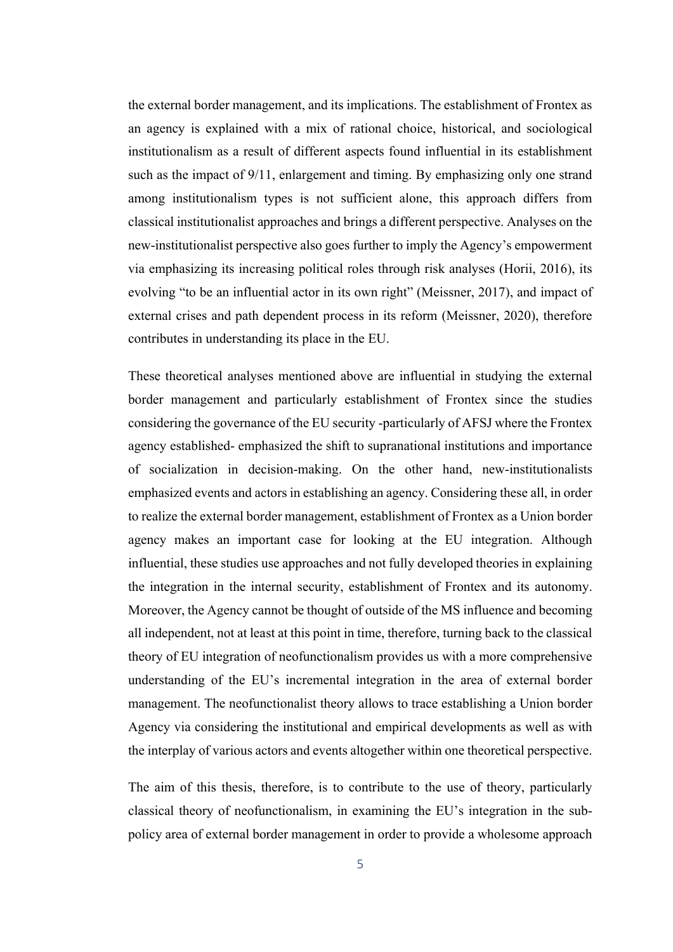the external border management, and its implications. The establishment of Frontex as an agency is explained with a mix of rational choice, historical, and sociological institutionalism as a result of different aspects found influential in its establishment such as the impact of 9/11, enlargement and timing. By emphasizing only one strand among institutionalism types is not sufficient alone, this approach differs from classical institutionalist approaches and brings a different perspective. Analyses on the new-institutionalist perspective also goes further to imply the Agency's empowerment via emphasizing its increasing political roles through risk analyses (Horii, 2016), its evolving "to be an influential actor in its own right" (Meissner, 2017), and impact of external crises and path dependent process in its reform (Meissner, 2020), therefore contributes in understanding its place in the EU.

These theoretical analyses mentioned above are influential in studying the external border management and particularly establishment of Frontex since the studies considering the governance of the EU security -particularly of AFSJ where the Frontex agency established- emphasized the shift to supranational institutions and importance of socialization in decision-making. On the other hand, new-institutionalists emphasized events and actors in establishing an agency. Considering these all, in order to realize the external border management, establishment of Frontex as a Union border agency makes an important case for looking at the EU integration. Although influential, these studies use approaches and not fully developed theories in explaining the integration in the internal security, establishment of Frontex and its autonomy. Moreover, the Agency cannot be thought of outside of the MS influence and becoming all independent, not at least at this point in time, therefore, turning back to the classical theory of EU integration of neofunctionalism provides us with a more comprehensive understanding of the EU's incremental integration in the area of external border management. The neofunctionalist theory allows to trace establishing a Union border Agency via considering the institutional and empirical developments as well as with the interplay of various actors and events altogether within one theoretical perspective.

The aim of this thesis, therefore, is to contribute to the use of theory, particularly classical theory of neofunctionalism, in examining the EU's integration in the subpolicy area of external border management in order to provide a wholesome approach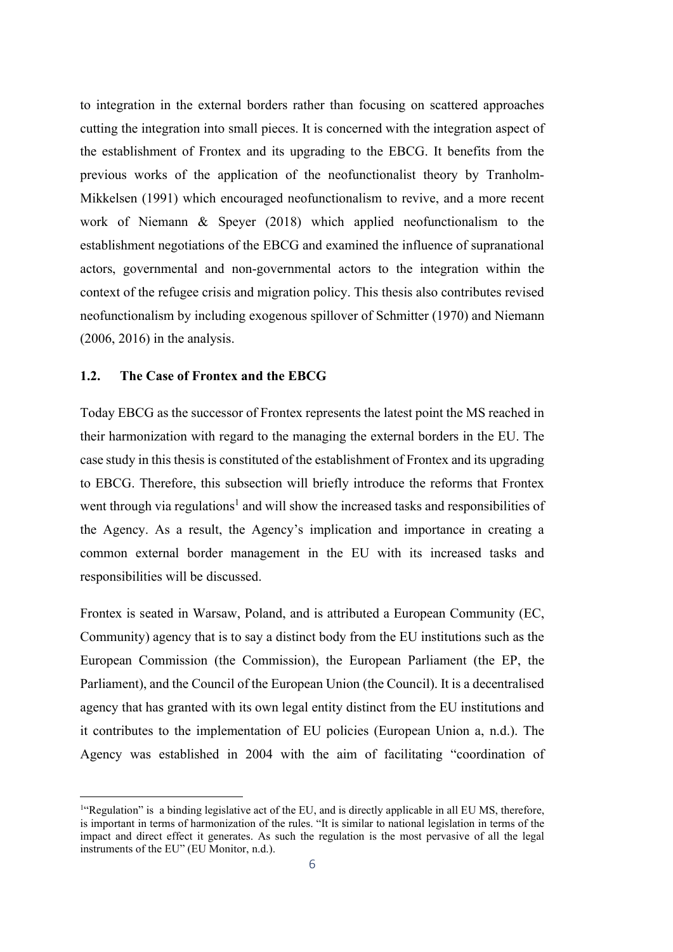to integration in the external borders rather than focusing on scattered approaches cutting the integration into small pieces. It is concerned with the integration aspect of the establishment of Frontex and its upgrading to the EBCG. It benefits from the previous works of the application of the neofunctionalist theory by Tranholm-Mikkelsen (1991) which encouraged neofunctionalism to revive, and a more recent work of Niemann & Speyer (2018) which applied neofunctionalism to the establishment negotiations of the EBCG and examined the influence of supranational actors, governmental and non-governmental actors to the integration within the context of the refugee crisis and migration policy. This thesis also contributes revised neofunctionalism by including exogenous spillover of Schmitter (1970) and Niemann (2006, 2016) in the analysis.

### 1.2. The Case of Frontex and the EBCG

Today EBCG as the successor of Frontex represents the latest point the MS reached in their harmonization with regard to the managing the external borders in the EU. The case study in this thesis is constituted of the establishment of Frontex and its upgrading to EBCG. Therefore, this subsection will briefly introduce the reforms that Frontex went through via regulations<sup>1</sup> and will show the increased tasks and responsibilities of the Agency. As a result, the Agency's implication and importance in creating a common external border management in the EU with its increased tasks and responsibilities will be discussed.

Frontex is seated in Warsaw, Poland, and is attributed a European Community (EC, Community) agency that is to say a distinct body from the EU institutions such as the European Commission (the Commission), the European Parliament (the EP, the Parliament), and the Council of the European Union (the Council). It is a decentralised agency that has granted with its own legal entity distinct from the EU institutions and it contributes to the implementation of EU policies (European Union a, n.d.). The Agency was established in 2004 with the aim of facilitating "coordination of

<sup>&</sup>lt;sup>1</sup>"Regulation" is a binding legislative act of the EU, and is directly applicable in all EU MS, therefore, is important in terms of harmonization of the rules. "It is similar to national legislation in terms of the impact and direct effect it generates. As such the regulation is the most pervasive of all the legal instruments of the EU" (EU Monitor, n.d.).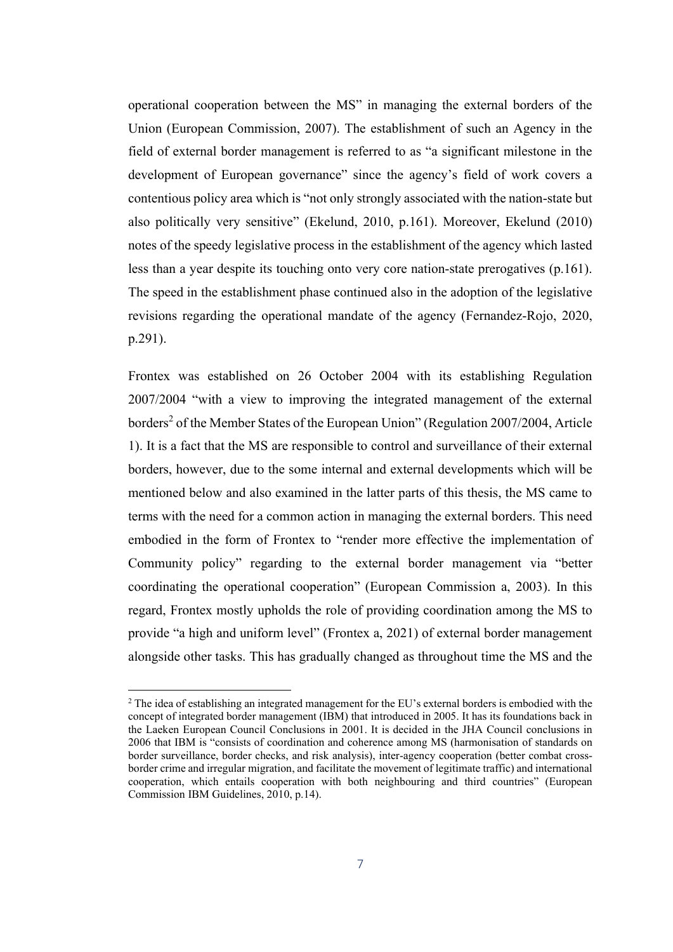operational cooperation between the MS" in managing the external borders of the Union (European Commission, 2007). The establishment of such an Agency in the field of external border management is referred to as "a significant milestone in the development of European governance" since the agency's field of work covers a contentious policy area which is "not only strongly associated with the nation-state but also politically very sensitive" (Ekelund, 2010, p.161). Moreover, Ekelund (2010) notes of the speedy legislative process in the establishment of the agency which lasted less than a year despite its touching onto very core nation-state prerogatives (p.161). The speed in the establishment phase continued also in the adoption of the legislative revisions regarding the operational mandate of the agency (Fernandez-Rojo, 2020, p.291).

Frontex was established on 26 October 2004 with its establishing Regulation 2007/2004 "with a view to improving the integrated management of the external borders<sup>2</sup> of the Member States of the European Union" (Regulation 2007/2004, Article 1). It is a fact that the MS are responsible to control and surveillance of their external borders, however, due to the some internal and external developments which will be mentioned below and also examined in the latter parts of this thesis, the MS came to terms with the need for a common action in managing the external borders. This need embodied in the form of Frontex to "render more effective the implementation of Community policy" regarding to the external border management via "better coordinating the operational cooperation" (European Commission a, 2003). In this regard, Frontex mostly upholds the role of providing coordination among the MS to provide "a high and uniform level" (Frontex a, 2021) of external border management alongside other tasks. This has gradually changed as throughout time the MS and the

 $<sup>2</sup>$  The idea of establishing an integrated management for the EU's external borders is embodied with the</sup> concept of integrated border management (IBM) that introduced in 2005. It has its foundations back in the Laeken European Council Conclusions in 2001. It is decided in the JHA Council conclusions in 2006 that IBM is "consists of coordination and coherence among MS (harmonisation of standards on border surveillance, border checks, and risk analysis), inter-agency cooperation (better combat crossborder crime and irregular migration, and facilitate the movement of legitimate traffic) and international cooperation, which entails cooperation with both neighbouring and third countries" (European Commission IBM Guidelines, 2010, p.14).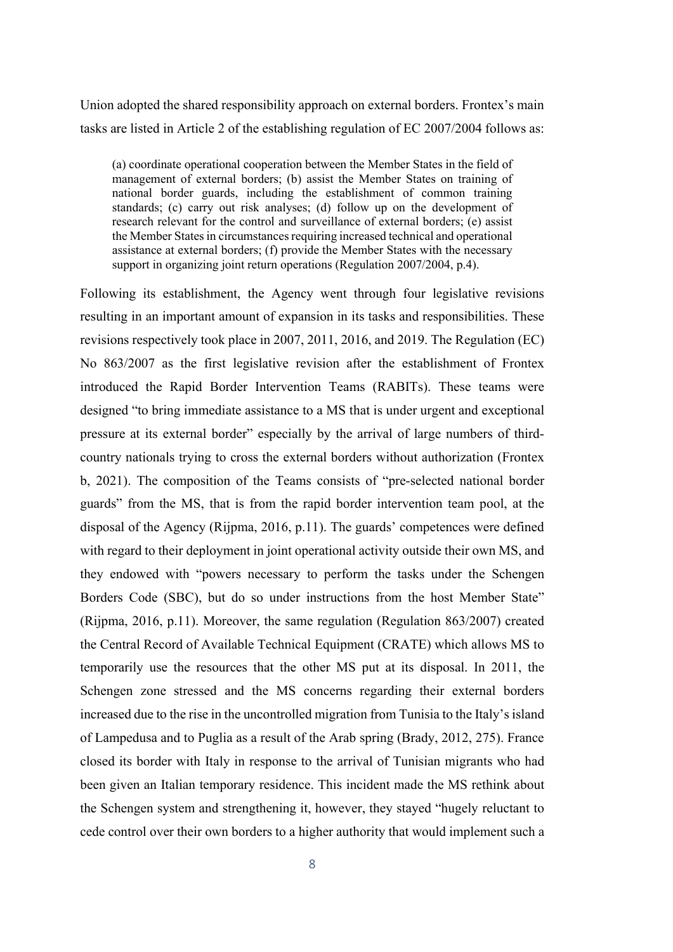Union adopted the shared responsibility approach on external borders. Frontex's main tasks are listed in Article 2 of the establishing regulation of EC 2007/2004 follows as:

(a) coordinate operational cooperation between the Member States in the field of management of external borders; (b) assist the Member States on training of national border guards, including the establishment of common training standards; (c) carry out risk analyses; (d) follow up on the development of research relevant for the control and surveillance of external borders; (e) assist the Member States in circumstances requiring increased technical and operational assistance at external borders; (f) provide the Member States with the necessary support in organizing joint return operations (Regulation 2007/2004, p.4).

Following its establishment, the Agency went through four legislative revisions resulting in an important amount of expansion in its tasks and responsibilities. These revisions respectively took place in 2007, 2011, 2016, and 2019. The Regulation (EC) No 863/2007 as the first legislative revision after the establishment of Frontex introduced the Rapid Border Intervention Teams (RABITs). These teams were designed "to bring immediate assistance to a MS that is under urgent and exceptional pressure at its external border" especially by the arrival of large numbers of thirdcountry nationals trying to cross the external borders without authorization (Frontex b, 2021). The composition of the Teams consists of "pre-selected national border guards" from the MS, that is from the rapid border intervention team pool, at the disposal of the Agency (Rijpma, 2016, p.11). The guards' competences were defined with regard to their deployment in joint operational activity outside their own MS, and they endowed with "powers necessary to perform the tasks under the Schengen Borders Code (SBC), but do so under instructions from the host Member State" (Rijpma, 2016, p.11). Moreover, the same regulation (Regulation 863/2007) created the Central Record of Available Technical Equipment (CRATE) which allows MS to temporarily use the resources that the other MS put at its disposal. In 2011, the Schengen zone stressed and the MS concerns regarding their external borders increased due to the rise in the uncontrolled migration from Tunisia to the Italy's island of Lampedusa and to Puglia as a result of the Arab spring (Brady, 2012, 275). France closed its border with Italy in response to the arrival of Tunisian migrants who had been given an Italian temporary residence. This incident made the MS rethink about the Schengen system and strengthening it, however, they stayed "hugely reluctant to cede control over their own borders to a higher authority that would implement such a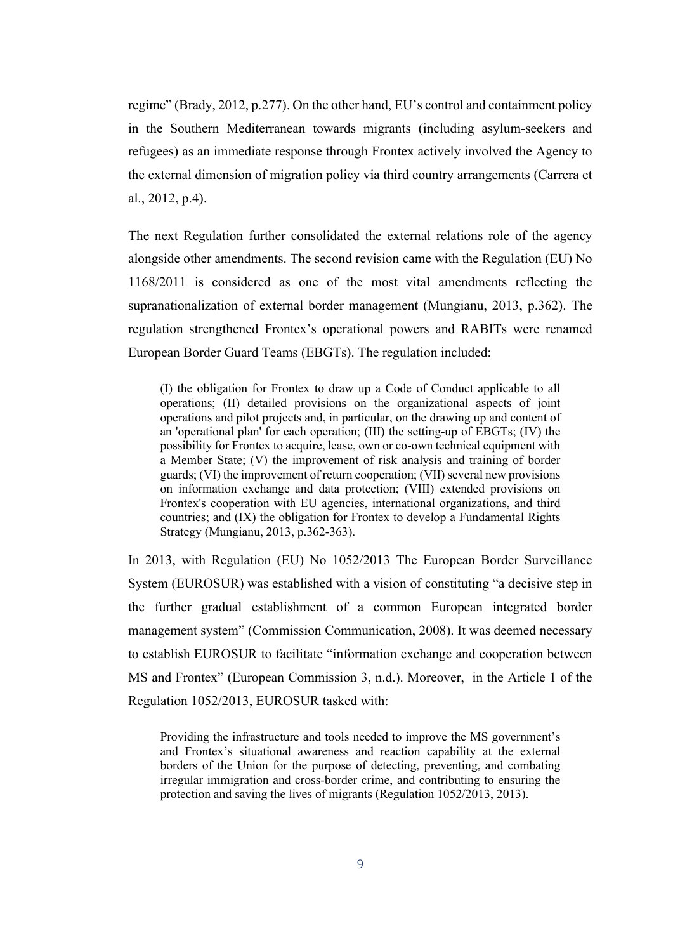regime" (Brady, 2012, p.277). On the other hand, EU's control and containment policy in the Southern Mediterranean towards migrants (including asylum-seekers and refugees) as an immediate response through Frontex actively involved the Agency to the external dimension of migration policy via third country arrangements (Carrera et al., 2012, p.4).

The next Regulation further consolidated the external relations role of the agency alongside other amendments. The second revision came with the Regulation (EU) No 1168/2011 is considered as one of the most vital amendments reflecting the supranationalization of external border management (Mungianu, 2013, p.362). The regulation strengthened Frontex's operational powers and RABITs were renamed European Border Guard Teams (EBGTs). The regulation included:

(I) the obligation for Frontex to draw up a Code of Conduct applicable to all operations; (II) detailed provisions on the organizational aspects of joint operations and pilot projects and, in particular, on the drawing up and content of an 'operational plan' for each operation; (III) the setting-up of EBGTs; (IV) the possibility for Frontex to acquire, lease, own or co-own technical equipment with a Member State; (V) the improvement of risk analysis and training of border guards; (VI) the improvement of return cooperation; (VII) several new provisions on information exchange and data protection; (VIII) extended provisions on Frontex's cooperation with EU agencies, international organizations, and third countries; and (IX) the obligation for Frontex to develop a Fundamental Rights Strategy (Mungianu, 2013, p.362-363).

In 2013, with Regulation (EU) No 1052/2013 The European Border Surveillance System (EUROSUR) was established with a vision of constituting "a decisive step in the further gradual establishment of a common European integrated border management system" (Commission Communication, 2008). It was deemed necessary to establish EUROSUR to facilitate "information exchange and cooperation between MS and Frontex" (European Commission 3, n.d.). Moreover, in the Article 1 of the Regulation 1052/2013, EUROSUR tasked with:

Providing the infrastructure and tools needed to improve the MS government's and Frontex's situational awareness and reaction capability at the external borders of the Union for the purpose of detecting, preventing, and combating irregular immigration and cross-border crime, and contributing to ensuring the protection and saving the lives of migrants (Regulation 1052/2013, 2013).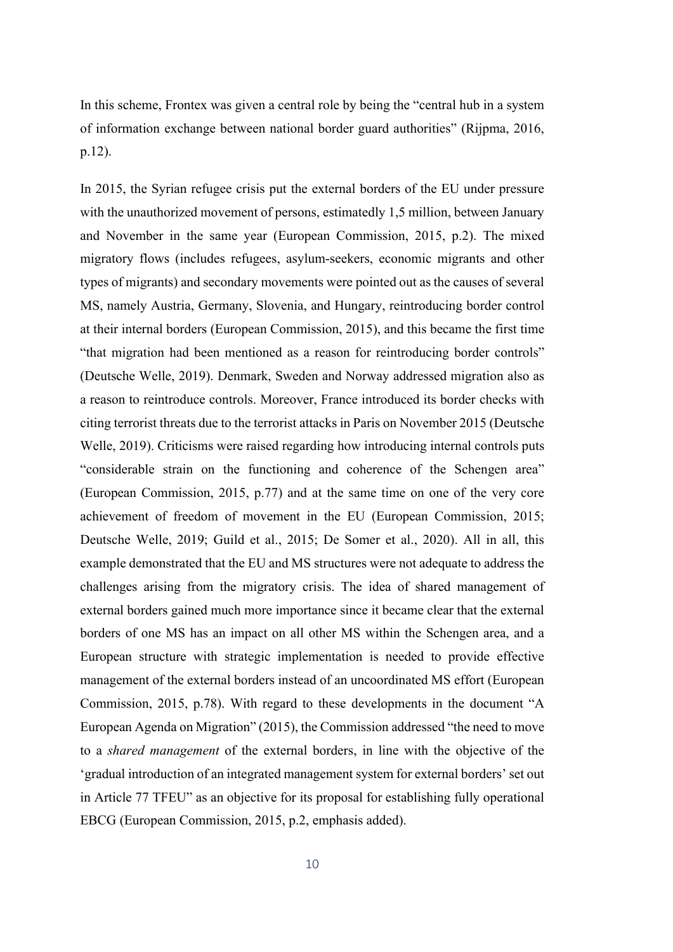In this scheme, Frontex was given a central role by being the "central hub in a system of information exchange between national border guard authorities" (Rijpma, 2016, p.12).

In 2015, the Syrian refugee crisis put the external borders of the EU under pressure with the unauthorized movement of persons, estimatedly 1,5 million, between January and November in the same year (European Commission, 2015, p.2). The mixed migratory flows (includes refugees, asylum-seekers, economic migrants and other types of migrants) and secondary movements were pointed out as the causes of several MS, namely Austria, Germany, Slovenia, and Hungary, reintroducing border control at their internal borders (European Commission, 2015), and this became the first time "that migration had been mentioned as a reason for reintroducing border controls" (Deutsche Welle, 2019). Denmark, Sweden and Norway addressed migration also as a reason to reintroduce controls. Moreover, France introduced its border checks with citing terrorist threats due to the terrorist attacks in Paris on November 2015 (Deutsche Welle, 2019). Criticisms were raised regarding how introducing internal controls puts "considerable strain on the functioning and coherence of the Schengen area" (European Commission, 2015, p.77) and at the same time on one of the very core achievement of freedom of movement in the EU (European Commission, 2015; Deutsche Welle, 2019; Guild et al., 2015; De Somer et al., 2020). All in all, this example demonstrated that the EU and MS structures were not adequate to address the challenges arising from the migratory crisis. The idea of shared management of external borders gained much more importance since it became clear that the external borders of one MS has an impact on all other MS within the Schengen area, and a European structure with strategic implementation is needed to provide effective management of the external borders instead of an uncoordinated MS effort (European Commission, 2015, p.78). With regard to these developments in the document "A European Agenda on Migration" (2015), the Commission addressed "the need to move to a *shared management* of the external borders, in line with the objective of the 'gradual introduction of an integrated management system for external borders' set out in Article 77 TFEU" as an objective for its proposal for establishing fully operational EBCG (European Commission, 2015, p.2, emphasis added).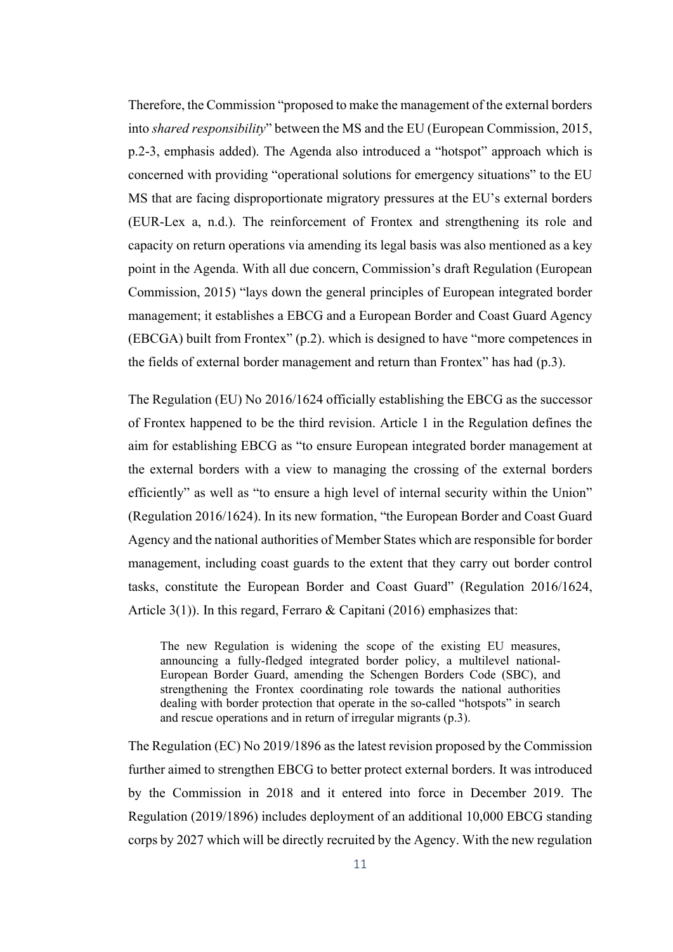Therefore, the Commission "proposed to make the management of the external borders into *shared responsibility*" between the MS and the EU (European Commission, 2015, p.2-3, emphasis added). The Agenda also introduced a "hotspot" approach which is concerned with providing "operational solutions for emergency situations" to the EU MS that are facing disproportionate migratory pressures at the EU's external borders (EUR-Lex a, n.d.). The reinforcement of Frontex and strengthening its role and capacity on return operations via amending its legal basis was also mentioned as a key point in the Agenda. With all due concern, Commission's draft Regulation (European Commission, 2015) "lays down the general principles of European integrated border management; it establishes a EBCG and a European Border and Coast Guard Agency (EBCGA) built from Frontex" (p.2). which is designed to have "more competences in the fields of external border management and return than Frontex" has had (p.3).

The Regulation (EU) No 2016/1624 officially establishing the EBCG as the successor of Frontex happened to be the third revision. Article 1 in the Regulation defines the aim for establishing EBCG as "to ensure European integrated border management at the external borders with a view to managing the crossing of the external borders efficiently" as well as "to ensure a high level of internal security within the Union" (Regulation 2016/1624). In its new formation, "the European Border and Coast Guard Agency and the national authorities of Member States which are responsible for border management, including coast guards to the extent that they carry out border control tasks, constitute the European Border and Coast Guard" (Regulation 2016/1624, Article 3(1)). In this regard, Ferraro & Capitani (2016) emphasizes that:

The new Regulation is widening the scope of the existing EU measures, announcing a fully-fledged integrated border policy, a multilevel national-European Border Guard, amending the Schengen Borders Code (SBC), and strengthening the Frontex coordinating role towards the national authorities dealing with border protection that operate in the so-called "hotspots" in search and rescue operations and in return of irregular migrants (p.3).

The Regulation (EC) No 2019/1896 as the latest revision proposed by the Commission further aimed to strengthen EBCG to better protect external borders. It was introduced by the Commission in 2018 and it entered into force in December 2019. The Regulation (2019/1896) includes deployment of an additional 10,000 EBCG standing corps by 2027 which will be directly recruited by the Agency. With the new regulation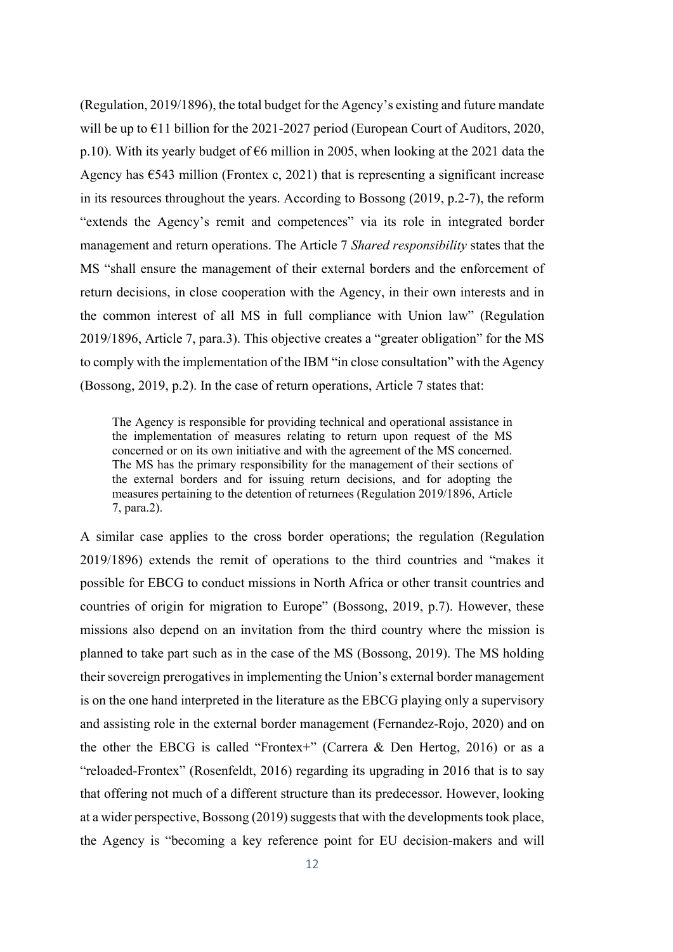(Regulation, 2019/1896), the total budget for the Agency's existing and future mandate will be up to €11 billion for the 2021-2027 period (European Court of Auditors, 2020, p.10). With its yearly budget of  $\epsilon$ 6 million in 2005, when looking at the 2021 data the Agency has  $\epsilon$ 543 million (Frontex c, 2021) that is representing a significant increase in its resources throughout the years. According to Bossong (2019, p.2-7), the reform "extends the Agency's remit and competences" via its role in integrated border management and return operations. The Article 7 *Shared responsibility* states that the MS "shall ensure the management of their external borders and the enforcement of return decisions, in close cooperation with the Agency, in their own interests and in the common interest of all MS in full compliance with Union law" (Regulation 2019/1896, Article 7, para.3). This objective creates a "greater obligation" for the MS to comply with the implementation of the IBM "in close consultation" with the Agency (Bossong, 2019, p.2). In the case of return operations, Article 7 states that:

The Agency is responsible for providing technical and operational assistance in the implementation of measures relating to return upon request of the MS concerned or on its own initiative and with the agreement of the MS concerned. The MS has the primary responsibility for the management of their sections of the external borders and for issuing return decisions, and for adopting the measures pertaining to the detention of returnees (Regulation 2019/1896, Article 7, para.2).

A similar case applies to the cross border operations; the regulation (Regulation 2019/1896) extends the remit of operations to the third countries and "makes it possible for EBCG to conduct missions in North Africa or other transit countries and countries of origin for migration to Europe" (Bossong, 2019, p.7). However, these missions also depend on an invitation from the third country where the mission is planned to take part such as in the case of the MS (Bossong, 2019). The MS holding their sovereign prerogatives in implementing the Union's external border management is on the one hand interpreted in the literature as the EBCG playing only a supervisory and assisting role in the external border management (Fernandez-Rojo, 2020) and on the other the EBCG is called "Frontex+" (Carrera & Den Hertog, 2016) or as a "reloaded-Frontex" (Rosenfeldt, 2016) regarding its upgrading in 2016 that is to say that offering not much of a different structure than its predecessor. However, looking at a wider perspective, Bossong (2019) suggests that with the developments took place, the Agency is "becoming a key reference point for EU decision-makers and will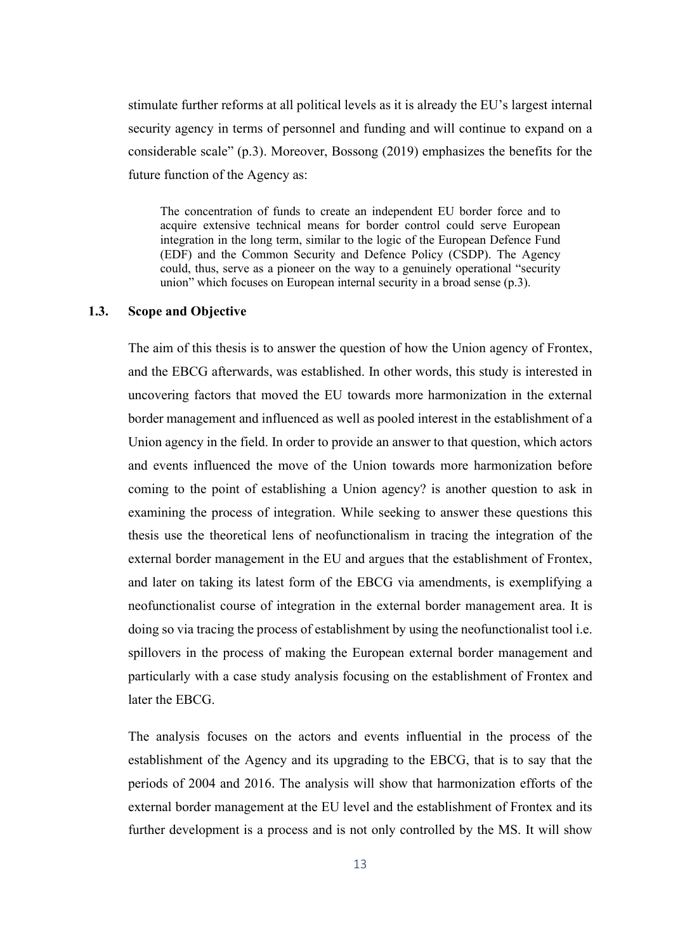stimulate further reforms at all political levels as it is already the EU's largest internal security agency in terms of personnel and funding and will continue to expand on a considerable scale" (p.3). Moreover, Bossong (2019) emphasizes the benefits for the future function of the Agency as:

The concentration of funds to create an independent EU border force and to acquire extensive technical means for border control could serve European integration in the long term, similar to the logic of the European Defence Fund (EDF) and the Common Security and Defence Policy (CSDP). The Agency could, thus, serve as a pioneer on the way to a genuinely operational "security union" which focuses on European internal security in a broad sense (p.3).

### 1.3. Scope and Objective

The aim of this thesis is to answer the question of how the Union agency of Frontex, and the EBCG afterwards, was established. In other words, this study is interested in uncovering factors that moved the EU towards more harmonization in the external border management and influenced as well as pooled interest in the establishment of a Union agency in the field. In order to provide an answer to that question, which actors and events influenced the move of the Union towards more harmonization before coming to the point of establishing a Union agency? is another question to ask in examining the process of integration. While seeking to answer these questions this thesis use the theoretical lens of neofunctionalism in tracing the integration of the external border management in the EU and argues that the establishment of Frontex, and later on taking its latest form of the EBCG via amendments, is exemplifying a neofunctionalist course of integration in the external border management area. It is doing so via tracing the process of establishment by using the neofunctionalist tool i.e. spillovers in the process of making the European external border management and particularly with a case study analysis focusing on the establishment of Frontex and later the EBCG.

The analysis focuses on the actors and events influential in the process of the establishment of the Agency and its upgrading to the EBCG, that is to say that the periods of 2004 and 2016. The analysis will show that harmonization efforts of the external border management at the EU level and the establishment of Frontex and its further development is a process and is not only controlled by the MS. It will show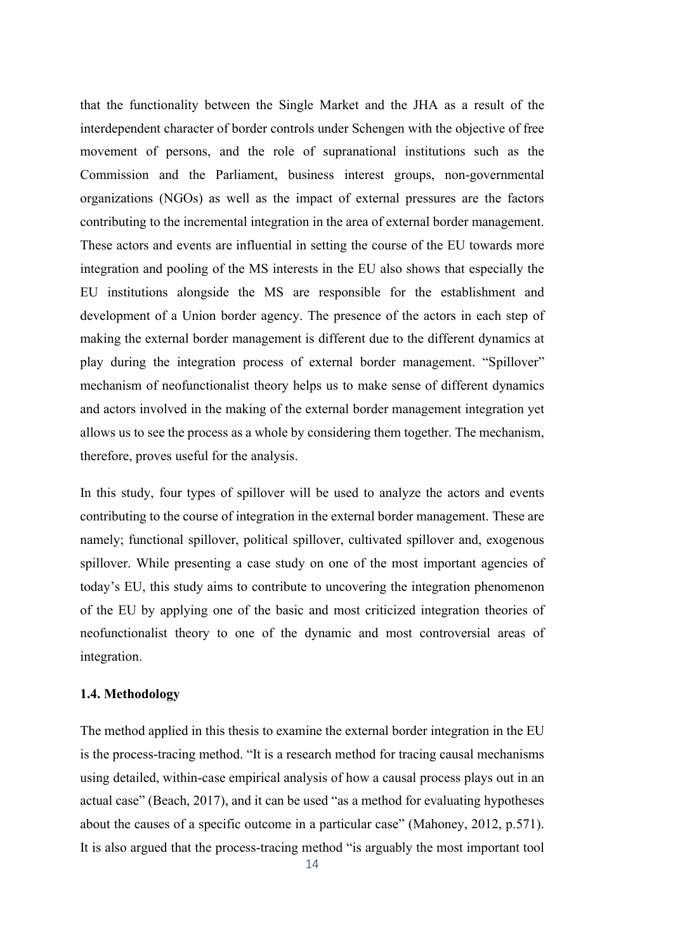that the functionality between the Single Market and the JHA as a result of the interdependent character of border controls under Schengen with the objective of free movement of persons, and the role of supranational institutions such as the Commission and the Parliament, business interest groups, non-governmental organizations (NGOs) as well as the impact of external pressures are the factors contributing to the incremental integration in the area of external border management. These actors and events are influential in setting the course of the EU towards more integration and pooling of the MS interests in the EU also shows that especially the EU institutions alongside the MS are responsible for the establishment and development of a Union border agency. The presence of the actors in each step of making the external border management is different due to the different dynamics at play during the integration process of external border management. "Spillover" mechanism of neofunctionalist theory helps us to make sense of different dynamics and actors involved in the making of the external border management integration yet allows us to see the process as a whole by considering them together. The mechanism, therefore, proves useful for the analysis.

In this study, four types of spillover will be used to analyze the actors and events contributing to the course of integration in the external border management. These are namely; functional spillover, political spillover, cultivated spillover and, exogenous spillover. While presenting a case study on one of the most important agencies of today's EU, this study aims to contribute to uncovering the integration phenomenon of the EU by applying one of the basic and most criticized integration theories of neofunctionalist theory to one of the dynamic and most controversial areas of integration.

### 1.4. Methodology

The method applied in this thesis to examine the external border integration in the EU is the process-tracing method. "It is a research method for tracing causal mechanisms using detailed, within-case empirical analysis of how a causal process plays out in an actual case" (Beach, 2017), and it can be used "as a method for evaluating hypotheses about the causes of a specific outcome in a particular case" (Mahoney, 2012, p.571). It is also argued that the process-tracing method "is arguably the most important tool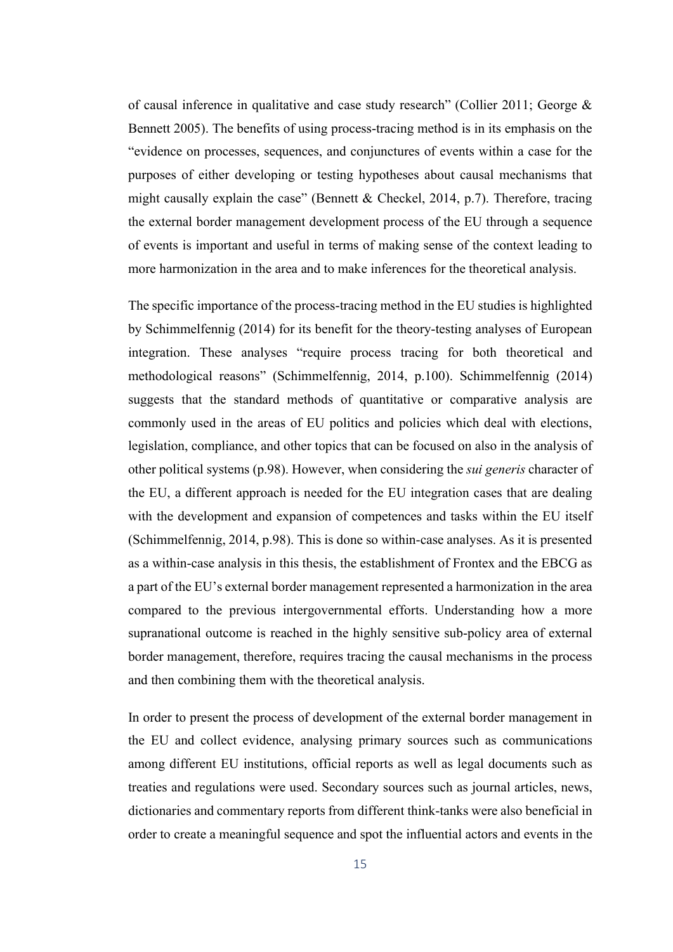of causal inference in qualitative and case study research" (Collier 2011; George & Bennett 2005). The benefits of using process-tracing method is in its emphasis on the "evidence on processes, sequences, and conjunctures of events within a case for the purposes of either developing or testing hypotheses about causal mechanisms that might causally explain the case" (Bennett & Checkel, 2014, p.7). Therefore, tracing the external border management development process of the EU through a sequence of events is important and useful in terms of making sense of the context leading to more harmonization in the area and to make inferences for the theoretical analysis.

The specific importance of the process-tracing method in the EU studies is highlighted by Schimmelfennig (2014) for its benefit for the theory-testing analyses of European integration. These analyses "require process tracing for both theoretical and methodological reasons" (Schimmelfennig, 2014, p.100). Schimmelfennig (2014) suggests that the standard methods of quantitative or comparative analysis are commonly used in the areas of EU politics and policies which deal with elections, legislation, compliance, and other topics that can be focused on also in the analysis of other political systems (p.98). However, when considering the *sui generis* character of the EU, a different approach is needed for the EU integration cases that are dealing with the development and expansion of competences and tasks within the EU itself (Schimmelfennig, 2014, p.98). This is done so within-case analyses. As it is presented as a within-case analysis in this thesis, the establishment of Frontex and the EBCG as a part of the EU's external border management represented a harmonization in the area compared to the previous intergovernmental efforts. Understanding how a more supranational outcome is reached in the highly sensitive sub-policy area of external border management, therefore, requires tracing the causal mechanisms in the process and then combining them with the theoretical analysis.

In order to present the process of development of the external border management in the EU and collect evidence, analysing primary sources such as communications among different EU institutions, official reports as well as legal documents such as treaties and regulations were used. Secondary sources such as journal articles, news, dictionaries and commentary reports from different think-tanks were also beneficial in order to create a meaningful sequence and spot the influential actors and events in the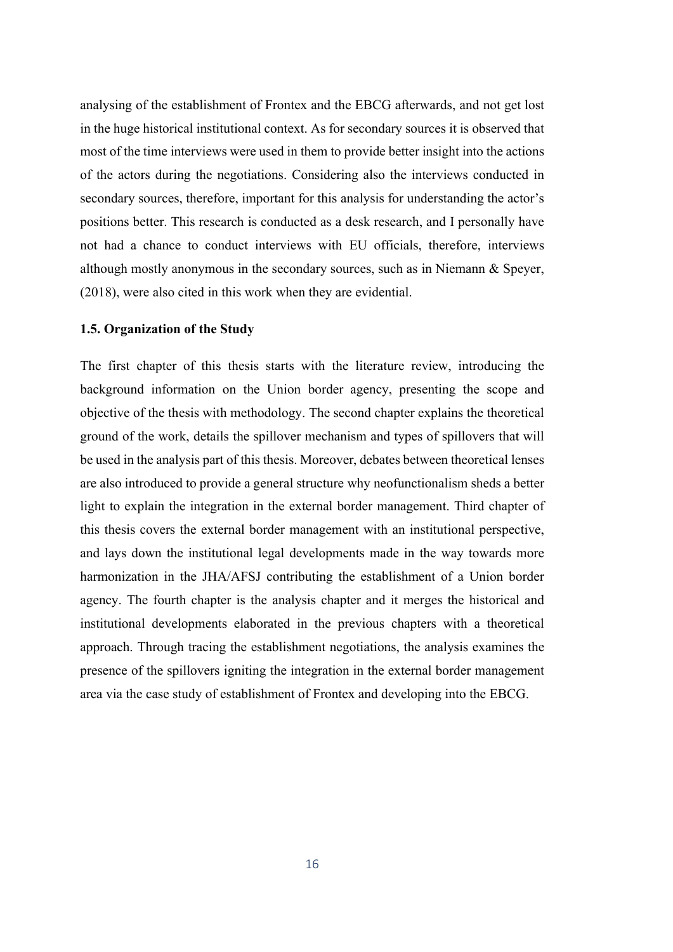analysing of the establishment of Frontex and the EBCG afterwards, and not get lost in the huge historical institutional context. As for secondary sources it is observed that most of the time interviews were used in them to provide better insight into the actions of the actors during the negotiations. Considering also the interviews conducted in secondary sources, therefore, important for this analysis for understanding the actor's positions better. This research is conducted as a desk research, and I personally have not had a chance to conduct interviews with EU officials, therefore, interviews although mostly anonymous in the secondary sources, such as in Niemann & Speyer, (2018), were also cited in this work when they are evidential.

### 1.5. Organization of the Study

The first chapter of this thesis starts with the literature review, introducing the background information on the Union border agency, presenting the scope and objective of the thesis with methodology. The second chapter explains the theoretical ground of the work, details the spillover mechanism and types of spillovers that will be used in the analysis part of this thesis. Moreover, debates between theoretical lenses are also introduced to provide a general structure why neofunctionalism sheds a better light to explain the integration in the external border management. Third chapter of this thesis covers the external border management with an institutional perspective, and lays down the institutional legal developments made in the way towards more harmonization in the JHA/AFSJ contributing the establishment of a Union border agency. The fourth chapter is the analysis chapter and it merges the historical and institutional developments elaborated in the previous chapters with a theoretical approach. Through tracing the establishment negotiations, the analysis examines the presence of the spillovers igniting the integration in the external border management area via the case study of establishment of Frontex and developing into the EBCG.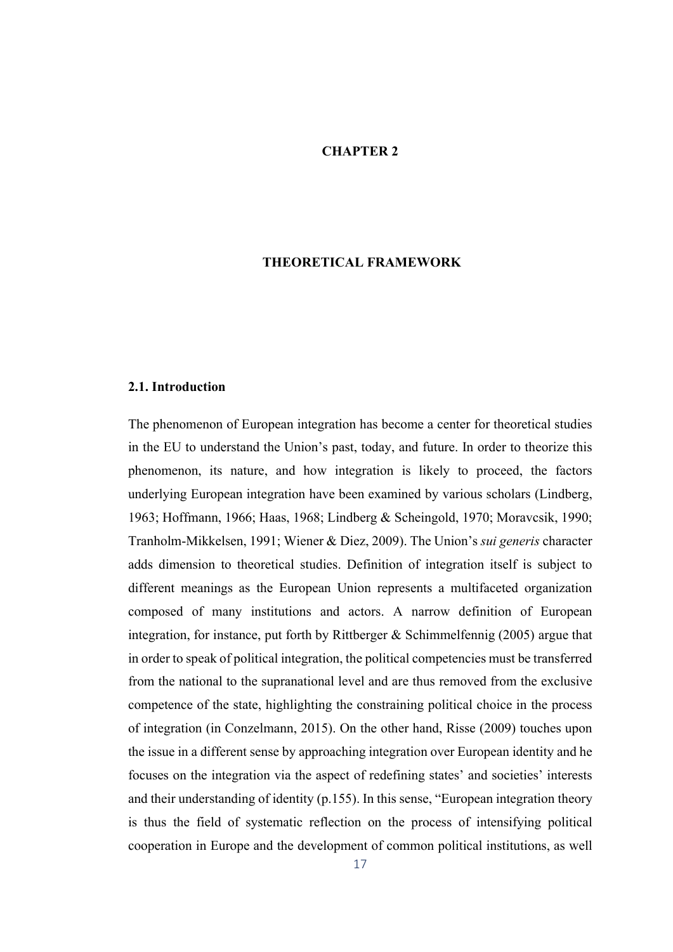### CHAPTER 2

### THEORETICAL FRAMEWORK

#### 2.1. Introduction

The phenomenon of European integration has become a center for theoretical studies in the EU to understand the Union's past, today, and future. In order to theorize this phenomenon, its nature, and how integration is likely to proceed, the factors underlying European integration have been examined by various scholars (Lindberg, 1963; Hoffmann, 1966; Haas, 1968; Lindberg & Scheingold, 1970; Moravcsik, 1990; Tranholm-Mikkelsen, 1991; Wiener & Diez, 2009). The Union's *sui generis* character adds dimension to theoretical studies. Definition of integration itself is subject to different meanings as the European Union represents a multifaceted organization composed of many institutions and actors. A narrow definition of European integration, for instance, put forth by Rittberger  $&$  Schimmelfennig (2005) argue that in order to speak of political integration, the political competencies must be transferred from the national to the supranational level and are thus removed from the exclusive competence of the state, highlighting the constraining political choice in the process of integration (in Conzelmann, 2015). On the other hand, Risse (2009) touches upon the issue in a different sense by approaching integration over European identity and he focuses on the integration via the aspect of redefining states' and societies' interests and their understanding of identity (p.155). In this sense, "European integration theory is thus the field of systematic reflection on the process of intensifying political cooperation in Europe and the development of common political institutions, as well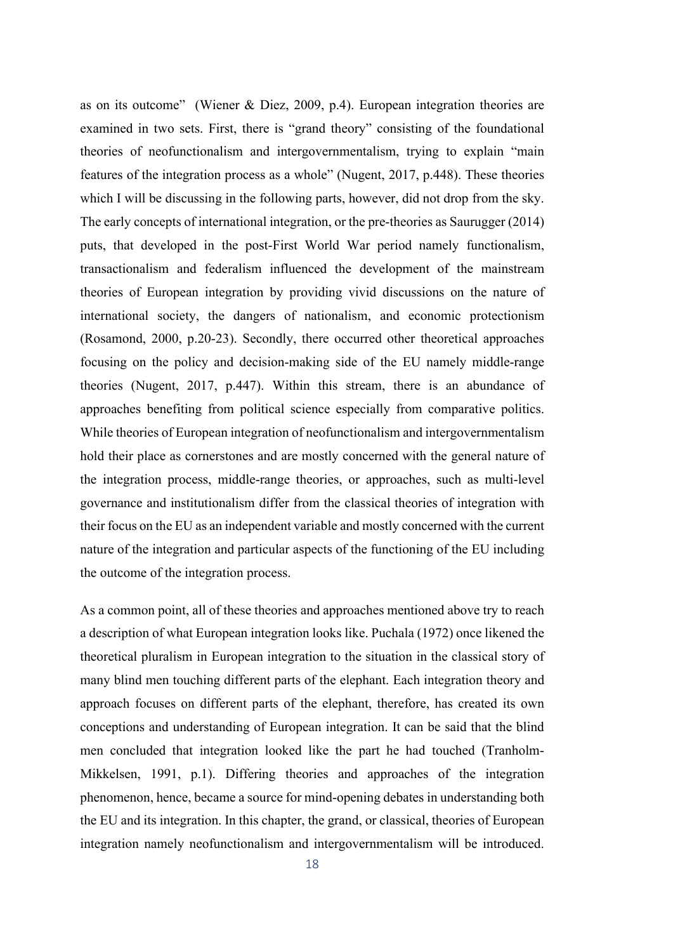as on its outcome" (Wiener & Diez, 2009, p.4). European integration theories are examined in two sets. First, there is "grand theory" consisting of the foundational theories of neofunctionalism and intergovernmentalism, trying to explain "main features of the integration process as a whole" (Nugent, 2017, p.448). These theories which I will be discussing in the following parts, however, did not drop from the sky. The early concepts of international integration, or the pre-theories as Saurugger (2014) puts, that developed in the post-First World War period namely functionalism, transactionalism and federalism influenced the development of the mainstream theories of European integration by providing vivid discussions on the nature of international society, the dangers of nationalism, and economic protectionism (Rosamond, 2000, p.20-23). Secondly, there occurred other theoretical approaches focusing on the policy and decision-making side of the EU namely middle-range theories (Nugent, 2017, p.447). Within this stream, there is an abundance of approaches benefiting from political science especially from comparative politics. While theories of European integration of neofunctionalism and intergovernmentalism hold their place as cornerstones and are mostly concerned with the general nature of the integration process, middle-range theories, or approaches, such as multi-level governance and institutionalism differ from the classical theories of integration with their focus on the EU as an independent variable and mostly concerned with the current nature of the integration and particular aspects of the functioning of the EU including the outcome of the integration process.

As a common point, all of these theories and approaches mentioned above try to reach a description of what European integration looks like. Puchala (1972) once likened the theoretical pluralism in European integration to the situation in the classical story of many blind men touching different parts of the elephant. Each integration theory and approach focuses on different parts of the elephant, therefore, has created its own conceptions and understanding of European integration. It can be said that the blind men concluded that integration looked like the part he had touched (Tranholm-Mikkelsen, 1991, p.1). Differing theories and approaches of the integration phenomenon, hence, became a source for mind-opening debates in understanding both the EU and its integration. In this chapter, the grand, or classical, theories of European integration namely neofunctionalism and intergovernmentalism will be introduced.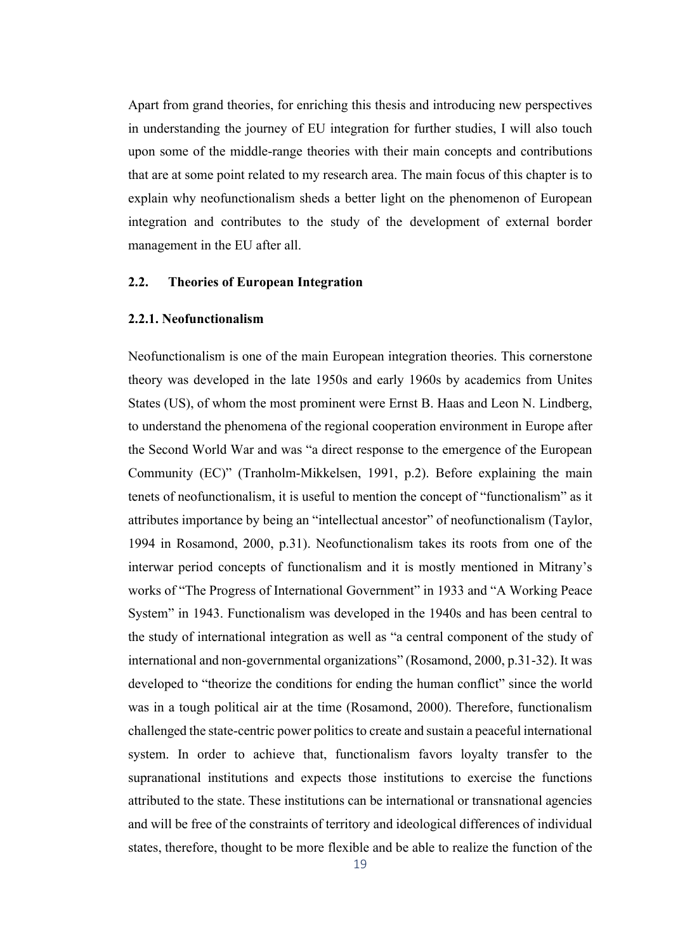Apart from grand theories, for enriching this thesis and introducing new perspectives in understanding the journey of EU integration for further studies, I will also touch upon some of the middle-range theories with their main concepts and contributions that are at some point related to my research area. The main focus of this chapter is to explain why neofunctionalism sheds a better light on the phenomenon of European integration and contributes to the study of the development of external border management in the EU after all.

# 2.2. Theories of European Integration

# 2.2.1. Neofunctionalism

Neofunctionalism is one of the main European integration theories. This cornerstone theory was developed in the late 1950s and early 1960s by academics from Unites States (US), of whom the most prominent were Ernst B. Haas and Leon N. Lindberg, to understand the phenomena of the regional cooperation environment in Europe after the Second World War and was "a direct response to the emergence of the European Community (EC)" (Tranholm-Mikkelsen, 1991, p.2). Before explaining the main tenets of neofunctionalism, it is useful to mention the concept of "functionalism" as it attributes importance by being an "intellectual ancestor" of neofunctionalism (Taylor, 1994 in Rosamond, 2000, p.31). Neofunctionalism takes its roots from one of the interwar period concepts of functionalism and it is mostly mentioned in Mitrany's works of "The Progress of International Government" in 1933 and "A Working Peace System" in 1943. Functionalism was developed in the 1940s and has been central to the study of international integration as well as "a central component of the study of international and non-governmental organizations" (Rosamond, 2000, p.31-32). It was developed to "theorize the conditions for ending the human conflict" since the world was in a tough political air at the time (Rosamond, 2000). Therefore, functionalism challenged the state-centric power politics to create and sustain a peaceful international system. In order to achieve that, functionalism favors loyalty transfer to the supranational institutions and expects those institutions to exercise the functions attributed to the state. These institutions can be international or transnational agencies and will be free of the constraints of territory and ideological differences of individual states, therefore, thought to be more flexible and be able to realize the function of the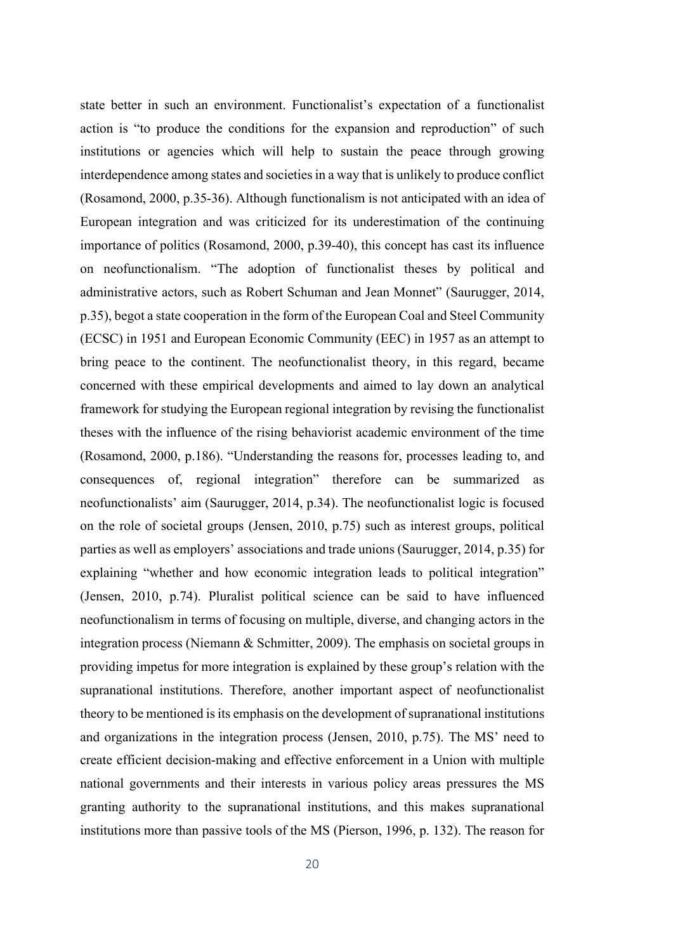state better in such an environment. Functionalist's expectation of a functionalist action is "to produce the conditions for the expansion and reproduction" of such institutions or agencies which will help to sustain the peace through growing interdependence among states and societies in a way that is unlikely to produce conflict (Rosamond, 2000, p.35-36). Although functionalism is not anticipated with an idea of European integration and was criticized for its underestimation of the continuing importance of politics (Rosamond, 2000, p.39-40), this concept has cast its influence on neofunctionalism. "The adoption of functionalist theses by political and administrative actors, such as Robert Schuman and Jean Monnet" (Saurugger, 2014, p.35), begot a state cooperation in the form of the European Coal and Steel Community (ECSC) in 1951 and European Economic Community (EEC) in 1957 as an attempt to bring peace to the continent. The neofunctionalist theory, in this regard, became concerned with these empirical developments and aimed to lay down an analytical framework for studying the European regional integration by revising the functionalist theses with the influence of the rising behaviorist academic environment of the time (Rosamond, 2000, p.186). "Understanding the reasons for, processes leading to, and consequences of, regional integration" therefore can be summarized as neofunctionalists' aim (Saurugger, 2014, p.34). The neofunctionalist logic is focused on the role of societal groups (Jensen, 2010, p.75) such as interest groups, political parties as well as employers' associations and trade unions (Saurugger, 2014, p.35) for explaining "whether and how economic integration leads to political integration" (Jensen, 2010, p.74). Pluralist political science can be said to have influenced neofunctionalism in terms of focusing on multiple, diverse, and changing actors in the integration process (Niemann & Schmitter, 2009). The emphasis on societal groups in providing impetus for more integration is explained by these group's relation with the supranational institutions. Therefore, another important aspect of neofunctionalist theory to be mentioned is its emphasis on the development of supranational institutions and organizations in the integration process (Jensen, 2010, p.75). The MS' need to create efficient decision-making and effective enforcement in a Union with multiple national governments and their interests in various policy areas pressures the MS granting authority to the supranational institutions, and this makes supranational institutions more than passive tools of the MS (Pierson, 1996, p. 132). The reason for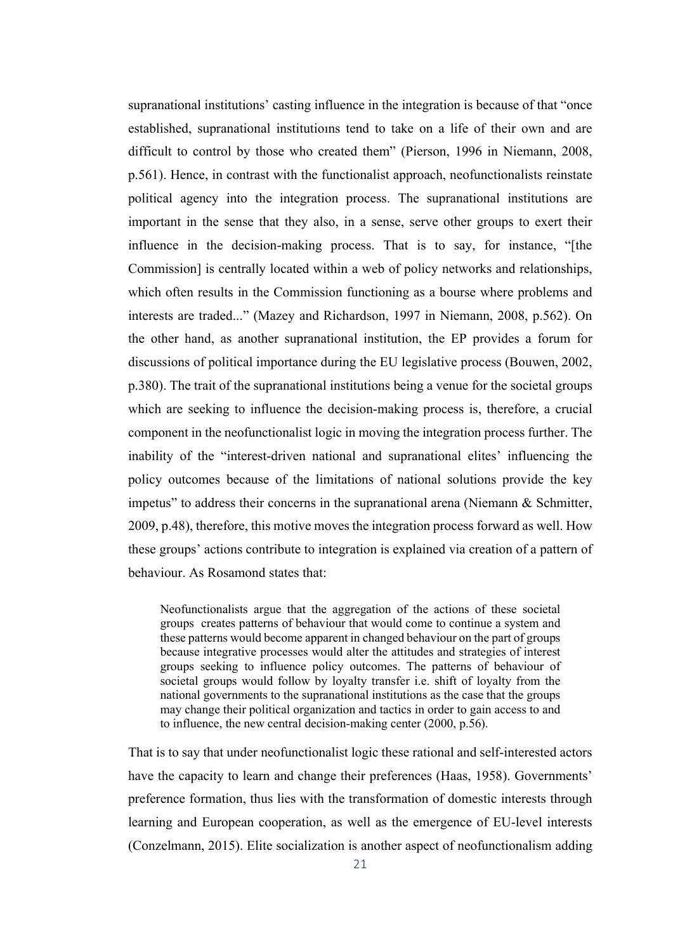supranational institutions' casting influence in the integration is because of that "once established, supranational institutioıns tend to take on a life of their own and are difficult to control by those who created them" (Pierson, 1996 in Niemann, 2008, p.561). Hence, in contrast with the functionalist approach, neofunctionalists reinstate political agency into the integration process. The supranational institutions are important in the sense that they also, in a sense, serve other groups to exert their influence in the decision-making process. That is to say, for instance, "[the Commission] is centrally located within a web of policy networks and relationships, which often results in the Commission functioning as a bourse where problems and interests are traded..." (Mazey and Richardson, 1997 in Niemann, 2008, p.562). On the other hand, as another supranational institution, the EP provides a forum for discussions of political importance during the EU legislative process (Bouwen, 2002, p.380). The trait of the supranational institutions being a venue for the societal groups which are seeking to influence the decision-making process is, therefore, a crucial component in the neofunctionalist logic in moving the integration process further. The inability of the "interest-driven national and supranational elites' influencing the policy outcomes because of the limitations of national solutions provide the key impetus" to address their concerns in the supranational arena (Niemann & Schmitter, 2009, p.48), therefore, this motive moves the integration process forward as well. How these groups' actions contribute to integration is explained via creation of a pattern of behaviour. As Rosamond states that:

Neofunctionalists argue that the aggregation of the actions of these societal groups creates patterns of behaviour that would come to continue a system and these patterns would become apparent in changed behaviour on the part of groups because integrative processes would alter the attitudes and strategies of interest groups seeking to influence policy outcomes. The patterns of behaviour of societal groups would follow by loyalty transfer i.e. shift of loyalty from the national governments to the supranational institutions as the case that the groups may change their political organization and tactics in order to gain access to and to influence, the new central decision-making center (2000, p.56).

That is to say that under neofunctionalist logic these rational and self-interested actors have the capacity to learn and change their preferences (Haas, 1958). Governments' preference formation, thus lies with the transformation of domestic interests through learning and European cooperation, as well as the emergence of EU-level interests (Conzelmann, 2015). Elite socialization is another aspect of neofunctionalism adding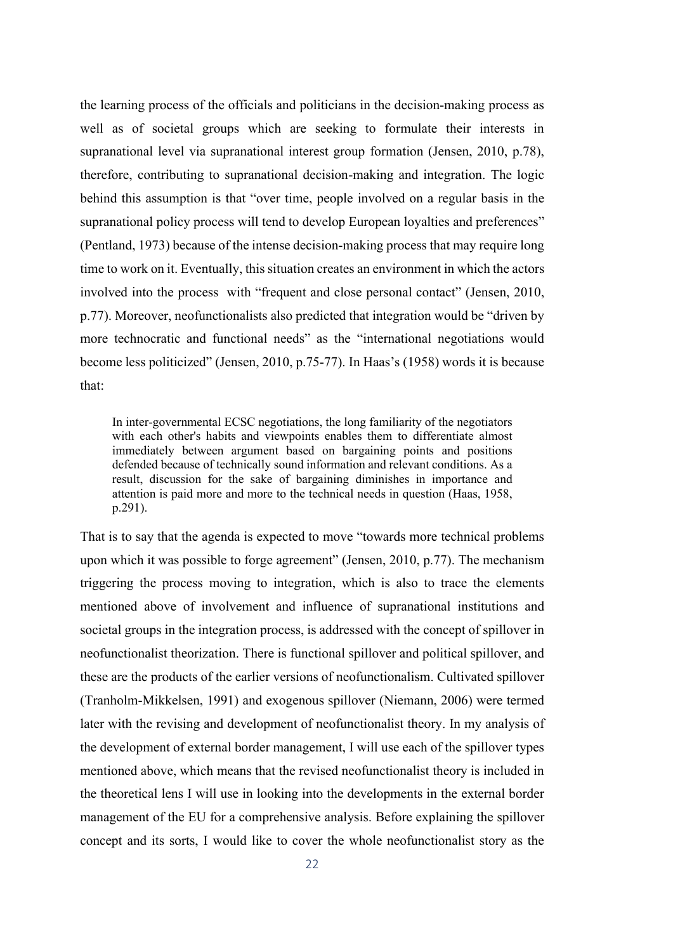the learning process of the officials and politicians in the decision-making process as well as of societal groups which are seeking to formulate their interests in supranational level via supranational interest group formation (Jensen, 2010, p.78), therefore, contributing to supranational decision-making and integration. The logic behind this assumption is that "over time, people involved on a regular basis in the supranational policy process will tend to develop European loyalties and preferences" (Pentland, 1973) because of the intense decision-making process that may require long time to work on it. Eventually, this situation creates an environment in which the actors involved into the process with "frequent and close personal contact" (Jensen, 2010, p.77). Moreover, neofunctionalists also predicted that integration would be "driven by more technocratic and functional needs" as the "international negotiations would become less politicized" (Jensen, 2010, p.75-77). In Haas's (1958) words it is because that:

In inter-governmental ECSC negotiations, the long familiarity of the negotiators with each other's habits and viewpoints enables them to differentiate almost immediately between argument based on bargaining points and positions defended because of technically sound information and relevant conditions. As a result, discussion for the sake of bargaining diminishes in importance and attention is paid more and more to the technical needs in question (Haas, 1958, p.291).

That is to say that the agenda is expected to move "towards more technical problems upon which it was possible to forge agreement" (Jensen, 2010, p.77). The mechanism triggering the process moving to integration, which is also to trace the elements mentioned above of involvement and influence of supranational institutions and societal groups in the integration process, is addressed with the concept of spillover in neofunctionalist theorization. There is functional spillover and political spillover, and these are the products of the earlier versions of neofunctionalism. Cultivated spillover (Tranholm-Mikkelsen, 1991) and exogenous spillover (Niemann, 2006) were termed later with the revising and development of neofunctionalist theory. In my analysis of the development of external border management, I will use each of the spillover types mentioned above, which means that the revised neofunctionalist theory is included in the theoretical lens I will use in looking into the developments in the external border management of the EU for a comprehensive analysis. Before explaining the spillover concept and its sorts, I would like to cover the whole neofunctionalist story as the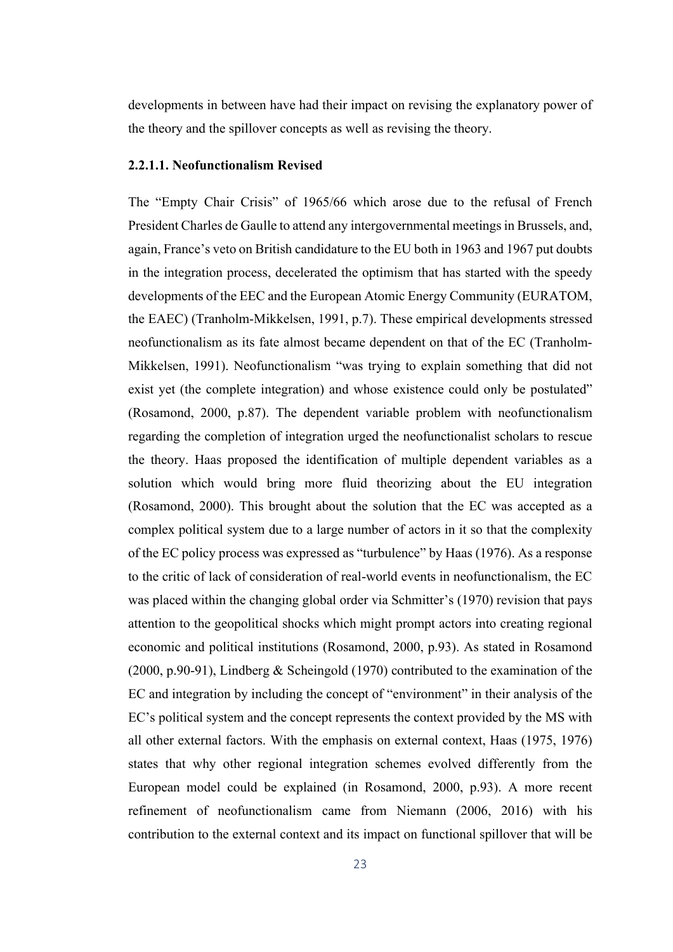developments in between have had their impact on revising the explanatory power of the theory and the spillover concepts as well as revising the theory.

# 2.2.1.1. Neofunctionalism Revised

The "Empty Chair Crisis" of 1965/66 which arose due to the refusal of French President Charles de Gaulle to attend any intergovernmental meetings in Brussels, and, again, France's veto on British candidature to the EU both in 1963 and 1967 put doubts in the integration process, decelerated the optimism that has started with the speedy developments of the EEC and the European Atomic Energy Community (EURATOM, the EAEC) (Tranholm-Mikkelsen, 1991, p.7). These empirical developments stressed neofunctionalism as its fate almost became dependent on that of the EC (Tranholm-Mikkelsen, 1991). Neofunctionalism "was trying to explain something that did not exist yet (the complete integration) and whose existence could only be postulated" (Rosamond, 2000, p.87). The dependent variable problem with neofunctionalism regarding the completion of integration urged the neofunctionalist scholars to rescue the theory. Haas proposed the identification of multiple dependent variables as a solution which would bring more fluid theorizing about the EU integration (Rosamond, 2000). This brought about the solution that the EC was accepted as a complex political system due to a large number of actors in it so that the complexity of the EC policy process was expressed as "turbulence" by Haas (1976). As a response to the critic of lack of consideration of real-world events in neofunctionalism, the EC was placed within the changing global order via Schmitter's (1970) revision that pays attention to the geopolitical shocks which might prompt actors into creating regional economic and political institutions (Rosamond, 2000, p.93). As stated in Rosamond (2000, p.90-91), Lindberg & Scheingold (1970) contributed to the examination of the EC and integration by including the concept of "environment" in their analysis of the EC's political system and the concept represents the context provided by the MS with all other external factors. With the emphasis on external context, Haas (1975, 1976) states that why other regional integration schemes evolved differently from the European model could be explained (in Rosamond, 2000, p.93). A more recent refinement of neofunctionalism came from Niemann (2006, 2016) with his contribution to the external context and its impact on functional spillover that will be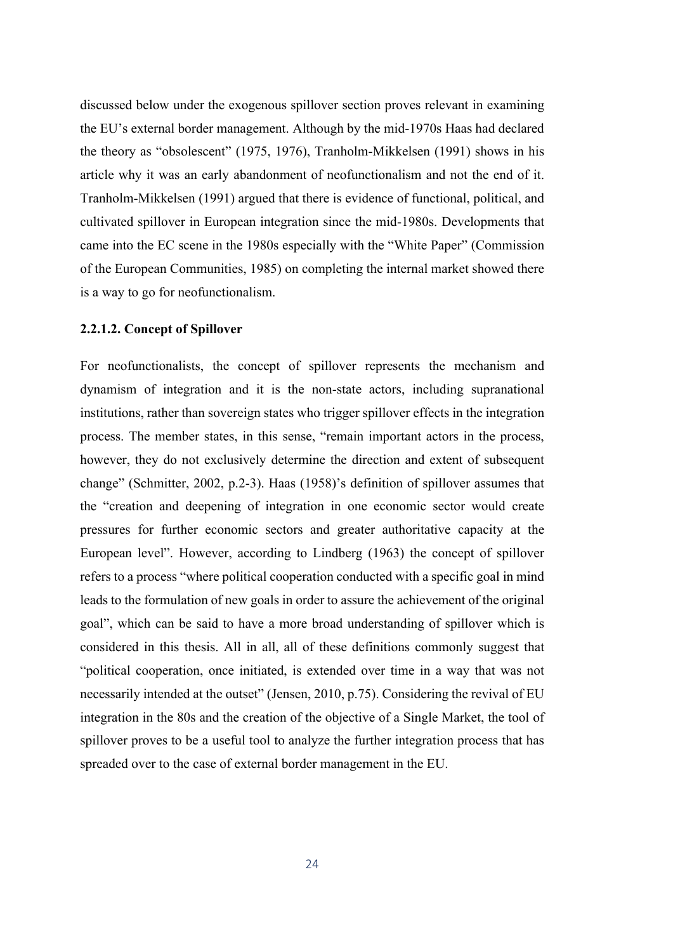discussed below under the exogenous spillover section proves relevant in examining the EU's external border management. Although by the mid-1970s Haas had declared the theory as "obsolescent" (1975, 1976), Tranholm-Mikkelsen (1991) shows in his article why it was an early abandonment of neofunctionalism and not the end of it. Tranholm-Mikkelsen (1991) argued that there is evidence of functional, political, and cultivated spillover in European integration since the mid-1980s. Developments that came into the EC scene in the 1980s especially with the "White Paper" (Commission of the European Communities, 1985) on completing the internal market showed there is a way to go for neofunctionalism.

# 2.2.1.2. Concept of Spillover

For neofunctionalists, the concept of spillover represents the mechanism and dynamism of integration and it is the non-state actors, including supranational institutions, rather than sovereign states who trigger spillover effects in the integration process. The member states, in this sense, "remain important actors in the process, however, they do not exclusively determine the direction and extent of subsequent change" (Schmitter, 2002, p.2-3). Haas (1958)'s definition of spillover assumes that the "creation and deepening of integration in one economic sector would create pressures for further economic sectors and greater authoritative capacity at the European level". However, according to Lindberg (1963) the concept of spillover refers to a process "where political cooperation conducted with a specific goal in mind leads to the formulation of new goals in order to assure the achievement of the original goal", which can be said to have a more broad understanding of spillover which is considered in this thesis. All in all, all of these definitions commonly suggest that "political cooperation, once initiated, is extended over time in a way that was not necessarily intended at the outset" (Jensen, 2010, p.75). Considering the revival of EU integration in the 80s and the creation of the objective of a Single Market, the tool of spillover proves to be a useful tool to analyze the further integration process that has spreaded over to the case of external border management in the EU.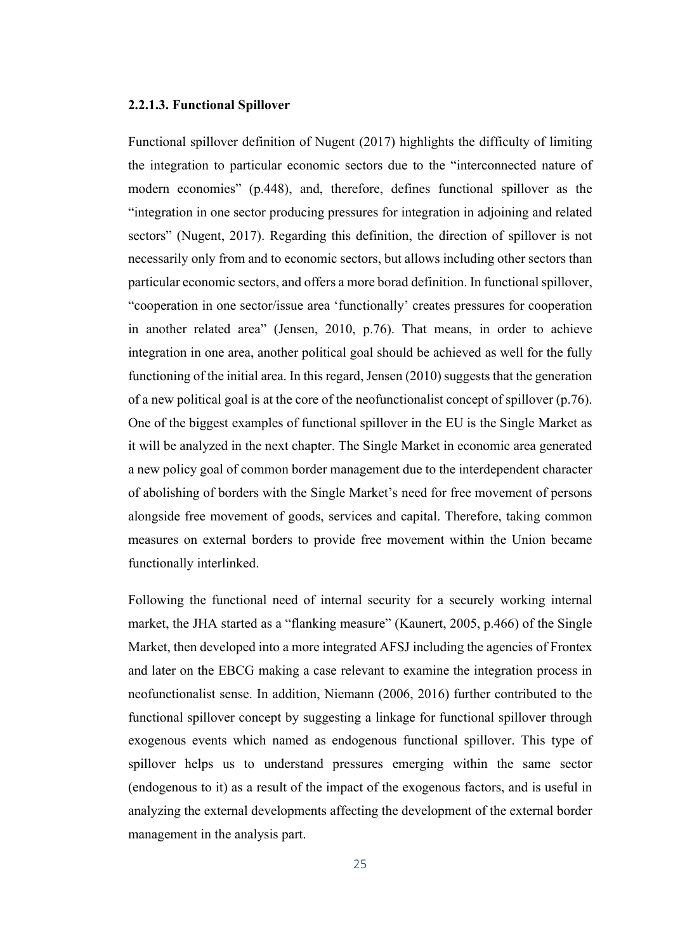## 2.2.1.3. Functional Spillover

Functional spillover definition of Nugent (2017) highlights the difficulty of limiting the integration to particular economic sectors due to the "interconnected nature of modern economies" (p.448), and, therefore, defines functional spillover as the "integration in one sector producing pressures for integration in adjoining and related sectors" (Nugent, 2017). Regarding this definition, the direction of spillover is not necessarily only from and to economic sectors, but allows including other sectors than particular economic sectors, and offers a more borad definition. In functional spillover, "cooperation in one sector/issue area 'functionally' creates pressures for cooperation in another related area" (Jensen, 2010, p.76). That means, in order to achieve integration in one area, another political goal should be achieved as well for the fully functioning of the initial area. In this regard, Jensen (2010) suggests that the generation of a new political goal is at the core of the neofunctionalist concept of spillover (p.76). One of the biggest examples of functional spillover in the EU is the Single Market as it will be analyzed in the next chapter. The Single Market in economic area generated a new policy goal of common border management due to the interdependent character of abolishing of borders with the Single Market's need for free movement of persons alongside free movement of goods, services and capital. Therefore, taking common measures on external borders to provide free movement within the Union became functionally interlinked.

Following the functional need of internal security for a securely working internal market, the JHA started as a "flanking measure" (Kaunert, 2005, p.466) of the Single Market, then developed into a more integrated AFSJ including the agencies of Frontex and later on the EBCG making a case relevant to examine the integration process in neofunctionalist sense. In addition, Niemann (2006, 2016) further contributed to the functional spillover concept by suggesting a linkage for functional spillover through exogenous events which named as endogenous functional spillover. This type of spillover helps us to understand pressures emerging within the same sector (endogenous to it) as a result of the impact of the exogenous factors, and is useful in analyzing the external developments affecting the development of the external border management in the analysis part.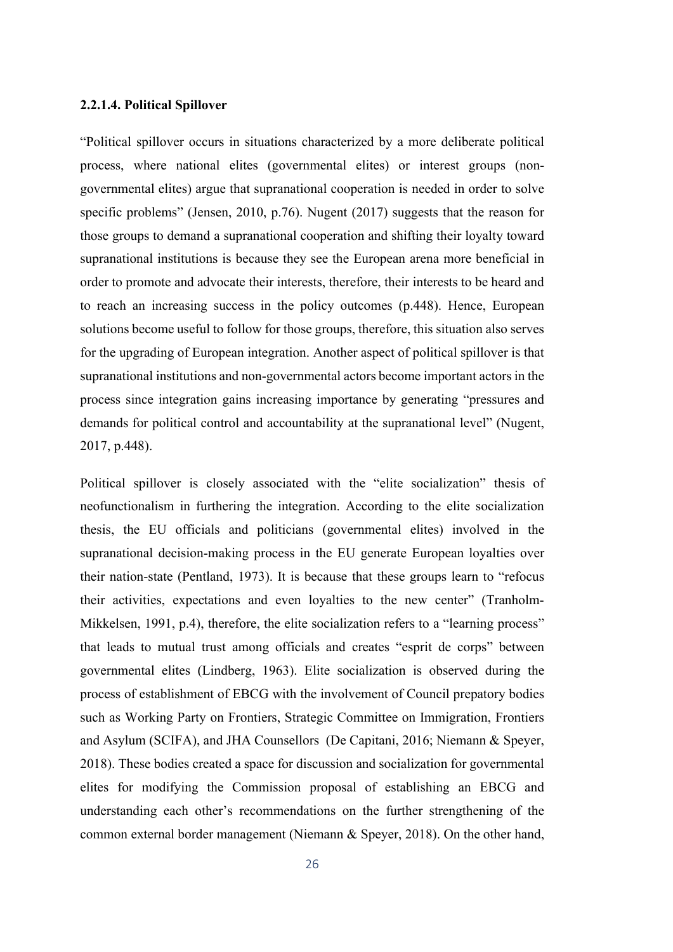## 2.2.1.4. Political Spillover

"Political spillover occurs in situations characterized by a more deliberate political process, where national elites (governmental elites) or interest groups (nongovernmental elites) argue that supranational cooperation is needed in order to solve specific problems" (Jensen, 2010, p.76). Nugent (2017) suggests that the reason for those groups to demand a supranational cooperation and shifting their loyalty toward supranational institutions is because they see the European arena more beneficial in order to promote and advocate their interests, therefore, their interests to be heard and to reach an increasing success in the policy outcomes (p.448). Hence, European solutions become useful to follow for those groups, therefore, this situation also serves for the upgrading of European integration. Another aspect of political spillover is that supranational institutions and non-governmental actors become important actors in the process since integration gains increasing importance by generating "pressures and demands for political control and accountability at the supranational level" (Nugent, 2017, p.448).

Political spillover is closely associated with the "elite socialization" thesis of neofunctionalism in furthering the integration. According to the elite socialization thesis, the EU officials and politicians (governmental elites) involved in the supranational decision-making process in the EU generate European loyalties over their nation-state (Pentland, 1973). It is because that these groups learn to "refocus their activities, expectations and even loyalties to the new center" (Tranholm-Mikkelsen, 1991, p.4), therefore, the elite socialization refers to a "learning process" that leads to mutual trust among officials and creates "esprit de corps" between governmental elites (Lindberg, 1963). Elite socialization is observed during the process of establishment of EBCG with the involvement of Council prepatory bodies such as Working Party on Frontiers, Strategic Committee on Immigration, Frontiers and Asylum (SCIFA), and JHA Counsellors (De Capitani, 2016; Niemann & Speyer, 2018). These bodies created a space for discussion and socialization for governmental elites for modifying the Commission proposal of establishing an EBCG and understanding each other's recommendations on the further strengthening of the common external border management (Niemann & Speyer, 2018). On the other hand,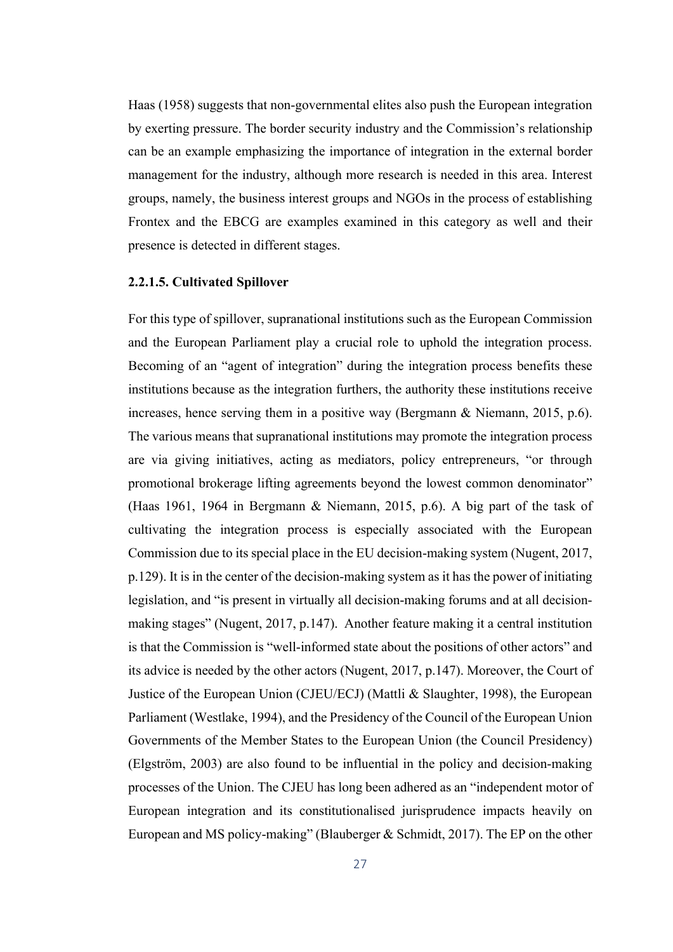Haas (1958) suggests that non-governmental elites also push the European integration by exerting pressure. The border security industry and the Commission's relationship can be an example emphasizing the importance of integration in the external border management for the industry, although more research is needed in this area. Interest groups, namely, the business interest groups and NGOs in the process of establishing Frontex and the EBCG are examples examined in this category as well and their presence is detected in different stages.

## 2.2.1.5. Cultivated Spillover

For this type of spillover, supranational institutions such as the European Commission and the European Parliament play a crucial role to uphold the integration process. Becoming of an "agent of integration" during the integration process benefits these institutions because as the integration furthers, the authority these institutions receive increases, hence serving them in a positive way (Bergmann & Niemann, 2015, p.6). The various means that supranational institutions may promote the integration process are via giving initiatives, acting as mediators, policy entrepreneurs, "or through promotional brokerage lifting agreements beyond the lowest common denominator" (Haas 1961, 1964 in Bergmann & Niemann, 2015, p.6). A big part of the task of cultivating the integration process is especially associated with the European Commission due to its special place in the EU decision-making system (Nugent, 2017, p.129). It is in the center of the decision-making system as it has the power of initiating legislation, and "is present in virtually all decision-making forums and at all decisionmaking stages" (Nugent, 2017, p.147). Another feature making it a central institution is that the Commission is "well-informed state about the positions of other actors" and its advice is needed by the other actors (Nugent, 2017, p.147). Moreover, the Court of Justice of the European Union (CJEU/ECJ) (Mattli & Slaughter, 1998), the European Parliament (Westlake, 1994), and the Presidency of the Council of the European Union Governments of the Member States to the European Union (the Council Presidency) (Elgström, 2003) are also found to be influential in the policy and decision-making processes of the Union. The CJEU has long been adhered as an "independent motor of European integration and its constitutionalised jurisprudence impacts heavily on European and MS policy-making" (Blauberger & Schmidt, 2017). The EP on the other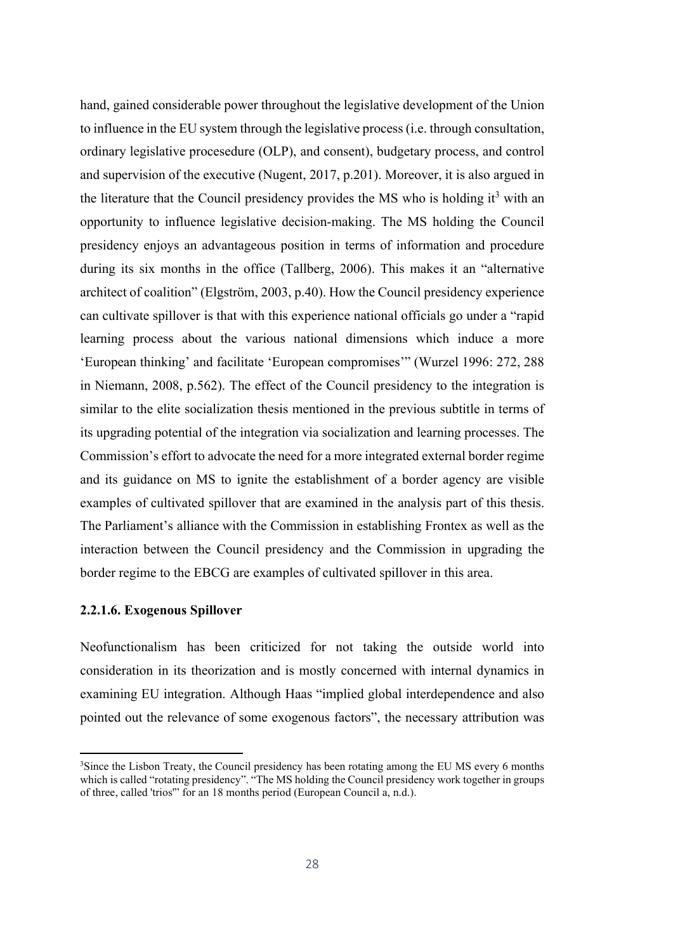hand, gained considerable power throughout the legislative development of the Union to influence in the EU system through the legislative process (i.e. through consultation, ordinary legislative procesedure (OLP), and consent), budgetary process, and control and supervision of the executive (Nugent, 2017, p.201). Moreover, it is also argued in the literature that the Council presidency provides the MS who is holding  $it^3$  with an opportunity to influence legislative decision-making. The MS holding the Council presidency enjoys an advantageous position in terms of information and procedure during its six months in the office (Tallberg, 2006). This makes it an "alternative architect of coalition" (Elgström, 2003, p.40). How the Council presidency experience can cultivate spillover is that with this experience national officials go under a "rapid learning process about the various national dimensions which induce a more 'European thinking' and facilitate 'European compromises'" (Wurzel 1996: 272, 288 in Niemann, 2008, p.562). The effect of the Council presidency to the integration is similar to the elite socialization thesis mentioned in the previous subtitle in terms of its upgrading potential of the integration via socialization and learning processes. The Commission's effort to advocate the need for a more integrated external border regime and its guidance on MS to ignite the establishment of a border agency are visible examples of cultivated spillover that are examined in the analysis part of this thesis. The Parliament's alliance with the Commission in establishing Frontex as well as the interaction between the Council presidency and the Commission in upgrading the border regime to the EBCG are examples of cultivated spillover in this area.

#### 2.2.1.6. Exogenous Spillover

Neofunctionalism has been criticized for not taking the outside world into consideration in its theorization and is mostly concerned with internal dynamics in examining EU integration. Although Haas "implied global interdependence and also pointed out the relevance of some exogenous factors", the necessary attribution was

<sup>&</sup>lt;sup>3</sup>Since the Lisbon Treaty, the Council presidency has been rotating among the EU MS every 6 months which is called "rotating presidency". "The MS holding the Council presidency work together in groups of three, called 'trios'" for an 18 months period (European Council a, n.d.).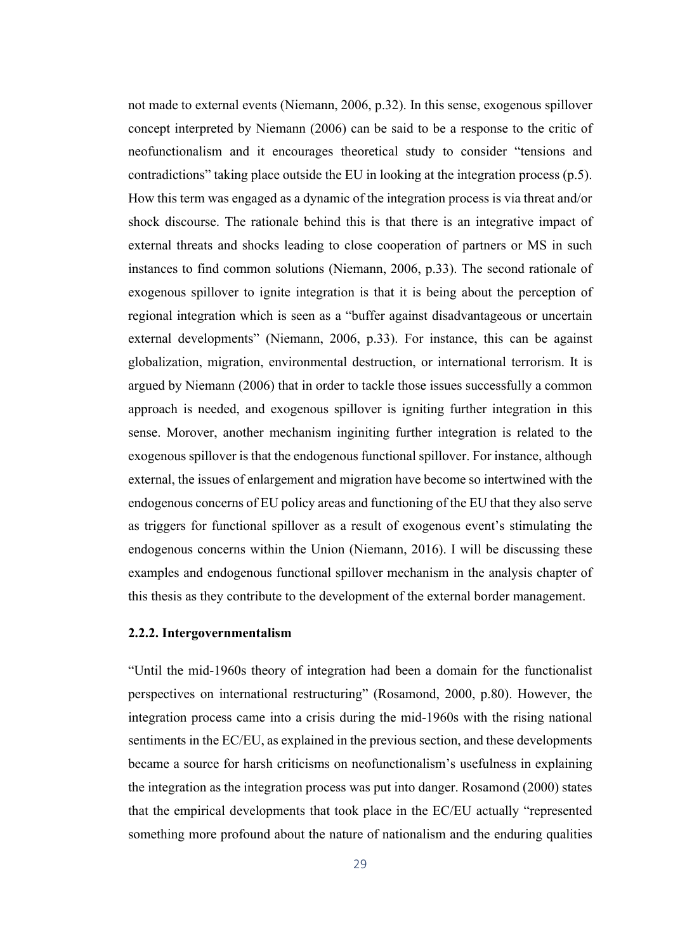not made to external events (Niemann, 2006, p.32). In this sense, exogenous spillover concept interpreted by Niemann (2006) can be said to be a response to the critic of neofunctionalism and it encourages theoretical study to consider "tensions and contradictions" taking place outside the EU in looking at the integration process (p.5). How this term was engaged as a dynamic of the integration process is via threat and/or shock discourse. The rationale behind this is that there is an integrative impact of external threats and shocks leading to close cooperation of partners or MS in such instances to find common solutions (Niemann, 2006, p.33). The second rationale of exogenous spillover to ignite integration is that it is being about the perception of regional integration which is seen as a "buffer against disadvantageous or uncertain external developments" (Niemann, 2006, p.33). For instance, this can be against globalization, migration, environmental destruction, or international terrorism. It is argued by Niemann (2006) that in order to tackle those issues successfully a common approach is needed, and exogenous spillover is igniting further integration in this sense. Morover, another mechanism inginiting further integration is related to the exogenous spillover is that the endogenous functional spillover. For instance, although external, the issues of enlargement and migration have become so intertwined with the endogenous concerns of EU policy areas and functioning of the EU that they also serve as triggers for functional spillover as a result of exogenous event's stimulating the endogenous concerns within the Union (Niemann, 2016). I will be discussing these examples and endogenous functional spillover mechanism in the analysis chapter of this thesis as they contribute to the development of the external border management.

# 2.2.2. Intergovernmentalism

"Until the mid-1960s theory of integration had been a domain for the functionalist perspectives on international restructuring" (Rosamond, 2000, p.80). However, the integration process came into a crisis during the mid-1960s with the rising national sentiments in the EC/EU, as explained in the previous section, and these developments became a source for harsh criticisms on neofunctionalism's usefulness in explaining the integration as the integration process was put into danger. Rosamond (2000) states that the empirical developments that took place in the EC/EU actually "represented something more profound about the nature of nationalism and the enduring qualities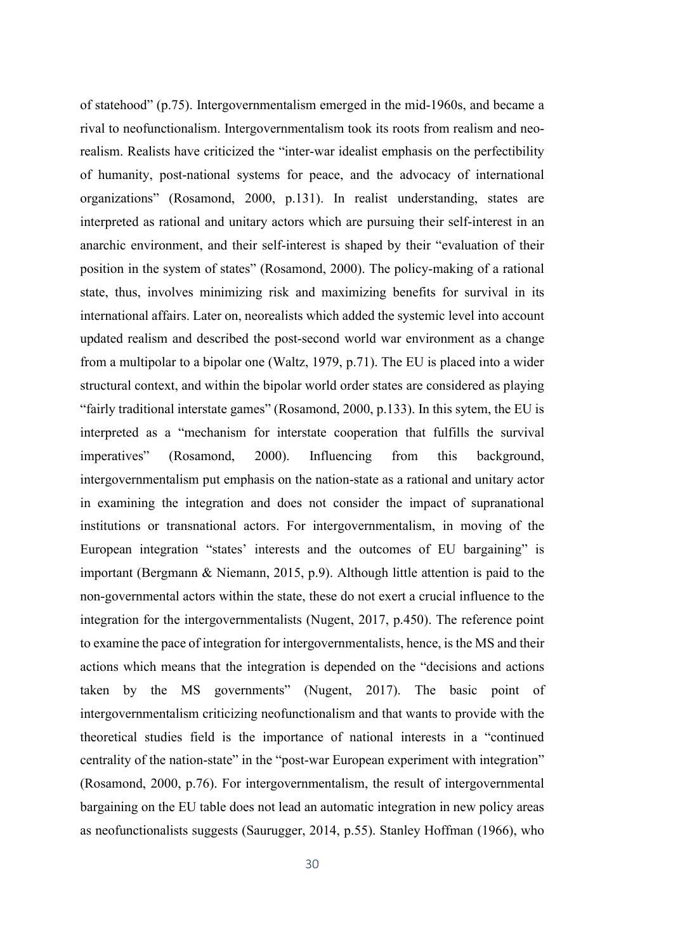of statehood" (p.75). Intergovernmentalism emerged in the mid-1960s, and became a rival to neofunctionalism. Intergovernmentalism took its roots from realism and neorealism. Realists have criticized the "inter-war idealist emphasis on the perfectibility of humanity, post-national systems for peace, and the advocacy of international organizations" (Rosamond, 2000, p.131). In realist understanding, states are interpreted as rational and unitary actors which are pursuing their self-interest in an anarchic environment, and their self-interest is shaped by their "evaluation of their position in the system of states" (Rosamond, 2000). The policy-making of a rational state, thus, involves minimizing risk and maximizing benefits for survival in its international affairs. Later on, neorealists which added the systemic level into account updated realism and described the post-second world war environment as a change from a multipolar to a bipolar one (Waltz, 1979, p.71). The EU is placed into a wider structural context, and within the bipolar world order states are considered as playing "fairly traditional interstate games" (Rosamond, 2000, p.133). In this sytem, the EU is interpreted as a "mechanism for interstate cooperation that fulfills the survival imperatives" (Rosamond, 2000). Influencing from this background, intergovernmentalism put emphasis on the nation-state as a rational and unitary actor in examining the integration and does not consider the impact of supranational institutions or transnational actors. For intergovernmentalism, in moving of the European integration "states' interests and the outcomes of EU bargaining" is important (Bergmann & Niemann, 2015, p.9). Although little attention is paid to the non-governmental actors within the state, these do not exert a crucial influence to the integration for the intergovernmentalists (Nugent, 2017, p.450). The reference point to examine the pace of integration for intergovernmentalists, hence, is the MS and their actions which means that the integration is depended on the "decisions and actions taken by the MS governments" (Nugent, 2017). The basic point of intergovernmentalism criticizing neofunctionalism and that wants to provide with the theoretical studies field is the importance of national interests in a "continued centrality of the nation-state" in the "post-war European experiment with integration" (Rosamond, 2000, p.76). For intergovernmentalism, the result of intergovernmental bargaining on the EU table does not lead an automatic integration in new policy areas as neofunctionalists suggests (Saurugger, 2014, p.55). Stanley Hoffman (1966), who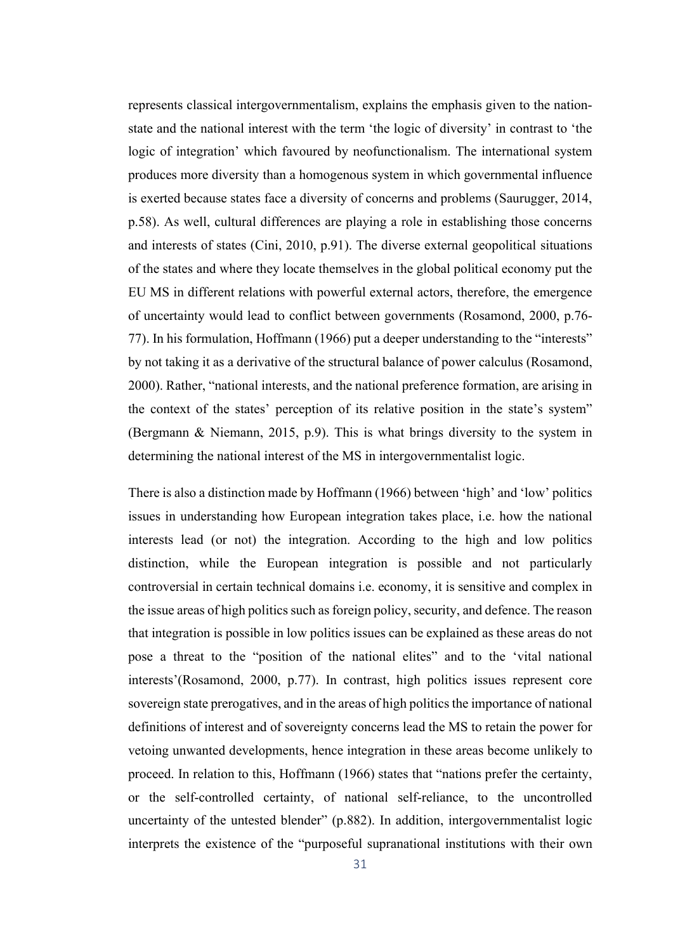represents classical intergovernmentalism, explains the emphasis given to the nationstate and the national interest with the term 'the logic of diversity' in contrast to 'the logic of integration' which favoured by neofunctionalism. The international system produces more diversity than a homogenous system in which governmental influence is exerted because states face a diversity of concerns and problems (Saurugger, 2014, p.58). As well, cultural differences are playing a role in establishing those concerns and interests of states (Cini, 2010, p.91). The diverse external geopolitical situations of the states and where they locate themselves in the global political economy put the EU MS in different relations with powerful external actors, therefore, the emergence of uncertainty would lead to conflict between governments (Rosamond, 2000, p.76- 77). In his formulation, Hoffmann (1966) put a deeper understanding to the "interests" by not taking it as a derivative of the structural balance of power calculus (Rosamond, 2000). Rather, "national interests, and the national preference formation, are arising in the context of the states' perception of its relative position in the state's system" (Bergmann & Niemann, 2015, p.9). This is what brings diversity to the system in determining the national interest of the MS in intergovernmentalist logic.

There is also a distinction made by Hoffmann (1966) between 'high' and 'low' politics issues in understanding how European integration takes place, i.e. how the national interests lead (or not) the integration. According to the high and low politics distinction, while the European integration is possible and not particularly controversial in certain technical domains i.e. economy, it is sensitive and complex in the issue areas of high politics such as foreign policy, security, and defence. The reason that integration is possible in low politics issues can be explained as these areas do not pose a threat to the "position of the national elites" and to the 'vital national interests'(Rosamond, 2000, p.77). In contrast, high politics issues represent core sovereign state prerogatives, and in the areas of high politics the importance of national definitions of interest and of sovereignty concerns lead the MS to retain the power for vetoing unwanted developments, hence integration in these areas become unlikely to proceed. In relation to this, Hoffmann (1966) states that "nations prefer the certainty, or the self-controlled certainty, of national self-reliance, to the uncontrolled uncertainty of the untested blender" (p.882). In addition, intergovernmentalist logic interprets the existence of the "purposeful supranational institutions with their own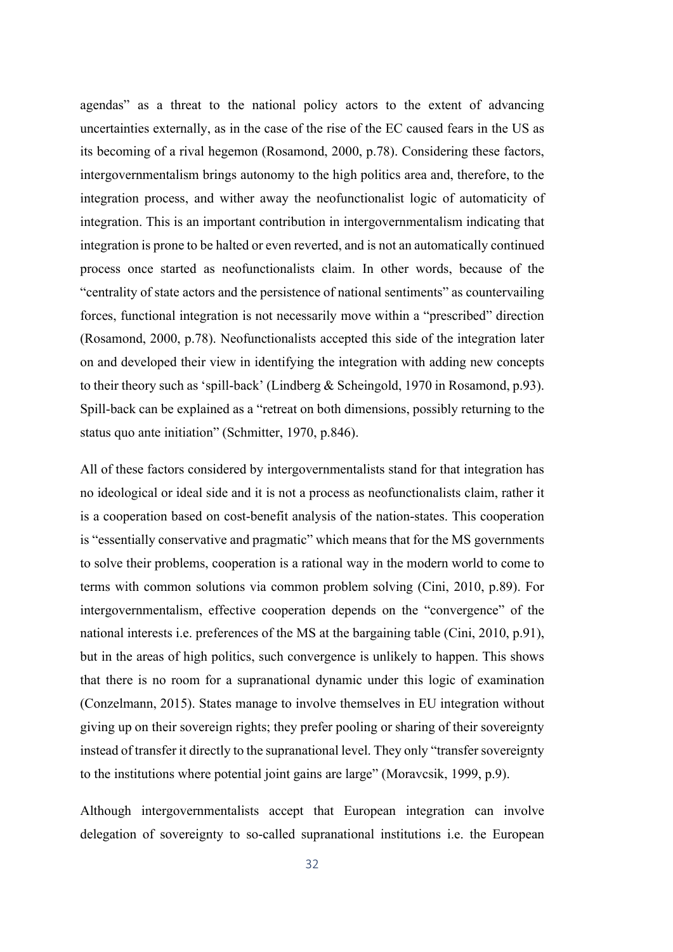agendas" as a threat to the national policy actors to the extent of advancing uncertainties externally, as in the case of the rise of the EC caused fears in the US as its becoming of a rival hegemon (Rosamond, 2000, p.78). Considering these factors, intergovernmentalism brings autonomy to the high politics area and, therefore, to the integration process, and wither away the neofunctionalist logic of automaticity of integration. This is an important contribution in intergovernmentalism indicating that integration is prone to be halted or even reverted, and is not an automatically continued process once started as neofunctionalists claim. In other words, because of the "centrality of state actors and the persistence of national sentiments" as countervailing forces, functional integration is not necessarily move within a "prescribed" direction (Rosamond, 2000, p.78). Neofunctionalists accepted this side of the integration later on and developed their view in identifying the integration with adding new concepts to their theory such as 'spill-back' (Lindberg & Scheingold, 1970 in Rosamond, p.93). Spill-back can be explained as a "retreat on both dimensions, possibly returning to the status quo ante initiation" (Schmitter, 1970, p.846).

All of these factors considered by intergovernmentalists stand for that integration has no ideological or ideal side and it is not a process as neofunctionalists claim, rather it is a cooperation based on cost-benefit analysis of the nation-states. This cooperation is "essentially conservative and pragmatic" which means that for the MS governments to solve their problems, cooperation is a rational way in the modern world to come to terms with common solutions via common problem solving (Cini, 2010, p.89). For intergovernmentalism, effective cooperation depends on the "convergence" of the national interests i.e. preferences of the MS at the bargaining table (Cini, 2010, p.91), but in the areas of high politics, such convergence is unlikely to happen. This shows that there is no room for a supranational dynamic under this logic of examination (Conzelmann, 2015). States manage to involve themselves in EU integration without giving up on their sovereign rights; they prefer pooling or sharing of their sovereignty instead of transfer it directly to the supranational level. They only "transfer sovereignty to the institutions where potential joint gains are large" (Moravcsik, 1999, p.9).

Although intergovernmentalists accept that European integration can involve delegation of sovereignty to so-called supranational institutions i.e. the European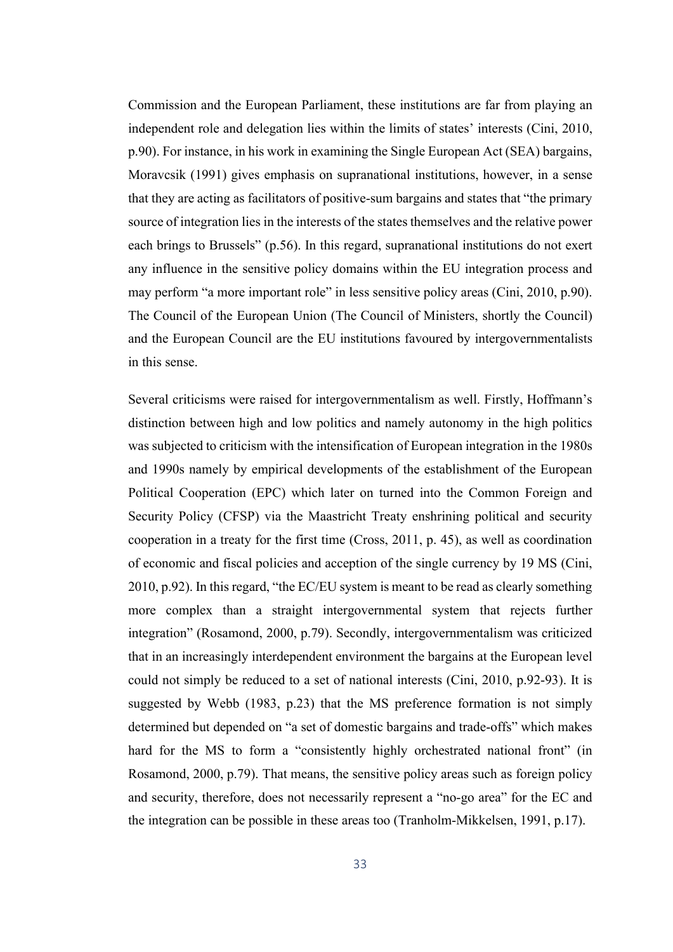Commission and the European Parliament, these institutions are far from playing an independent role and delegation lies within the limits of states' interests (Cini, 2010, p.90). For instance, in his work in examining the Single European Act (SEA) bargains, Moravcsik (1991) gives emphasis on supranational institutions, however, in a sense that they are acting as facilitators of positive-sum bargains and states that "the primary source of integration lies in the interests of the states themselves and the relative power each brings to Brussels" (p.56). In this regard, supranational institutions do not exert any influence in the sensitive policy domains within the EU integration process and may perform "a more important role" in less sensitive policy areas (Cini, 2010, p.90). The Council of the European Union (The Council of Ministers, shortly the Council) and the European Council are the EU institutions favoured by intergovernmentalists in this sense.

Several criticisms were raised for intergovernmentalism as well. Firstly, Hoffmann's distinction between high and low politics and namely autonomy in the high politics was subjected to criticism with the intensification of European integration in the 1980s and 1990s namely by empirical developments of the establishment of the European Political Cooperation (EPC) which later on turned into the Common Foreign and Security Policy (CFSP) via the Maastricht Treaty enshrining political and security cooperation in a treaty for the first time (Cross, 2011, p. 45), as well as coordination of economic and fiscal policies and acception of the single currency by 19 MS (Cini, 2010, p.92). In this regard, "the EC/EU system is meant to be read as clearly something more complex than a straight intergovernmental system that rejects further integration" (Rosamond, 2000, p.79). Secondly, intergovernmentalism was criticized that in an increasingly interdependent environment the bargains at the European level could not simply be reduced to a set of national interests (Cini, 2010, p.92-93). It is suggested by Webb (1983, p.23) that the MS preference formation is not simply determined but depended on "a set of domestic bargains and trade-offs" which makes hard for the MS to form a "consistently highly orchestrated national front" (in Rosamond, 2000, p.79). That means, the sensitive policy areas such as foreign policy and security, therefore, does not necessarily represent a "no-go area" for the EC and the integration can be possible in these areas too (Tranholm-Mikkelsen, 1991, p.17).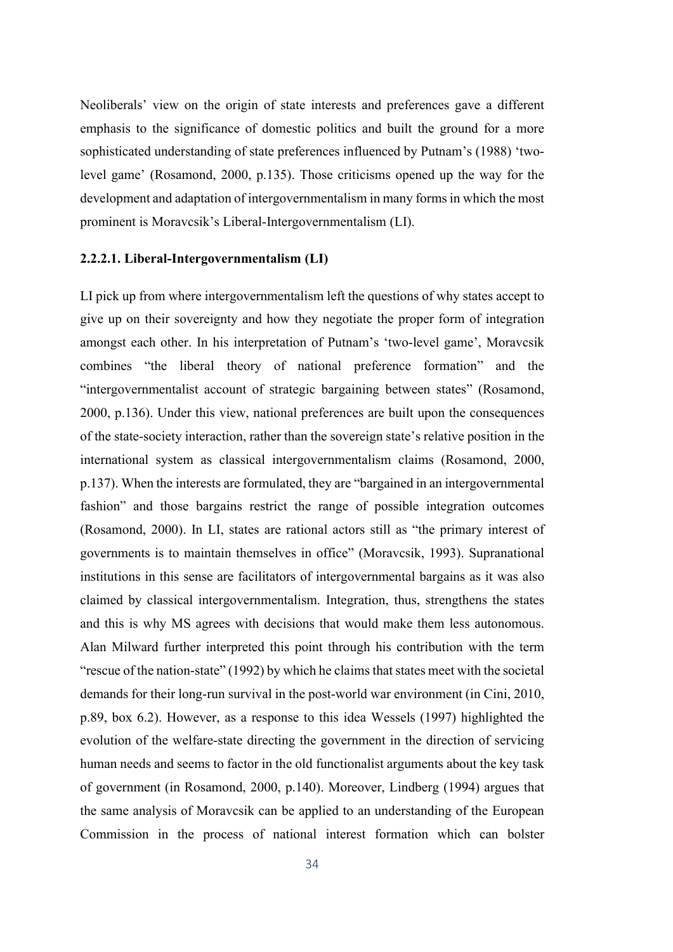Neoliberals' view on the origin of state interests and preferences gave a different emphasis to the significance of domestic politics and built the ground for a more sophisticated understanding of state preferences influenced by Putnam's (1988) 'twolevel game' (Rosamond, 2000, p.135). Those criticisms opened up the way for the development and adaptation of intergovernmentalism in many forms in which the most prominent is Moravcsik's Liberal-Intergovernmentalism (LI).

# 2.2.2.1. Liberal-Intergovernmentalism (LI)

LI pick up from where intergovernmentalism left the questions of why states accept to give up on their sovereignty and how they negotiate the proper form of integration amongst each other. In his interpretation of Putnam's 'two-level game', Moravcsik combines "the liberal theory of national preference formation" and the "intergovernmentalist account of strategic bargaining between states" (Rosamond, 2000, p.136). Under this view, national preferences are built upon the consequences of the state-society interaction, rather than the sovereign state's relative position in the international system as classical intergovernmentalism claims (Rosamond, 2000, p.137). When the interests are formulated, they are "bargained in an intergovernmental fashion" and those bargains restrict the range of possible integration outcomes (Rosamond, 2000). In LI, states are rational actors still as "the primary interest of governments is to maintain themselves in office" (Moravcsik, 1993). Supranational institutions in this sense are facilitators of intergovernmental bargains as it was also claimed by classical intergovernmentalism. Integration, thus, strengthens the states and this is why MS agrees with decisions that would make them less autonomous. Alan Milward further interpreted this point through his contribution with the term "rescue of the nation-state" (1992) by which he claims that states meet with the societal demands for their long-run survival in the post-world war environment (in Cini, 2010, p.89, box 6.2). However, as a response to this idea Wessels (1997) highlighted the evolution of the welfare-state directing the government in the direction of servicing human needs and seems to factor in the old functionalist arguments about the key task of government (in Rosamond, 2000, p.140). Moreover, Lindberg (1994) argues that the same analysis of Moravcsik can be applied to an understanding of the European Commission in the process of national interest formation which can bolster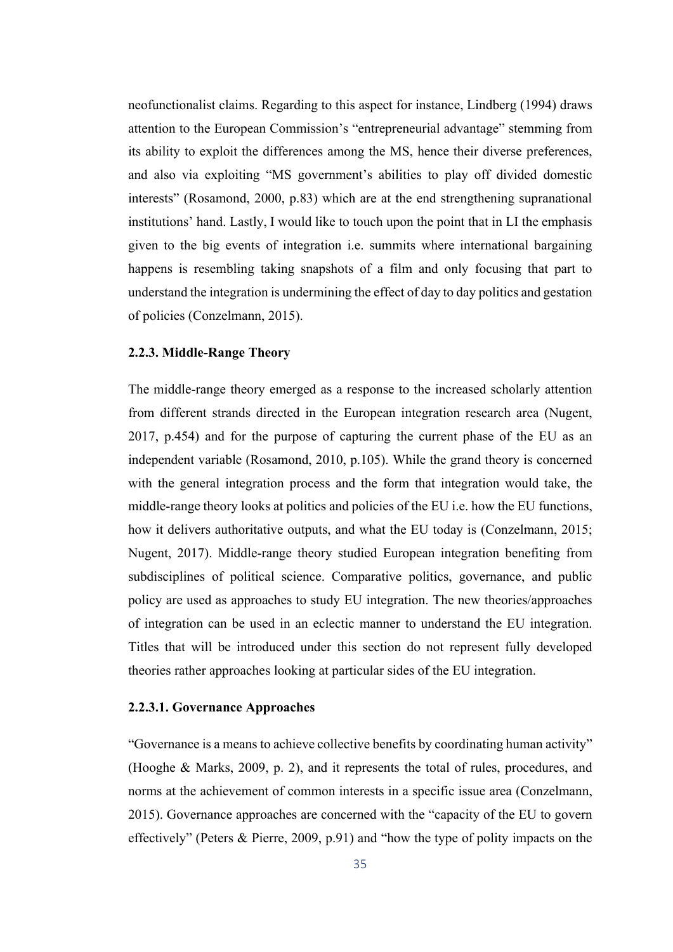neofunctionalist claims. Regarding to this aspect for instance, Lindberg (1994) draws attention to the European Commission's "entrepreneurial advantage" stemming from its ability to exploit the differences among the MS, hence their diverse preferences, and also via exploiting "MS government's abilities to play off divided domestic interests" (Rosamond, 2000, p.83) which are at the end strengthening supranational institutions' hand. Lastly, I would like to touch upon the point that in LI the emphasis given to the big events of integration i.e. summits where international bargaining happens is resembling taking snapshots of a film and only focusing that part to understand the integration is undermining the effect of day to day politics and gestation of policies (Conzelmann, 2015).

# 2.2.3. Middle-Range Theory

The middle-range theory emerged as a response to the increased scholarly attention from different strands directed in the European integration research area (Nugent, 2017, p.454) and for the purpose of capturing the current phase of the EU as an independent variable (Rosamond, 2010, p.105). While the grand theory is concerned with the general integration process and the form that integration would take, the middle-range theory looks at politics and policies of the EU i.e. how the EU functions, how it delivers authoritative outputs, and what the EU today is (Conzelmann, 2015; Nugent, 2017). Middle-range theory studied European integration benefiting from subdisciplines of political science. Comparative politics, governance, and public policy are used as approaches to study EU integration. The new theories/approaches of integration can be used in an eclectic manner to understand the EU integration. Titles that will be introduced under this section do not represent fully developed theories rather approaches looking at particular sides of the EU integration.

# 2.2.3.1. Governance Approaches

"Governance is a means to achieve collective benefits by coordinating human activity" (Hooghe & Marks, 2009, p. 2), and it represents the total of rules, procedures, and norms at the achievement of common interests in a specific issue area (Conzelmann, 2015). Governance approaches are concerned with the "capacity of the EU to govern effectively" (Peters & Pierre, 2009, p.91) and "how the type of polity impacts on the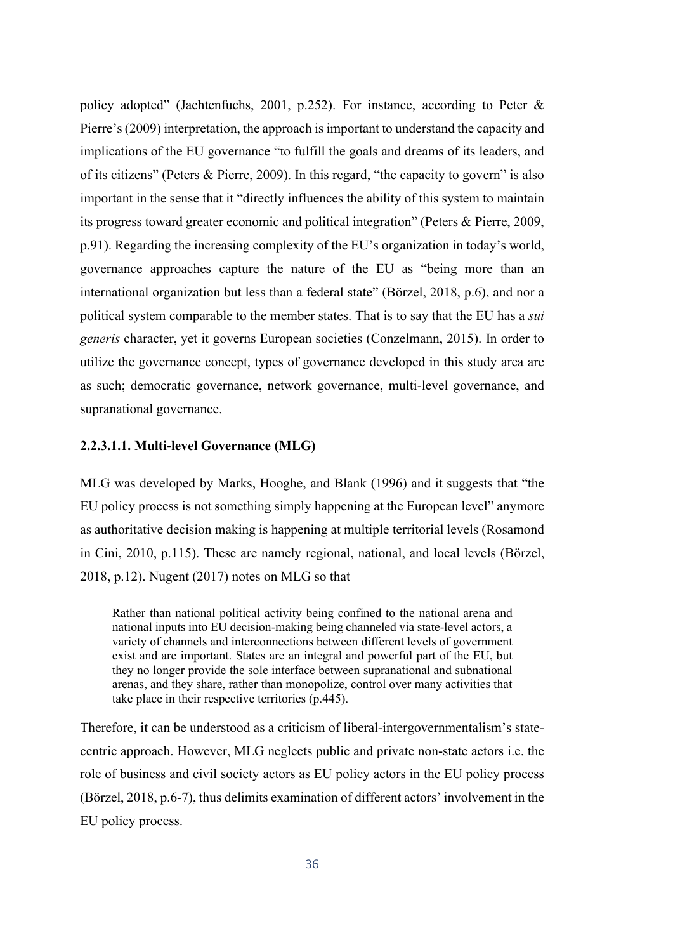policy adopted" (Jachtenfuchs, 2001, p.252). For instance, according to Peter & Pierre's (2009) interpretation, the approach is important to understand the capacity and implications of the EU governance "to fulfill the goals and dreams of its leaders, and of its citizens" (Peters & Pierre, 2009). In this regard, "the capacity to govern" is also important in the sense that it "directly influences the ability of this system to maintain its progress toward greater economic and political integration" (Peters & Pierre, 2009, p.91). Regarding the increasing complexity of the EU's organization in today's world, governance approaches capture the nature of the EU as "being more than an international organization but less than a federal state" (Börzel, 2018, p.6), and nor a political system comparable to the member states. That is to say that the EU has a *sui generis* character, yet it governs European societies (Conzelmann, 2015). In order to utilize the governance concept, types of governance developed in this study area are as such; democratic governance, network governance, multi-level governance, and supranational governance.

## 2.2.3.1.1. Multi-level Governance (MLG)

MLG was developed by Marks, Hooghe, and Blank (1996) and it suggests that "the EU policy process is not something simply happening at the European level" anymore as authoritative decision making is happening at multiple territorial levels (Rosamond in Cini, 2010, p.115). These are namely regional, national, and local levels (Börzel, 2018, p.12). Nugent (2017) notes on MLG so that

Rather than national political activity being confined to the national arena and national inputs into EU decision-making being channeled via state-level actors, a variety of channels and interconnections between different levels of government exist and are important. States are an integral and powerful part of the EU, but they no longer provide the sole interface between supranational and subnational arenas, and they share, rather than monopolize, control over many activities that take place in their respective territories (p.445).

Therefore, it can be understood as a criticism of liberal-intergovernmentalism's statecentric approach. However, MLG neglects public and private non-state actors i.e. the role of business and civil society actors as EU policy actors in the EU policy process (Börzel, 2018, p.6-7), thus delimits examination of different actors' involvement in the EU policy process.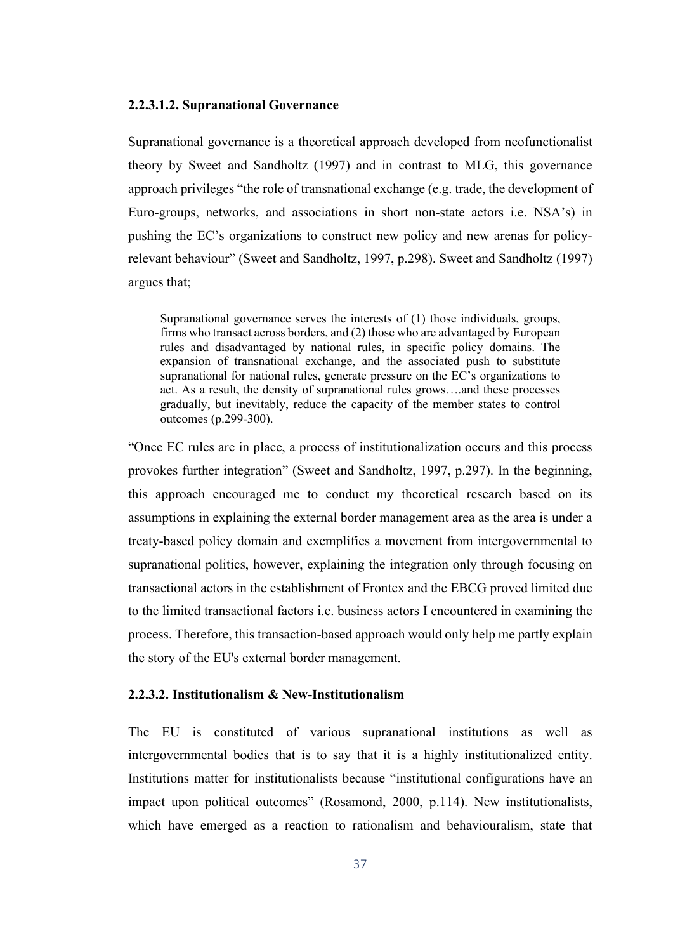## 2.2.3.1.2. Supranational Governance

Supranational governance is a theoretical approach developed from neofunctionalist theory by Sweet and Sandholtz (1997) and in contrast to MLG, this governance approach privileges "the role of transnational exchange (e.g. trade, the development of Euro-groups, networks, and associations in short non-state actors i.e. NSA's) in pushing the EC's organizations to construct new policy and new arenas for policyrelevant behaviour" (Sweet and Sandholtz, 1997, p.298). Sweet and Sandholtz (1997) argues that;

Supranational governance serves the interests of (1) those individuals, groups, firms who transact across borders, and (2) those who are advantaged by European rules and disadvantaged by national rules, in specific policy domains. The expansion of transnational exchange, and the associated push to substitute supranational for national rules, generate pressure on the EC's organizations to act. As a result, the density of supranational rules grows….and these processes gradually, but inevitably, reduce the capacity of the member states to control outcomes (p.299-300).

"Once EC rules are in place, a process of institutionalization occurs and this process provokes further integration" (Sweet and Sandholtz, 1997, p.297). In the beginning, this approach encouraged me to conduct my theoretical research based on its assumptions in explaining the external border management area as the area is under a treaty-based policy domain and exemplifies a movement from intergovernmental to supranational politics, however, explaining the integration only through focusing on transactional actors in the establishment of Frontex and the EBCG proved limited due to the limited transactional factors i.e. business actors I encountered in examining the process. Therefore, this transaction-based approach would only help me partly explain the story of the EU's external border management.

#### 2.2.3.2. Institutionalism & New-Institutionalism

The EU is constituted of various supranational institutions as well as intergovernmental bodies that is to say that it is a highly institutionalized entity. Institutions matter for institutionalists because "institutional configurations have an impact upon political outcomes" (Rosamond, 2000, p.114). New institutionalists, which have emerged as a reaction to rationalism and behaviouralism, state that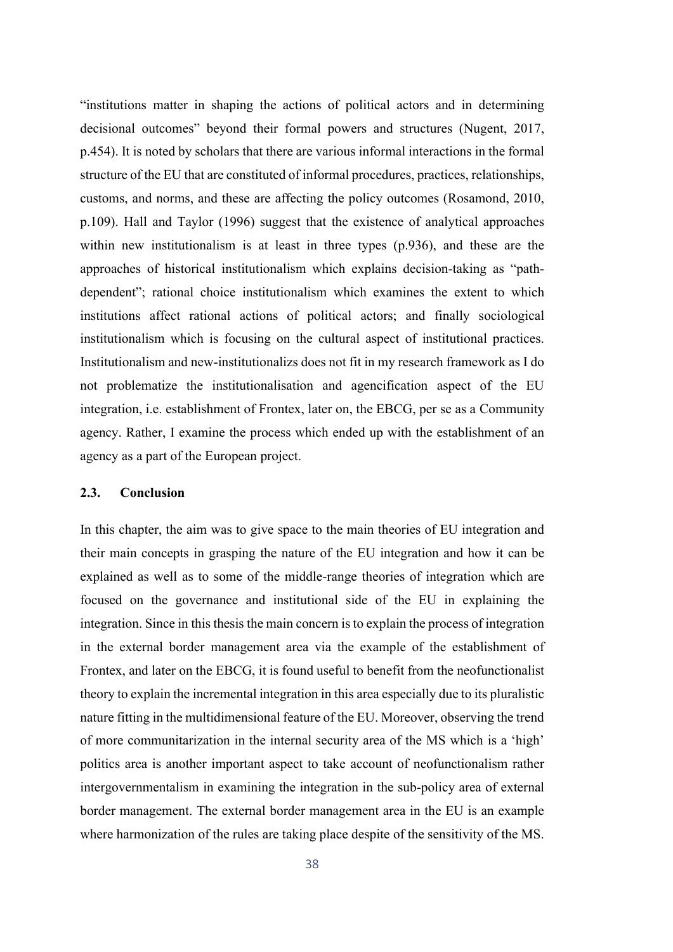"institutions matter in shaping the actions of political actors and in determining decisional outcomes" beyond their formal powers and structures (Nugent, 2017, p.454). It is noted by scholars that there are various informal interactions in the formal structure of the EU that are constituted of informal procedures, practices, relationships, customs, and norms, and these are affecting the policy outcomes (Rosamond, 2010, p.109). Hall and Taylor (1996) suggest that the existence of analytical approaches within new institutionalism is at least in three types (p.936), and these are the approaches of historical institutionalism which explains decision-taking as "pathdependent"; rational choice institutionalism which examines the extent to which institutions affect rational actions of political actors; and finally sociological institutionalism which is focusing on the cultural aspect of institutional practices. Institutionalism and new-institutionalizs does not fit in my research framework as I do not problematize the institutionalisation and agencification aspect of the EU integration, i.e. establishment of Frontex, later on, the EBCG, per se as a Community agency. Rather, I examine the process which ended up with the establishment of an agency as a part of the European project.

# 2.3. Conclusion

In this chapter, the aim was to give space to the main theories of EU integration and their main concepts in grasping the nature of the EU integration and how it can be explained as well as to some of the middle-range theories of integration which are focused on the governance and institutional side of the EU in explaining the integration. Since in this thesis the main concern is to explain the process of integration in the external border management area via the example of the establishment of Frontex, and later on the EBCG, it is found useful to benefit from the neofunctionalist theory to explain the incremental integration in this area especially due to its pluralistic nature fitting in the multidimensional feature of the EU. Moreover, observing the trend of more communitarization in the internal security area of the MS which is a 'high' politics area is another important aspect to take account of neofunctionalism rather intergovernmentalism in examining the integration in the sub-policy area of external border management. The external border management area in the EU is an example where harmonization of the rules are taking place despite of the sensitivity of the MS.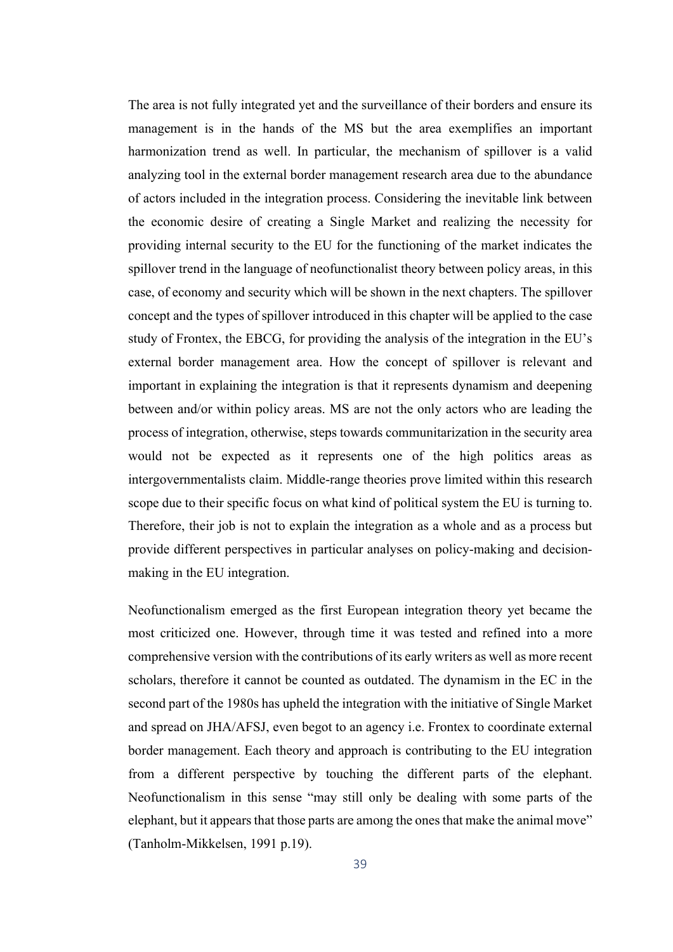The area is not fully integrated yet and the surveillance of their borders and ensure its management is in the hands of the MS but the area exemplifies an important harmonization trend as well. In particular, the mechanism of spillover is a valid analyzing tool in the external border management research area due to the abundance of actors included in the integration process. Considering the inevitable link between the economic desire of creating a Single Market and realizing the necessity for providing internal security to the EU for the functioning of the market indicates the spillover trend in the language of neofunctionalist theory between policy areas, in this case, of economy and security which will be shown in the next chapters. The spillover concept and the types of spillover introduced in this chapter will be applied to the case study of Frontex, the EBCG, for providing the analysis of the integration in the EU's external border management area. How the concept of spillover is relevant and important in explaining the integration is that it represents dynamism and deepening between and/or within policy areas. MS are not the only actors who are leading the process of integration, otherwise, steps towards communitarization in the security area would not be expected as it represents one of the high politics areas as intergovernmentalists claim. Middle-range theories prove limited within this research scope due to their specific focus on what kind of political system the EU is turning to. Therefore, their job is not to explain the integration as a whole and as a process but provide different perspectives in particular analyses on policy-making and decisionmaking in the EU integration.

Neofunctionalism emerged as the first European integration theory yet became the most criticized one. However, through time it was tested and refined into a more comprehensive version with the contributions of its early writers as well as more recent scholars, therefore it cannot be counted as outdated. The dynamism in the EC in the second part of the 1980s has upheld the integration with the initiative of Single Market and spread on JHA/AFSJ, even begot to an agency i.e. Frontex to coordinate external border management. Each theory and approach is contributing to the EU integration from a different perspective by touching the different parts of the elephant. Neofunctionalism in this sense "may still only be dealing with some parts of the elephant, but it appears that those parts are among the ones that make the animal move" (Tanholm-Mikkelsen, 1991 p.19).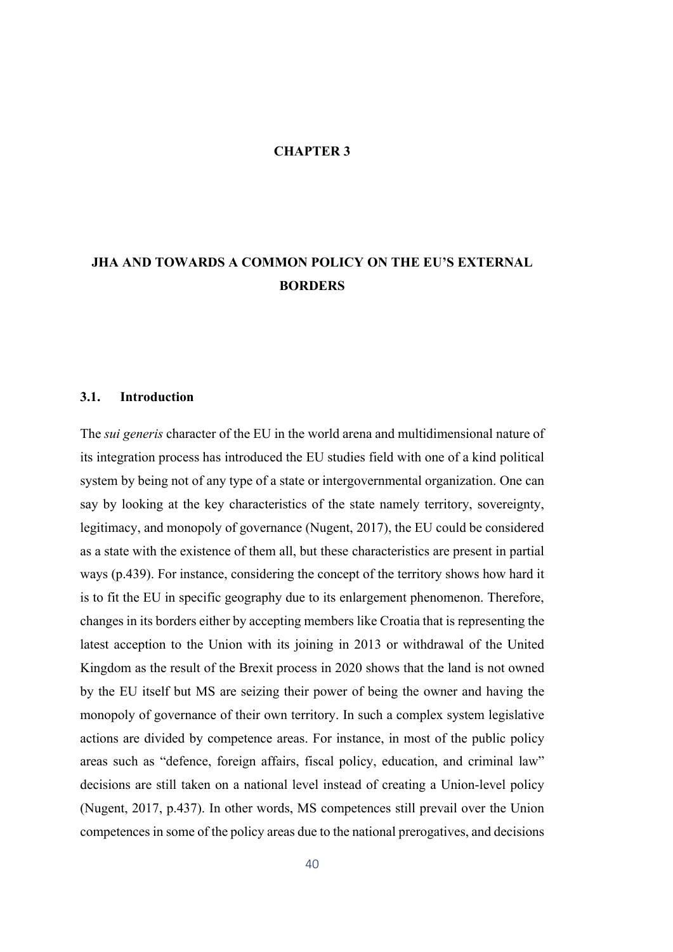## CHAPTER 3

# JHA AND TOWARDS A COMMON POLICY ON THE EU'S EXTERNAL BORDERS

## 3.1. Introduction

The *sui generis* character of the EU in the world arena and multidimensional nature of its integration process has introduced the EU studies field with one of a kind political system by being not of any type of a state or intergovernmental organization. One can say by looking at the key characteristics of the state namely territory, sovereignty, legitimacy, and monopoly of governance (Nugent, 2017), the EU could be considered as a state with the existence of them all, but these characteristics are present in partial ways (p.439). For instance, considering the concept of the territory shows how hard it is to fit the EU in specific geography due to its enlargement phenomenon. Therefore, changes in its borders either by accepting members like Croatia that is representing the latest acception to the Union with its joining in 2013 or withdrawal of the United Kingdom as the result of the Brexit process in 2020 shows that the land is not owned by the EU itself but MS are seizing their power of being the owner and having the monopoly of governance of their own territory. In such a complex system legislative actions are divided by competence areas. For instance, in most of the public policy areas such as "defence, foreign affairs, fiscal policy, education, and criminal law" decisions are still taken on a national level instead of creating a Union-level policy (Nugent, 2017, p.437). In other words, MS competences still prevail over the Union competences in some of the policy areas due to the national prerogatives, and decisions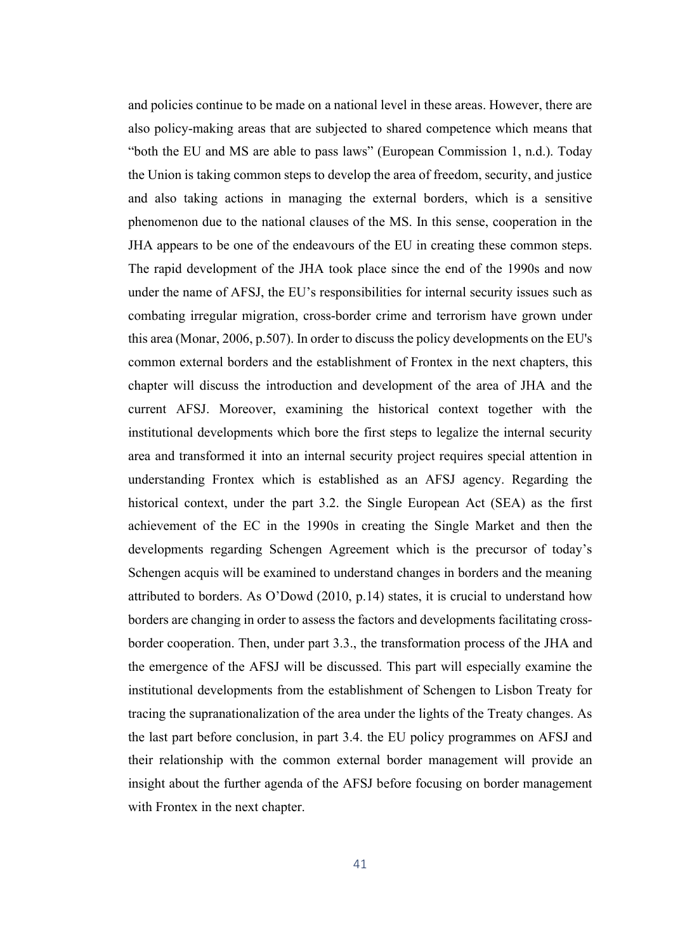and policies continue to be made on a national level in these areas. However, there are also policy-making areas that are subjected to shared competence which means that "both the EU and MS are able to pass laws" (European Commission 1, n.d.). Today the Union is taking common steps to develop the area of freedom, security, and justice and also taking actions in managing the external borders, which is a sensitive phenomenon due to the national clauses of the MS. In this sense, cooperation in the JHA appears to be one of the endeavours of the EU in creating these common steps. The rapid development of the JHA took place since the end of the 1990s and now under the name of AFSJ, the EU's responsibilities for internal security issues such as combating irregular migration, cross-border crime and terrorism have grown under this area (Monar, 2006, p.507). In order to discuss the policy developments on the EU's common external borders and the establishment of Frontex in the next chapters, this chapter will discuss the introduction and development of the area of JHA and the current AFSJ. Moreover, examining the historical context together with the institutional developments which bore the first steps to legalize the internal security area and transformed it into an internal security project requires special attention in understanding Frontex which is established as an AFSJ agency. Regarding the historical context, under the part 3.2. the Single European Act (SEA) as the first achievement of the EC in the 1990s in creating the Single Market and then the developments regarding Schengen Agreement which is the precursor of today's Schengen acquis will be examined to understand changes in borders and the meaning attributed to borders. As O'Dowd (2010, p.14) states, it is crucial to understand how borders are changing in order to assess the factors and developments facilitating crossborder cooperation. Then, under part 3.3., the transformation process of the JHA and the emergence of the AFSJ will be discussed. This part will especially examine the institutional developments from the establishment of Schengen to Lisbon Treaty for tracing the supranationalization of the area under the lights of the Treaty changes. As the last part before conclusion, in part 3.4. the EU policy programmes on AFSJ and their relationship with the common external border management will provide an insight about the further agenda of the AFSJ before focusing on border management with Frontex in the next chapter.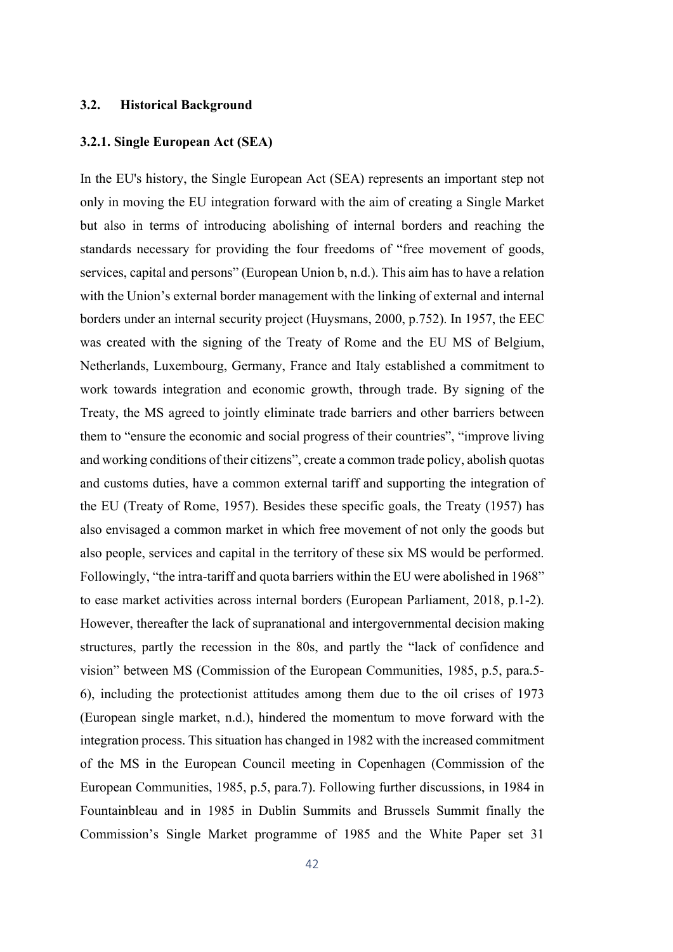## 3.2. Historical Background

# 3.2.1. Single European Act (SEA)

In the EU's history, the Single European Act (SEA) represents an important step not only in moving the EU integration forward with the aim of creating a Single Market but also in terms of introducing abolishing of internal borders and reaching the standards necessary for providing the four freedoms of "free movement of goods, services, capital and persons" (European Union b, n.d.). This aim has to have a relation with the Union's external border management with the linking of external and internal borders under an internal security project (Huysmans, 2000, p.752). In 1957, the EEC was created with the signing of the Treaty of Rome and the EU MS of Belgium, Netherlands, Luxembourg, Germany, France and Italy established a commitment to work towards integration and economic growth, through trade. By signing of the Treaty, the MS agreed to jointly eliminate trade barriers and other barriers between them to "ensure the economic and social progress of their countries", "improve living and working conditions of their citizens", create a common trade policy, abolish quotas and customs duties, have a common external tariff and supporting the integration of the EU (Treaty of Rome, 1957). Besides these specific goals, the Treaty (1957) has also envisaged a common market in which free movement of not only the goods but also people, services and capital in the territory of these six MS would be performed. Followingly, "the intra-tariff and quota barriers within the EU were abolished in 1968" to ease market activities across internal borders (European Parliament, 2018, p.1-2). However, thereafter the lack of supranational and intergovernmental decision making structures, partly the recession in the 80s, and partly the "lack of confidence and vision" between MS (Commission of the European Communities, 1985, p.5, para.5- 6), including the protectionist attitudes among them due to the oil crises of 1973 (European single market, n.d.), hindered the momentum to move forward with the integration process. This situation has changed in 1982 with the increased commitment of the MS in the European Council meeting in Copenhagen (Commission of the European Communities, 1985, p.5, para.7). Following further discussions, in 1984 in Fountainbleau and in 1985 in Dublin Summits and Brussels Summit finally the Commission's Single Market programme of 1985 and the White Paper set 31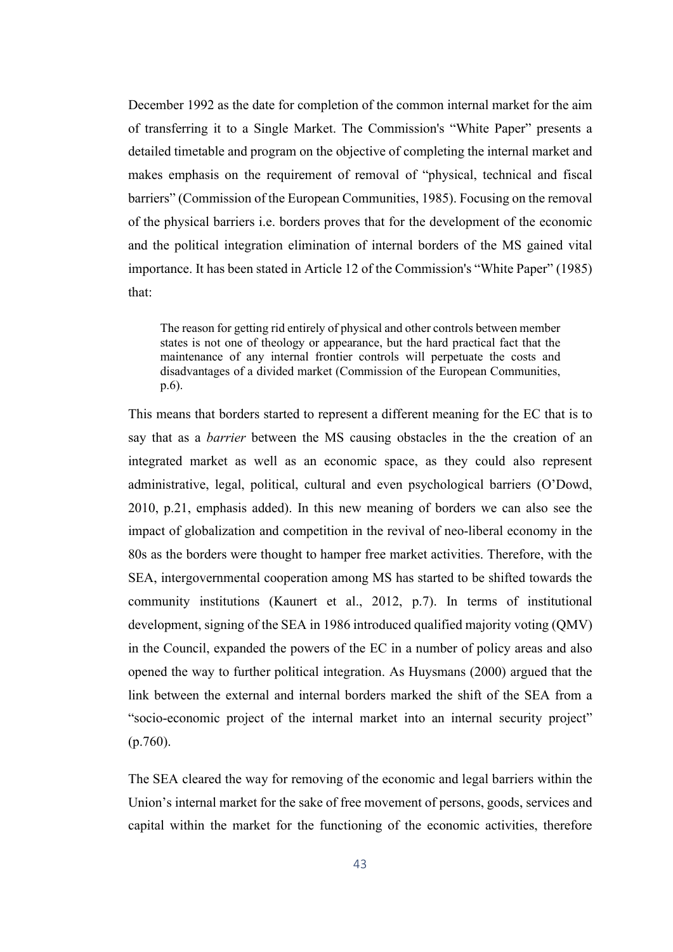December 1992 as the date for completion of the common internal market for the aim of transferring it to a Single Market. The Commission's "White Paper" presents a detailed timetable and program on the objective of completing the internal market and makes emphasis on the requirement of removal of "physical, technical and fiscal barriers" (Commission of the European Communities, 1985). Focusing on the removal of the physical barriers i.e. borders proves that for the development of the economic and the political integration elimination of internal borders of the MS gained vital importance. It has been stated in Article 12 of the Commission's "White Paper" (1985) that:

The reason for getting rid entirely of physical and other controls between member states is not one of theology or appearance, but the hard practical fact that the maintenance of any internal frontier controls will perpetuate the costs and disadvantages of a divided market (Commission of the European Communities, p.6).

This means that borders started to represent a different meaning for the EC that is to say that as a *barrier* between the MS causing obstacles in the the creation of an integrated market as well as an economic space, as they could also represent administrative, legal, political, cultural and even psychological barriers (O'Dowd, 2010, p.21, emphasis added). In this new meaning of borders we can also see the impact of globalization and competition in the revival of neo-liberal economy in the 80s as the borders were thought to hamper free market activities. Therefore, with the SEA, intergovernmental cooperation among MS has started to be shifted towards the community institutions (Kaunert et al., 2012, p.7). In terms of institutional development, signing of the SEA in 1986 introduced qualified majority voting (QMV) in the Council, expanded the powers of the EC in a number of policy areas and also opened the way to further political integration. As Huysmans (2000) argued that the link between the external and internal borders marked the shift of the SEA from a "socio-economic project of the internal market into an internal security project"  $(p.760)$ .

The SEA cleared the way for removing of the economic and legal barriers within the Union's internal market for the sake of free movement of persons, goods, services and capital within the market for the functioning of the economic activities, therefore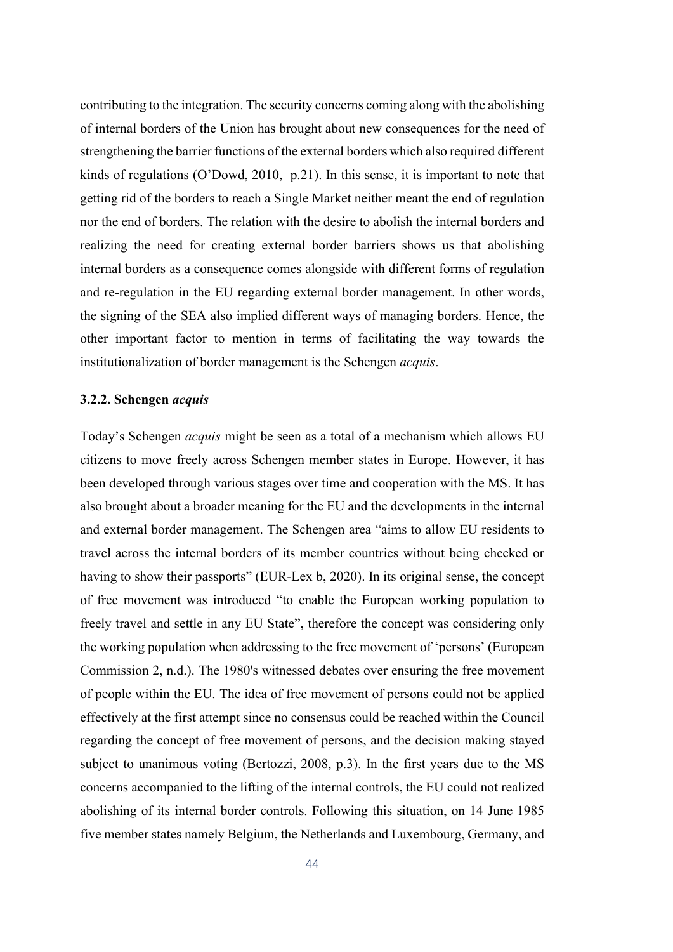contributing to the integration. The security concerns coming along with the abolishing of internal borders of the Union has brought about new consequences for the need of strengthening the barrier functions of the external borders which also required different kinds of regulations (O'Dowd, 2010, p.21). In this sense, it is important to note that getting rid of the borders to reach a Single Market neither meant the end of regulation nor the end of borders. The relation with the desire to abolish the internal borders and realizing the need for creating external border barriers shows us that abolishing internal borders as a consequence comes alongside with different forms of regulation and re-regulation in the EU regarding external border management. In other words, the signing of the SEA also implied different ways of managing borders. Hence, the other important factor to mention in terms of facilitating the way towards the institutionalization of border management is the Schengen *acquis*.

# 3.2.2. Schengen *acquis*

Today's Schengen *acquis* might be seen as a total of a mechanism which allows EU citizens to move freely across Schengen member states in Europe. However, it has been developed through various stages over time and cooperation with the MS. It has also brought about a broader meaning for the EU and the developments in the internal and external border management. The Schengen area "aims to allow EU residents to travel across the internal borders of its member countries without being checked or having to show their passports" (EUR-Lex b, 2020). In its original sense, the concept of free movement was introduced "to enable the European working population to freely travel and settle in any EU State", therefore the concept was considering only the working population when addressing to the free movement of 'persons' (European Commission 2, n.d.). The 1980's witnessed debates over ensuring the free movement of people within the EU. The idea of free movement of persons could not be applied effectively at the first attempt since no consensus could be reached within the Council regarding the concept of free movement of persons, and the decision making stayed subject to unanimous voting (Bertozzi, 2008, p.3). In the first years due to the MS concerns accompanied to the lifting of the internal controls, the EU could not realized abolishing of its internal border controls. Following this situation, on 14 June 1985 five member states namely Belgium, the Netherlands and Luxembourg, Germany, and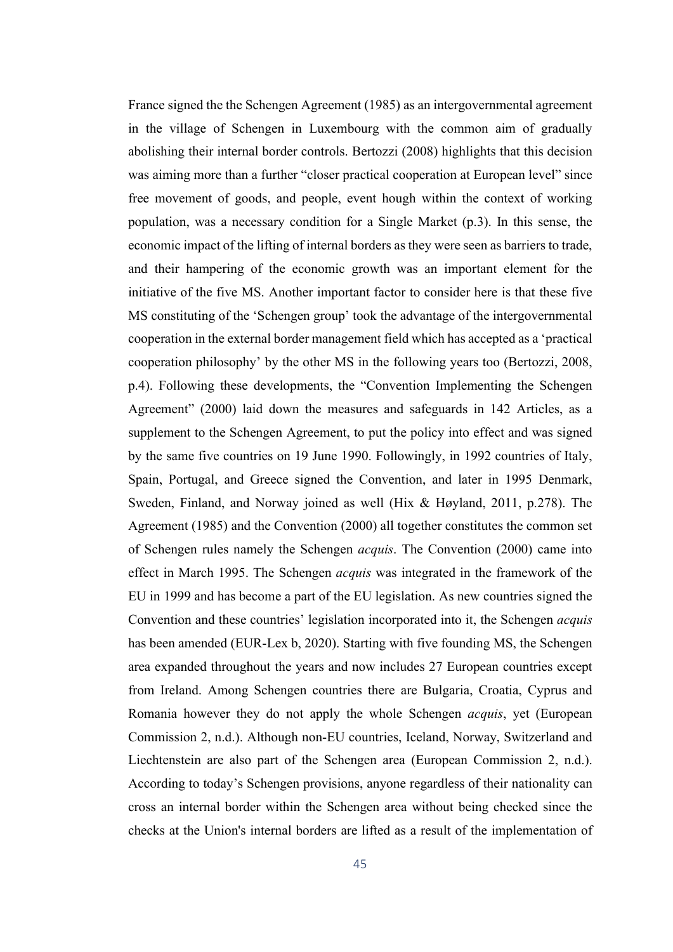France signed the the Schengen Agreement (1985) as an intergovernmental agreement in the village of Schengen in Luxembourg with the common aim of gradually abolishing their internal border controls. Bertozzi (2008) highlights that this decision was aiming more than a further "closer practical cooperation at European level" since free movement of goods, and people, event hough within the context of working population, was a necessary condition for a Single Market (p.3). In this sense, the economic impact of the lifting of internal borders as they were seen as barriers to trade, and their hampering of the economic growth was an important element for the initiative of the five MS. Another important factor to consider here is that these five MS constituting of the 'Schengen group' took the advantage of the intergovernmental cooperation in the external border management field which has accepted as a 'practical cooperation philosophy' by the other MS in the following years too (Bertozzi, 2008, p.4). Following these developments, the "Convention Implementing the Schengen Agreement" (2000) laid down the measures and safeguards in 142 Articles, as a supplement to the Schengen Agreement, to put the policy into effect and was signed by the same five countries on 19 June 1990. Followingly, in 1992 countries of Italy, Spain, Portugal, and Greece signed the Convention, and later in 1995 Denmark, Sweden, Finland, and Norway joined as well (Hix & Høyland, 2011, p.278). The Agreement (1985) and the Convention (2000) all together constitutes the common set of Schengen rules namely the Schengen *acquis*. The Convention (2000) came into effect in March 1995. The Schengen *acquis* was integrated in the framework of the EU in 1999 and has become a part of the EU legislation. As new countries signed the Convention and these countries' legislation incorporated into it, the Schengen *acquis* has been amended (EUR-Lex b, 2020). Starting with five founding MS, the Schengen area expanded throughout the years and now includes 27 European countries except from Ireland. Among Schengen countries there are Bulgaria, Croatia, Cyprus and Romania however they do not apply the whole Schengen *acquis*, yet (European Commission 2, n.d.). Although non-EU countries, Iceland, Norway, Switzerland and Liechtenstein are also part of the Schengen area (European Commission 2, n.d.). According to today's Schengen provisions, anyone regardless of their nationality can cross an internal border within the Schengen area without being checked since the checks at the Union's internal borders are lifted as a result of the implementation of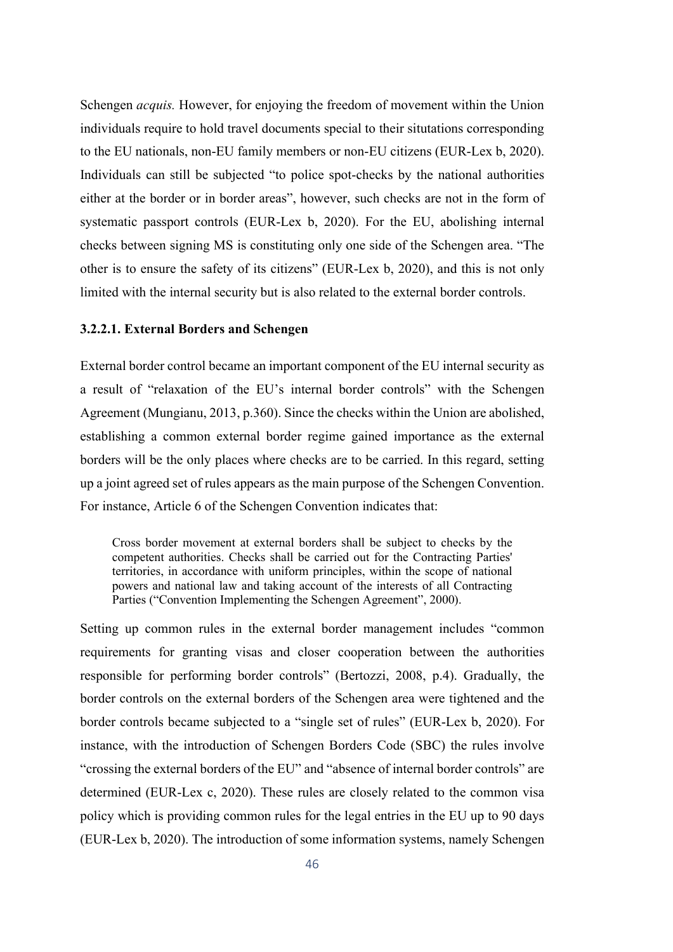Schengen *acquis.* However, for enjoying the freedom of movement within the Union individuals require to hold travel documents special to their situtations corresponding to the EU nationals, non-EU family members or non-EU citizens (EUR-Lex b, 2020). Individuals can still be subjected "to police spot-checks by the national authorities either at the border or in border areas", however, such checks are not in the form of systematic passport controls (EUR-Lex b, 2020). For the EU, abolishing internal checks between signing MS is constituting only one side of the Schengen area. "The other is to ensure the safety of its citizens" (EUR-Lex b, 2020), and this is not only limited with the internal security but is also related to the external border controls.

# 3.2.2.1. External Borders and Schengen

External border control became an important component of the EU internal security as a result of "relaxation of the EU's internal border controls" with the Schengen Agreement (Mungianu, 2013, p.360). Since the checks within the Union are abolished, establishing a common external border regime gained importance as the external borders will be the only places where checks are to be carried. In this regard, setting up a joint agreed set of rules appears as the main purpose of the Schengen Convention. For instance, Article 6 of the Schengen Convention indicates that:

Cross border movement at external borders shall be subject to checks by the competent authorities. Checks shall be carried out for the Contracting Parties' territories, in accordance with uniform principles, within the scope of national powers and national law and taking account of the interests of all Contracting Parties ("Convention Implementing the Schengen Agreement", 2000).

Setting up common rules in the external border management includes "common requirements for granting visas and closer cooperation between the authorities responsible for performing border controls" (Bertozzi, 2008, p.4). Gradually, the border controls on the external borders of the Schengen area were tightened and the border controls became subjected to a "single set of rules" (EUR-Lex b, 2020). For instance, with the introduction of Schengen Borders Code (SBC) the rules involve "crossing the external borders of the EU" and "absence of internal border controls" are determined (EUR-Lex c, 2020). These rules are closely related to the common visa policy which is providing common rules for the legal entries in the EU up to 90 days (EUR-Lex b, 2020). The introduction of some information systems, namely Schengen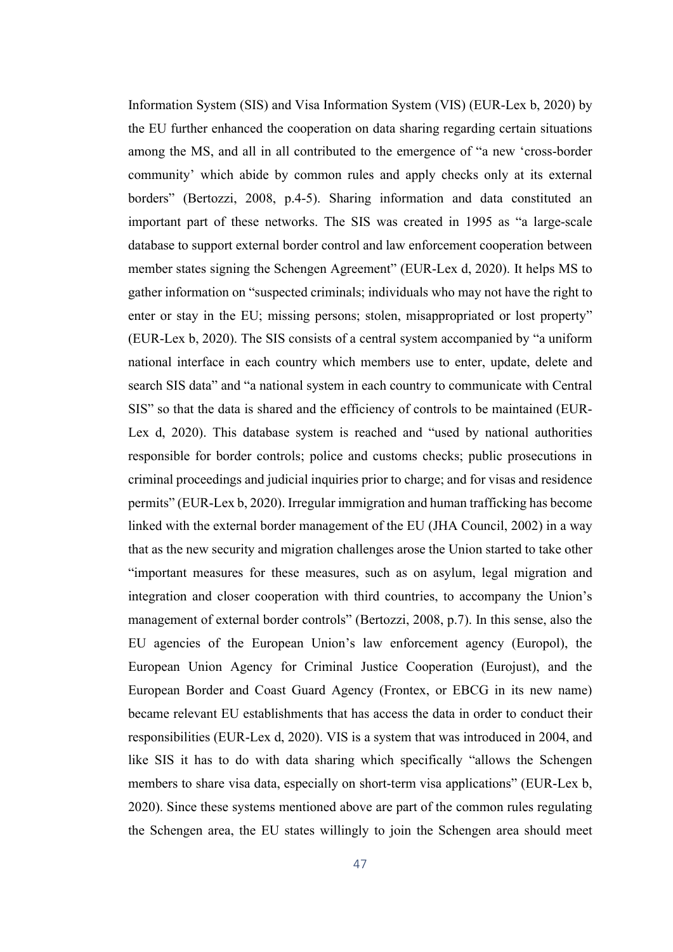Information System (SIS) and Visa Information System (VIS) (EUR-Lex b, 2020) by the EU further enhanced the cooperation on data sharing regarding certain situations among the MS, and all in all contributed to the emergence of "a new 'cross-border community' which abide by common rules and apply checks only at its external borders" (Bertozzi, 2008, p.4-5). Sharing information and data constituted an important part of these networks. The SIS was created in 1995 as "a large-scale database to support external border control and law enforcement cooperation between member states signing the Schengen Agreement" (EUR-Lex d, 2020). It helps MS to gather information on "suspected criminals; individuals who may not have the right to enter or stay in the EU; missing persons; stolen, misappropriated or lost property" (EUR-Lex b, 2020). The SIS consists of a central system accompanied by "a uniform national interface in each country which members use to enter, update, delete and search SIS data" and "a national system in each country to communicate with Central SIS" so that the data is shared and the efficiency of controls to be maintained (EUR-Lex d, 2020). This database system is reached and "used by national authorities responsible for border controls; police and customs checks; public prosecutions in criminal proceedings and judicial inquiries prior to charge; and for visas and residence permits" (EUR-Lex b, 2020). Irregular immigration and human trafficking has become linked with the external border management of the EU (JHA Council, 2002) in a way that as the new security and migration challenges arose the Union started to take other "important measures for these measures, such as on asylum, legal migration and integration and closer cooperation with third countries, to accompany the Union's management of external border controls" (Bertozzi, 2008, p.7). In this sense, also the EU agencies of the European Union's law enforcement agency (Europol), the European Union Agency for Criminal Justice Cooperation (Eurojust), and the European Border and Coast Guard Agency (Frontex, or EBCG in its new name) became relevant EU establishments that has access the data in order to conduct their responsibilities (EUR-Lex d, 2020). VIS is a system that was introduced in 2004, and like SIS it has to do with data sharing which specifically "allows the Schengen members to share visa data, especially on short-term visa applications" (EUR-Lex b, 2020). Since these systems mentioned above are part of the common rules regulating the Schengen area, the EU states willingly to join the Schengen area should meet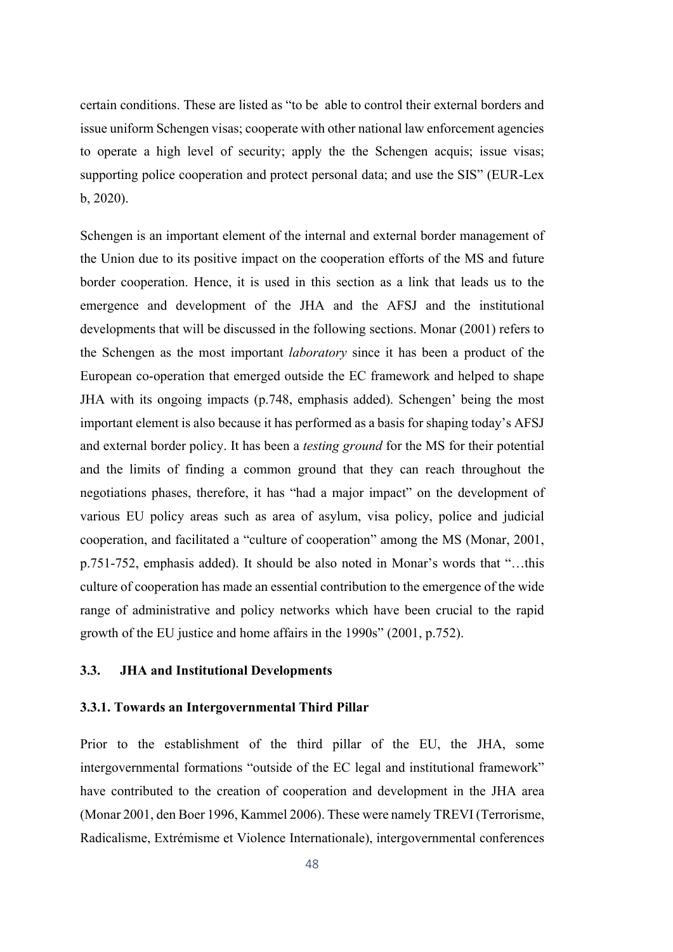certain conditions. These are listed as "to be able to control their external borders and issue uniform Schengen visas; cooperate with other national law enforcement agencies to operate a high level of security; apply the the Schengen acquis; issue visas; supporting police cooperation and protect personal data; and use the SIS" (EUR-Lex b, 2020).

Schengen is an important element of the internal and external border management of the Union due to its positive impact on the cooperation efforts of the MS and future border cooperation. Hence, it is used in this section as a link that leads us to the emergence and development of the JHA and the AFSJ and the institutional developments that will be discussed in the following sections. Monar (2001) refers to the Schengen as the most important *laboratory* since it has been a product of the European co-operation that emerged outside the EC framework and helped to shape JHA with its ongoing impacts (p.748, emphasis added). Schengen' being the most important element is also because it has performed as a basis for shaping today's AFSJ and external border policy. It has been a *testing ground* for the MS for their potential and the limits of finding a common ground that they can reach throughout the negotiations phases, therefore, it has "had a major impact" on the development of various EU policy areas such as area of asylum, visa policy, police and judicial cooperation, and facilitated a "culture of cooperation" among the MS (Monar, 2001, p.751-752, emphasis added). It should be also noted in Monar's words that "…this culture of cooperation has made an essential contribution to the emergence of the wide range of administrative and policy networks which have been crucial to the rapid growth of the EU justice and home affairs in the 1990s" (2001, p.752).

# 3.3. JHA and Institutional Developments

# 3.3.1. Towards an Intergovernmental Third Pillar

Prior to the establishment of the third pillar of the EU, the JHA, some intergovernmental formations "outside of the EC legal and institutional framework" have contributed to the creation of cooperation and development in the JHA area (Monar 2001, den Boer 1996, Kammel 2006). These were namely TREVI (Terrorisme, Radicalisme, Extrémisme et Violence Internationale), intergovernmental conferences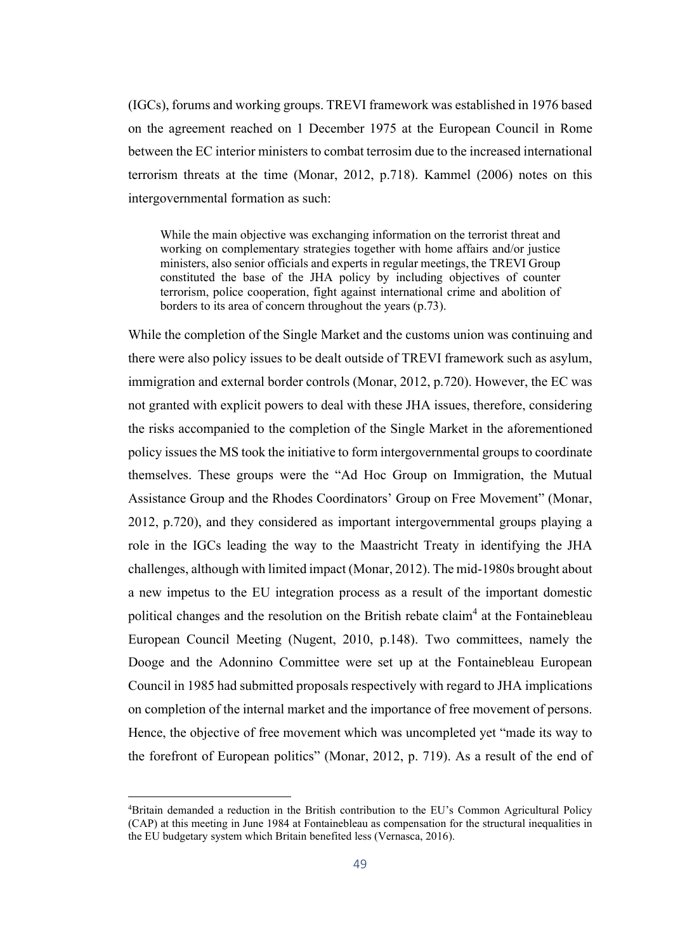(IGCs), forums and working groups. TREVI framework was established in 1976 based on the agreement reached on 1 December 1975 at the European Council in Rome between the EC interior ministers to combat terrosim due to the increased international terrorism threats at the time (Monar, 2012, p.718). Kammel (2006) notes on this intergovernmental formation as such:

While the main objective was exchanging information on the terrorist threat and working on complementary strategies together with home affairs and/or justice ministers, also senior officials and experts in regular meetings, the TREVI Group constituted the base of the JHA policy by including objectives of counter terrorism, police cooperation, fight against international crime and abolition of borders to its area of concern throughout the years (p.73).

While the completion of the Single Market and the customs union was continuing and there were also policy issues to be dealt outside of TREVI framework such as asylum, immigration and external border controls (Monar, 2012, p.720). However, the EC was not granted with explicit powers to deal with these JHA issues, therefore, considering the risks accompanied to the completion of the Single Market in the aforementioned policy issues the MS took the initiative to form intergovernmental groups to coordinate themselves. These groups were the "Ad Hoc Group on Immigration, the Mutual Assistance Group and the Rhodes Coordinators' Group on Free Movement" (Monar, 2012, p.720), and they considered as important intergovernmental groups playing a role in the IGCs leading the way to the Maastricht Treaty in identifying the JHA challenges, although with limited impact (Monar, 2012). The mid-1980s brought about a new impetus to the EU integration process as a result of the important domestic political changes and the resolution on the British rebate claim<sup>4</sup> at the Fontainebleau European Council Meeting (Nugent, 2010, p.148). Two committees, namely the Dooge and the Adonnino Committee were set up at the Fontainebleau European Council in 1985 had submitted proposals respectively with regard to JHA implications on completion of the internal market and the importance of free movement of persons. Hence, the objective of free movement which was uncompleted yet "made its way to the forefront of European politics" (Monar, 2012, p. 719). As a result of the end of

<sup>4</sup> Britain demanded a reduction in the British contribution to the EU's Common Agricultural Policy (CAP) at this meeting in June 1984 at Fontainebleau as compensation for the structural inequalities in the EU budgetary system which Britain benefited less (Vernasca, 2016).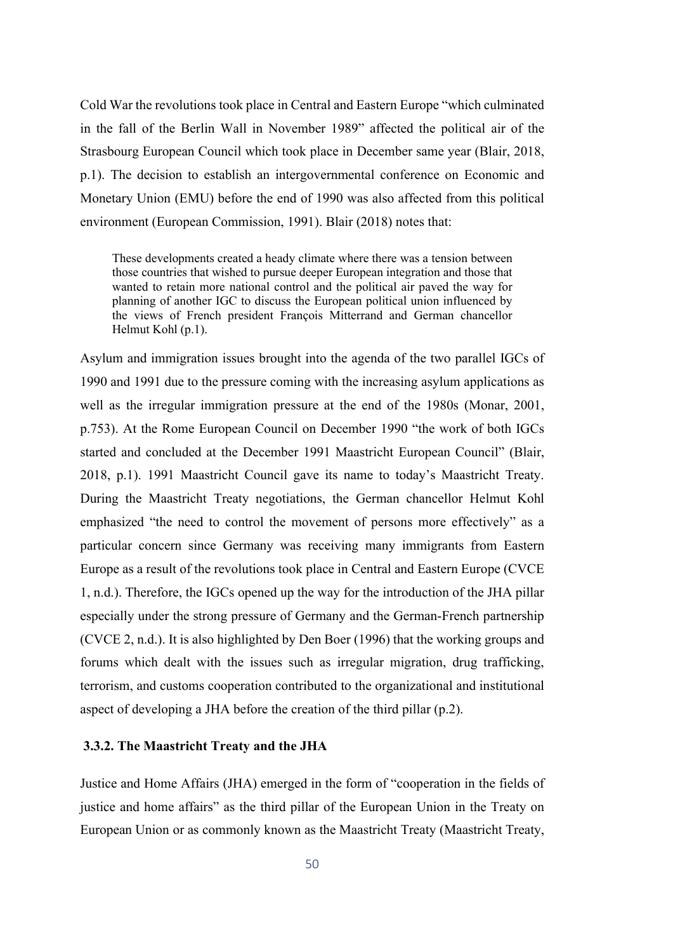Cold War the revolutions took place in Central and Eastern Europe "which culminated in the fall of the Berlin Wall in November 1989" affected the political air of the Strasbourg European Council which took place in December same year (Blair, 2018, p.1). The decision to establish an intergovernmental conference on Economic and Monetary Union (EMU) before the end of 1990 was also affected from this political environment (European Commission, 1991). Blair (2018) notes that:

These developments created a heady climate where there was a tension between those countries that wished to pursue deeper European integration and those that wanted to retain more national control and the political air paved the way for planning of another IGC to discuss the European political union influenced by the views of French president François Mitterrand and German chancellor Helmut Kohl (p.1).

Asylum and immigration issues brought into the agenda of the two parallel IGCs of 1990 and 1991 due to the pressure coming with the increasing asylum applications as well as the irregular immigration pressure at the end of the 1980s (Monar, 2001, p.753). At the Rome European Council on December 1990 "the work of both IGCs started and concluded at the December 1991 Maastricht European Council" (Blair, 2018, p.1). 1991 Maastricht Council gave its name to today's Maastricht Treaty. During the Maastricht Treaty negotiations, the German chancellor Helmut Kohl emphasized "the need to control the movement of persons more effectively" as a particular concern since Germany was receiving many immigrants from Eastern Europe as a result of the revolutions took place in Central and Eastern Europe (CVCE 1, n.d.). Therefore, the IGCs opened up the way for the introduction of the JHA pillar especially under the strong pressure of Germany and the German-French partnership (CVCE 2, n.d.). It is also highlighted by Den Boer (1996) that the working groups and forums which dealt with the issues such as irregular migration, drug trafficking, terrorism, and customs cooperation contributed to the organizational and institutional aspect of developing a JHA before the creation of the third pillar (p.2).

# 3.3.2. The Maastricht Treaty and the JHA

Justice and Home Affairs (JHA) emerged in the form of "cooperation in the fields of justice and home affairs" as the third pillar of the European Union in the Treaty on European Union or as commonly known as the Maastricht Treaty (Maastricht Treaty,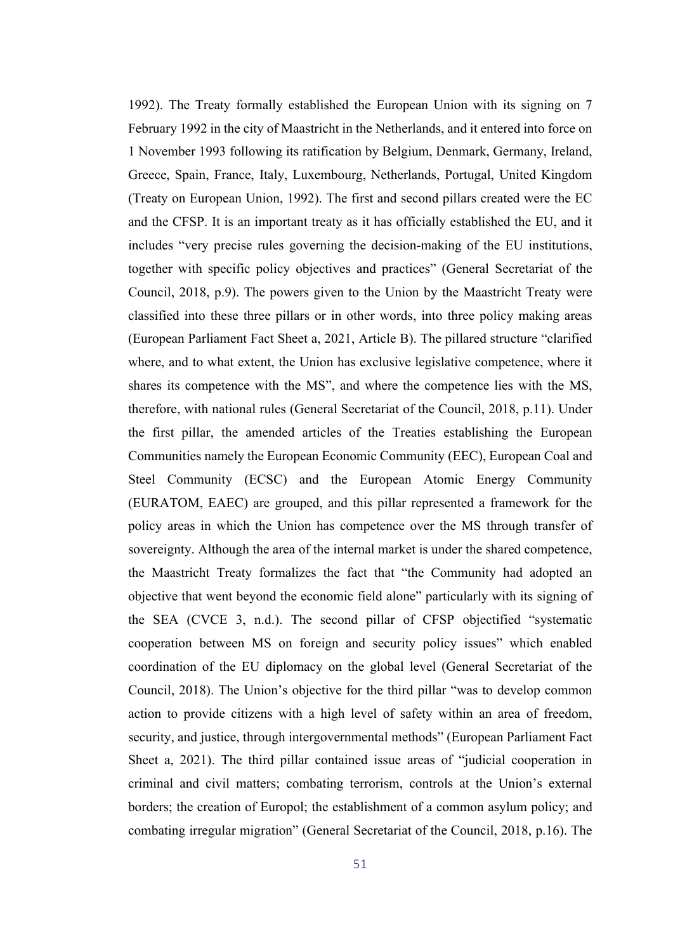1992). The Treaty formally established the European Union with its signing on 7 February 1992 in the city of Maastricht in the Netherlands, and it entered into force on 1 November 1993 following its ratification by Belgium, Denmark, Germany, Ireland, Greece, Spain, France, Italy, Luxembourg, Netherlands, Portugal, United Kingdom (Treaty on European Union, 1992). The first and second pillars created were the EC and the CFSP. It is an important treaty as it has officially established the EU, and it includes "very precise rules governing the decision-making of the EU institutions, together with specific policy objectives and practices" (General Secretariat of the Council, 2018, p.9). The powers given to the Union by the Maastricht Treaty were classified into these three pillars or in other words, into three policy making areas (European Parliament Fact Sheet a, 2021, Article B). The pillared structure "clarified where, and to what extent, the Union has exclusive legislative competence, where it shares its competence with the MS", and where the competence lies with the MS, therefore, with national rules (General Secretariat of the Council, 2018, p.11). Under the first pillar, the amended articles of the Treaties establishing the European Communities namely the European Economic Community (EEC), European Coal and Steel Community (ECSC) and the European Atomic Energy Community (EURATOM, EAEC) are grouped, and this pillar represented a framework for the policy areas in which the Union has competence over the MS through transfer of sovereignty. Although the area of the internal market is under the shared competence, the Maastricht Treaty formalizes the fact that "the Community had adopted an objective that went beyond the economic field alone" particularly with its signing of the SEA (CVCE 3, n.d.). The second pillar of CFSP objectified "systematic cooperation between MS on foreign and security policy issues" which enabled coordination of the EU diplomacy on the global level (General Secretariat of the Council, 2018). The Union's objective for the third pillar "was to develop common action to provide citizens with a high level of safety within an area of freedom, security, and justice, through intergovernmental methods" (European Parliament Fact Sheet a, 2021). The third pillar contained issue areas of "judicial cooperation in criminal and civil matters; combating terrorism, controls at the Union's external borders; the creation of Europol; the establishment of a common asylum policy; and combating irregular migration" (General Secretariat of the Council, 2018, p.16). The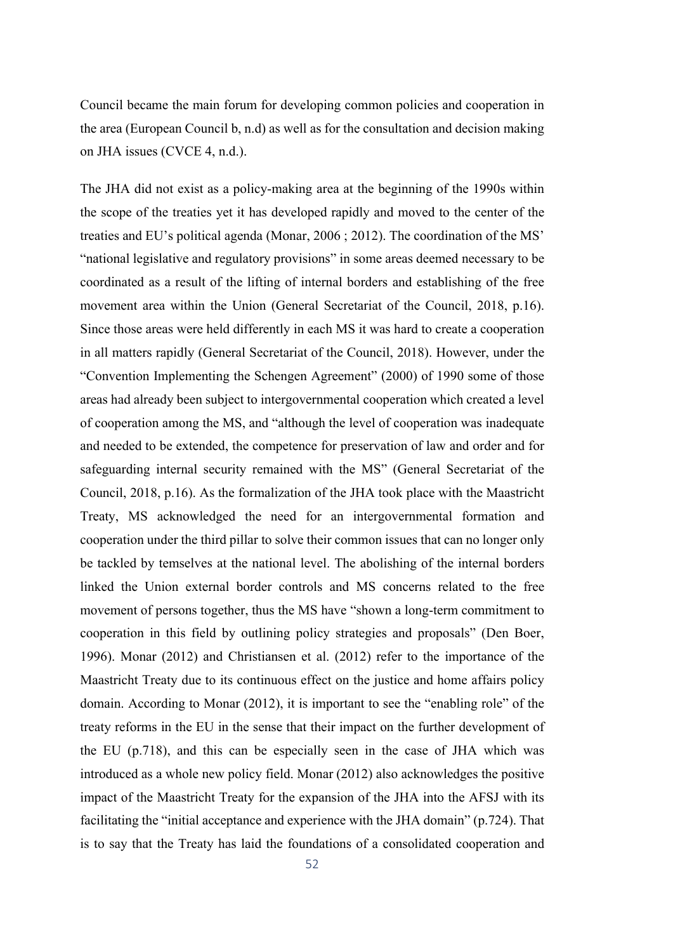Council became the main forum for developing common policies and cooperation in the area (European Council b, n.d) as well as for the consultation and decision making on JHA issues (CVCE 4, n.d.).

The JHA did not exist as a policy-making area at the beginning of the 1990s within the scope of the treaties yet it has developed rapidly and moved to the center of the treaties and EU's political agenda (Monar, 2006 ; 2012). The coordination of the MS' "national legislative and regulatory provisions" in some areas deemed necessary to be coordinated as a result of the lifting of internal borders and establishing of the free movement area within the Union (General Secretariat of the Council, 2018, p.16). Since those areas were held differently in each MS it was hard to create a cooperation in all matters rapidly (General Secretariat of the Council, 2018). However, under the "Convention Implementing the Schengen Agreement" (2000) of 1990 some of those areas had already been subject to intergovernmental cooperation which created a level of cooperation among the MS, and "although the level of cooperation was inadequate and needed to be extended, the competence for preservation of law and order and for safeguarding internal security remained with the MS" (General Secretariat of the Council, 2018, p.16). As the formalization of the JHA took place with the Maastricht Treaty, MS acknowledged the need for an intergovernmental formation and cooperation under the third pillar to solve their common issues that can no longer only be tackled by temselves at the national level. The abolishing of the internal borders linked the Union external border controls and MS concerns related to the free movement of persons together, thus the MS have "shown a long-term commitment to cooperation in this field by outlining policy strategies and proposals" (Den Boer, 1996). Monar (2012) and Christiansen et al. (2012) refer to the importance of the Maastricht Treaty due to its continuous effect on the justice and home affairs policy domain. According to Monar (2012), it is important to see the "enabling role" of the treaty reforms in the EU in the sense that their impact on the further development of the EU (p.718), and this can be especially seen in the case of JHA which was introduced as a whole new policy field. Monar (2012) also acknowledges the positive impact of the Maastricht Treaty for the expansion of the JHA into the AFSJ with its facilitating the "initial acceptance and experience with the JHA domain" (p.724). That is to say that the Treaty has laid the foundations of a consolidated cooperation and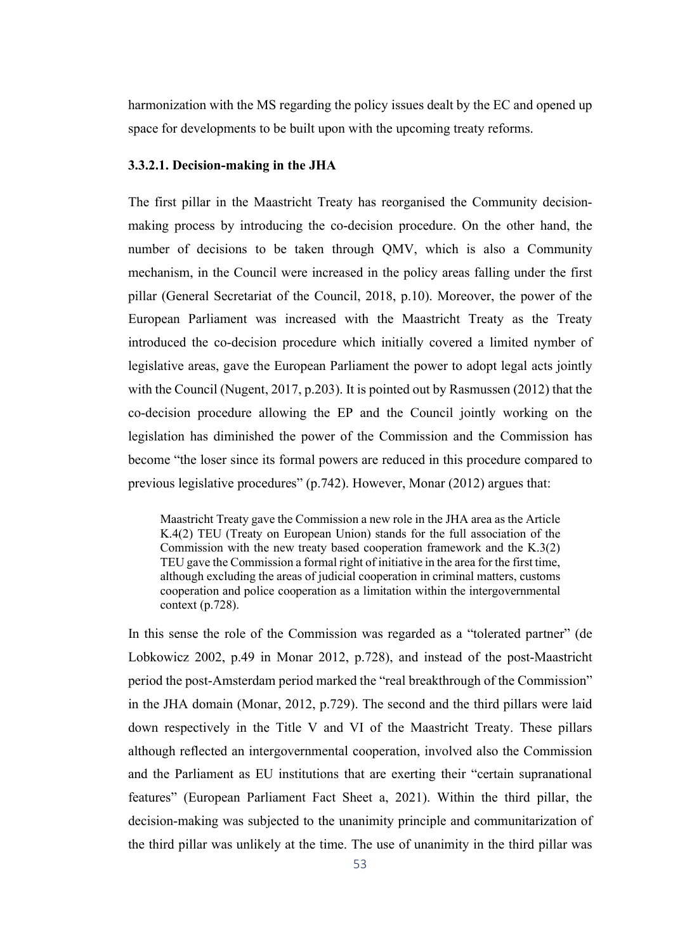harmonization with the MS regarding the policy issues dealt by the EC and opened up space for developments to be built upon with the upcoming treaty reforms.

# 3.3.2.1. Decision-making in the JHA

The first pillar in the Maastricht Treaty has reorganised the Community decisionmaking process by introducing the co-decision procedure. On the other hand, the number of decisions to be taken through QMV, which is also a Community mechanism, in the Council were increased in the policy areas falling under the first pillar (General Secretariat of the Council, 2018, p.10). Moreover, the power of the European Parliament was increased with the Maastricht Treaty as the Treaty introduced the co-decision procedure which initially covered a limited nymber of legislative areas, gave the European Parliament the power to adopt legal acts jointly with the Council (Nugent, 2017, p.203). It is pointed out by Rasmussen (2012) that the co-decision procedure allowing the EP and the Council jointly working on the legislation has diminished the power of the Commission and the Commission has become "the loser since its formal powers are reduced in this procedure compared to previous legislative procedures" (p.742). However, Monar (2012) argues that:

Maastricht Treaty gave the Commission a new role in the JHA area as the Article K.4(2) TEU (Treaty on European Union) stands for the full association of the Commission with the new treaty based cooperation framework and the K.3(2) TEU gave the Commission a formal right of initiative in the area for the first time, although excluding the areas of judicial cooperation in criminal matters, customs cooperation and police cooperation as a limitation within the intergovernmental context (p.728).

In this sense the role of the Commission was regarded as a "tolerated partner" (de Lobkowicz 2002, p.49 in Monar 2012, p.728), and instead of the post-Maastricht period the post-Amsterdam period marked the "real breakthrough of the Commission" in the JHA domain (Monar, 2012, p.729). The second and the third pillars were laid down respectively in the Title V and VI of the Maastricht Treaty. These pillars although reflected an intergovernmental cooperation, involved also the Commission and the Parliament as EU institutions that are exerting their "certain supranational features" (European Parliament Fact Sheet a, 2021). Within the third pillar, the decision-making was subjected to the unanimity principle and communitarization of the third pillar was unlikely at the time. The use of unanimity in the third pillar was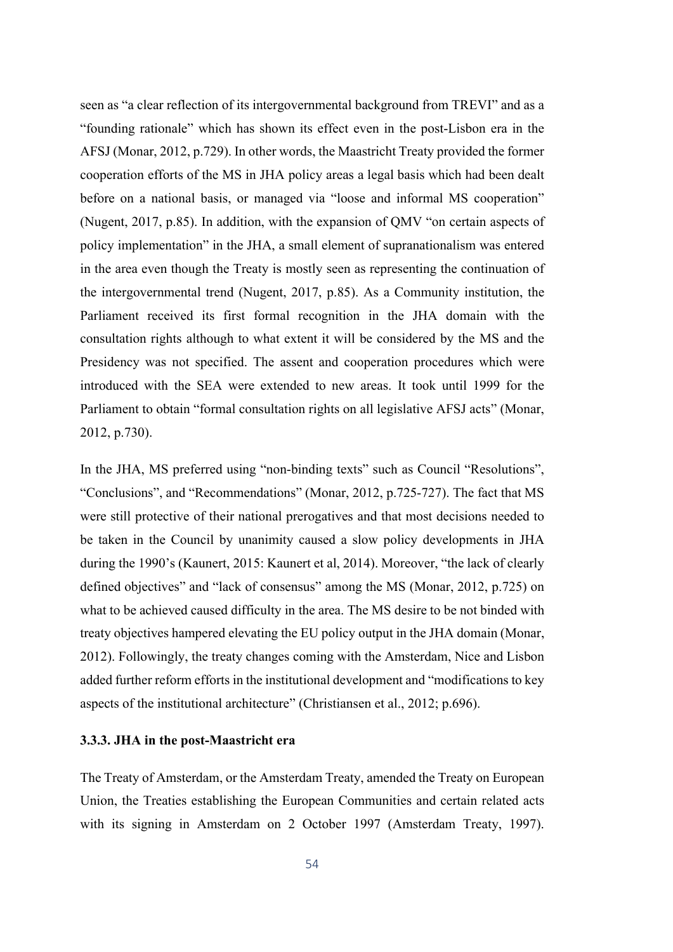seen as "a clear reflection of its intergovernmental background from TREVI" and as a "founding rationale" which has shown its effect even in the post-Lisbon era in the AFSJ (Monar, 2012, p.729). In other words, the Maastricht Treaty provided the former cooperation efforts of the MS in JHA policy areas a legal basis which had been dealt before on a national basis, or managed via "loose and informal MS cooperation" (Nugent, 2017, p.85). In addition, with the expansion of QMV "on certain aspects of policy implementation" in the JHA, a small element of supranationalism was entered in the area even though the Treaty is mostly seen as representing the continuation of the intergovernmental trend (Nugent, 2017, p.85). As a Community institution, the Parliament received its first formal recognition in the JHA domain with the consultation rights although to what extent it will be considered by the MS and the Presidency was not specified. The assent and cooperation procedures which were introduced with the SEA were extended to new areas. It took until 1999 for the Parliament to obtain "formal consultation rights on all legislative AFSJ acts" (Monar, 2012, p.730).

In the JHA, MS preferred using "non-binding texts" such as Council "Resolutions", "Conclusions", and "Recommendations" (Monar, 2012, p.725-727). The fact that MS were still protective of their national prerogatives and that most decisions needed to be taken in the Council by unanimity caused a slow policy developments in JHA during the 1990's (Kaunert, 2015: Kaunert et al, 2014). Moreover, "the lack of clearly defined objectives" and "lack of consensus" among the MS (Monar, 2012, p.725) on what to be achieved caused difficulty in the area. The MS desire to be not binded with treaty objectives hampered elevating the EU policy output in the JHA domain (Monar, 2012). Followingly, the treaty changes coming with the Amsterdam, Nice and Lisbon added further reform efforts in the institutional development and "modifications to key aspects of the institutional architecture" (Christiansen et al., 2012; p.696).

# 3.3.3. JHA in the post-Maastricht era

The Treaty of Amsterdam, or the Amsterdam Treaty, amended the Treaty on European Union, the Treaties establishing the European Communities and certain related acts with its signing in Amsterdam on 2 October 1997 (Amsterdam Treaty, 1997).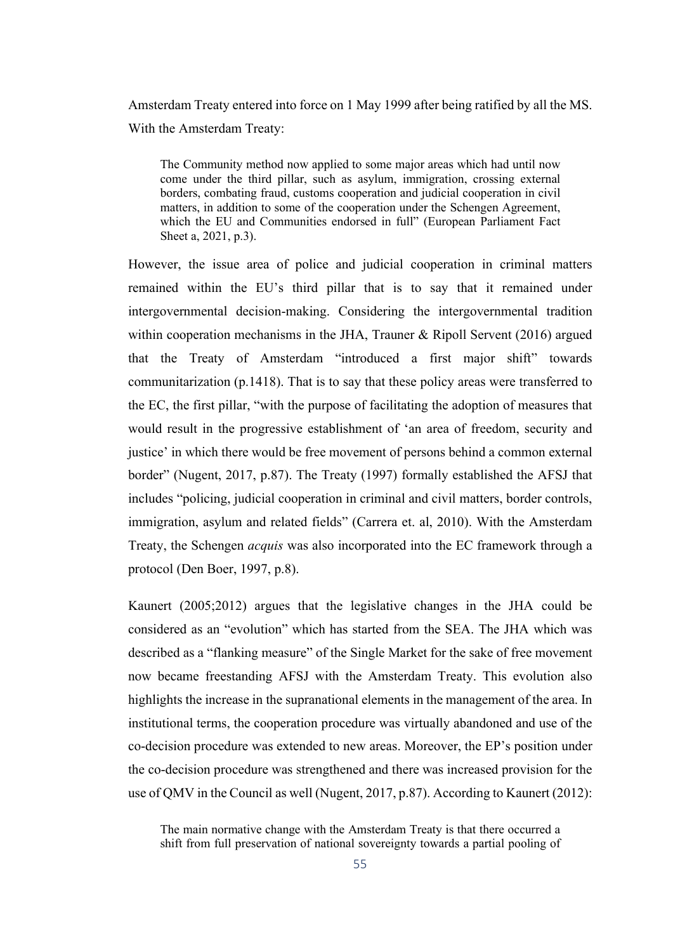Amsterdam Treaty entered into force on 1 May 1999 after being ratified by all the MS. With the Amsterdam Treaty:

The Community method now applied to some major areas which had until now come under the third pillar, such as asylum, immigration, crossing external borders, combating fraud, customs cooperation and judicial cooperation in civil matters, in addition to some of the cooperation under the Schengen Agreement, which the EU and Communities endorsed in full" (European Parliament Fact Sheet a, 2021, p.3).

However, the issue area of police and judicial cooperation in criminal matters remained within the EU's third pillar that is to say that it remained under intergovernmental decision-making. Considering the intergovernmental tradition within cooperation mechanisms in the JHA, Trauner & Ripoll Servent (2016) argued that the Treaty of Amsterdam "introduced a first major shift" towards communitarization (p.1418). That is to say that these policy areas were transferred to the EC, the first pillar, "with the purpose of facilitating the adoption of measures that would result in the progressive establishment of 'an area of freedom, security and justice' in which there would be free movement of persons behind a common external border" (Nugent, 2017, p.87). The Treaty (1997) formally established the AFSJ that includes "policing, judicial cooperation in criminal and civil matters, border controls, immigration, asylum and related fields" (Carrera et. al, 2010). With the Amsterdam Treaty, the Schengen *acquis* was also incorporated into the EC framework through a protocol (Den Boer, 1997, p.8).

Kaunert (2005;2012) argues that the legislative changes in the JHA could be considered as an "evolution" which has started from the SEA. The JHA which was described as a "flanking measure" of the Single Market for the sake of free movement now became freestanding AFSJ with the Amsterdam Treaty. This evolution also highlights the increase in the supranational elements in the management of the area. In institutional terms, the cooperation procedure was virtually abandoned and use of the co-decision procedure was extended to new areas. Moreover, the EP's position under the co-decision procedure was strengthened and there was increased provision for the use of QMV in the Council as well (Nugent, 2017, p.87). According to Kaunert (2012):

The main normative change with the Amsterdam Treaty is that there occurred a shift from full preservation of national sovereignty towards a partial pooling of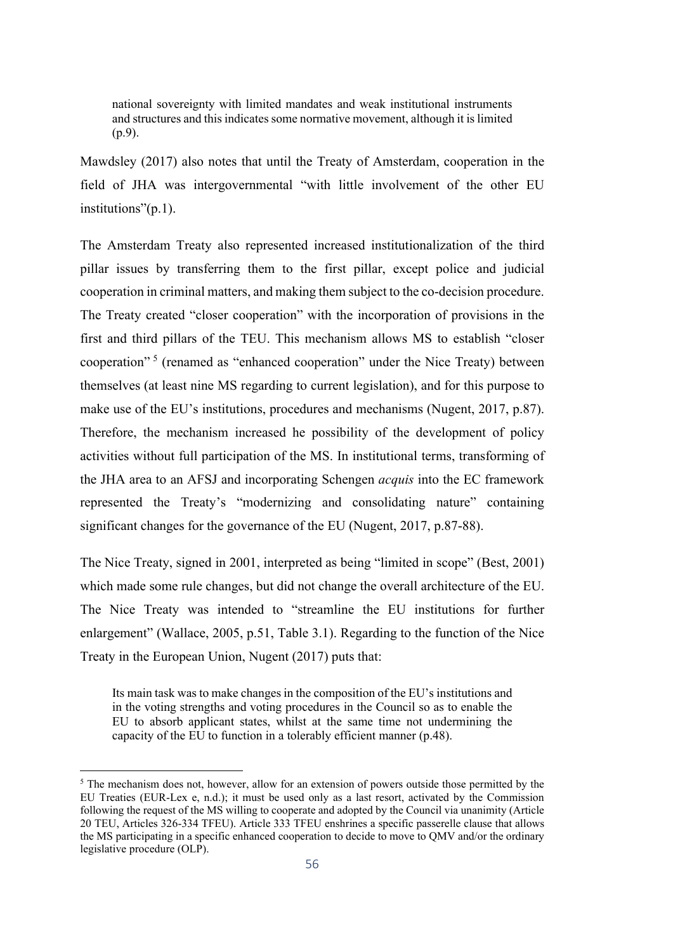national sovereignty with limited mandates and weak institutional instruments and structures and this indicates some normative movement, although it is limited (p.9).

Mawdsley (2017) also notes that until the Treaty of Amsterdam, cooperation in the field of JHA was intergovernmental "with little involvement of the other EU institutions"(p.1).

The Amsterdam Treaty also represented increased institutionalization of the third pillar issues by transferring them to the first pillar, except police and judicial cooperation in criminal matters, and making them subject to the co-decision procedure. The Treaty created "closer cooperation" with the incorporation of provisions in the first and third pillars of the TEU. This mechanism allows MS to establish "closer cooperation" <sup>5</sup> (renamed as "enhanced cooperation" under the Nice Treaty) between themselves (at least nine MS regarding to current legislation), and for this purpose to make use of the EU's institutions, procedures and mechanisms (Nugent, 2017, p.87). Therefore, the mechanism increased he possibility of the development of policy activities without full participation of the MS. In institutional terms, transforming of the JHA area to an AFSJ and incorporating Schengen *acquis* into the EC framework represented the Treaty's "modernizing and consolidating nature" containing significant changes for the governance of the EU (Nugent, 2017, p.87-88).

The Nice Treaty, signed in 2001, interpreted as being "limited in scope" (Best, 2001) which made some rule changes, but did not change the overall architecture of the EU. The Nice Treaty was intended to "streamline the EU institutions for further enlargement" (Wallace, 2005, p.51, Table 3.1). Regarding to the function of the Nice Treaty in the European Union, Nugent (2017) puts that:

Its main task was to make changes in the composition of the EU's institutions and in the voting strengths and voting procedures in the Council so as to enable the EU to absorb applicant states, whilst at the same time not undermining the capacity of the EU to function in a tolerably efficient manner (p.48).

<sup>&</sup>lt;sup>5</sup> The mechanism does not, however, allow for an extension of powers outside those permitted by the EU Treaties (EUR-Lex e, n.d.); it must be used only as a last resort, activated by the Commission following the request of the MS willing to cooperate and adopted by the Council via unanimity (Article 20 TEU, Articles 326-334 TFEU). Article 333 TFEU enshrines a specific passerelle clause that allows the MS participating in a specific enhanced cooperation to decide to move to QMV and/or the ordinary legislative procedure (OLP).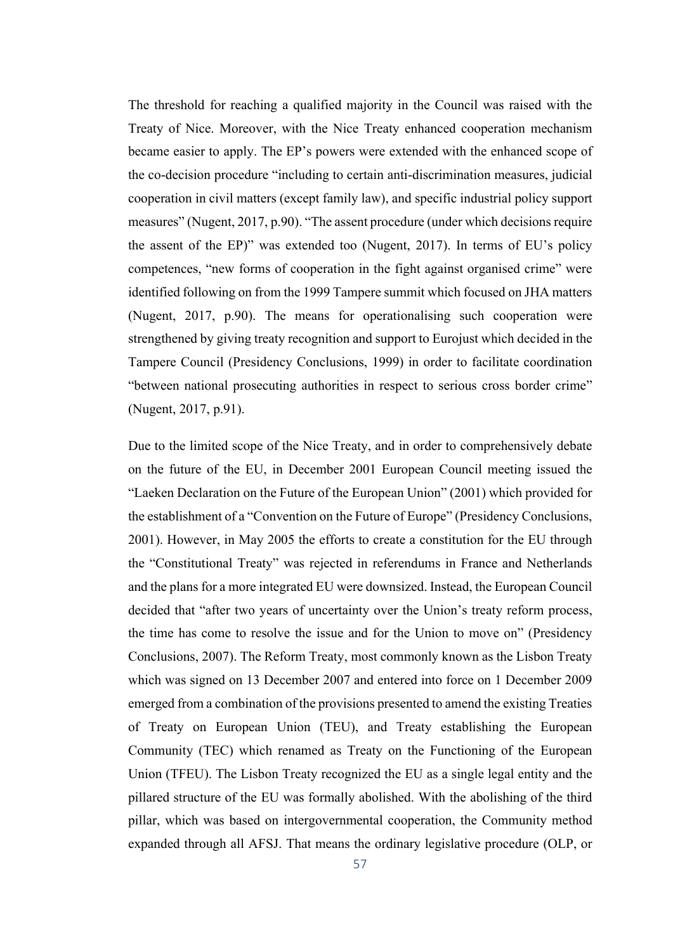The threshold for reaching a qualified majority in the Council was raised with the Treaty of Nice. Moreover, with the Nice Treaty enhanced cooperation mechanism became easier to apply. The EP's powers were extended with the enhanced scope of the co-decision procedure "including to certain anti-discrimination measures, judicial cooperation in civil matters (except family law), and specific industrial policy support measures" (Nugent, 2017, p.90). "The assent procedure (under which decisions require the assent of the EP)" was extended too (Nugent, 2017). In terms of EU's policy competences, "new forms of cooperation in the fight against organised crime" were identified following on from the 1999 Tampere summit which focused on JHA matters (Nugent, 2017, p.90). The means for operationalising such cooperation were strengthened by giving treaty recognition and support to Eurojust which decided in the Tampere Council (Presidency Conclusions, 1999) in order to facilitate coordination "between national prosecuting authorities in respect to serious cross border crime" (Nugent, 2017, p.91).

Due to the limited scope of the Nice Treaty, and in order to comprehensively debate on the future of the EU, in December 2001 European Council meeting issued the "Laeken Declaration on the Future of the European Union" (2001) which provided for the establishment of a "Convention on the Future of Europe" (Presidency Conclusions, 2001). However, in May 2005 the efforts to create a constitution for the EU through the "Constitutional Treaty" was rejected in referendums in France and Netherlands and the plans for a more integrated EU were downsized. Instead, the European Council decided that "after two years of uncertainty over the Union's treaty reform process, the time has come to resolve the issue and for the Union to move on" (Presidency Conclusions, 2007). The Reform Treaty, most commonly known as the Lisbon Treaty which was signed on 13 December 2007 and entered into force on 1 December 2009 emerged from a combination of the provisions presented to amend the existing Treaties of Treaty on European Union (TEU), and Treaty establishing the European Community (TEC) which renamed as Treaty on the Functioning of the European Union (TFEU). The Lisbon Treaty recognized the EU as a single legal entity and the pillared structure of the EU was formally abolished. With the abolishing of the third pillar, which was based on intergovernmental cooperation, the Community method expanded through all AFSJ. That means the ordinary legislative procedure (OLP, or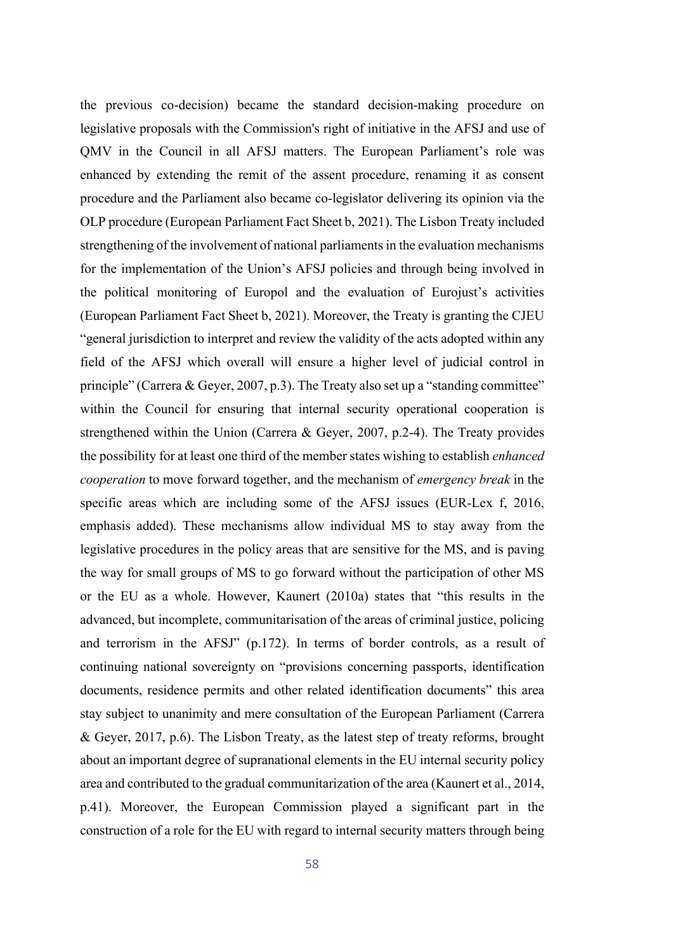the previous co-decision) became the standard decision-making procedure on legislative proposals with the Commission's right of initiative in the AFSJ and use of QMV in the Council in all AFSJ matters. The European Parliament's role was enhanced by extending the remit of the assent procedure, renaming it as consent procedure and the Parliament also became co-legislator delivering its opinion via the OLP procedure (European Parliament Fact Sheet b, 2021). The Lisbon Treaty included strengthening of the involvement of national parliaments in the evaluation mechanisms for the implementation of the Union's AFSJ policies and through being involved in the political monitoring of Europol and the evaluation of Eurojust's activities (European Parliament Fact Sheet b, 2021). Moreover, the Treaty is granting the CJEU "general jurisdiction to interpret and review the validity of the acts adopted within any field of the AFSJ which overall will ensure a higher level of judicial control in principle" (Carrera & Geyer, 2007, p.3). The Treaty also set up a "standing committee" within the Council for ensuring that internal security operational cooperation is strengthened within the Union (Carrera & Geyer, 2007, p.2-4). The Treaty provides the possibility for at least one third of the member states wishing to establish *enhanced cooperation* to move forward together, and the mechanism of *emergency break* in the specific areas which are including some of the AFSJ issues (EUR-Lex f, 2016, emphasis added). These mechanisms allow individual MS to stay away from the legislative procedures in the policy areas that are sensitive for the MS, and is paving the way for small groups of MS to go forward without the participation of other MS or the EU as a whole. However, Kaunert (2010a) states that "this results in the advanced, but incomplete, communitarisation of the areas of criminal justice, policing and terrorism in the AFSJ" (p.172). In terms of border controls, as a result of continuing national sovereignty on "provisions concerning passports, identification documents, residence permits and other related identification documents" this area stay subject to unanimity and mere consultation of the European Parliament (Carrera & Geyer, 2017, p.6). The Lisbon Treaty, as the latest step of treaty reforms, brought about an important degree of supranational elements in the EU internal security policy area and contributed to the gradual communitarization of the area (Kaunert et al., 2014, p.41). Moreover, the European Commission played a significant part in the construction of a role for the EU with regard to internal security matters through being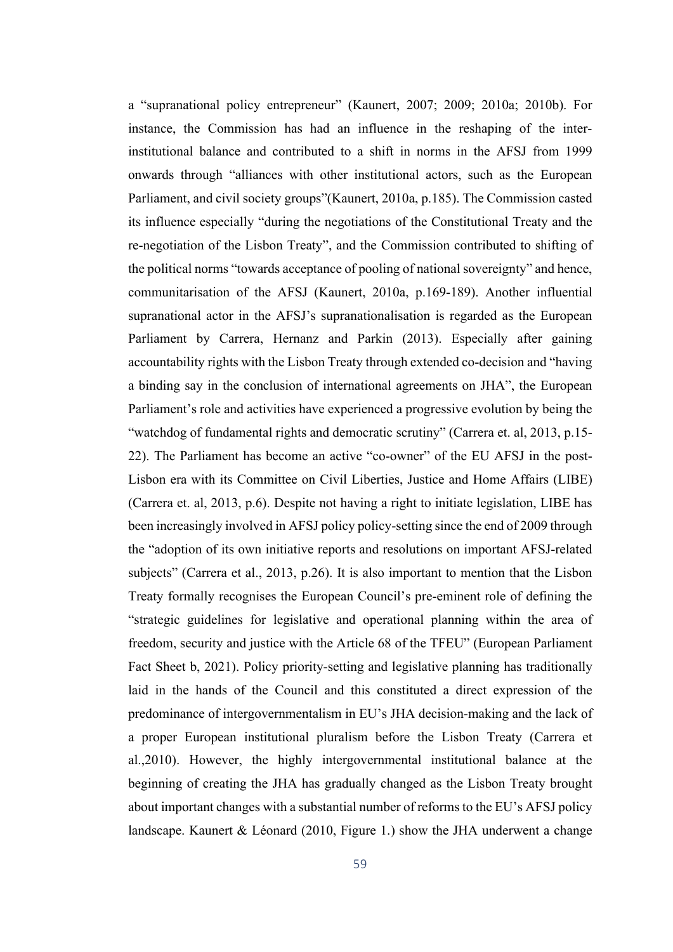a "supranational policy entrepreneur" (Kaunert, 2007; 2009; 2010a; 2010b). For instance, the Commission has had an influence in the reshaping of the interinstitutional balance and contributed to a shift in norms in the AFSJ from 1999 onwards through "alliances with other institutional actors, such as the European Parliament, and civil society groups"(Kaunert, 2010a, p.185). The Commission casted its influence especially "during the negotiations of the Constitutional Treaty and the re-negotiation of the Lisbon Treaty", and the Commission contributed to shifting of the political norms "towards acceptance of pooling of national sovereignty" and hence, communitarisation of the AFSJ (Kaunert, 2010a, p.169-189). Another influential supranational actor in the AFSJ's supranationalisation is regarded as the European Parliament by Carrera, Hernanz and Parkin (2013). Especially after gaining accountability rights with the Lisbon Treaty through extended co-decision and "having a binding say in the conclusion of international agreements on JHA", the European Parliament's role and activities have experienced a progressive evolution by being the "watchdog of fundamental rights and democratic scrutiny" (Carrera et. al, 2013, p.15- 22). The Parliament has become an active "co-owner" of the EU AFSJ in the post-Lisbon era with its Committee on Civil Liberties, Justice and Home Affairs (LIBE) (Carrera et. al, 2013, p.6). Despite not having a right to initiate legislation, LIBE has been increasingly involved in AFSJ policy policy-setting since the end of 2009 through the "adoption of its own initiative reports and resolutions on important AFSJ-related subjects" (Carrera et al., 2013, p.26). It is also important to mention that the Lisbon Treaty formally recognises the European Council's pre-eminent role of defining the "strategic guidelines for legislative and operational planning within the area of freedom, security and justice with the Article 68 of the TFEU" (European Parliament Fact Sheet b, 2021). Policy priority-setting and legislative planning has traditionally laid in the hands of the Council and this constituted a direct expression of the predominance of intergovernmentalism in EU's JHA decision-making and the lack of a proper European institutional pluralism before the Lisbon Treaty (Carrera et al.,2010). However, the highly intergovernmental institutional balance at the beginning of creating the JHA has gradually changed as the Lisbon Treaty brought about important changes with a substantial number of reforms to the EU's AFSJ policy landscape. Kaunert & Léonard (2010, Figure 1.) show the JHA underwent a change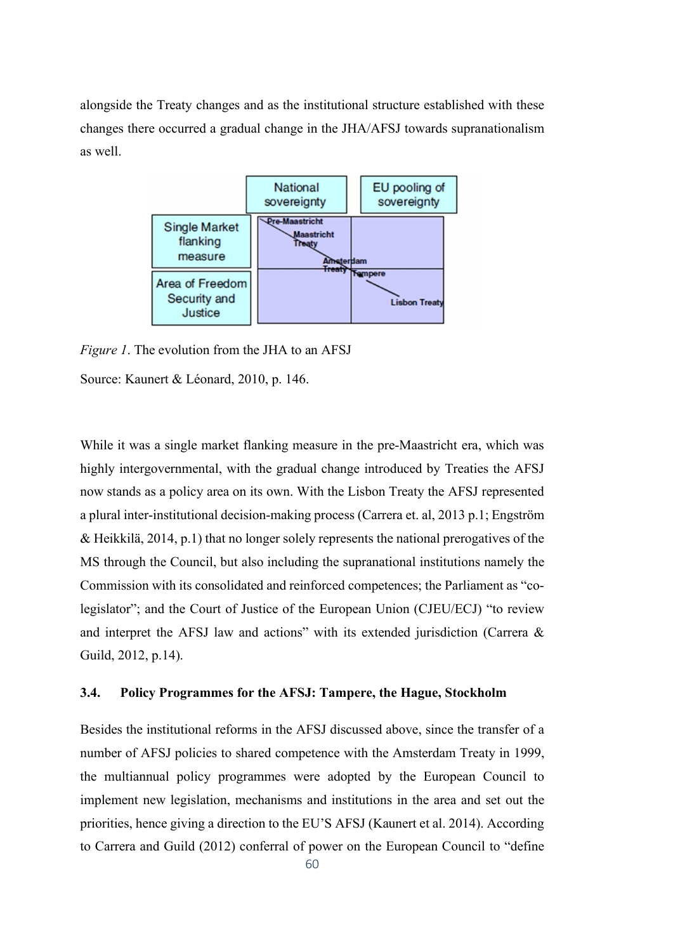alongside the Treaty changes and as the institutional structure established with these changes there occurred a gradual change in the JHA/AFSJ towards supranationalism as well.



*Figure 1*. The evolution from the JHA to an AFSJ

Source: Kaunert & Léonard, 2010, p. 146.

While it was a single market flanking measure in the pre-Maastricht era, which was highly intergovernmental, with the gradual change introduced by Treaties the AFSJ now stands as a policy area on its own. With the Lisbon Treaty the AFSJ represented a plural inter-institutional decision-making process (Carrera et. al, 2013 p.1; Engström & Heikkilä, 2014, p.1) that no longer solely represents the national prerogatives of the MS through the Council, but also including the supranational institutions namely the Commission with its consolidated and reinforced competences; the Parliament as "colegislator"; and the Court of Justice of the European Union (CJEU/ECJ) "to review and interpret the AFSJ law and actions" with its extended jurisdiction (Carrera & Guild, 2012, p.14).

# 3.4. Policy Programmes for the AFSJ: Tampere, the Hague, Stockholm

Besides the institutional reforms in the AFSJ discussed above, since the transfer of a number of AFSJ policies to shared competence with the Amsterdam Treaty in 1999, the multiannual policy programmes were adopted by the European Council to implement new legislation, mechanisms and institutions in the area and set out the priorities, hence giving a direction to the EU'S AFSJ (Kaunert et al. 2014). According to Carrera and Guild (2012) conferral of power on the European Council to "define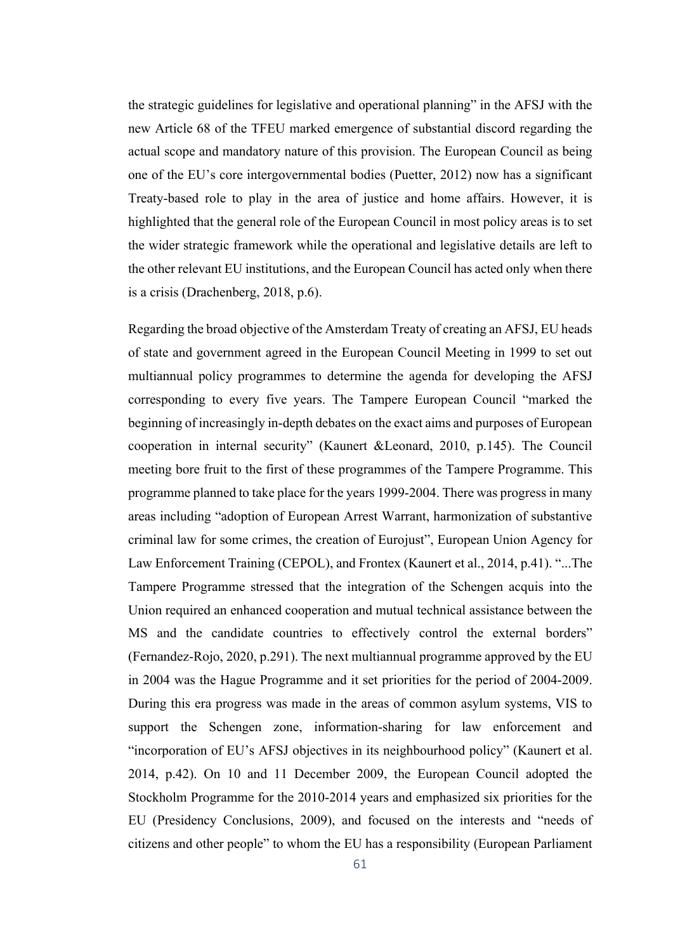the strategic guidelines for legislative and operational planning" in the AFSJ with the new Article 68 of the TFEU marked emergence of substantial discord regarding the actual scope and mandatory nature of this provision. The European Council as being one of the EU's core intergovernmental bodies (Puetter, 2012) now has a significant Treaty-based role to play in the area of justice and home affairs. However, it is highlighted that the general role of the European Council in most policy areas is to set the wider strategic framework while the operational and legislative details are left to the other relevant EU institutions, and the European Council has acted only when there is a crisis (Drachenberg, 2018, p.6).

Regarding the broad objective of the Amsterdam Treaty of creating an AFSJ, EU heads of state and government agreed in the European Council Meeting in 1999 to set out multiannual policy programmes to determine the agenda for developing the AFSJ corresponding to every five years. The Tampere European Council "marked the beginning of increasingly in-depth debates on the exact aims and purposes of European cooperation in internal security" (Kaunert &Leonard, 2010, p.145). The Council meeting bore fruit to the first of these programmes of the Tampere Programme. This programme planned to take place for the years 1999-2004. There was progress in many areas including "adoption of European Arrest Warrant, harmonization of substantive criminal law for some crimes, the creation of Eurojust", European Union Agency for Law Enforcement Training (CEPOL), and Frontex (Kaunert et al., 2014, p.41). "...The Tampere Programme stressed that the integration of the Schengen acquis into the Union required an enhanced cooperation and mutual technical assistance between the MS and the candidate countries to effectively control the external borders" (Fernandez-Rojo, 2020, p.291). The next multiannual programme approved by the EU in 2004 was the Hague Programme and it set priorities for the period of 2004-2009. During this era progress was made in the areas of common asylum systems, VIS to support the Schengen zone, information-sharing for law enforcement and "incorporation of EU's AFSJ objectives in its neighbourhood policy" (Kaunert et al. 2014, p.42). On 10 and 11 December 2009, the European Council adopted the Stockholm Programme for the 2010-2014 years and emphasized six priorities for the EU (Presidency Conclusions, 2009), and focused on the interests and "needs of citizens and other people" to whom the EU has a responsibility (European Parliament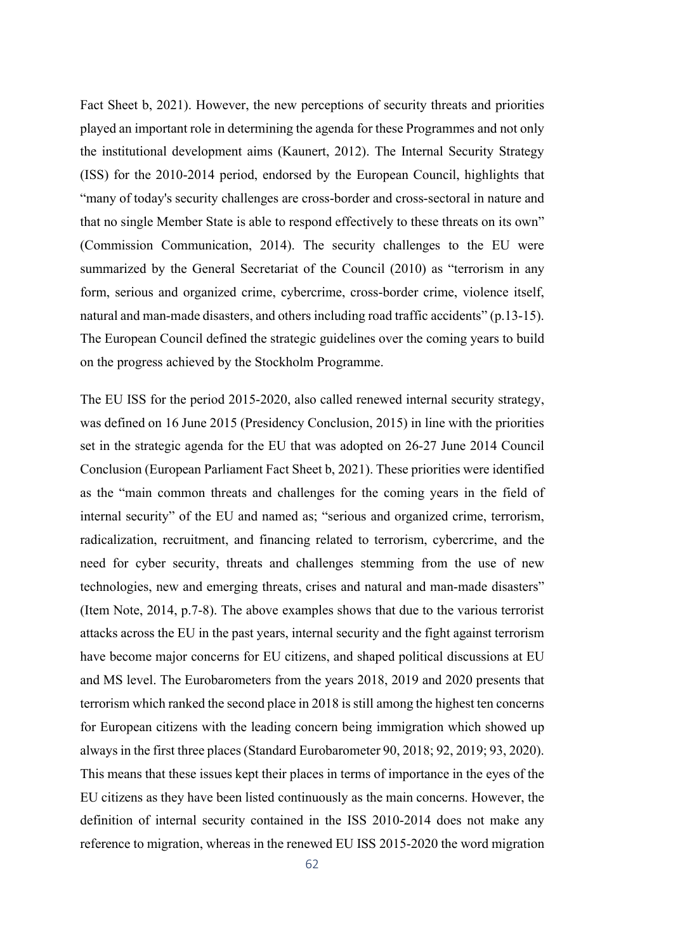Fact Sheet b, 2021). However, the new perceptions of security threats and priorities played an important role in determining the agenda for these Programmes and not only the institutional development aims (Kaunert, 2012). The Internal Security Strategy (ISS) for the 2010-2014 period, endorsed by the European Council, highlights that "many of today's security challenges are cross-border and cross-sectoral in nature and that no single Member State is able to respond effectively to these threats on its own" (Commission Communication, 2014). The security challenges to the EU were summarized by the General Secretariat of the Council (2010) as "terrorism in any form, serious and organized crime, cybercrime, cross-border crime, violence itself, natural and man-made disasters, and others including road traffic accidents" (p.13-15). The European Council defined the strategic guidelines over the coming years to build on the progress achieved by the Stockholm Programme.

The EU ISS for the period 2015-2020, also called renewed internal security strategy, was defined on 16 June 2015 (Presidency Conclusion, 2015) in line with the priorities set in the strategic agenda for the EU that was adopted on 26-27 June 2014 Council Conclusion (European Parliament Fact Sheet b, 2021). These priorities were identified as the "main common threats and challenges for the coming years in the field of internal security" of the EU and named as; "serious and organized crime, terrorism, radicalization, recruitment, and financing related to terrorism, cybercrime, and the need for cyber security, threats and challenges stemming from the use of new technologies, new and emerging threats, crises and natural and man-made disasters" (Item Note, 2014, p.7-8). The above examples shows that due to the various terrorist attacks across the EU in the past years, internal security and the fight against terrorism have become major concerns for EU citizens, and shaped political discussions at EU and MS level. The Eurobarometers from the years 2018, 2019 and 2020 presents that terrorism which ranked the second place in 2018 is still among the highest ten concerns for European citizens with the leading concern being immigration which showed up always in the first three places (Standard Eurobarometer 90, 2018; 92, 2019; 93, 2020). This means that these issues kept their places in terms of importance in the eyes of the EU citizens as they have been listed continuously as the main concerns. However, the definition of internal security contained in the ISS 2010-2014 does not make any reference to migration, whereas in the renewed EU ISS 2015-2020 the word migration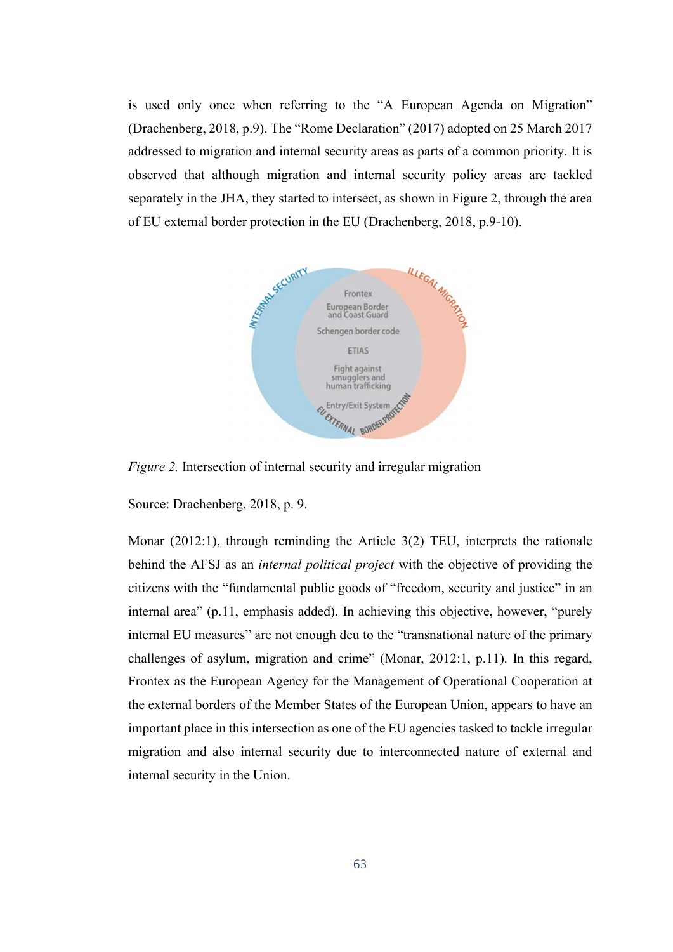is used only once when referring to the "A European Agenda on Migration" (Drachenberg, 2018, p.9). The "Rome Declaration" (2017) adopted on 25 March 2017 addressed to migration and internal security areas as parts of a common priority. It is observed that although migration and internal security policy areas are tackled separately in the JHA, they started to intersect, as shown in Figure 2, through the area of EU external border protection in the EU (Drachenberg, 2018, p.9-10).



*Figure 2.* Intersection of internal security and irregular migration

Source: Drachenberg, 2018, p. 9.

Monar (2012:1), through reminding the Article 3(2) TEU, interprets the rationale behind the AFSJ as an *internal political project* with the objective of providing the citizens with the "fundamental public goods of "freedom, security and justice" in an internal area" (p.11, emphasis added). In achieving this objective, however, "purely internal EU measures" are not enough deu to the "transnational nature of the primary challenges of asylum, migration and crime" (Monar, 2012:1, p.11). In this regard, Frontex as the European Agency for the Management of Operational Cooperation at the external borders of the Member States of the European Union, appears to have an important place in this intersection as one of the EU agencies tasked to tackle irregular migration and also internal security due to interconnected nature of external and internal security in the Union.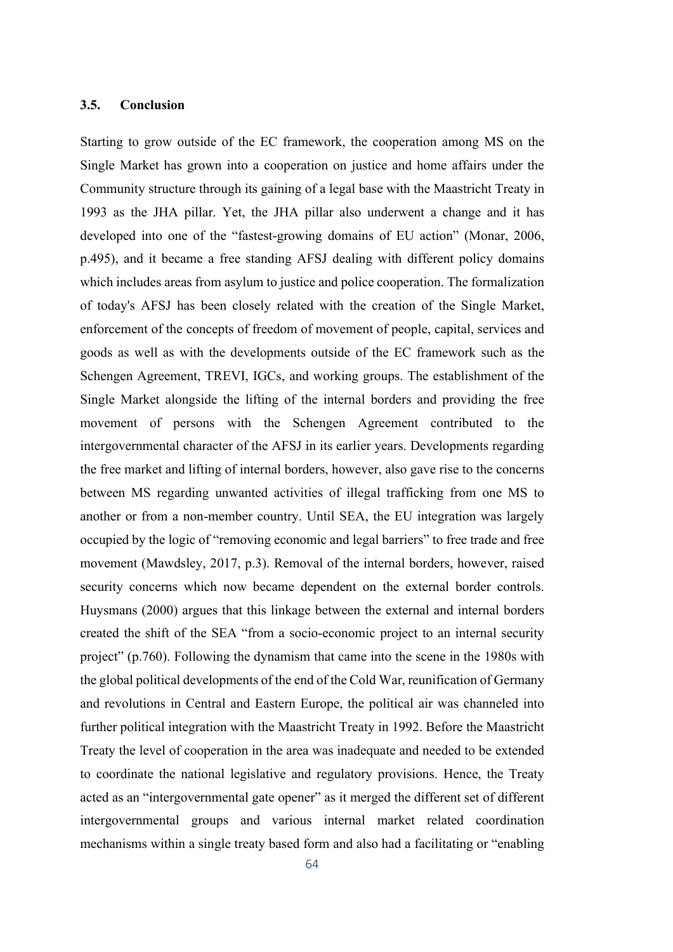### 3.5. Conclusion

Starting to grow outside of the EC framework, the cooperation among MS on the Single Market has grown into a cooperation on justice and home affairs under the Community structure through its gaining of a legal base with the Maastricht Treaty in 1993 as the JHA pillar. Yet, the JHA pillar also underwent a change and it has developed into one of the "fastest-growing domains of EU action" (Monar, 2006, p.495), and it became a free standing AFSJ dealing with different policy domains which includes areas from asylum to justice and police cooperation. The formalization of today's AFSJ has been closely related with the creation of the Single Market, enforcement of the concepts of freedom of movement of people, capital, services and goods as well as with the developments outside of the EC framework such as the Schengen Agreement, TREVI, IGCs, and working groups. The establishment of the Single Market alongside the lifting of the internal borders and providing the free movement of persons with the Schengen Agreement contributed to the intergovernmental character of the AFSJ in its earlier years. Developments regarding the free market and lifting of internal borders, however, also gave rise to the concerns between MS regarding unwanted activities of illegal trafficking from one MS to another or from a non-member country. Until SEA, the EU integration was largely occupied by the logic of "removing economic and legal barriers" to free trade and free movement (Mawdsley, 2017, p.3). Removal of the internal borders, however, raised security concerns which now became dependent on the external border controls. Huysmans (2000) argues that this linkage between the external and internal borders created the shift of the SEA "from a socio-economic project to an internal security project" (p.760). Following the dynamism that came into the scene in the 1980s with the global political developments of the end of the Cold War, reunification of Germany and revolutions in Central and Eastern Europe, the political air was channeled into further political integration with the Maastricht Treaty in 1992. Before the Maastricht Treaty the level of cooperation in the area was inadequate and needed to be extended to coordinate the national legislative and regulatory provisions. Hence, the Treaty acted as an "intergovernmental gate opener" as it merged the different set of different intergovernmental groups and various internal market related coordination mechanisms within a single treaty based form and also had a facilitating or "enabling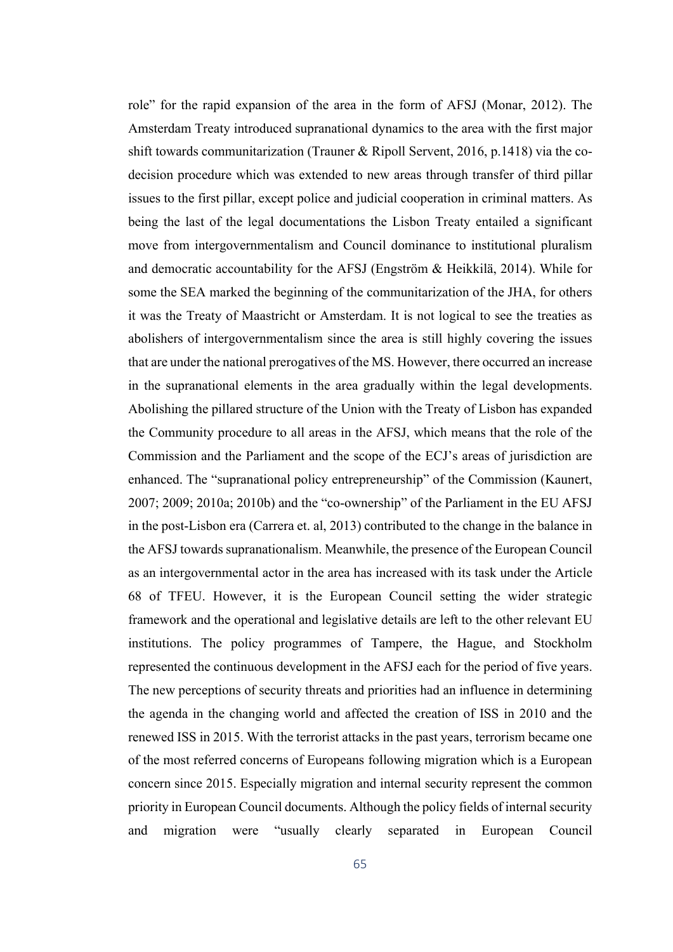role" for the rapid expansion of the area in the form of AFSJ (Monar, 2012). The Amsterdam Treaty introduced supranational dynamics to the area with the first major shift towards communitarization (Trauner & Ripoll Servent, 2016, p.1418) via the codecision procedure which was extended to new areas through transfer of third pillar issues to the first pillar, except police and judicial cooperation in criminal matters. As being the last of the legal documentations the Lisbon Treaty entailed a significant move from intergovernmentalism and Council dominance to institutional pluralism and democratic accountability for the AFSJ (Engström & Heikkilä, 2014). While for some the SEA marked the beginning of the communitarization of the JHA, for others it was the Treaty of Maastricht or Amsterdam. It is not logical to see the treaties as abolishers of intergovernmentalism since the area is still highly covering the issues that are under the national prerogatives of the MS. However, there occurred an increase in the supranational elements in the area gradually within the legal developments. Abolishing the pillared structure of the Union with the Treaty of Lisbon has expanded the Community procedure to all areas in the AFSJ, which means that the role of the Commission and the Parliament and the scope of the ECJ's areas of jurisdiction are enhanced. The "supranational policy entrepreneurship" of the Commission (Kaunert, 2007; 2009; 2010a; 2010b) and the "co-ownership" of the Parliament in the EU AFSJ in the post-Lisbon era (Carrera et. al, 2013) contributed to the change in the balance in the AFSJ towards supranationalism. Meanwhile, the presence of the European Council as an intergovernmental actor in the area has increased with its task under the Article 68 of TFEU. However, it is the European Council setting the wider strategic framework and the operational and legislative details are left to the other relevant EU institutions. The policy programmes of Tampere, the Hague, and Stockholm represented the continuous development in the AFSJ each for the period of five years. The new perceptions of security threats and priorities had an influence in determining the agenda in the changing world and affected the creation of ISS in 2010 and the renewed ISS in 2015. With the terrorist attacks in the past years, terrorism became one of the most referred concerns of Europeans following migration which is a European concern since 2015. Especially migration and internal security represent the common priority in European Council documents. Although the policy fields of internal security and migration were "usually clearly separated in European Council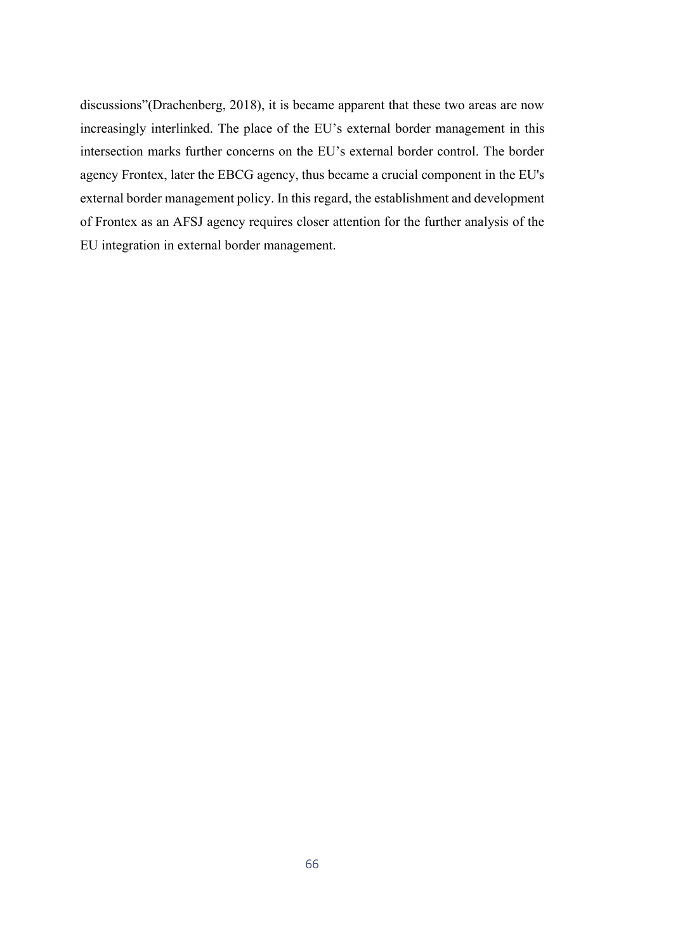discussions"(Drachenberg, 2018), it is became apparent that these two areas are now increasingly interlinked. The place of the EU's external border management in this intersection marks further concerns on the EU's external border control. The border agency Frontex, later the EBCG agency, thus became a crucial component in the EU's external border management policy. In this regard, the establishment and development of Frontex as an AFSJ agency requires closer attention for the further analysis of the EU integration in external border management.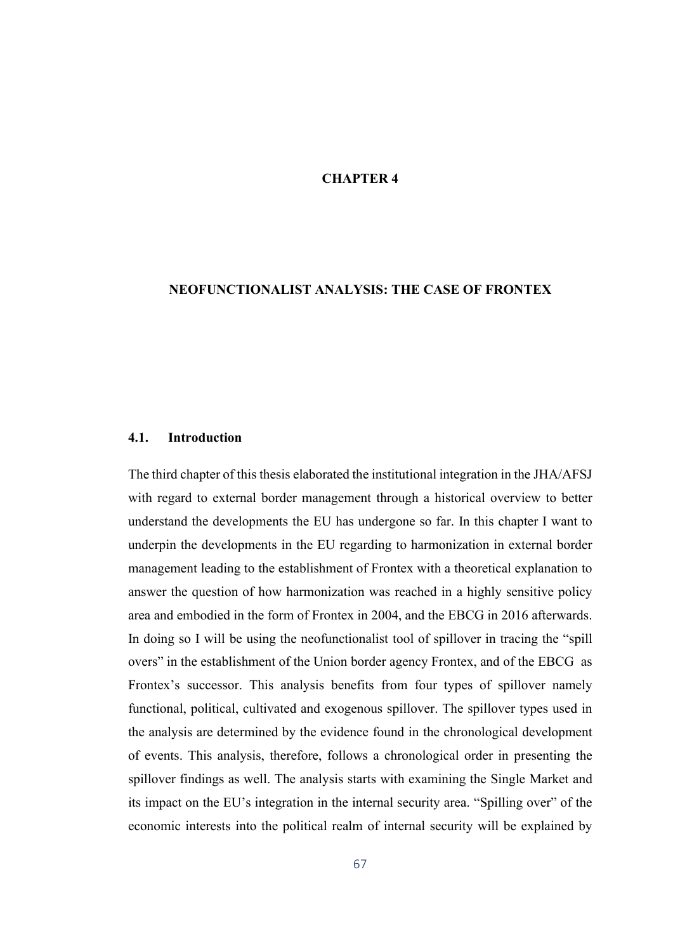# CHAPTER 4

### NEOFUNCTIONALIST ANALYSIS: THE CASE OF FRONTEX

### 4.1. Introduction

The third chapter of this thesis elaborated the institutional integration in the JHA/AFSJ with regard to external border management through a historical overview to better understand the developments the EU has undergone so far. In this chapter I want to underpin the developments in the EU regarding to harmonization in external border management leading to the establishment of Frontex with a theoretical explanation to answer the question of how harmonization was reached in a highly sensitive policy area and embodied in the form of Frontex in 2004, and the EBCG in 2016 afterwards. In doing so I will be using the neofunctionalist tool of spillover in tracing the "spill overs" in the establishment of the Union border agency Frontex, and of the EBCG as Frontex's successor. This analysis benefits from four types of spillover namely functional, political, cultivated and exogenous spillover. The spillover types used in the analysis are determined by the evidence found in the chronological development of events. This analysis, therefore, follows a chronological order in presenting the spillover findings as well. The analysis starts with examining the Single Market and its impact on the EU's integration in the internal security area. "Spilling over" of the economic interests into the political realm of internal security will be explained by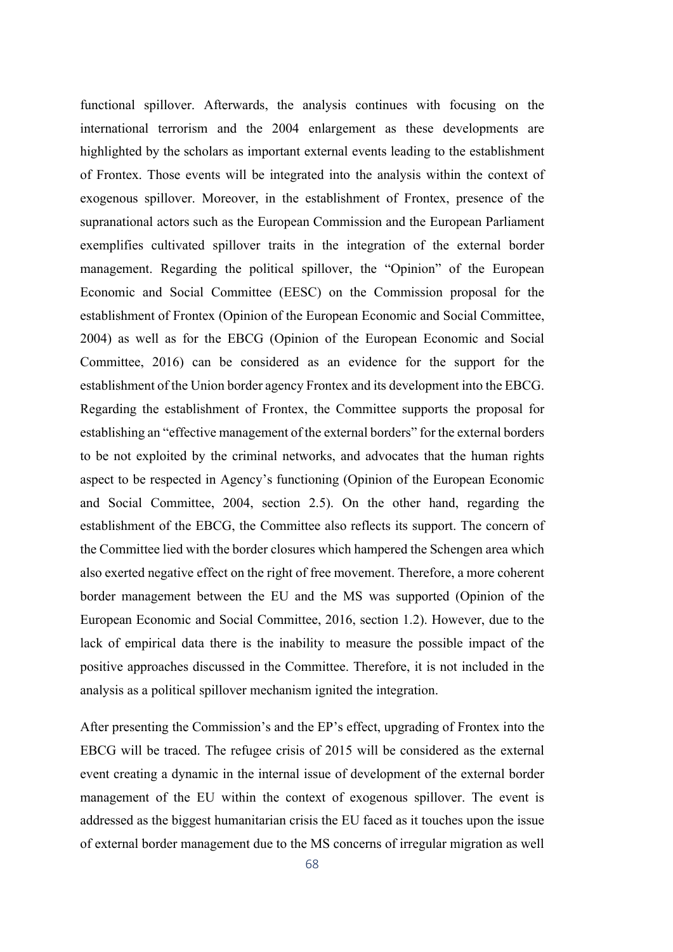functional spillover. Afterwards, the analysis continues with focusing on the international terrorism and the 2004 enlargement as these developments are highlighted by the scholars as important external events leading to the establishment of Frontex. Those events will be integrated into the analysis within the context of exogenous spillover. Moreover, in the establishment of Frontex, presence of the supranational actors such as the European Commission and the European Parliament exemplifies cultivated spillover traits in the integration of the external border management. Regarding the political spillover, the "Opinion" of the European Economic and Social Committee (EESC) on the Commission proposal for the establishment of Frontex (Opinion of the European Economic and Social Committee, 2004) as well as for the EBCG (Opinion of the European Economic and Social Committee, 2016) can be considered as an evidence for the support for the establishment of the Union border agency Frontex and its development into the EBCG. Regarding the establishment of Frontex, the Committee supports the proposal for establishing an "effective management of the external borders" for the external borders to be not exploited by the criminal networks, and advocates that the human rights aspect to be respected in Agency's functioning (Opinion of the European Economic and Social Committee, 2004, section 2.5). On the other hand, regarding the establishment of the EBCG, the Committee also reflects its support. The concern of the Committee lied with the border closures which hampered the Schengen area which also exerted negative effect on the right of free movement. Therefore, a more coherent border management between the EU and the MS was supported (Opinion of the European Economic and Social Committee, 2016, section 1.2). However, due to the lack of empirical data there is the inability to measure the possible impact of the positive approaches discussed in the Committee. Therefore, it is not included in the analysis as a political spillover mechanism ignited the integration.

After presenting the Commission's and the EP's effect, upgrading of Frontex into the EBCG will be traced. The refugee crisis of 2015 will be considered as the external event creating a dynamic in the internal issue of development of the external border management of the EU within the context of exogenous spillover. The event is addressed as the biggest humanitarian crisis the EU faced as it touches upon the issue of external border management due to the MS concerns of irregular migration as well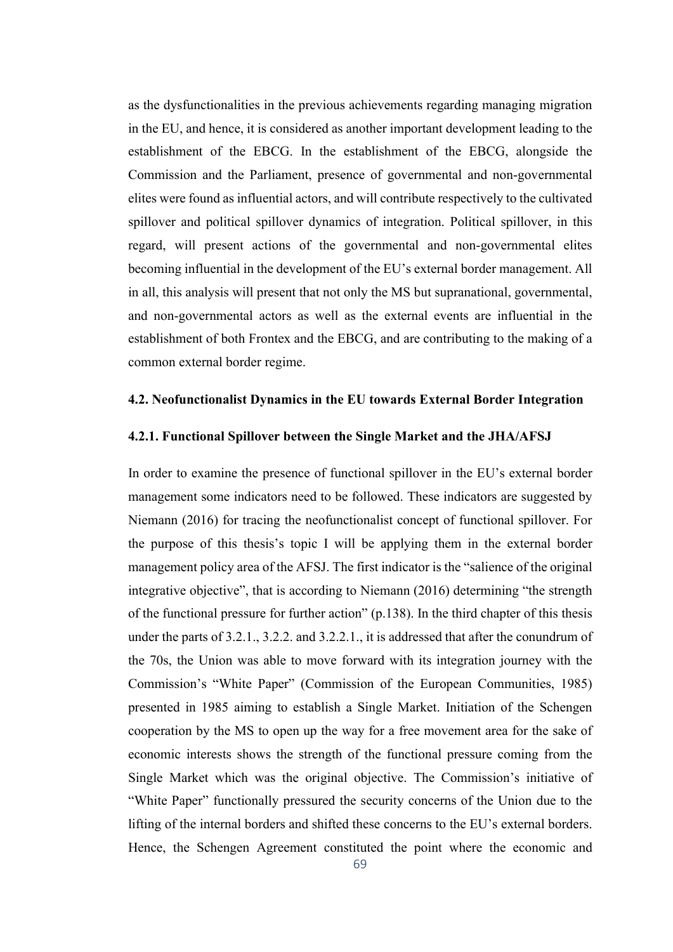as the dysfunctionalities in the previous achievements regarding managing migration in the EU, and hence, it is considered as another important development leading to the establishment of the EBCG. In the establishment of the EBCG, alongside the Commission and the Parliament, presence of governmental and non-governmental elites were found as influential actors, and will contribute respectively to the cultivated spillover and political spillover dynamics of integration. Political spillover, in this regard, will present actions of the governmental and non-governmental elites becoming influential in the development of the EU's external border management. All in all, this analysis will present that not only the MS but supranational, governmental, and non-governmental actors as well as the external events are influential in the establishment of both Frontex and the EBCG, and are contributing to the making of a common external border regime.

# 4.2. Neofunctionalist Dynamics in the EU towards External Border Integration

## 4.2.1. Functional Spillover between the Single Market and the JHA/AFSJ

In order to examine the presence of functional spillover in the EU's external border management some indicators need to be followed. These indicators are suggested by Niemann (2016) for tracing the neofunctionalist concept of functional spillover. For the purpose of this thesis's topic I will be applying them in the external border management policy area of the AFSJ. The first indicator is the "salience of the original integrative objective", that is according to Niemann (2016) determining "the strength of the functional pressure for further action" (p.138). In the third chapter of this thesis under the parts of 3.2.1., 3.2.2. and 3.2.2.1., it is addressed that after the conundrum of the 70s, the Union was able to move forward with its integration journey with the Commission's "White Paper" (Commission of the European Communities, 1985) presented in 1985 aiming to establish a Single Market. Initiation of the Schengen cooperation by the MS to open up the way for a free movement area for the sake of economic interests shows the strength of the functional pressure coming from the Single Market which was the original objective. The Commission's initiative of "White Paper" functionally pressured the security concerns of the Union due to the lifting of the internal borders and shifted these concerns to the EU's external borders. Hence, the Schengen Agreement constituted the point where the economic and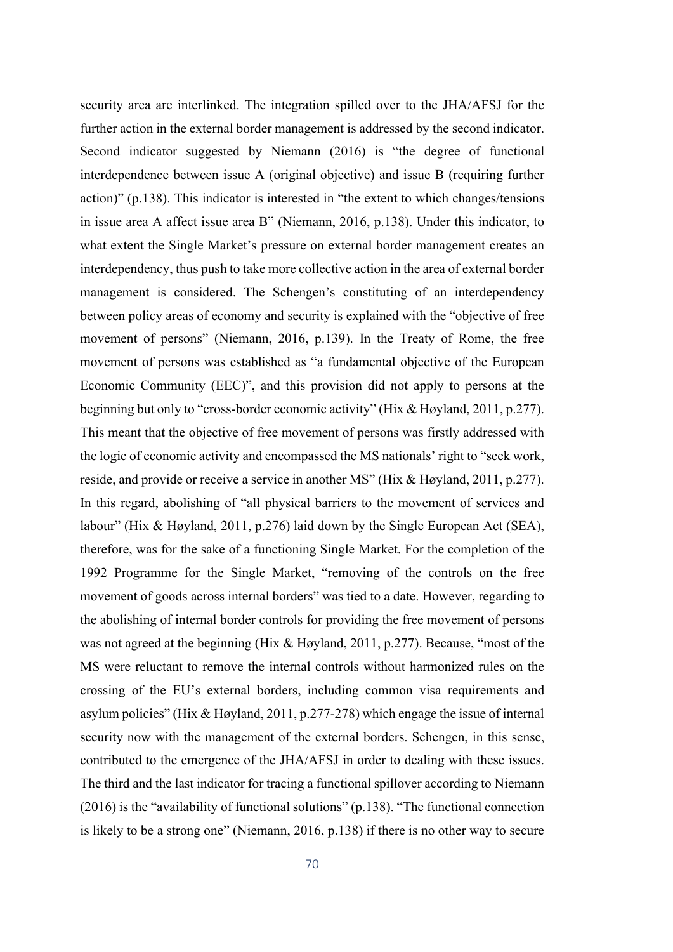security area are interlinked. The integration spilled over to the JHA/AFSJ for the further action in the external border management is addressed by the second indicator. Second indicator suggested by Niemann (2016) is "the degree of functional interdependence between issue A (original objective) and issue B (requiring further action)" (p.138). This indicator is interested in "the extent to which changes/tensions in issue area A affect issue area B" (Niemann, 2016, p.138). Under this indicator, to what extent the Single Market's pressure on external border management creates an interdependency, thus push to take more collective action in the area of external border management is considered. The Schengen's constituting of an interdependency between policy areas of economy and security is explained with the "objective of free movement of persons" (Niemann, 2016, p.139). In the Treaty of Rome, the free movement of persons was established as "a fundamental objective of the European Economic Community (EEC)", and this provision did not apply to persons at the beginning but only to "cross-border economic activity" (Hix & Høyland, 2011, p.277). This meant that the objective of free movement of persons was firstly addressed with the logic of economic activity and encompassed the MS nationals' right to "seek work, reside, and provide or receive a service in another MS" (Hix & Høyland, 2011, p.277). In this regard, abolishing of "all physical barriers to the movement of services and labour" (Hix & Høyland, 2011, p.276) laid down by the Single European Act (SEA), therefore, was for the sake of a functioning Single Market. For the completion of the 1992 Programme for the Single Market, "removing of the controls on the free movement of goods across internal borders" was tied to a date. However, regarding to the abolishing of internal border controls for providing the free movement of persons was not agreed at the beginning (Hix & Høyland, 2011, p.277). Because, "most of the MS were reluctant to remove the internal controls without harmonized rules on the crossing of the EU's external borders, including common visa requirements and asylum policies" (Hix & Høyland, 2011, p.277-278) which engage the issue of internal security now with the management of the external borders. Schengen, in this sense, contributed to the emergence of the JHA/AFSJ in order to dealing with these issues. The third and the last indicator for tracing a functional spillover according to Niemann (2016) is the "availability of functional solutions" (p.138). "The functional connection is likely to be a strong one" (Niemann, 2016, p.138) if there is no other way to secure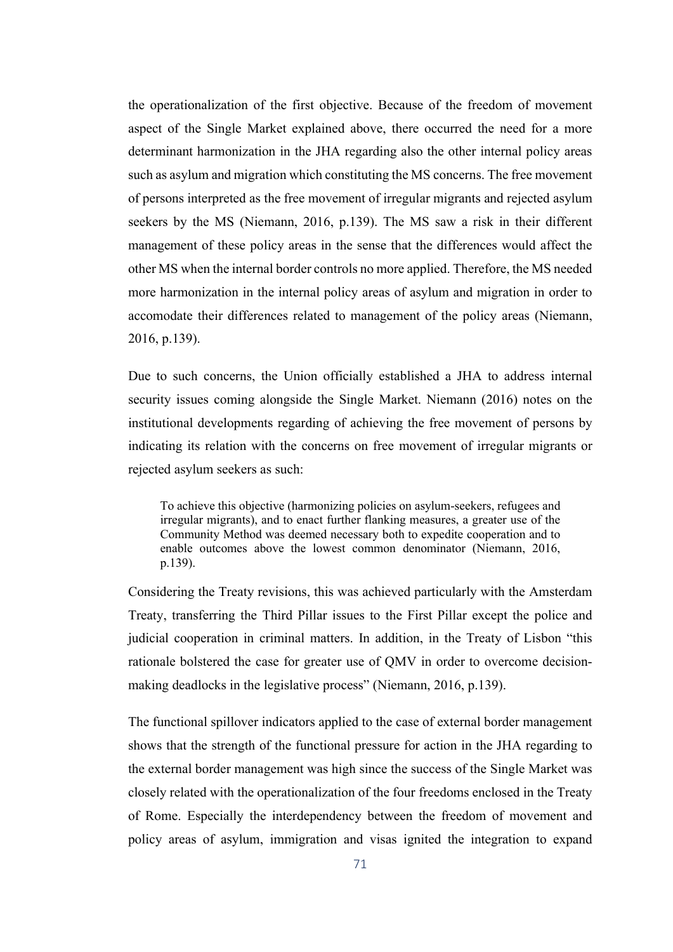the operationalization of the first objective. Because of the freedom of movement aspect of the Single Market explained above, there occurred the need for a more determinant harmonization in the JHA regarding also the other internal policy areas such as asylum and migration which constituting the MS concerns. The free movement of persons interpreted as the free movement of irregular migrants and rejected asylum seekers by the MS (Niemann, 2016, p.139). The MS saw a risk in their different management of these policy areas in the sense that the differences would affect the other MS when the internal border controls no more applied. Therefore, the MS needed more harmonization in the internal policy areas of asylum and migration in order to accomodate their differences related to management of the policy areas (Niemann, 2016, p.139).

Due to such concerns, the Union officially established a JHA to address internal security issues coming alongside the Single Market. Niemann (2016) notes on the institutional developments regarding of achieving the free movement of persons by indicating its relation with the concerns on free movement of irregular migrants or rejected asylum seekers as such:

To achieve this objective (harmonizing policies on asylum-seekers, refugees and irregular migrants), and to enact further flanking measures, a greater use of the Community Method was deemed necessary both to expedite cooperation and to enable outcomes above the lowest common denominator (Niemann, 2016, p.139).

Considering the Treaty revisions, this was achieved particularly with the Amsterdam Treaty, transferring the Third Pillar issues to the First Pillar except the police and judicial cooperation in criminal matters. In addition, in the Treaty of Lisbon "this rationale bolstered the case for greater use of QMV in order to overcome decisionmaking deadlocks in the legislative process" (Niemann, 2016, p.139).

The functional spillover indicators applied to the case of external border management shows that the strength of the functional pressure for action in the JHA regarding to the external border management was high since the success of the Single Market was closely related with the operationalization of the four freedoms enclosed in the Treaty of Rome. Especially the interdependency between the freedom of movement and policy areas of asylum, immigration and visas ignited the integration to expand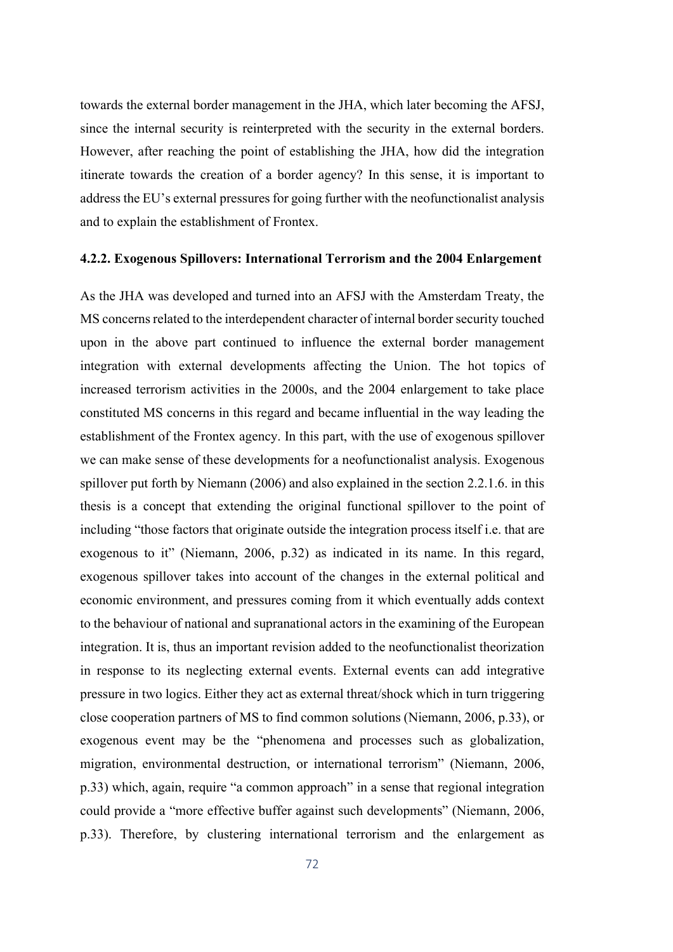towards the external border management in the JHA, which later becoming the AFSJ, since the internal security is reinterpreted with the security in the external borders. However, after reaching the point of establishing the JHA, how did the integration itinerate towards the creation of a border agency? In this sense, it is important to address the EU's external pressures for going further with the neofunctionalist analysis and to explain the establishment of Frontex.

# 4.2.2. Exogenous Spillovers: International Terrorism and the 2004 Enlargement

As the JHA was developed and turned into an AFSJ with the Amsterdam Treaty, the MS concerns related to the interdependent character of internal border security touched upon in the above part continued to influence the external border management integration with external developments affecting the Union. The hot topics of increased terrorism activities in the 2000s, and the 2004 enlargement to take place constituted MS concerns in this regard and became influential in the way leading the establishment of the Frontex agency. In this part, with the use of exogenous spillover we can make sense of these developments for a neofunctionalist analysis. Exogenous spillover put forth by Niemann (2006) and also explained in the section 2.2.1.6. in this thesis is a concept that extending the original functional spillover to the point of including "those factors that originate outside the integration process itself i.e. that are exogenous to it" (Niemann, 2006, p.32) as indicated in its name. In this regard, exogenous spillover takes into account of the changes in the external political and economic environment, and pressures coming from it which eventually adds context to the behaviour of national and supranational actors in the examining of the European integration. It is, thus an important revision added to the neofunctionalist theorization in response to its neglecting external events. External events can add integrative pressure in two logics. Either they act as external threat/shock which in turn triggering close cooperation partners of MS to find common solutions (Niemann, 2006, p.33), or exogenous event may be the "phenomena and processes such as globalization, migration, environmental destruction, or international terrorism" (Niemann, 2006, p.33) which, again, require "a common approach" in a sense that regional integration could provide a "more effective buffer against such developments" (Niemann, 2006, p.33). Therefore, by clustering international terrorism and the enlargement as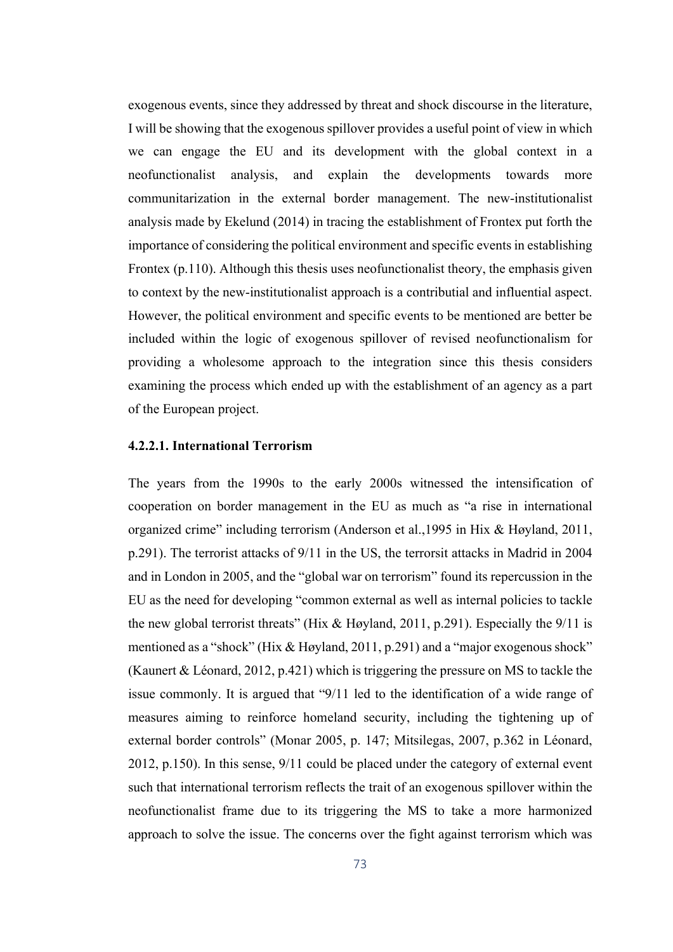exogenous events, since they addressed by threat and shock discourse in the literature, I will be showing that the exogenous spillover provides a useful point of view in which we can engage the EU and its development with the global context in a neofunctionalist analysis, and explain the developments towards more communitarization in the external border management. The new-institutionalist analysis made by Ekelund (2014) in tracing the establishment of Frontex put forth the importance of considering the political environment and specific events in establishing Frontex (p.110). Although this thesis uses neofunctionalist theory, the emphasis given to context by the new-institutionalist approach is a contributial and influential aspect. However, the political environment and specific events to be mentioned are better be included within the logic of exogenous spillover of revised neofunctionalism for providing a wholesome approach to the integration since this thesis considers examining the process which ended up with the establishment of an agency as a part of the European project.

### 4.2.2.1. International Terrorism

The years from the 1990s to the early 2000s witnessed the intensification of cooperation on border management in the EU as much as "a rise in international organized crime" including terrorism (Anderson et al.,1995 in Hix & Høyland, 2011, p.291). The terrorist attacks of 9/11 in the US, the terrorsit attacks in Madrid in 2004 and in London in 2005, and the "global war on terrorism" found its repercussion in the EU as the need for developing "common external as well as internal policies to tackle the new global terrorist threats" (Hix & Høyland, 2011, p.291). Especially the  $9/11$  is mentioned as a "shock" (Hix & Høyland, 2011, p.291) and a "major exogenous shock" (Kaunert & Léonard, 2012, p.421) which is triggering the pressure on MS to tackle the issue commonly. It is argued that "9/11 led to the identification of a wide range of measures aiming to reinforce homeland security, including the tightening up of external border controls" (Monar 2005, p. 147; Mitsilegas, 2007, p.362 in Léonard, 2012, p.150). In this sense, 9/11 could be placed under the category of external event such that international terrorism reflects the trait of an exogenous spillover within the neofunctionalist frame due to its triggering the MS to take a more harmonized approach to solve the issue. The concerns over the fight against terrorism which was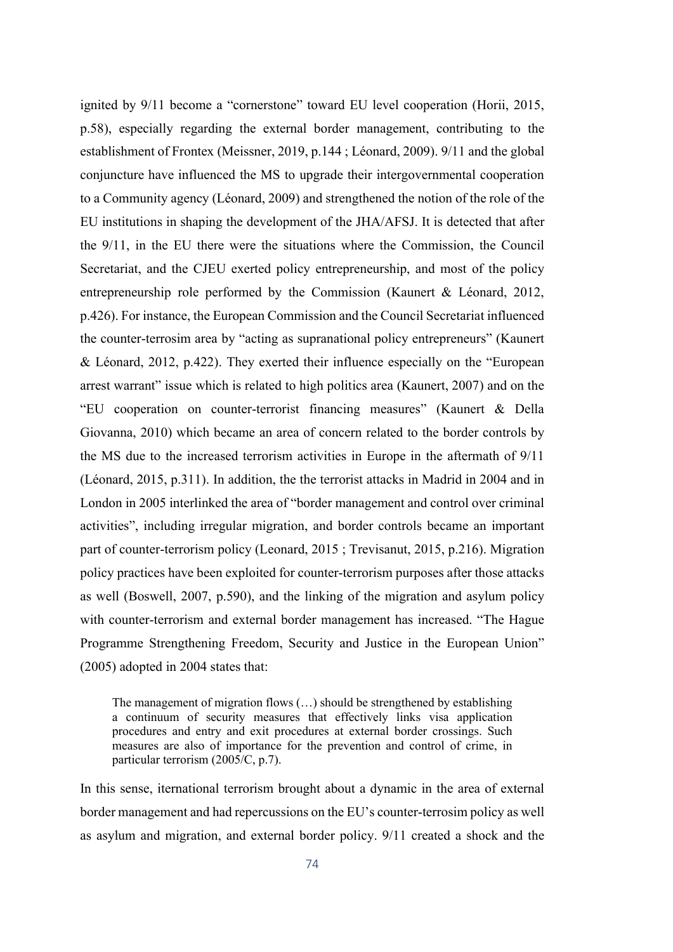ignited by 9/11 become a "cornerstone" toward EU level cooperation (Horii, 2015, p.58), especially regarding the external border management, contributing to the establishment of Frontex (Meissner, 2019, p.144 ; Léonard, 2009). 9/11 and the global conjuncture have influenced the MS to upgrade their intergovernmental cooperation to a Community agency (Léonard, 2009) and strengthened the notion of the role of the EU institutions in shaping the development of the JHA/AFSJ. It is detected that after the 9/11, in the EU there were the situations where the Commission, the Council Secretariat, and the CJEU exerted policy entrepreneurship, and most of the policy entrepreneurship role performed by the Commission (Kaunert & Léonard, 2012, p.426). For instance, the European Commission and the Council Secretariat influenced the counter-terrosim area by "acting as supranational policy entrepreneurs" (Kaunert & Léonard, 2012, p.422). They exerted their influence especially on the "European arrest warrant" issue which is related to high politics area (Kaunert, 2007) and on the "EU cooperation on counter-terrorist financing measures" (Kaunert & Della Giovanna, 2010) which became an area of concern related to the border controls by the MS due to the increased terrorism activities in Europe in the aftermath of 9/11 (Léonard, 2015, p.311). In addition, the the terrorist attacks in Madrid in 2004 and in London in 2005 interlinked the area of "border management and control over criminal activities", including irregular migration, and border controls became an important part of counter-terrorism policy (Leonard, 2015 ; Trevisanut, 2015, p.216). Migration policy practices have been exploited for counter-terrorism purposes after those attacks as well (Boswell, 2007, p.590), and the linking of the migration and asylum policy with counter-terrorism and external border management has increased. "The Hague Programme Strengthening Freedom, Security and Justice in the European Union" (2005) adopted in 2004 states that:

The management of migration flows (…) should be strengthened by establishing a continuum of security measures that effectively links visa application procedures and entry and exit procedures at external border crossings. Such measures are also of importance for the prevention and control of crime, in particular terrorism (2005/C, p.7).

In this sense, iternational terrorism brought about a dynamic in the area of external border management and had repercussions on the EU's counter-terrosim policy as well as asylum and migration, and external border policy. 9/11 created a shock and the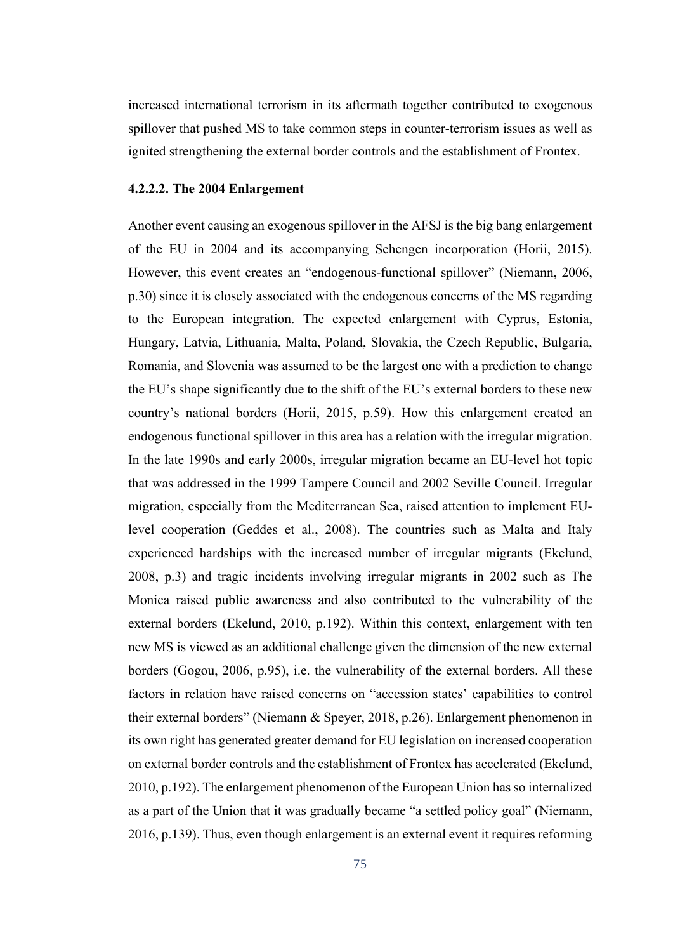increased international terrorism in its aftermath together contributed to exogenous spillover that pushed MS to take common steps in counter-terrorism issues as well as ignited strengthening the external border controls and the establishment of Frontex.

# 4.2.2.2. The 2004 Enlargement

Another event causing an exogenous spillover in the AFSJ is the big bang enlargement of the EU in 2004 and its accompanying Schengen incorporation (Horii, 2015). However, this event creates an "endogenous-functional spillover" (Niemann, 2006, p.30) since it is closely associated with the endogenous concerns of the MS regarding to the European integration. The expected enlargement with Cyprus, Estonia, Hungary, Latvia, Lithuania, Malta, Poland, Slovakia, the Czech Republic, Bulgaria, Romania, and Slovenia was assumed to be the largest one with a prediction to change the EU's shape significantly due to the shift of the EU's external borders to these new country's national borders (Horii, 2015, p.59). How this enlargement created an endogenous functional spillover in this area has a relation with the irregular migration. In the late 1990s and early 2000s, irregular migration became an EU-level hot topic that was addressed in the 1999 Tampere Council and 2002 Seville Council. Irregular migration, especially from the Mediterranean Sea, raised attention to implement EUlevel cooperation (Geddes et al., 2008). The countries such as Malta and Italy experienced hardships with the increased number of irregular migrants (Ekelund, 2008, p.3) and tragic incidents involving irregular migrants in 2002 such as The Monica raised public awareness and also contributed to the vulnerability of the external borders (Ekelund, 2010, p.192). Within this context, enlargement with ten new MS is viewed as an additional challenge given the dimension of the new external borders (Gogou, 2006, p.95), i.e. the vulnerability of the external borders. All these factors in relation have raised concerns on "accession states' capabilities to control their external borders" (Niemann & Speyer, 2018, p.26). Enlargement phenomenon in its own right has generated greater demand for EU legislation on increased cooperation on external border controls and the establishment of Frontex has accelerated (Ekelund, 2010, p.192). The enlargement phenomenon of the European Union has so internalized as a part of the Union that it was gradually became "a settled policy goal" (Niemann, 2016, p.139). Thus, even though enlargement is an external event it requires reforming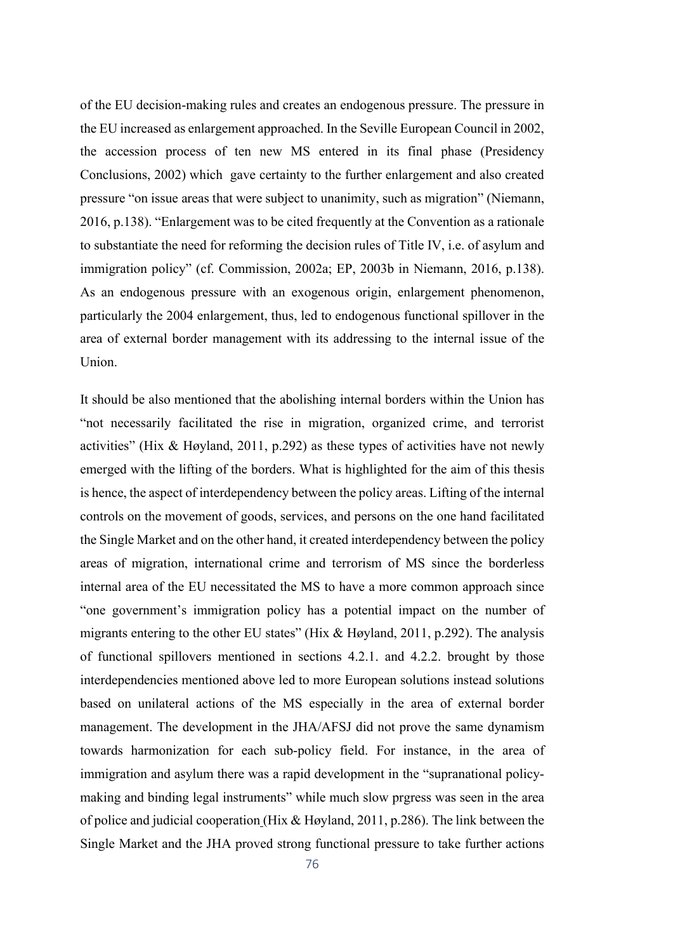of the EU decision-making rules and creates an endogenous pressure. The pressure in the EU increased as enlargement approached. In the Seville European Council in 2002, the accession process of ten new MS entered in its final phase (Presidency Conclusions, 2002) which gave certainty to the further enlargement and also created pressure "on issue areas that were subject to unanimity, such as migration" (Niemann, 2016, p.138). "Enlargement was to be cited frequently at the Convention as a rationale to substantiate the need for reforming the decision rules of Title IV, i.e. of asylum and immigration policy" (cf. Commission, 2002a; EP, 2003b in Niemann, 2016, p.138). As an endogenous pressure with an exogenous origin, enlargement phenomenon, particularly the 2004 enlargement, thus, led to endogenous functional spillover in the area of external border management with its addressing to the internal issue of the Union.

It should be also mentioned that the abolishing internal borders within the Union has "not necessarily facilitated the rise in migration, organized crime, and terrorist activities" (Hix & Høyland, 2011, p.292) as these types of activities have not newly emerged with the lifting of the borders. What is highlighted for the aim of this thesis is hence, the aspect of interdependency between the policy areas. Lifting of the internal controls on the movement of goods, services, and persons on the one hand facilitated the Single Market and on the other hand, it created interdependency between the policy areas of migration, international crime and terrorism of MS since the borderless internal area of the EU necessitated the MS to have a more common approach since "one government's immigration policy has a potential impact on the number of migrants entering to the other EU states" (Hix & Høyland, 2011, p.292). The analysis of functional spillovers mentioned in sections 4.2.1. and 4.2.2. brought by those interdependencies mentioned above led to more European solutions instead solutions based on unilateral actions of the MS especially in the area of external border management. The development in the JHA/AFSJ did not prove the same dynamism towards harmonization for each sub-policy field. For instance, in the area of immigration and asylum there was a rapid development in the "supranational policymaking and binding legal instruments" while much slow prgress was seen in the area of police and judicial cooperation (Hix & Høyland, 2011, p.286). The link between the Single Market and the JHA proved strong functional pressure to take further actions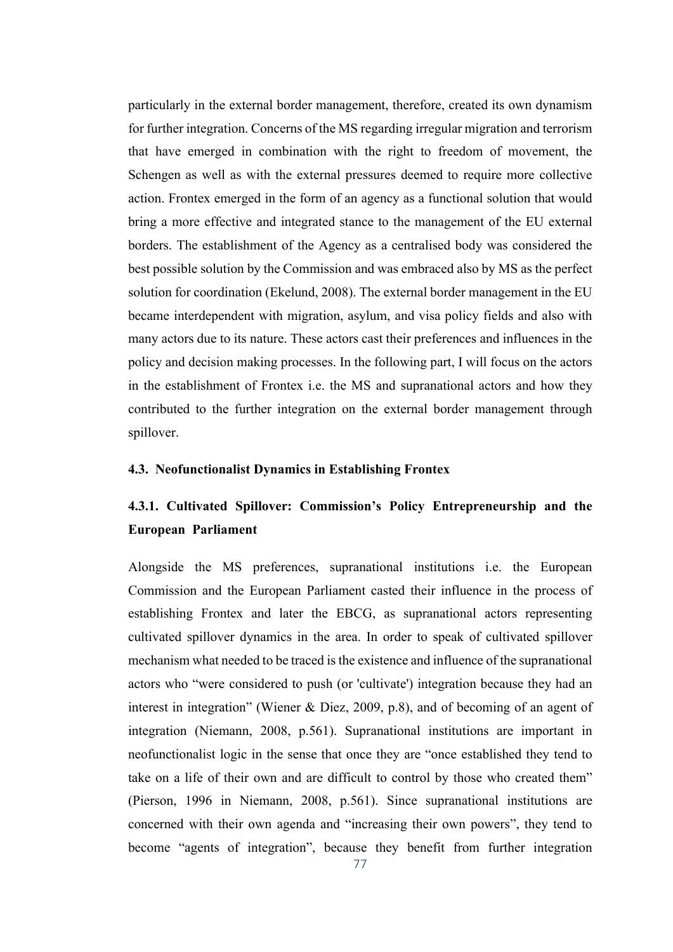particularly in the external border management, therefore, created its own dynamism for further integration. Concerns of the MS regarding irregular migration and terrorism that have emerged in combination with the right to freedom of movement, the Schengen as well as with the external pressures deemed to require more collective action. Frontex emerged in the form of an agency as a functional solution that would bring a more effective and integrated stance to the management of the EU external borders. The establishment of the Agency as a centralised body was considered the best possible solution by the Commission and was embraced also by MS as the perfect solution for coordination (Ekelund, 2008). The external border management in the EU became interdependent with migration, asylum, and visa policy fields and also with many actors due to its nature. These actors cast their preferences and influences in the policy and decision making processes. In the following part, I will focus on the actors in the establishment of Frontex i.e. the MS and supranational actors and how they contributed to the further integration on the external border management through spillover.

### 4.3. Neofunctionalist Dynamics in Establishing Frontex

# 4.3.1. Cultivated Spillover: Commission's Policy Entrepreneurship and the European Parliament

Alongside the MS preferences, supranational institutions i.e. the European Commission and the European Parliament casted their influence in the process of establishing Frontex and later the EBCG, as supranational actors representing cultivated spillover dynamics in the area. In order to speak of cultivated spillover mechanism what needed to be traced is the existence and influence of the supranational actors who "were considered to push (or 'cultivate') integration because they had an interest in integration" (Wiener & Diez, 2009, p.8), and of becoming of an agent of integration (Niemann, 2008, p.561). Supranational institutions are important in neofunctionalist logic in the sense that once they are "once established they tend to take on a life of their own and are difficult to control by those who created them" (Pierson, 1996 in Niemann, 2008, p.561). Since supranational institutions are concerned with their own agenda and "increasing their own powers", they tend to become "agents of integration", because they benefit from further integration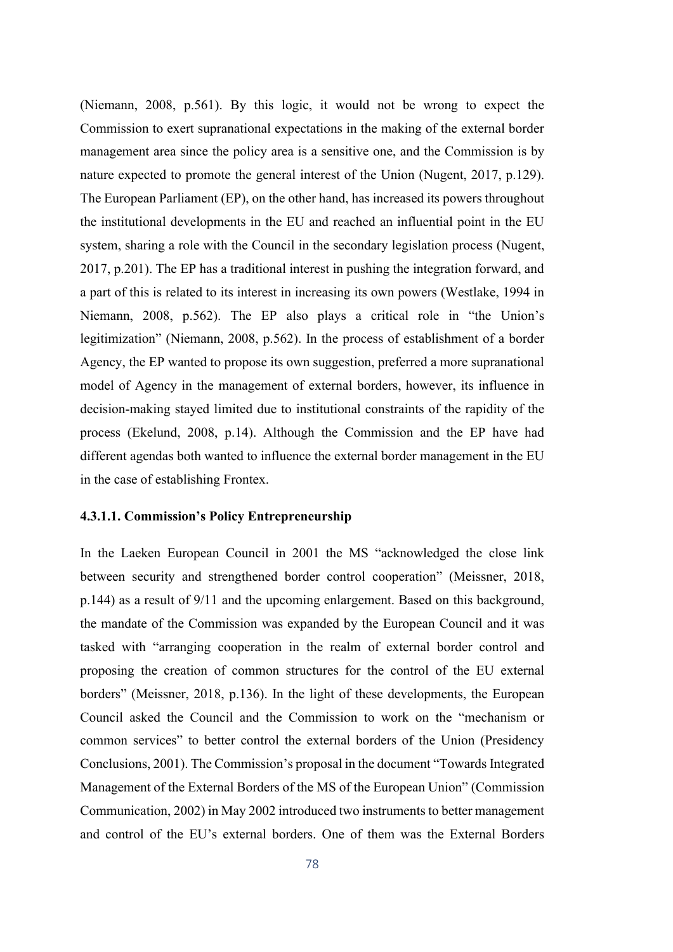(Niemann, 2008, p.561). By this logic, it would not be wrong to expect the Commission to exert supranational expectations in the making of the external border management area since the policy area is a sensitive one, and the Commission is by nature expected to promote the general interest of the Union (Nugent, 2017, p.129). The European Parliament (EP), on the other hand, has increased its powers throughout the institutional developments in the EU and reached an influential point in the EU system, sharing a role with the Council in the secondary legislation process (Nugent, 2017, p.201). The EP has a traditional interest in pushing the integration forward, and a part of this is related to its interest in increasing its own powers (Westlake, 1994 in Niemann, 2008, p.562). The EP also plays a critical role in "the Union's legitimization" (Niemann, 2008, p.562). In the process of establishment of a border Agency, the EP wanted to propose its own suggestion, preferred a more supranational model of Agency in the management of external borders, however, its influence in decision-making stayed limited due to institutional constraints of the rapidity of the process (Ekelund, 2008, p.14). Although the Commission and the EP have had different agendas both wanted to influence the external border management in the EU in the case of establishing Frontex.

# 4.3.1.1. Commission's Policy Entrepreneurship

In the Laeken European Council in 2001 the MS "acknowledged the close link between security and strengthened border control cooperation" (Meissner, 2018, p.144) as a result of 9/11 and the upcoming enlargement. Based on this background, the mandate of the Commission was expanded by the European Council and it was tasked with "arranging cooperation in the realm of external border control and proposing the creation of common structures for the control of the EU external borders" (Meissner, 2018, p.136). In the light of these developments, the European Council asked the Council and the Commission to work on the "mechanism or common services" to better control the external borders of the Union (Presidency Conclusions, 2001). The Commission's proposal in the document "Towards Integrated Management of the External Borders of the MS of the European Union" (Commission Communication, 2002) in May 2002 introduced two instruments to better management and control of the EU's external borders. One of them was the External Borders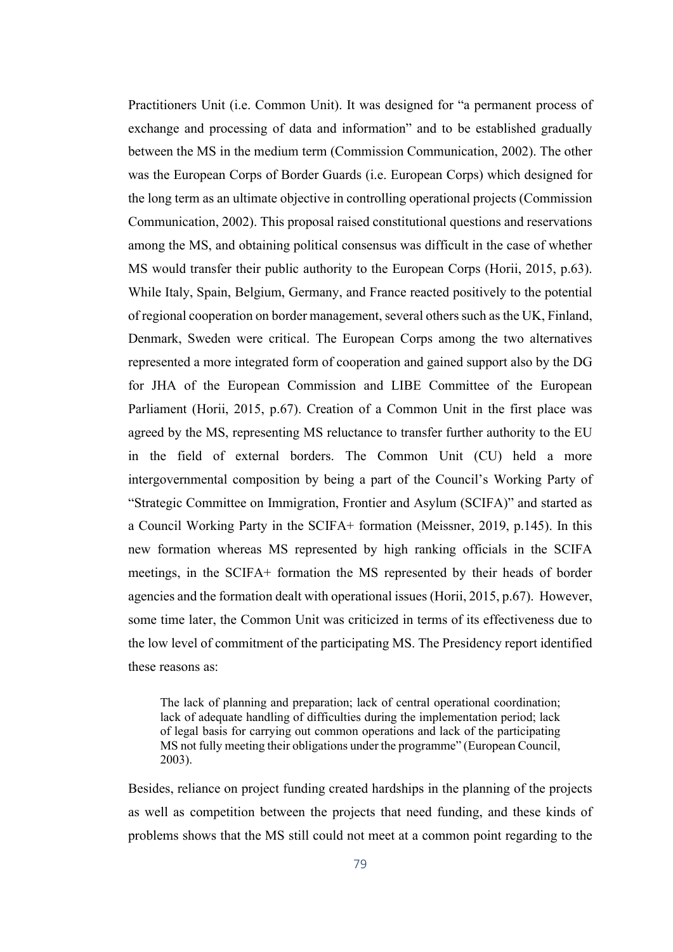Practitioners Unit (i.e. Common Unit). It was designed for "a permanent process of exchange and processing of data and information" and to be established gradually between the MS in the medium term (Commission Communication, 2002). The other was the European Corps of Border Guards (i.e. European Corps) which designed for the long term as an ultimate objective in controlling operational projects (Commission Communication, 2002). This proposal raised constitutional questions and reservations among the MS, and obtaining political consensus was difficult in the case of whether MS would transfer their public authority to the European Corps (Horii, 2015, p.63). While Italy, Spain, Belgium, Germany, and France reacted positively to the potential of regional cooperation on border management, several others such as the UK, Finland, Denmark, Sweden were critical. The European Corps among the two alternatives represented a more integrated form of cooperation and gained support also by the DG for JHA of the European Commission and LIBE Committee of the European Parliament (Horii, 2015, p.67). Creation of a Common Unit in the first place was agreed by the MS, representing MS reluctance to transfer further authority to the EU in the field of external borders. The Common Unit (CU) held a more intergovernmental composition by being a part of the Council's Working Party of "Strategic Committee on Immigration, Frontier and Asylum (SCIFA)" and started as a Council Working Party in the SCIFA+ formation (Meissner, 2019, p.145). In this new formation whereas MS represented by high ranking officials in the SCIFA meetings, in the SCIFA+ formation the MS represented by their heads of border agencies and the formation dealt with operational issues (Horii, 2015, p.67). However, some time later, the Common Unit was criticized in terms of its effectiveness due to the low level of commitment of the participating MS. The Presidency report identified these reasons as:

The lack of planning and preparation; lack of central operational coordination; lack of adequate handling of difficulties during the implementation period; lack of legal basis for carrying out common operations and lack of the participating MS not fully meeting their obligations under the programme" (European Council, 2003).

Besides, reliance on project funding created hardships in the planning of the projects as well as competition between the projects that need funding, and these kinds of problems shows that the MS still could not meet at a common point regarding to the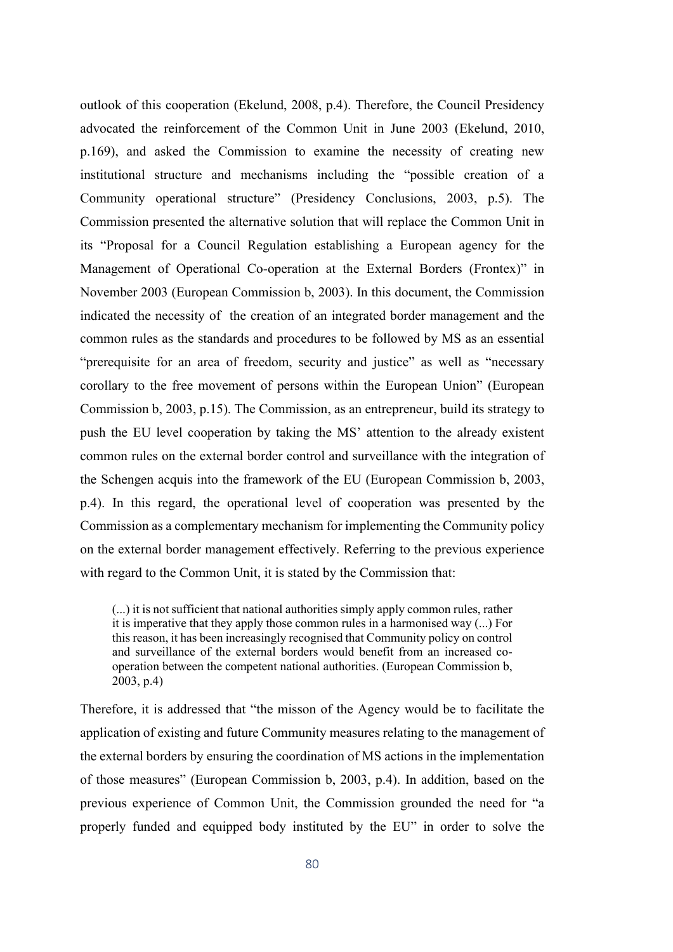outlook of this cooperation (Ekelund, 2008, p.4). Therefore, the Council Presidency advocated the reinforcement of the Common Unit in June 2003 (Ekelund, 2010, p.169), and asked the Commission to examine the necessity of creating new institutional structure and mechanisms including the "possible creation of a Community operational structure" (Presidency Conclusions, 2003, p.5). The Commission presented the alternative solution that will replace the Common Unit in its "Proposal for a Council Regulation establishing a European agency for the Management of Operational Co-operation at the External Borders (Frontex)" in November 2003 (European Commission b, 2003). In this document, the Commission indicated the necessity of the creation of an integrated border management and the common rules as the standards and procedures to be followed by MS as an essential "prerequisite for an area of freedom, security and justice" as well as "necessary corollary to the free movement of persons within the European Union" (European Commission b, 2003, p.15). The Commission, as an entrepreneur, build its strategy to push the EU level cooperation by taking the MS' attention to the already existent common rules on the external border control and surveillance with the integration of the Schengen acquis into the framework of the EU (European Commission b, 2003, p.4). In this regard, the operational level of cooperation was presented by the Commission as a complementary mechanism for implementing the Community policy on the external border management effectively. Referring to the previous experience with regard to the Common Unit, it is stated by the Commission that:

(...) it is not sufficient that national authorities simply apply common rules, rather it is imperative that they apply those common rules in a harmonised way (...) For this reason, it has been increasingly recognised that Community policy on control and surveillance of the external borders would benefit from an increased cooperation between the competent national authorities. (European Commission b, 2003, p.4)

Therefore, it is addressed that "the misson of the Agency would be to facilitate the application of existing and future Community measures relating to the management of the external borders by ensuring the coordination of MS actions in the implementation of those measures" (European Commission b, 2003, p.4). In addition, based on the previous experience of Common Unit, the Commission grounded the need for "a properly funded and equipped body instituted by the EU" in order to solve the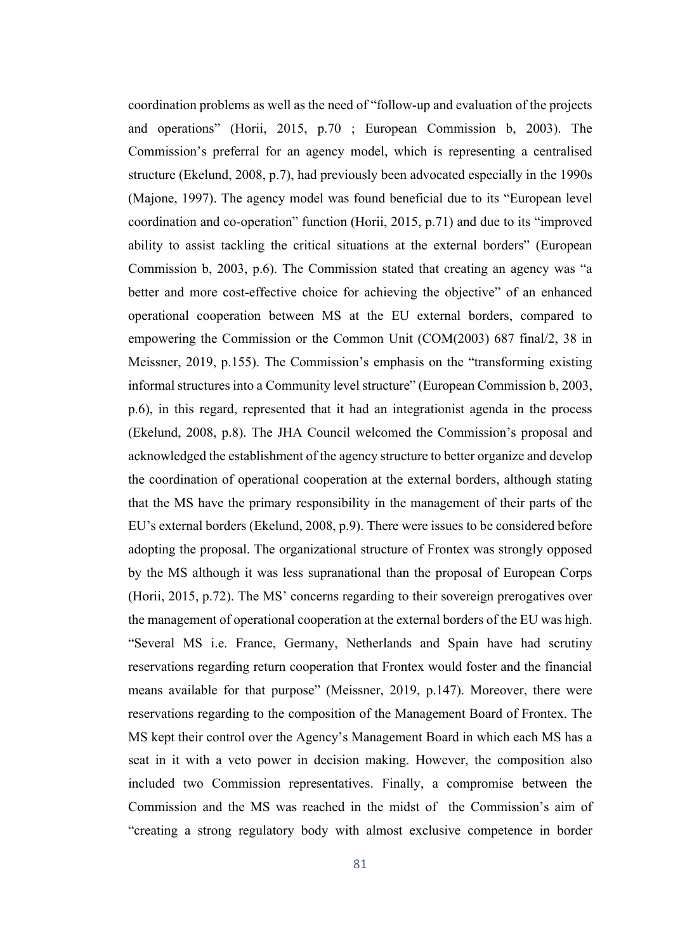coordination problems as well as the need of "follow-up and evaluation of the projects and operations" (Horii, 2015, p.70 ; European Commission b, 2003). The Commission's preferral for an agency model, which is representing a centralised structure (Ekelund, 2008, p.7), had previously been advocated especially in the 1990s (Majone, 1997). The agency model was found beneficial due to its "European level coordination and co-operation" function (Horii, 2015, p.71) and due to its "improved ability to assist tackling the critical situations at the external borders" (European Commission b, 2003, p.6). The Commission stated that creating an agency was "a better and more cost-effective choice for achieving the objective" of an enhanced operational cooperation between MS at the EU external borders, compared to empowering the Commission or the Common Unit (COM(2003) 687 final/2, 38 in Meissner, 2019, p.155). The Commission's emphasis on the "transforming existing informal structures into a Community level structure" (European Commission b, 2003, p.6), in this regard, represented that it had an integrationist agenda in the process (Ekelund, 2008, p.8). The JHA Council welcomed the Commission's proposal and acknowledged the establishment of the agency structure to better organize and develop the coordination of operational cooperation at the external borders, although stating that the MS have the primary responsibility in the management of their parts of the EU's external borders (Ekelund, 2008, p.9). There were issues to be considered before adopting the proposal. The organizational structure of Frontex was strongly opposed by the MS although it was less supranational than the proposal of European Corps (Horii, 2015, p.72). The MS' concerns regarding to their sovereign prerogatives over the management of operational cooperation at the external borders of the EU was high. "Several MS i.e. France, Germany, Netherlands and Spain have had scrutiny reservations regarding return cooperation that Frontex would foster and the financial means available for that purpose" (Meissner, 2019, p.147). Moreover, there were reservations regarding to the composition of the Management Board of Frontex. The MS kept their control over the Agency's Management Board in which each MS has a seat in it with a veto power in decision making. However, the composition also included two Commission representatives. Finally, a compromise between the Commission and the MS was reached in the midst of the Commission's aim of "creating a strong regulatory body with almost exclusive competence in border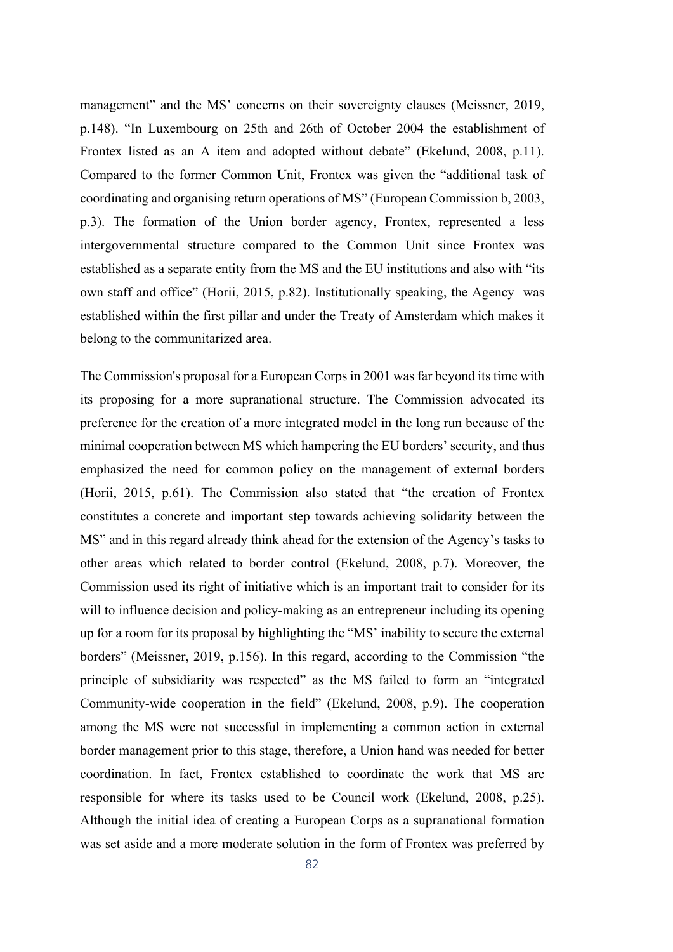management" and the MS' concerns on their sovereignty clauses (Meissner, 2019, p.148). "In Luxembourg on 25th and 26th of October 2004 the establishment of Frontex listed as an A item and adopted without debate" (Ekelund, 2008, p.11). Compared to the former Common Unit, Frontex was given the "additional task of coordinating and organising return operations of MS" (European Commission b, 2003, p.3). The formation of the Union border agency, Frontex, represented a less intergovernmental structure compared to the Common Unit since Frontex was established as a separate entity from the MS and the EU institutions and also with "its own staff and office" (Horii, 2015, p.82). Institutionally speaking, the Agency was established within the first pillar and under the Treaty of Amsterdam which makes it belong to the communitarized area.

The Commission's proposal for a European Corps in 2001 was far beyond its time with its proposing for a more supranational structure. The Commission advocated its preference for the creation of a more integrated model in the long run because of the minimal cooperation between MS which hampering the EU borders' security, and thus emphasized the need for common policy on the management of external borders (Horii, 2015, p.61). The Commission also stated that "the creation of Frontex constitutes a concrete and important step towards achieving solidarity between the MS" and in this regard already think ahead for the extension of the Agency's tasks to other areas which related to border control (Ekelund, 2008, p.7). Moreover, the Commission used its right of initiative which is an important trait to consider for its will to influence decision and policy-making as an entrepreneur including its opening up for a room for its proposal by highlighting the "MS' inability to secure the external borders" (Meissner, 2019, p.156). In this regard, according to the Commission "the principle of subsidiarity was respected" as the MS failed to form an "integrated Community-wide cooperation in the field" (Ekelund, 2008, p.9). The cooperation among the MS were not successful in implementing a common action in external border management prior to this stage, therefore, a Union hand was needed for better coordination. In fact, Frontex established to coordinate the work that MS are responsible for where its tasks used to be Council work (Ekelund, 2008, p.25). Although the initial idea of creating a European Corps as a supranational formation was set aside and a more moderate solution in the form of Frontex was preferred by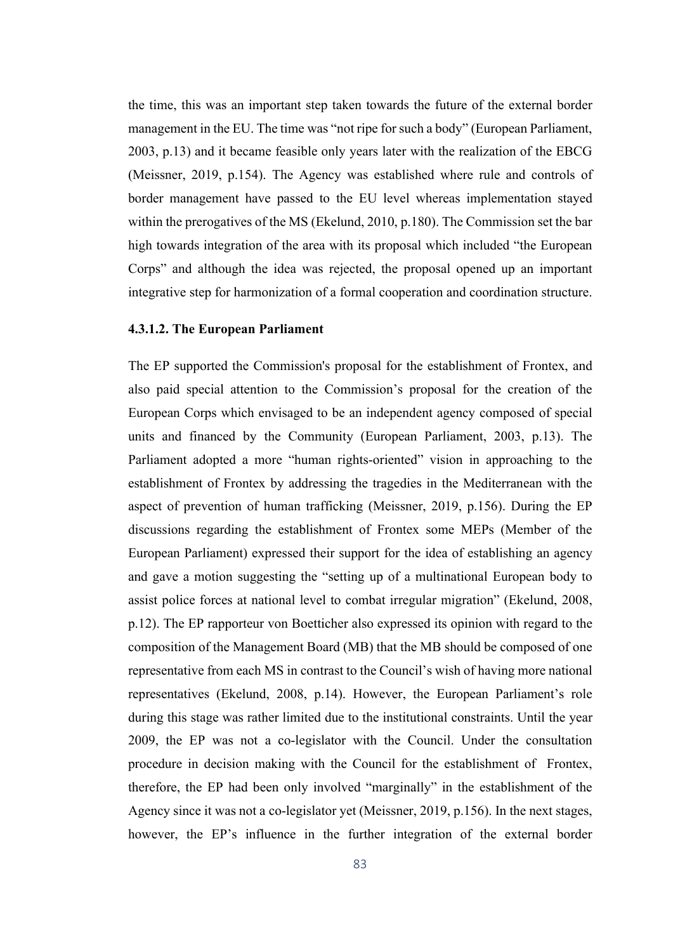the time, this was an important step taken towards the future of the external border management in the EU. The time was "not ripe for such a body" (European Parliament, 2003, p.13) and it became feasible only years later with the realization of the EBCG (Meissner, 2019, p.154). The Agency was established where rule and controls of border management have passed to the EU level whereas implementation stayed within the prerogatives of the MS (Ekelund, 2010, p.180). The Commission set the bar high towards integration of the area with its proposal which included "the European Corps" and although the idea was rejected, the proposal opened up an important integrative step for harmonization of a formal cooperation and coordination structure.

# 4.3.1.2. The European Parliament

The EP supported the Commission's proposal for the establishment of Frontex, and also paid special attention to the Commission's proposal for the creation of the European Corps which envisaged to be an independent agency composed of special units and financed by the Community (European Parliament, 2003, p.13). The Parliament adopted a more "human rights-oriented" vision in approaching to the establishment of Frontex by addressing the tragedies in the Mediterranean with the aspect of prevention of human trafficking (Meissner, 2019, p.156). During the EP discussions regarding the establishment of Frontex some MEPs (Member of the European Parliament) expressed their support for the idea of establishing an agency and gave a motion suggesting the "setting up of a multinational European body to assist police forces at national level to combat irregular migration" (Ekelund, 2008, p.12). The EP rapporteur von Boetticher also expressed its opinion with regard to the composition of the Management Board (MB) that the MB should be composed of one representative from each MS in contrast to the Council's wish of having more national representatives (Ekelund, 2008, p.14). However, the European Parliament's role during this stage was rather limited due to the institutional constraints. Until the year 2009, the EP was not a co-legislator with the Council. Under the consultation procedure in decision making with the Council for the establishment of Frontex, therefore, the EP had been only involved "marginally" in the establishment of the Agency since it was not a co-legislator yet (Meissner, 2019, p.156). In the next stages, however, the EP's influence in the further integration of the external border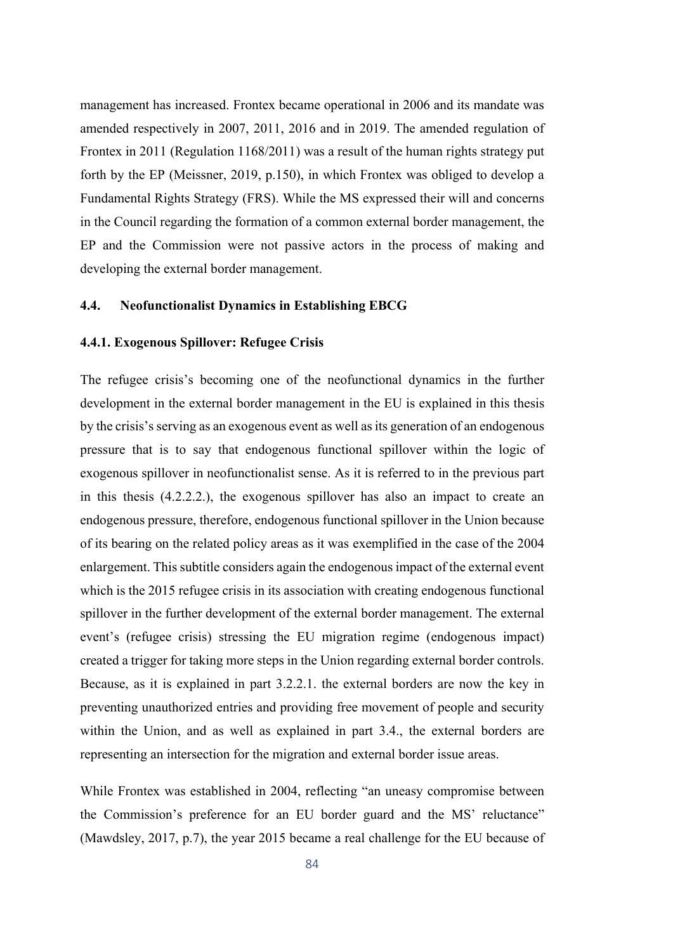management has increased. Frontex became operational in 2006 and its mandate was amended respectively in 2007, 2011, 2016 and in 2019. The amended regulation of Frontex in 2011 (Regulation 1168/2011) was a result of the human rights strategy put forth by the EP (Meissner, 2019, p.150), in which Frontex was obliged to develop a Fundamental Rights Strategy (FRS). While the MS expressed their will and concerns in the Council regarding the formation of a common external border management, the EP and the Commission were not passive actors in the process of making and developing the external border management.

### 4.4. Neofunctionalist Dynamics in Establishing EBCG

# 4.4.1. Exogenous Spillover: Refugee Crisis

The refugee crisis's becoming one of the neofunctional dynamics in the further development in the external border management in the EU is explained in this thesis by the crisis's serving as an exogenous event as well as its generation of an endogenous pressure that is to say that endogenous functional spillover within the logic of exogenous spillover in neofunctionalist sense. As it is referred to in the previous part in this thesis (4.2.2.2.), the exogenous spillover has also an impact to create an endogenous pressure, therefore, endogenous functional spillover in the Union because of its bearing on the related policy areas as it was exemplified in the case of the 2004 enlargement. This subtitle considers again the endogenous impact of the external event which is the 2015 refugee crisis in its association with creating endogenous functional spillover in the further development of the external border management. The external event's (refugee crisis) stressing the EU migration regime (endogenous impact) created a trigger for taking more steps in the Union regarding external border controls. Because, as it is explained in part 3.2.2.1. the external borders are now the key in preventing unauthorized entries and providing free movement of people and security within the Union, and as well as explained in part 3.4., the external borders are representing an intersection for the migration and external border issue areas.

While Frontex was established in 2004, reflecting "an uneasy compromise between the Commission's preference for an EU border guard and the MS' reluctance" (Mawdsley, 2017, p.7), the year 2015 became a real challenge for the EU because of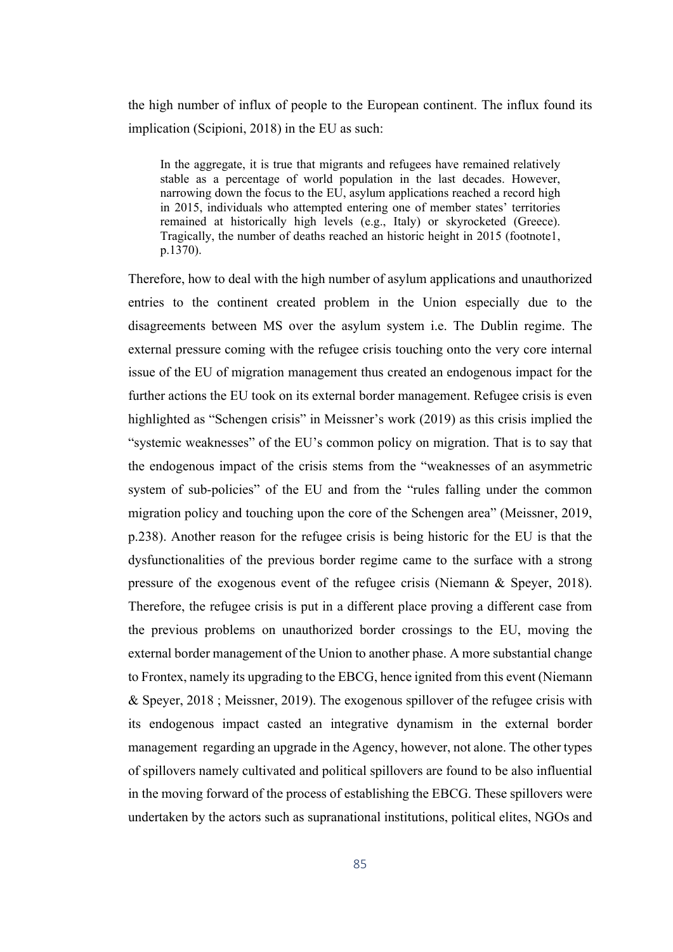the high number of influx of people to the European continent. The influx found its implication (Scipioni, 2018) in the EU as such:

In the aggregate, it is true that migrants and refugees have remained relatively stable as a percentage of world population in the last decades. However, narrowing down the focus to the EU, asylum applications reached a record high in 2015, individuals who attempted entering one of member states' territories remained at historically high levels (e.g., Italy) or skyrocketed (Greece). Tragically, the number of deaths reached an historic height in 2015 (footnote1, p.1370).

Therefore, how to deal with the high number of asylum applications and unauthorized entries to the continent created problem in the Union especially due to the disagreements between MS over the asylum system i.e. The Dublin regime. The external pressure coming with the refugee crisis touching onto the very core internal issue of the EU of migration management thus created an endogenous impact for the further actions the EU took on its external border management. Refugee crisis is even highlighted as "Schengen crisis" in Meissner's work (2019) as this crisis implied the "systemic weaknesses" of the EU's common policy on migration. That is to say that the endogenous impact of the crisis stems from the "weaknesses of an asymmetric system of sub-policies" of the EU and from the "rules falling under the common migration policy and touching upon the core of the Schengen area" (Meissner, 2019, p.238). Another reason for the refugee crisis is being historic for the EU is that the dysfunctionalities of the previous border regime came to the surface with a strong pressure of the exogenous event of the refugee crisis (Niemann & Speyer, 2018). Therefore, the refugee crisis is put in a different place proving a different case from the previous problems on unauthorized border crossings to the EU, moving the external border management of the Union to another phase. A more substantial change to Frontex, namely its upgrading to the EBCG, hence ignited from this event (Niemann & Speyer, 2018 ; Meissner, 2019). The exogenous spillover of the refugee crisis with its endogenous impact casted an integrative dynamism in the external border management regarding an upgrade in the Agency, however, not alone. The other types of spillovers namely cultivated and political spillovers are found to be also influential in the moving forward of the process of establishing the EBCG. These spillovers were undertaken by the actors such as supranational institutions, political elites, NGOs and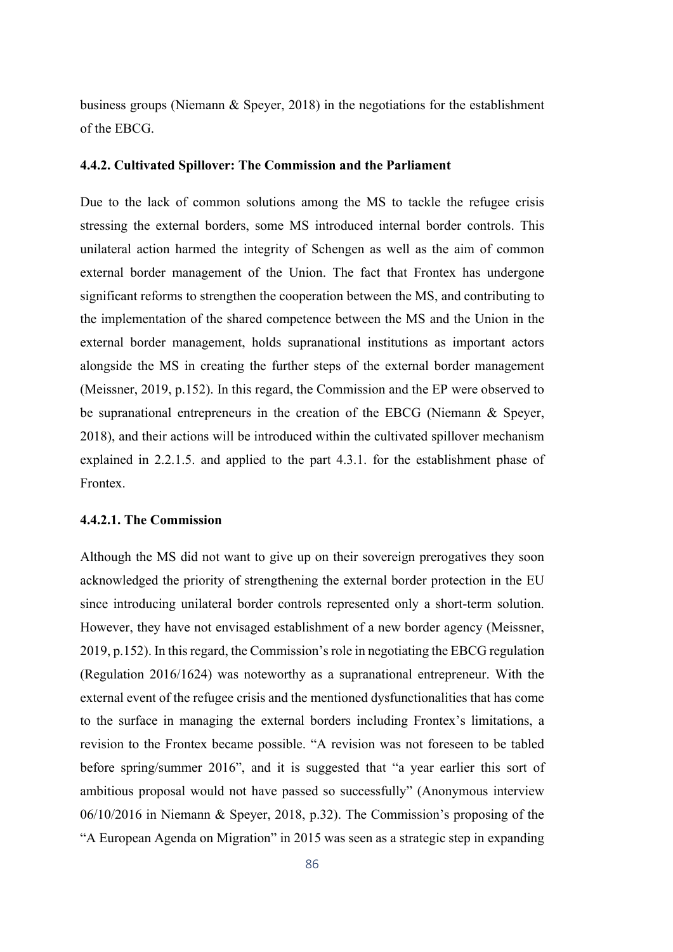business groups (Niemann & Speyer, 2018) in the negotiations for the establishment of the EBCG.

# 4.4.2. Cultivated Spillover: The Commission and the Parliament

Due to the lack of common solutions among the MS to tackle the refugee crisis stressing the external borders, some MS introduced internal border controls. This unilateral action harmed the integrity of Schengen as well as the aim of common external border management of the Union. The fact that Frontex has undergone significant reforms to strengthen the cooperation between the MS, and contributing to the implementation of the shared competence between the MS and the Union in the external border management, holds supranational institutions as important actors alongside the MS in creating the further steps of the external border management (Meissner, 2019, p.152). In this regard, the Commission and the EP were observed to be supranational entrepreneurs in the creation of the EBCG (Niemann & Speyer, 2018), and their actions will be introduced within the cultivated spillover mechanism explained in 2.2.1.5. and applied to the part 4.3.1. for the establishment phase of Frontex.

# 4.4.2.1. The Commission

Although the MS did not want to give up on their sovereign prerogatives they soon acknowledged the priority of strengthening the external border protection in the EU since introducing unilateral border controls represented only a short-term solution. However, they have not envisaged establishment of a new border agency (Meissner, 2019, p.152). In this regard, the Commission's role in negotiating the EBCG regulation (Regulation 2016/1624) was noteworthy as a supranational entrepreneur. With the external event of the refugee crisis and the mentioned dysfunctionalities that has come to the surface in managing the external borders including Frontex's limitations, a revision to the Frontex became possible. "A revision was not foreseen to be tabled before spring/summer 2016", and it is suggested that "a year earlier this sort of ambitious proposal would not have passed so successfully" (Anonymous interview 06/10/2016 in Niemann & Speyer, 2018, p.32). The Commission's proposing of the "A European Agenda on Migration" in 2015 was seen as a strategic step in expanding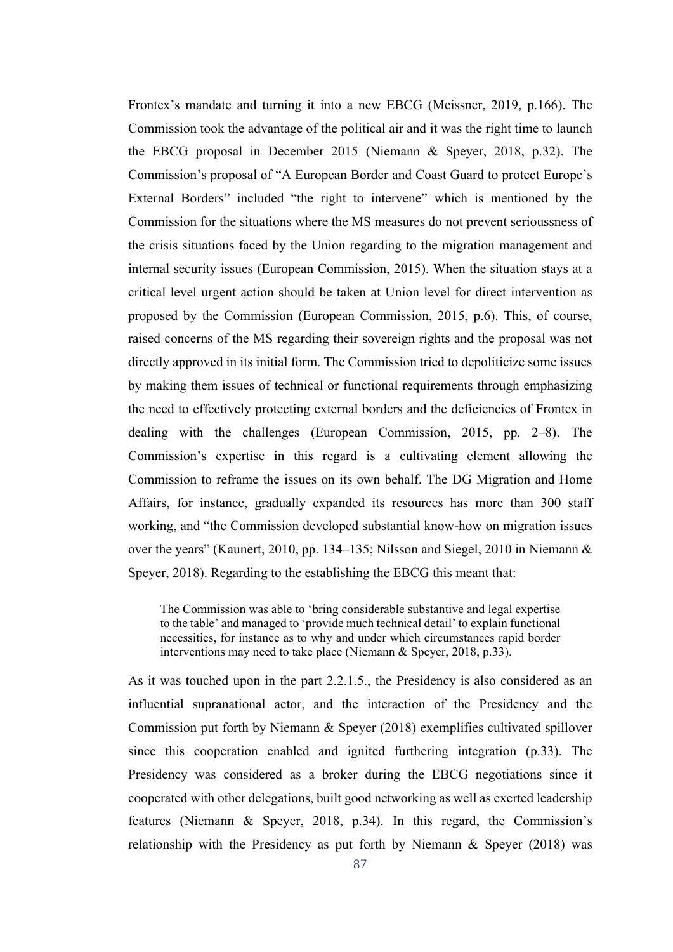Frontex's mandate and turning it into a new EBCG (Meissner, 2019, p.166). The Commission took the advantage of the political air and it was the right time to launch the EBCG proposal in December 2015 (Niemann & Speyer, 2018, p.32). The Commission's proposal of "A European Border and Coast Guard to protect Europe's External Borders" included "the right to intervene" which is mentioned by the Commission for the situations where the MS measures do not prevent serioussness of the crisis situations faced by the Union regarding to the migration management and internal security issues (European Commission, 2015). When the situation stays at a critical level urgent action should be taken at Union level for direct intervention as proposed by the Commission (European Commission, 2015, p.6). This, of course, raised concerns of the MS regarding their sovereign rights and the proposal was not directly approved in its initial form. The Commission tried to depoliticize some issues by making them issues of technical or functional requirements through emphasizing the need to effectively protecting external borders and the deficiencies of Frontex in dealing with the challenges (European Commission, 2015, pp. 2–8). The Commission's expertise in this regard is a cultivating element allowing the Commission to reframe the issues on its own behalf. The DG Migration and Home Affairs, for instance, gradually expanded its resources has more than 300 staff working, and "the Commission developed substantial know-how on migration issues over the years" (Kaunert, 2010, pp. 134–135; Nilsson and Siegel, 2010 in Niemann & Speyer, 2018). Regarding to the establishing the EBCG this meant that:

The Commission was able to 'bring considerable substantive and legal expertise to the table' and managed to 'provide much technical detail' to explain functional necessities, for instance as to why and under which circumstances rapid border interventions may need to take place (Niemann & Speyer, 2018, p.33).

As it was touched upon in the part 2.2.1.5., the Presidency is also considered as an influential supranational actor, and the interaction of the Presidency and the Commission put forth by Niemann & Speyer (2018) exemplifies cultivated spillover since this cooperation enabled and ignited furthering integration (p.33). The Presidency was considered as a broker during the EBCG negotiations since it cooperated with other delegations, built good networking as well as exerted leadership features (Niemann & Speyer, 2018, p.34). In this regard, the Commission's relationship with the Presidency as put forth by Niemann & Speyer (2018) was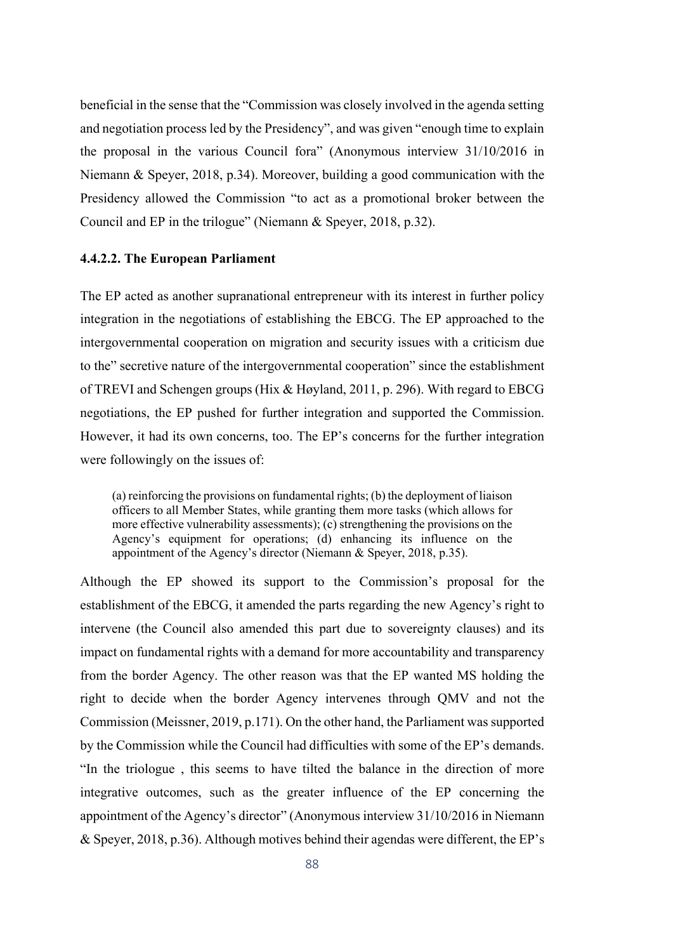beneficial in the sense that the "Commission was closely involved in the agenda setting and negotiation process led by the Presidency", and was given "enough time to explain the proposal in the various Council fora" (Anonymous interview 31/10/2016 in Niemann & Speyer, 2018, p.34). Moreover, building a good communication with the Presidency allowed the Commission "to act as a promotional broker between the Council and EP in the trilogue" (Niemann & Speyer, 2018, p.32).

# 4.4.2.2. The European Parliament

The EP acted as another supranational entrepreneur with its interest in further policy integration in the negotiations of establishing the EBCG. The EP approached to the intergovernmental cooperation on migration and security issues with a criticism due to the" secretive nature of the intergovernmental cooperation" since the establishment of TREVI and Schengen groups (Hix & Høyland, 2011, p. 296). With regard to EBCG negotiations, the EP pushed for further integration and supported the Commission. However, it had its own concerns, too. The EP's concerns for the further integration were followingly on the issues of:

(a) reinforcing the provisions on fundamental rights; (b) the deployment of liaison officers to all Member States, while granting them more tasks (which allows for more effective vulnerability assessments); (c) strengthening the provisions on the Agency's equipment for operations; (d) enhancing its influence on the appointment of the Agency's director (Niemann & Speyer, 2018, p.35).

Although the EP showed its support to the Commission's proposal for the establishment of the EBCG, it amended the parts regarding the new Agency's right to intervene (the Council also amended this part due to sovereignty clauses) and its impact on fundamental rights with a demand for more accountability and transparency from the border Agency. The other reason was that the EP wanted MS holding the right to decide when the border Agency intervenes through QMV and not the Commission (Meissner, 2019, p.171). On the other hand, the Parliament was supported by the Commission while the Council had difficulties with some of the EP's demands. "In the triologue , this seems to have tilted the balance in the direction of more integrative outcomes, such as the greater influence of the EP concerning the appointment of the Agency's director" (Anonymous interview 31/10/2016 in Niemann & Speyer, 2018, p.36). Although motives behind their agendas were different, the EP's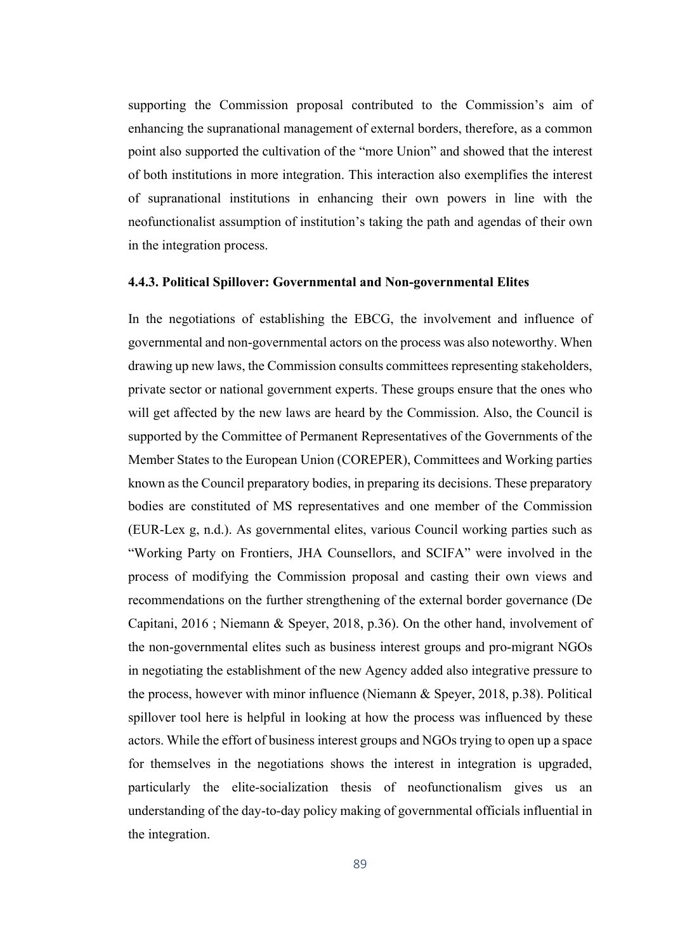supporting the Commission proposal contributed to the Commission's aim of enhancing the supranational management of external borders, therefore, as a common point also supported the cultivation of the "more Union" and showed that the interest of both institutions in more integration. This interaction also exemplifies the interest of supranational institutions in enhancing their own powers in line with the neofunctionalist assumption of institution's taking the path and agendas of their own in the integration process.

### 4.4.3. Political Spillover: Governmental and Non-governmental Elites

In the negotiations of establishing the EBCG, the involvement and influence of governmental and non-governmental actors on the process was also noteworthy. When drawing up new laws, the Commission consults committees representing stakeholders, private sector or national government experts. These groups ensure that the ones who will get affected by the new laws are heard by the Commission. Also, the Council is supported by the Committee of Permanent Representatives of the Governments of the Member States to the European Union (COREPER), Committees and Working parties known as the Council preparatory bodies, in preparing its decisions. These preparatory bodies are constituted of MS representatives and one member of the Commission (EUR-Lex g, n.d.). As governmental elites, various Council working parties such as "Working Party on Frontiers, JHA Counsellors, and SCIFA" were involved in the process of modifying the Commission proposal and casting their own views and recommendations on the further strengthening of the external border governance (De Capitani, 2016 ; Niemann & Speyer, 2018, p.36). On the other hand, involvement of the non-governmental elites such as business interest groups and pro-migrant NGOs in negotiating the establishment of the new Agency added also integrative pressure to the process, however with minor influence (Niemann & Speyer, 2018, p.38). Political spillover tool here is helpful in looking at how the process was influenced by these actors. While the effort of business interest groups and NGOs trying to open up a space for themselves in the negotiations shows the interest in integration is upgraded, particularly the elite-socialization thesis of neofunctionalism gives us an understanding of the day-to-day policy making of governmental officials influential in the integration.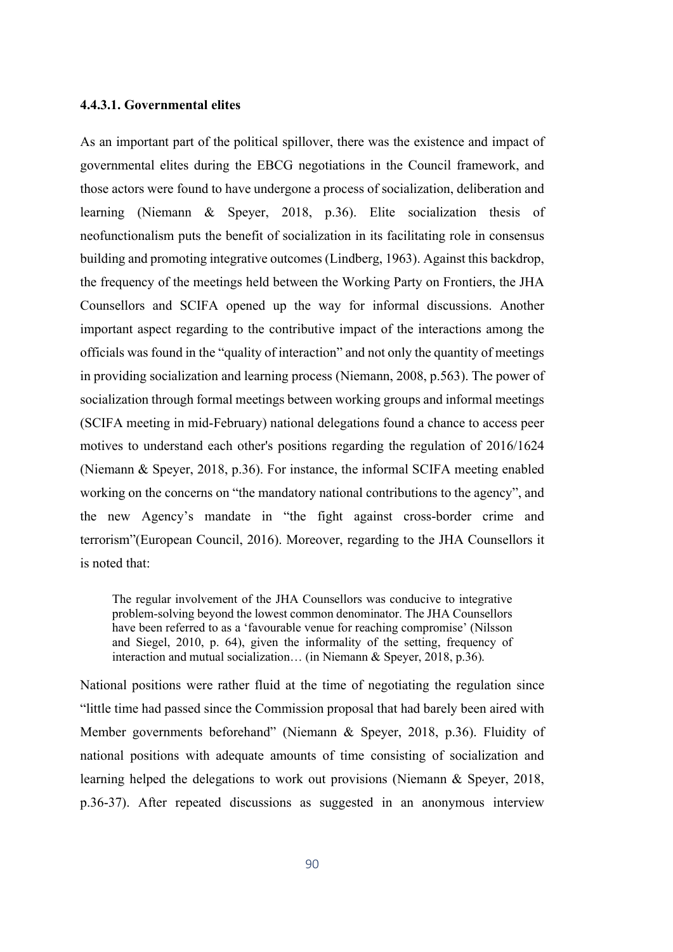### 4.4.3.1. Governmental elites

As an important part of the political spillover, there was the existence and impact of governmental elites during the EBCG negotiations in the Council framework, and those actors were found to have undergone a process of socialization, deliberation and learning (Niemann & Speyer, 2018, p.36). Elite socialization thesis of neofunctionalism puts the benefit of socialization in its facilitating role in consensus building and promoting integrative outcomes (Lindberg, 1963). Against this backdrop, the frequency of the meetings held between the Working Party on Frontiers, the JHA Counsellors and SCIFA opened up the way for informal discussions. Another important aspect regarding to the contributive impact of the interactions among the officials was found in the "quality of interaction" and not only the quantity of meetings in providing socialization and learning process (Niemann, 2008, p.563). The power of socialization through formal meetings between working groups and informal meetings (SCIFA meeting in mid-February) national delegations found a chance to access peer motives to understand each other's positions regarding the regulation of 2016/1624 (Niemann & Speyer, 2018, p.36). For instance, the informal SCIFA meeting enabled working on the concerns on "the mandatory national contributions to the agency", and the new Agency's mandate in "the fight against cross-border crime and terrorism"(European Council, 2016). Moreover, regarding to the JHA Counsellors it is noted that:

The regular involvement of the JHA Counsellors was conducive to integrative problem-solving beyond the lowest common denominator. The JHA Counsellors have been referred to as a 'favourable venue for reaching compromise' (Nilsson and Siegel, 2010, p. 64), given the informality of the setting, frequency of interaction and mutual socialization… (in Niemann & Speyer, 2018, p.36).

National positions were rather fluid at the time of negotiating the regulation since "little time had passed since the Commission proposal that had barely been aired with Member governments beforehand" (Niemann & Speyer, 2018, p.36). Fluidity of national positions with adequate amounts of time consisting of socialization and learning helped the delegations to work out provisions (Niemann & Speyer, 2018, p.36-37). After repeated discussions as suggested in an anonymous interview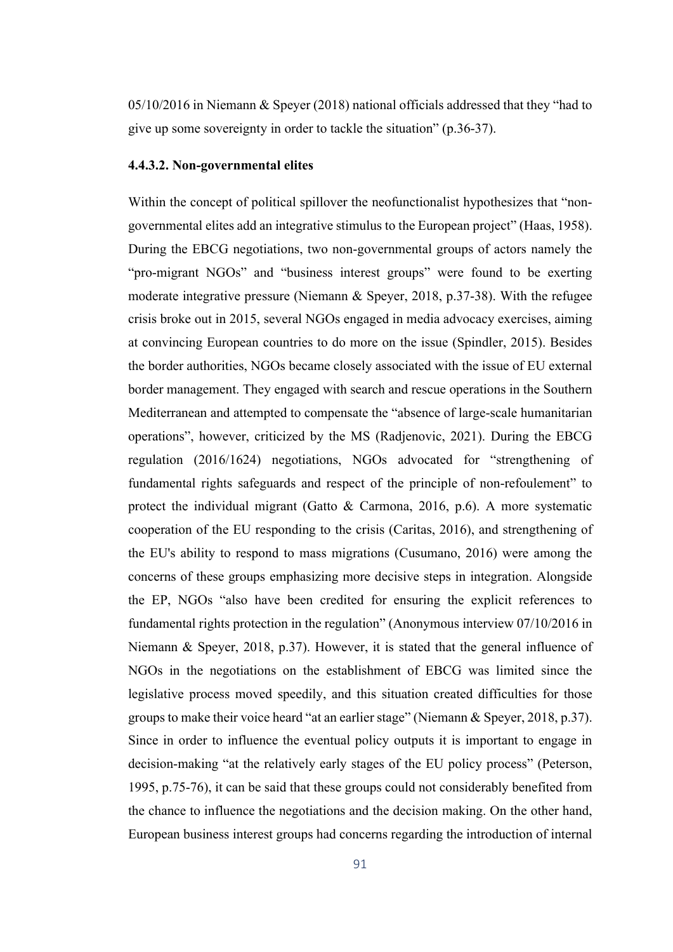05/10/2016 in Niemann & Speyer (2018) national officials addressed that they "had to give up some sovereignty in order to tackle the situation" (p.36-37).

## 4.4.3.2. Non-governmental elites

Within the concept of political spillover the neofunctionalist hypothesizes that "nongovernmental elites add an integrative stimulus to the European project" (Haas, 1958). During the EBCG negotiations, two non-governmental groups of actors namely the "pro-migrant NGOs" and "business interest groups" were found to be exerting moderate integrative pressure (Niemann & Speyer, 2018, p.37-38). With the refugee crisis broke out in 2015, several NGOs engaged in media advocacy exercises, aiming at convincing European countries to do more on the issue (Spindler, 2015). Besides the border authorities, NGOs became closely associated with the issue of EU external border management. They engaged with search and rescue operations in the Southern Mediterranean and attempted to compensate the "absence of large-scale humanitarian operations", however, criticized by the MS (Radjenovic, 2021). During the EBCG regulation (2016/1624) negotiations, NGOs advocated for "strengthening of fundamental rights safeguards and respect of the principle of non-refoulement" to protect the individual migrant (Gatto & Carmona, 2016, p.6). A more systematic cooperation of the EU responding to the crisis (Caritas, 2016), and strengthening of the EU's ability to respond to mass migrations (Cusumano, 2016) were among the concerns of these groups emphasizing more decisive steps in integration. Alongside the EP, NGOs "also have been credited for ensuring the explicit references to fundamental rights protection in the regulation" (Anonymous interview 07/10/2016 in Niemann & Speyer, 2018, p.37). However, it is stated that the general influence of NGOs in the negotiations on the establishment of EBCG was limited since the legislative process moved speedily, and this situation created difficulties for those groups to make their voice heard "at an earlier stage" (Niemann & Speyer, 2018, p.37). Since in order to influence the eventual policy outputs it is important to engage in decision-making "at the relatively early stages of the EU policy process" (Peterson, 1995, p.75-76), it can be said that these groups could not considerably benefited from the chance to influence the negotiations and the decision making. On the other hand, European business interest groups had concerns regarding the introduction of internal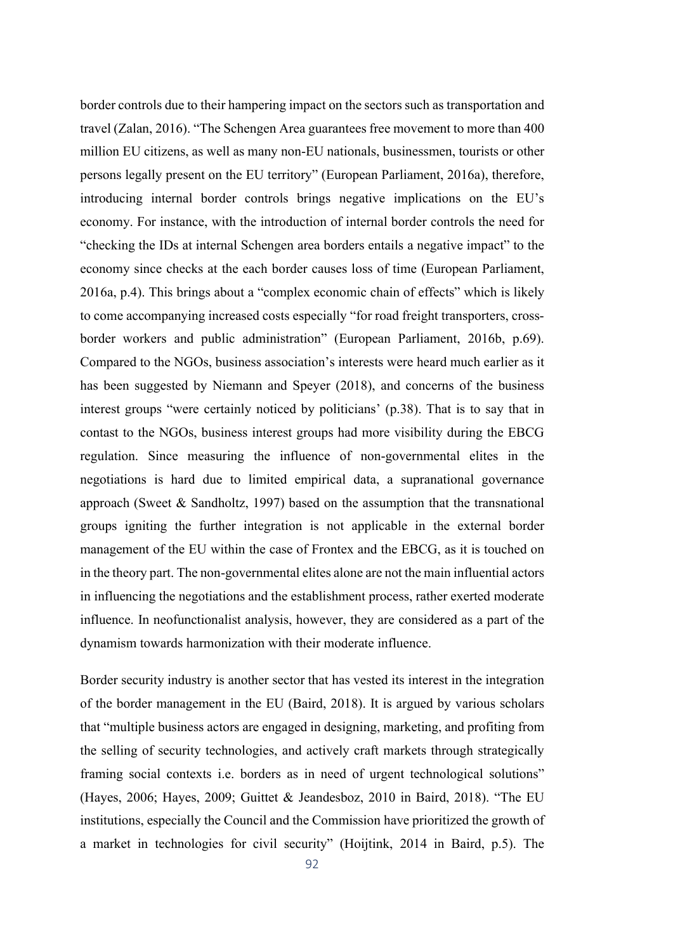border controls due to their hampering impact on the sectors such as transportation and travel (Zalan, 2016). "The Schengen Area guarantees free movement to more than 400 million EU citizens, as well as many non-EU nationals, businessmen, tourists or other persons legally present on the EU territory" (European Parliament, 2016a), therefore, introducing internal border controls brings negative implications on the EU's economy. For instance, with the introduction of internal border controls the need for "checking the IDs at internal Schengen area borders entails a negative impact" to the economy since checks at the each border causes loss of time (European Parliament, 2016a, p.4). This brings about a "complex economic chain of effects" which is likely to come accompanying increased costs especially "for road freight transporters, crossborder workers and public administration" (European Parliament, 2016b, p.69). Compared to the NGOs, business association's interests were heard much earlier as it has been suggested by Niemann and Speyer (2018), and concerns of the business interest groups "were certainly noticed by politicians' (p.38). That is to say that in contast to the NGOs, business interest groups had more visibility during the EBCG regulation. Since measuring the influence of non-governmental elites in the negotiations is hard due to limited empirical data, a supranational governance approach (Sweet & Sandholtz, 1997) based on the assumption that the transnational groups igniting the further integration is not applicable in the external border management of the EU within the case of Frontex and the EBCG, as it is touched on in the theory part. The non-governmental elites alone are not the main influential actors in influencing the negotiations and the establishment process, rather exerted moderate influence. In neofunctionalist analysis, however, they are considered as a part of the dynamism towards harmonization with their moderate influence.

Border security industry is another sector that has vested its interest in the integration of the border management in the EU (Baird, 2018). It is argued by various scholars that "multiple business actors are engaged in designing, marketing, and profiting from the selling of security technologies, and actively craft markets through strategically framing social contexts i.e. borders as in need of urgent technological solutions" (Hayes, 2006; Hayes, 2009; Guittet & Jeandesboz, 2010 in Baird, 2018). "The EU institutions, especially the Council and the Commission have prioritized the growth of a market in technologies for civil security" (Hoijtink, 2014 in Baird, p.5). The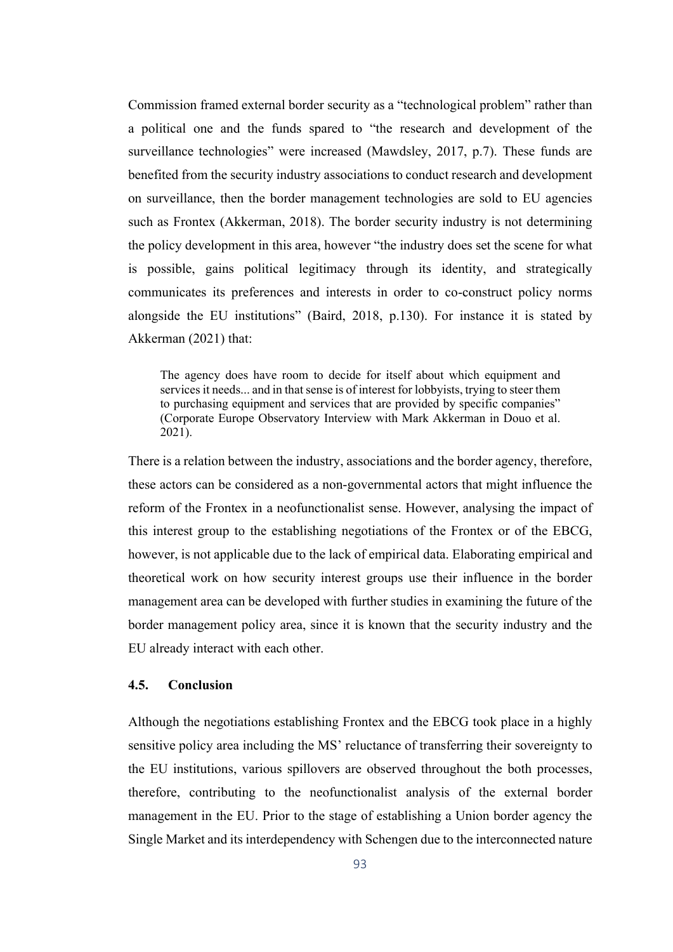Commission framed external border security as a "technological problem" rather than a political one and the funds spared to "the research and development of the surveillance technologies" were increased (Mawdsley, 2017, p.7). These funds are benefited from the security industry associations to conduct research and development on surveillance, then the border management technologies are sold to EU agencies such as Frontex (Akkerman, 2018). The border security industry is not determining the policy development in this area, however "the industry does set the scene for what is possible, gains political legitimacy through its identity, and strategically communicates its preferences and interests in order to co-construct policy norms alongside the EU institutions" (Baird, 2018, p.130). For instance it is stated by Akkerman (2021) that:

The agency does have room to decide for itself about which equipment and services it needs... and in that sense is of interest for lobbyists, trying to steer them to purchasing equipment and services that are provided by specific companies" (Corporate Europe Observatory Interview with Mark Akkerman in Douo et al. 2021).

There is a relation between the industry, associations and the border agency, therefore, these actors can be considered as a non-governmental actors that might influence the reform of the Frontex in a neofunctionalist sense. However, analysing the impact of this interest group to the establishing negotiations of the Frontex or of the EBCG, however, is not applicable due to the lack of empirical data. Elaborating empirical and theoretical work on how security interest groups use their influence in the border management area can be developed with further studies in examining the future of the border management policy area, since it is known that the security industry and the EU already interact with each other.

# 4.5. Conclusion

Although the negotiations establishing Frontex and the EBCG took place in a highly sensitive policy area including the MS' reluctance of transferring their sovereignty to the EU institutions, various spillovers are observed throughout the both processes, therefore, contributing to the neofunctionalist analysis of the external border management in the EU. Prior to the stage of establishing a Union border agency the Single Market and its interdependency with Schengen due to the interconnected nature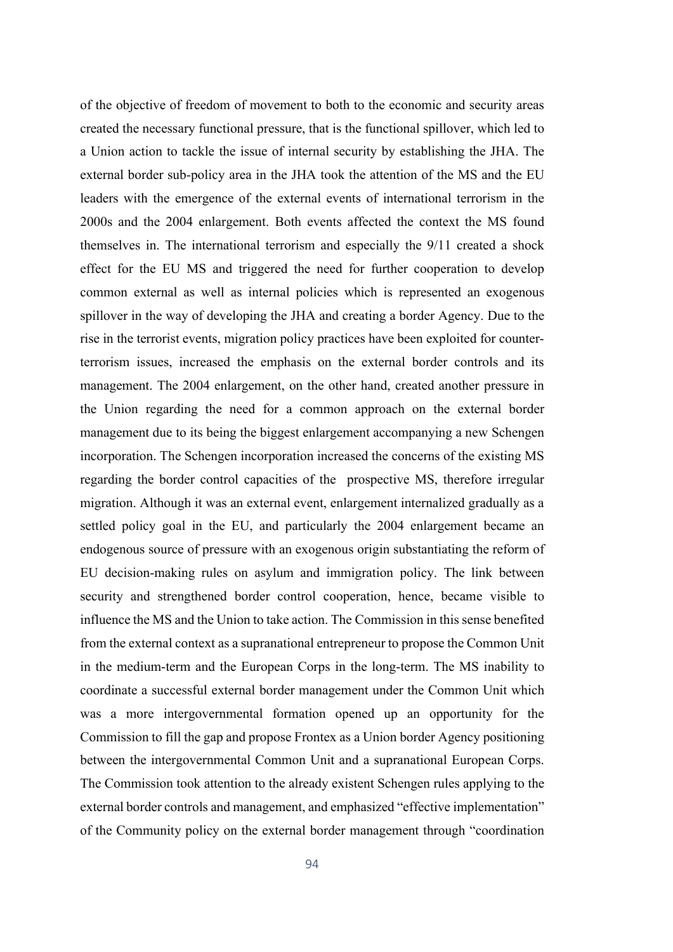of the objective of freedom of movement to both to the economic and security areas created the necessary functional pressure, that is the functional spillover, which led to a Union action to tackle the issue of internal security by establishing the JHA. The external border sub-policy area in the JHA took the attention of the MS and the EU leaders with the emergence of the external events of international terrorism in the 2000s and the 2004 enlargement. Both events affected the context the MS found themselves in. The international terrorism and especially the 9/11 created a shock effect for the EU MS and triggered the need for further cooperation to develop common external as well as internal policies which is represented an exogenous spillover in the way of developing the JHA and creating a border Agency. Due to the rise in the terrorist events, migration policy practices have been exploited for counterterrorism issues, increased the emphasis on the external border controls and its management. The 2004 enlargement, on the other hand, created another pressure in the Union regarding the need for a common approach on the external border management due to its being the biggest enlargement accompanying a new Schengen incorporation. The Schengen incorporation increased the concerns of the existing MS regarding the border control capacities of the prospective MS, therefore irregular migration. Although it was an external event, enlargement internalized gradually as a settled policy goal in the EU, and particularly the 2004 enlargement became an endogenous source of pressure with an exogenous origin substantiating the reform of EU decision-making rules on asylum and immigration policy. The link between security and strengthened border control cooperation, hence, became visible to influence the MS and the Union to take action. The Commission in this sense benefited from the external context as a supranational entrepreneur to propose the Common Unit in the medium-term and the European Corps in the long-term. The MS inability to coordinate a successful external border management under the Common Unit which was a more intergovernmental formation opened up an opportunity for the Commission to fill the gap and propose Frontex as a Union border Agency positioning between the intergovernmental Common Unit and a supranational European Corps. The Commission took attention to the already existent Schengen rules applying to the external border controls and management, and emphasized "effective implementation" of the Community policy on the external border management through "coordination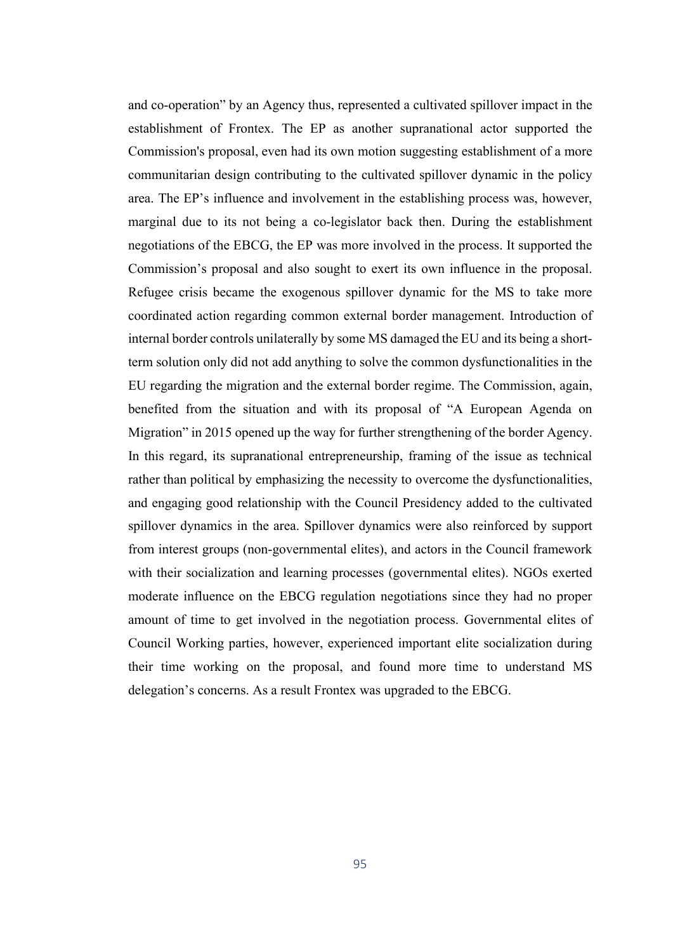and co-operation" by an Agency thus, represented a cultivated spillover impact in the establishment of Frontex. The EP as another supranational actor supported the Commission's proposal, even had its own motion suggesting establishment of a more communitarian design contributing to the cultivated spillover dynamic in the policy area. The EP's influence and involvement in the establishing process was, however, marginal due to its not being a co-legislator back then. During the establishment negotiations of the EBCG, the EP was more involved in the process. It supported the Commission's proposal and also sought to exert its own influence in the proposal. Refugee crisis became the exogenous spillover dynamic for the MS to take more coordinated action regarding common external border management. Introduction of internal border controls unilaterally by some MS damaged the EU and its being a shortterm solution only did not add anything to solve the common dysfunctionalities in the EU regarding the migration and the external border regime. The Commission, again, benefited from the situation and with its proposal of "A European Agenda on Migration" in 2015 opened up the way for further strengthening of the border Agency. In this regard, its supranational entrepreneurship, framing of the issue as technical rather than political by emphasizing the necessity to overcome the dysfunctionalities, and engaging good relationship with the Council Presidency added to the cultivated spillover dynamics in the area. Spillover dynamics were also reinforced by support from interest groups (non-governmental elites), and actors in the Council framework with their socialization and learning processes (governmental elites). NGOs exerted moderate influence on the EBCG regulation negotiations since they had no proper amount of time to get involved in the negotiation process. Governmental elites of Council Working parties, however, experienced important elite socialization during their time working on the proposal, and found more time to understand MS delegation's concerns. As a result Frontex was upgraded to the EBCG.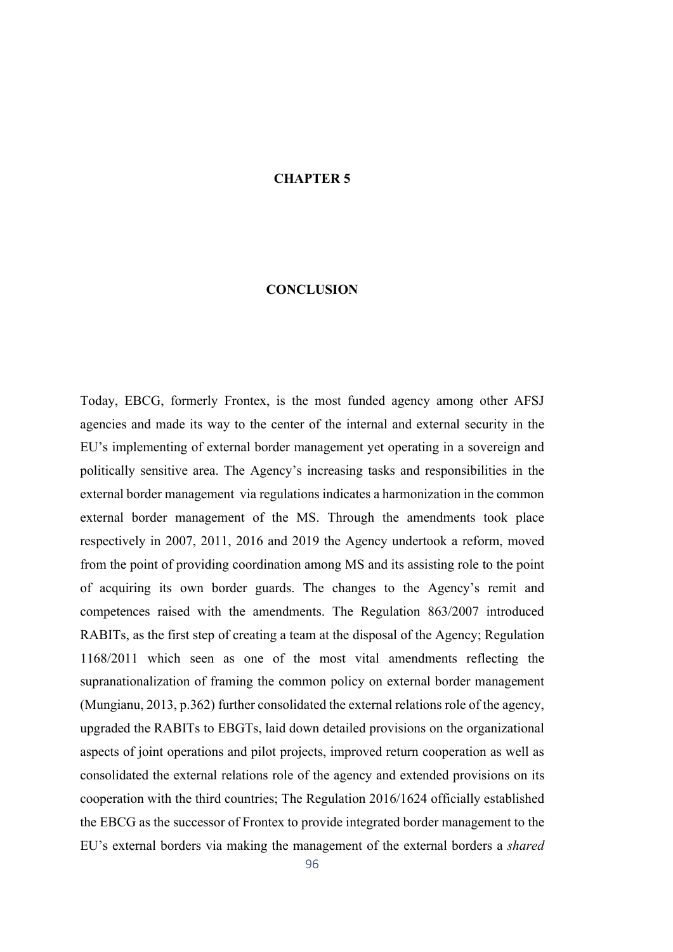# CHAPTER 5

#### **CONCLUSION**

Today, EBCG, formerly Frontex, is the most funded agency among other AFSJ agencies and made its way to the center of the internal and external security in the EU's implementing of external border management yet operating in a sovereign and politically sensitive area. The Agency's increasing tasks and responsibilities in the external border management via regulations indicates a harmonization in the common external border management of the MS. Through the amendments took place respectively in 2007, 2011, 2016 and 2019 the Agency undertook a reform, moved from the point of providing coordination among MS and its assisting role to the point of acquiring its own border guards. The changes to the Agency's remit and competences raised with the amendments. The Regulation 863/2007 introduced RABITs, as the first step of creating a team at the disposal of the Agency; Regulation 1168/2011 which seen as one of the most vital amendments reflecting the supranationalization of framing the common policy on external border management (Mungianu, 2013, p.362) further consolidated the external relations role of the agency, upgraded the RABITs to EBGTs, laid down detailed provisions on the organizational aspects of joint operations and pilot projects, improved return cooperation as well as consolidated the external relations role of the agency and extended provisions on its cooperation with the third countries; The Regulation 2016/1624 officially established the EBCG as the successor of Frontex to provide integrated border management to the EU's external borders via making the management of the external borders a *shared*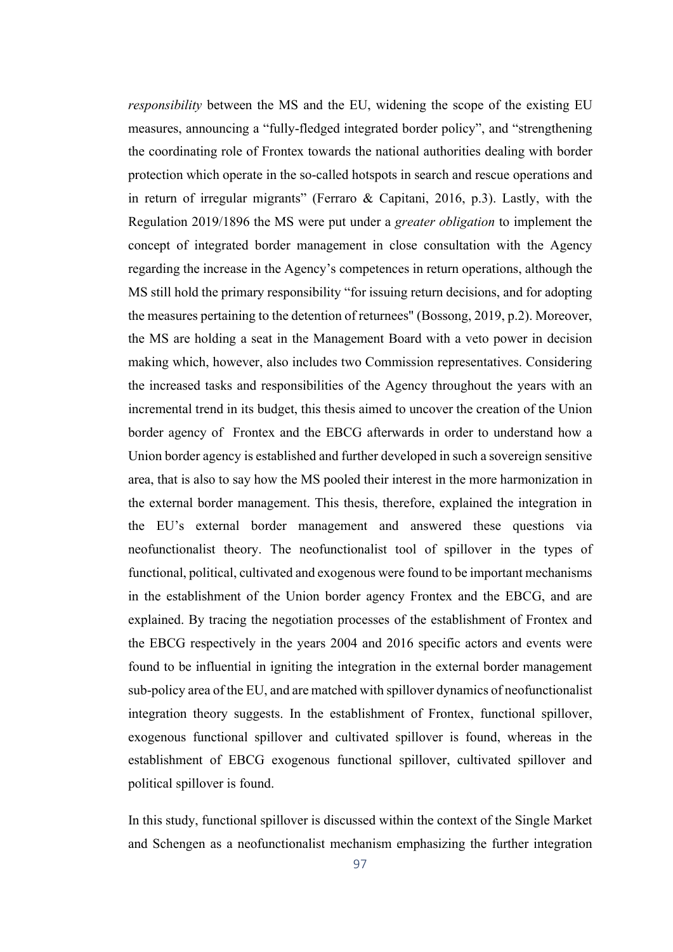*responsibility* between the MS and the EU, widening the scope of the existing EU measures, announcing a "fully-fledged integrated border policy", and "strengthening the coordinating role of Frontex towards the national authorities dealing with border protection which operate in the so-called hotspots in search and rescue operations and in return of irregular migrants" (Ferraro & Capitani, 2016, p.3). Lastly, with the Regulation 2019/1896 the MS were put under a *greater obligation* to implement the concept of integrated border management in close consultation with the Agency regarding the increase in the Agency's competences in return operations, although the MS still hold the primary responsibility "for issuing return decisions, and for adopting the measures pertaining to the detention of returnees" (Bossong, 2019, p.2). Moreover, the MS are holding a seat in the Management Board with a veto power in decision making which, however, also includes two Commission representatives. Considering the increased tasks and responsibilities of the Agency throughout the years with an incremental trend in its budget, this thesis aimed to uncover the creation of the Union border agency of Frontex and the EBCG afterwards in order to understand how a Union border agency is established and further developed in such a sovereign sensitive area, that is also to say how the MS pooled their interest in the more harmonization in the external border management. This thesis, therefore, explained the integration in the EU's external border management and answered these questions via neofunctionalist theory. The neofunctionalist tool of spillover in the types of functional, political, cultivated and exogenous were found to be important mechanisms in the establishment of the Union border agency Frontex and the EBCG, and are explained. By tracing the negotiation processes of the establishment of Frontex and the EBCG respectively in the years 2004 and 2016 specific actors and events were found to be influential in igniting the integration in the external border management sub-policy area of the EU, and are matched with spillover dynamics of neofunctionalist integration theory suggests. In the establishment of Frontex, functional spillover, exogenous functional spillover and cultivated spillover is found, whereas in the establishment of EBCG exogenous functional spillover, cultivated spillover and political spillover is found.

In this study, functional spillover is discussed within the context of the Single Market and Schengen as a neofunctionalist mechanism emphasizing the further integration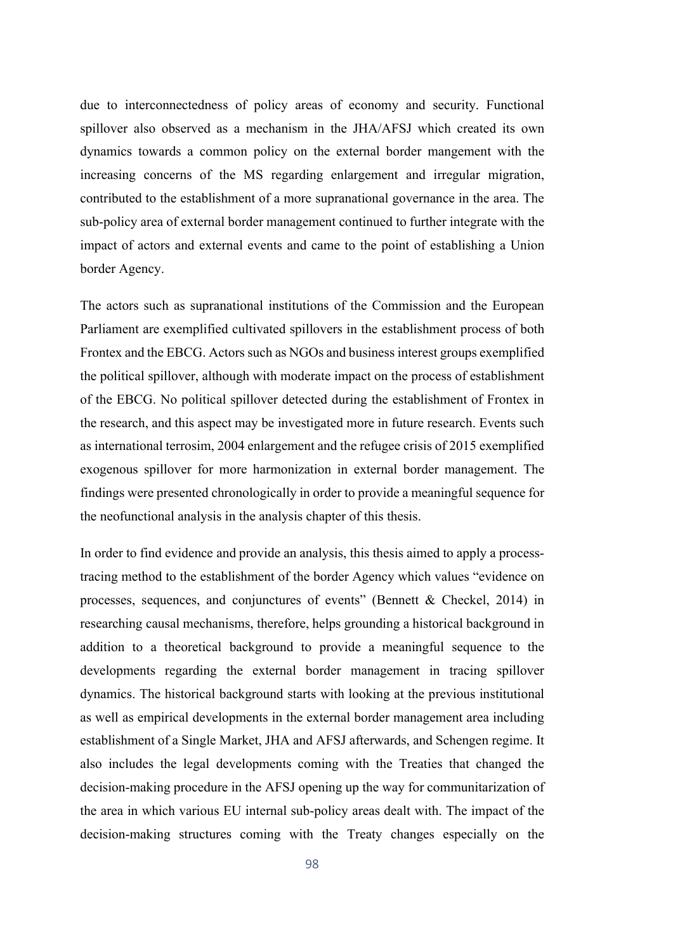due to interconnectedness of policy areas of economy and security. Functional spillover also observed as a mechanism in the JHA/AFSJ which created its own dynamics towards a common policy on the external border mangement with the increasing concerns of the MS regarding enlargement and irregular migration, contributed to the establishment of a more supranational governance in the area. The sub-policy area of external border management continued to further integrate with the impact of actors and external events and came to the point of establishing a Union border Agency.

The actors such as supranational institutions of the Commission and the European Parliament are exemplified cultivated spillovers in the establishment process of both Frontex and the EBCG. Actors such as NGOs and business interest groups exemplified the political spillover, although with moderate impact on the process of establishment of the EBCG. No political spillover detected during the establishment of Frontex in the research, and this aspect may be investigated more in future research. Events such as international terrosim, 2004 enlargement and the refugee crisis of 2015 exemplified exogenous spillover for more harmonization in external border management. The findings were presented chronologically in order to provide a meaningful sequence for the neofunctional analysis in the analysis chapter of this thesis.

In order to find evidence and provide an analysis, this thesis aimed to apply a processtracing method to the establishment of the border Agency which values "evidence on processes, sequences, and conjunctures of events" (Bennett & Checkel, 2014) in researching causal mechanisms, therefore, helps grounding a historical background in addition to a theoretical background to provide a meaningful sequence to the developments regarding the external border management in tracing spillover dynamics. The historical background starts with looking at the previous institutional as well as empirical developments in the external border management area including establishment of a Single Market, JHA and AFSJ afterwards, and Schengen regime. It also includes the legal developments coming with the Treaties that changed the decision-making procedure in the AFSJ opening up the way for communitarization of the area in which various EU internal sub-policy areas dealt with. The impact of the decision-making structures coming with the Treaty changes especially on the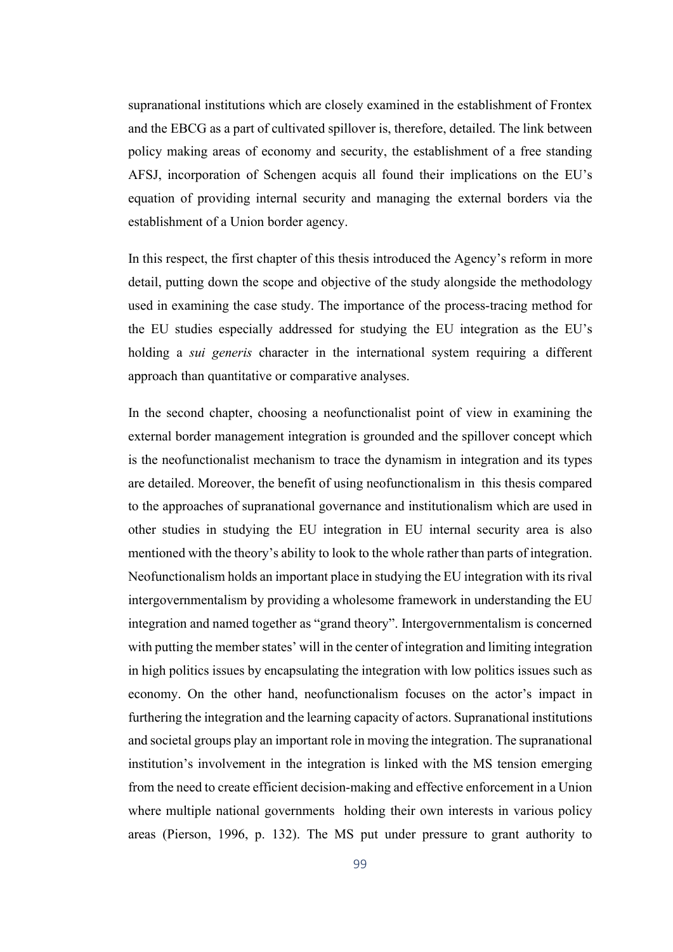supranational institutions which are closely examined in the establishment of Frontex and the EBCG as a part of cultivated spillover is, therefore, detailed. The link between policy making areas of economy and security, the establishment of a free standing AFSJ, incorporation of Schengen acquis all found their implications on the EU's equation of providing internal security and managing the external borders via the establishment of a Union border agency.

In this respect, the first chapter of this thesis introduced the Agency's reform in more detail, putting down the scope and objective of the study alongside the methodology used in examining the case study. The importance of the process-tracing method for the EU studies especially addressed for studying the EU integration as the EU's holding a *sui generis* character in the international system requiring a different approach than quantitative or comparative analyses.

In the second chapter, choosing a neofunctionalist point of view in examining the external border management integration is grounded and the spillover concept which is the neofunctionalist mechanism to trace the dynamism in integration and its types are detailed. Moreover, the benefit of using neofunctionalism in this thesis compared to the approaches of supranational governance and institutionalism which are used in other studies in studying the EU integration in EU internal security area is also mentioned with the theory's ability to look to the whole rather than parts of integration. Neofunctionalism holds an important place in studying the EU integration with its rival intergovernmentalism by providing a wholesome framework in understanding the EU integration and named together as "grand theory". Intergovernmentalism is concerned with putting the member states' will in the center of integration and limiting integration in high politics issues by encapsulating the integration with low politics issues such as economy. On the other hand, neofunctionalism focuses on the actor's impact in furthering the integration and the learning capacity of actors. Supranational institutions and societal groups play an important role in moving the integration. The supranational institution's involvement in the integration is linked with the MS tension emerging from the need to create efficient decision-making and effective enforcement in a Union where multiple national governments holding their own interests in various policy areas (Pierson, 1996, p. 132). The MS put under pressure to grant authority to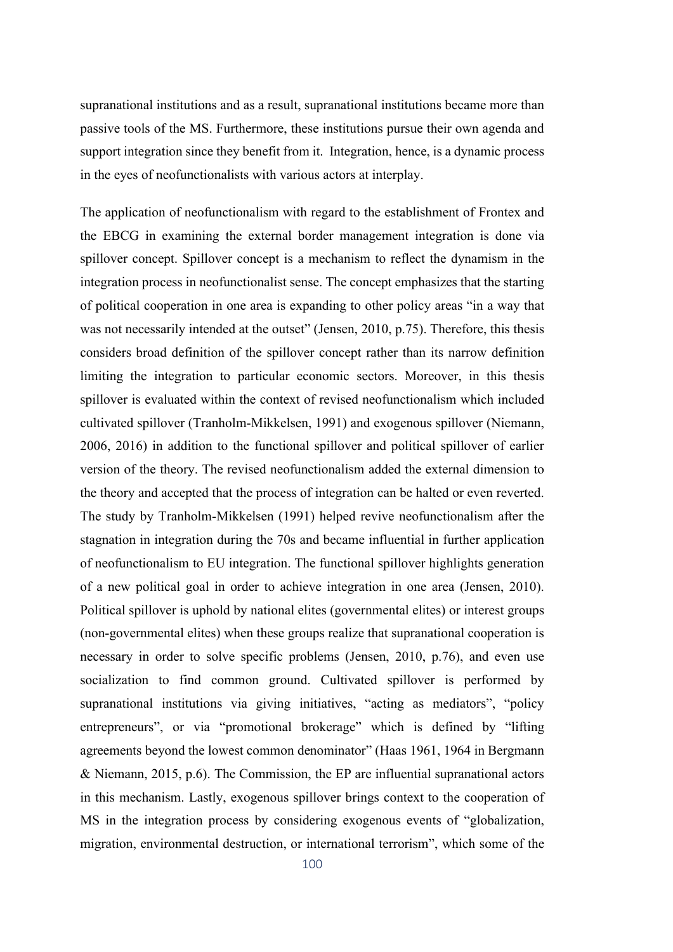supranational institutions and as a result, supranational institutions became more than passive tools of the MS. Furthermore, these institutions pursue their own agenda and support integration since they benefit from it. Integration, hence, is a dynamic process in the eyes of neofunctionalists with various actors at interplay.

The application of neofunctionalism with regard to the establishment of Frontex and the EBCG in examining the external border management integration is done via spillover concept. Spillover concept is a mechanism to reflect the dynamism in the integration process in neofunctionalist sense. The concept emphasizes that the starting of political cooperation in one area is expanding to other policy areas "in a way that was not necessarily intended at the outset" (Jensen, 2010, p.75). Therefore, this thesis considers broad definition of the spillover concept rather than its narrow definition limiting the integration to particular economic sectors. Moreover, in this thesis spillover is evaluated within the context of revised neofunctionalism which included cultivated spillover (Tranholm-Mikkelsen, 1991) and exogenous spillover (Niemann, 2006, 2016) in addition to the functional spillover and political spillover of earlier version of the theory. The revised neofunctionalism added the external dimension to the theory and accepted that the process of integration can be halted or even reverted. The study by Tranholm-Mikkelsen (1991) helped revive neofunctionalism after the stagnation in integration during the 70s and became influential in further application of neofunctionalism to EU integration. The functional spillover highlights generation of a new political goal in order to achieve integration in one area (Jensen, 2010). Political spillover is uphold by national elites (governmental elites) or interest groups (non-governmental elites) when these groups realize that supranational cooperation is necessary in order to solve specific problems (Jensen, 2010, p.76), and even use socialization to find common ground. Cultivated spillover is performed by supranational institutions via giving initiatives, "acting as mediators", "policy entrepreneurs", or via "promotional brokerage" which is defined by "lifting agreements beyond the lowest common denominator" (Haas 1961, 1964 in Bergmann & Niemann, 2015, p.6). The Commission, the EP are influential supranational actors in this mechanism. Lastly, exogenous spillover brings context to the cooperation of MS in the integration process by considering exogenous events of "globalization, migration, environmental destruction, or international terrorism", which some of the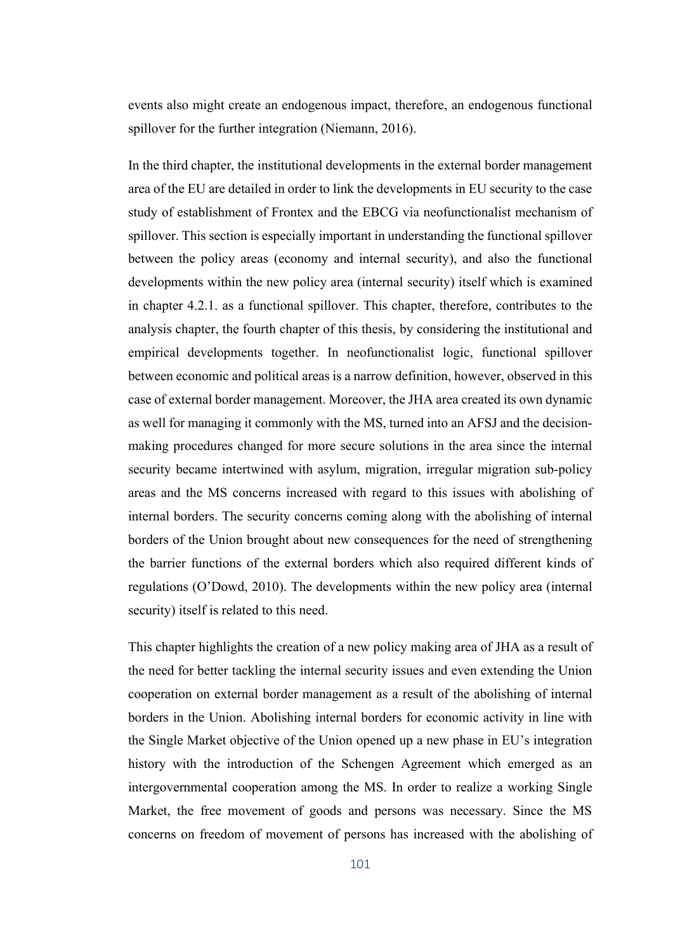events also might create an endogenous impact, therefore, an endogenous functional spillover for the further integration (Niemann, 2016).

In the third chapter, the institutional developments in the external border management area of the EU are detailed in order to link the developments in EU security to the case study of establishment of Frontex and the EBCG via neofunctionalist mechanism of spillover. This section is especially important in understanding the functional spillover between the policy areas (economy and internal security), and also the functional developments within the new policy area (internal security) itself which is examined in chapter 4.2.1. as a functional spillover. This chapter, therefore, contributes to the analysis chapter, the fourth chapter of this thesis, by considering the institutional and empirical developments together. In neofunctionalist logic, functional spillover between economic and political areas is a narrow definition, however, observed in this case of external border management. Moreover, the JHA area created its own dynamic as well for managing it commonly with the MS, turned into an AFSJ and the decisionmaking procedures changed for more secure solutions in the area since the internal security became intertwined with asylum, migration, irregular migration sub-policy areas and the MS concerns increased with regard to this issues with abolishing of internal borders. The security concerns coming along with the abolishing of internal borders of the Union brought about new consequences for the need of strengthening the barrier functions of the external borders which also required different kinds of regulations (O'Dowd, 2010). The developments within the new policy area (internal security) itself is related to this need.

This chapter highlights the creation of a new policy making area of JHA as a result of the need for better tackling the internal security issues and even extending the Union cooperation on external border management as a result of the abolishing of internal borders in the Union. Abolishing internal borders for economic activity in line with the Single Market objective of the Union opened up a new phase in EU's integration history with the introduction of the Schengen Agreement which emerged as an intergovernmental cooperation among the MS. In order to realize a working Single Market, the free movement of goods and persons was necessary. Since the MS concerns on freedom of movement of persons has increased with the abolishing of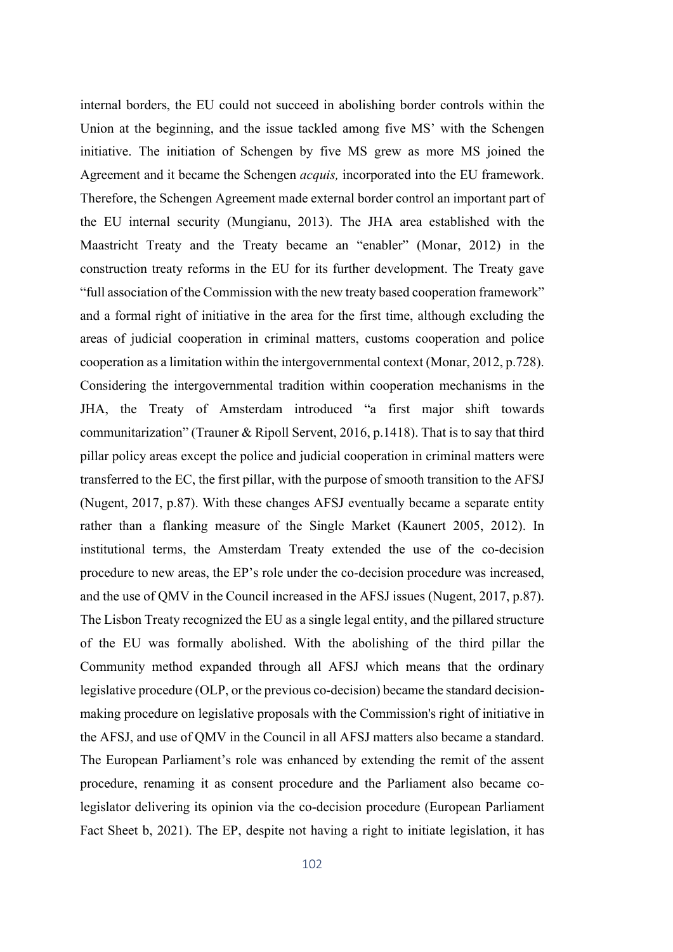internal borders, the EU could not succeed in abolishing border controls within the Union at the beginning, and the issue tackled among five MS' with the Schengen initiative. The initiation of Schengen by five MS grew as more MS joined the Agreement and it became the Schengen *acquis,* incorporated into the EU framework. Therefore, the Schengen Agreement made external border control an important part of the EU internal security (Mungianu, 2013). The JHA area established with the Maastricht Treaty and the Treaty became an "enabler" (Monar, 2012) in the construction treaty reforms in the EU for its further development. The Treaty gave "full association of the Commission with the new treaty based cooperation framework" and a formal right of initiative in the area for the first time, although excluding the areas of judicial cooperation in criminal matters, customs cooperation and police cooperation as a limitation within the intergovernmental context (Monar, 2012, p.728). Considering the intergovernmental tradition within cooperation mechanisms in the JHA, the Treaty of Amsterdam introduced "a first major shift towards communitarization" (Trauner & Ripoll Servent, 2016, p.1418). That is to say that third pillar policy areas except the police and judicial cooperation in criminal matters were transferred to the EC, the first pillar, with the purpose of smooth transition to the AFSJ (Nugent, 2017, p.87). With these changes AFSJ eventually became a separate entity rather than a flanking measure of the Single Market (Kaunert 2005, 2012). In institutional terms, the Amsterdam Treaty extended the use of the co-decision procedure to new areas, the EP's role under the co-decision procedure was increased, and the use of QMV in the Council increased in the AFSJ issues (Nugent, 2017, p.87). The Lisbon Treaty recognized the EU as a single legal entity, and the pillared structure of the EU was formally abolished. With the abolishing of the third pillar the Community method expanded through all AFSJ which means that the ordinary legislative procedure (OLP, or the previous co-decision) became the standard decisionmaking procedure on legislative proposals with the Commission's right of initiative in the AFSJ, and use of QMV in the Council in all AFSJ matters also became a standard. The European Parliament's role was enhanced by extending the remit of the assent procedure, renaming it as consent procedure and the Parliament also became colegislator delivering its opinion via the co-decision procedure (European Parliament Fact Sheet b, 2021). The EP, despite not having a right to initiate legislation, it has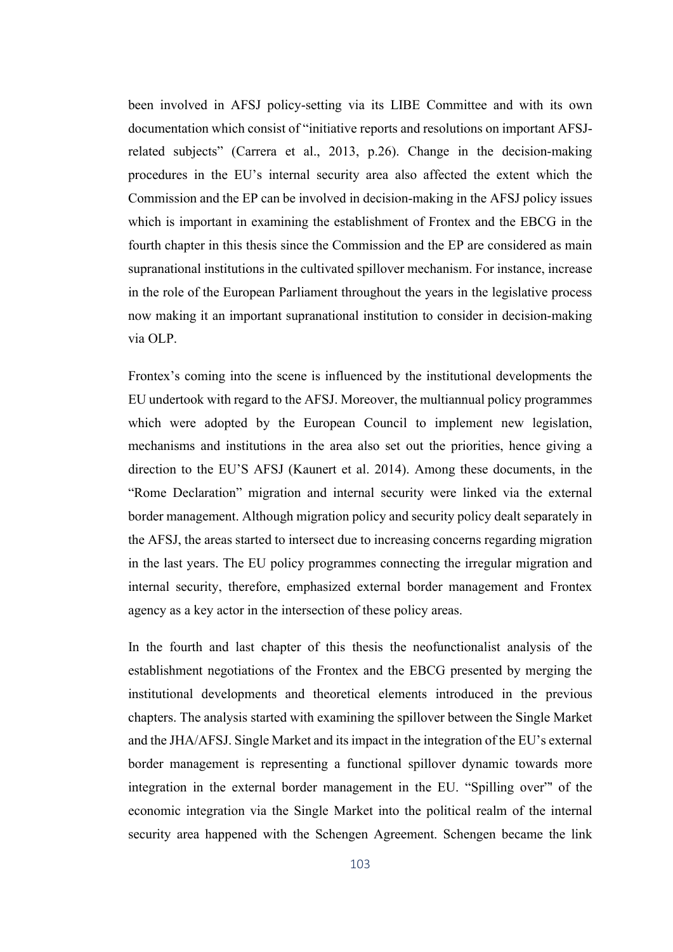been involved in AFSJ policy-setting via its LIBE Committee and with its own documentation which consist of "initiative reports and resolutions on important AFSJrelated subjects" (Carrera et al., 2013, p.26). Change in the decision-making procedures in the EU's internal security area also affected the extent which the Commission and the EP can be involved in decision-making in the AFSJ policy issues which is important in examining the establishment of Frontex and the EBCG in the fourth chapter in this thesis since the Commission and the EP are considered as main supranational institutions in the cultivated spillover mechanism. For instance, increase in the role of the European Parliament throughout the years in the legislative process now making it an important supranational institution to consider in decision-making via OLP.

Frontex's coming into the scene is influenced by the institutional developments the EU undertook with regard to the AFSJ. Moreover, the multiannual policy programmes which were adopted by the European Council to implement new legislation, mechanisms and institutions in the area also set out the priorities, hence giving a direction to the EU'S AFSJ (Kaunert et al. 2014). Among these documents, in the "Rome Declaration" migration and internal security were linked via the external border management. Although migration policy and security policy dealt separately in the AFSJ, the areas started to intersect due to increasing concerns regarding migration in the last years. The EU policy programmes connecting the irregular migration and internal security, therefore, emphasized external border management and Frontex agency as a key actor in the intersection of these policy areas.

In the fourth and last chapter of this thesis the neofunctionalist analysis of the establishment negotiations of the Frontex and the EBCG presented by merging the institutional developments and theoretical elements introduced in the previous chapters. The analysis started with examining the spillover between the Single Market and the JHA/AFSJ. Single Market and its impact in the integration of the EU's external border management is representing a functional spillover dynamic towards more integration in the external border management in the EU. "Spilling over"' of the economic integration via the Single Market into the political realm of the internal security area happened with the Schengen Agreement. Schengen became the link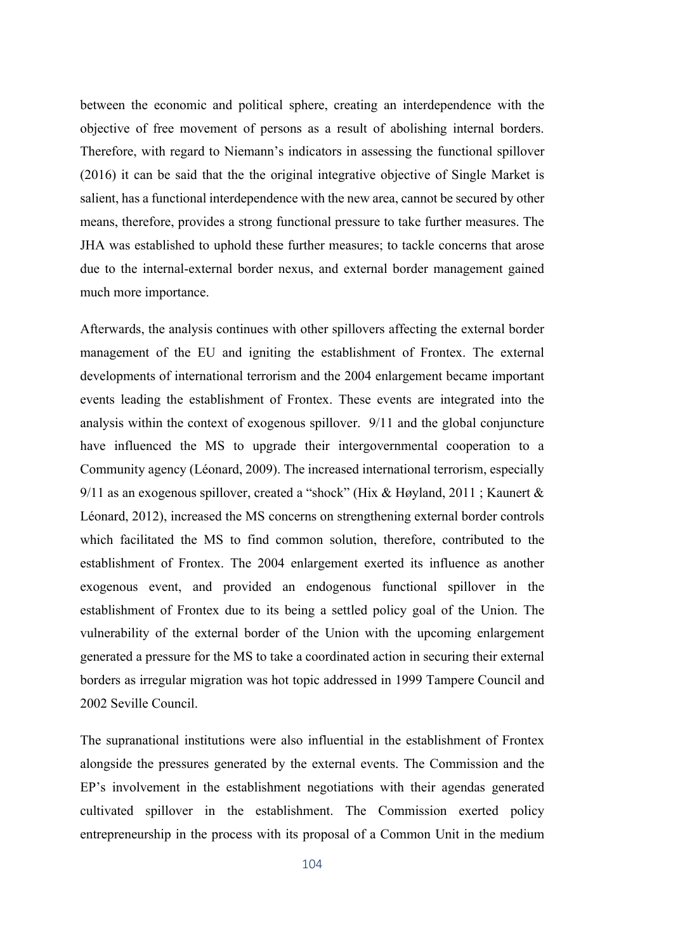between the economic and political sphere, creating an interdependence with the objective of free movement of persons as a result of abolishing internal borders. Therefore, with regard to Niemann's indicators in assessing the functional spillover (2016) it can be said that the the original integrative objective of Single Market is salient, has a functional interdependence with the new area, cannot be secured by other means, therefore, provides a strong functional pressure to take further measures. The JHA was established to uphold these further measures; to tackle concerns that arose due to the internal-external border nexus, and external border management gained much more importance.

Afterwards, the analysis continues with other spillovers affecting the external border management of the EU and igniting the establishment of Frontex. The external developments of international terrorism and the 2004 enlargement became important events leading the establishment of Frontex. These events are integrated into the analysis within the context of exogenous spillover. 9/11 and the global conjuncture have influenced the MS to upgrade their intergovernmental cooperation to a Community agency (Léonard, 2009). The increased international terrorism, especially 9/11 as an exogenous spillover, created a "shock" (Hix & Høyland, 2011 ; Kaunert & Léonard, 2012), increased the MS concerns on strengthening external border controls which facilitated the MS to find common solution, therefore, contributed to the establishment of Frontex. The 2004 enlargement exerted its influence as another exogenous event, and provided an endogenous functional spillover in the establishment of Frontex due to its being a settled policy goal of the Union. The vulnerability of the external border of the Union with the upcoming enlargement generated a pressure for the MS to take a coordinated action in securing their external borders as irregular migration was hot topic addressed in 1999 Tampere Council and 2002 Seville Council.

The supranational institutions were also influential in the establishment of Frontex alongside the pressures generated by the external events. The Commission and the EP's involvement in the establishment negotiations with their agendas generated cultivated spillover in the establishment. The Commission exerted policy entrepreneurship in the process with its proposal of a Common Unit in the medium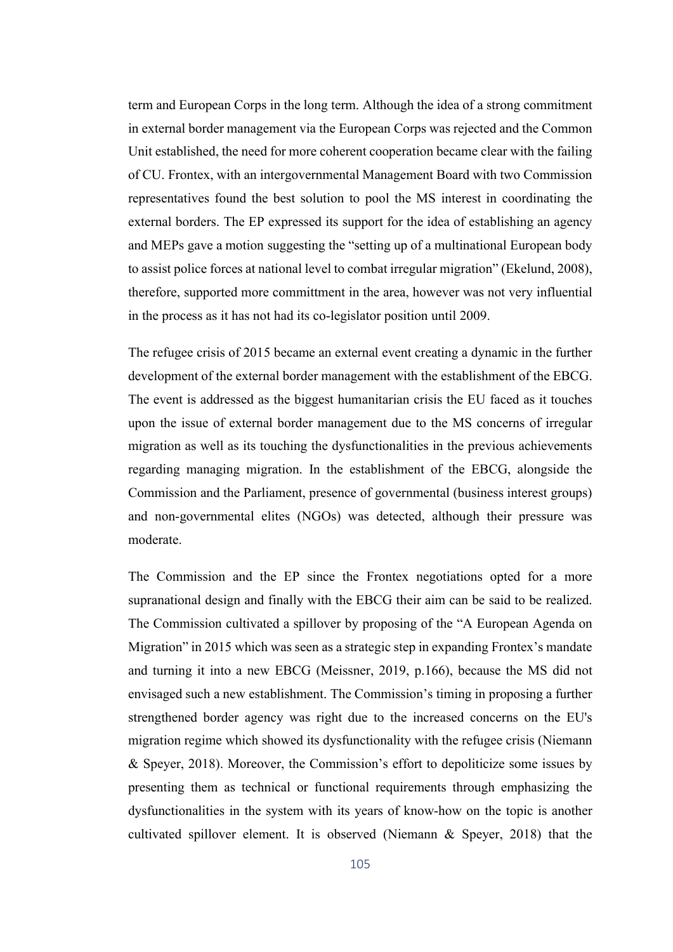term and European Corps in the long term. Although the idea of a strong commitment in external border management via the European Corps was rejected and the Common Unit established, the need for more coherent cooperation became clear with the failing of CU. Frontex, with an intergovernmental Management Board with two Commission representatives found the best solution to pool the MS interest in coordinating the external borders. The EP expressed its support for the idea of establishing an agency and MEPs gave a motion suggesting the "setting up of a multinational European body to assist police forces at national level to combat irregular migration" (Ekelund, 2008), therefore, supported more committment in the area, however was not very influential in the process as it has not had its co-legislator position until 2009.

The refugee crisis of 2015 became an external event creating a dynamic in the further development of the external border management with the establishment of the EBCG. The event is addressed as the biggest humanitarian crisis the EU faced as it touches upon the issue of external border management due to the MS concerns of irregular migration as well as its touching the dysfunctionalities in the previous achievements regarding managing migration. In the establishment of the EBCG, alongside the Commission and the Parliament, presence of governmental (business interest groups) and non-governmental elites (NGOs) was detected, although their pressure was moderate.

The Commission and the EP since the Frontex negotiations opted for a more supranational design and finally with the EBCG their aim can be said to be realized. The Commission cultivated a spillover by proposing of the "A European Agenda on Migration" in 2015 which was seen as a strategic step in expanding Frontex's mandate and turning it into a new EBCG (Meissner, 2019, p.166), because the MS did not envisaged such a new establishment. The Commission's timing in proposing a further strengthened border agency was right due to the increased concerns on the EU's migration regime which showed its dysfunctionality with the refugee crisis (Niemann & Speyer, 2018). Moreover, the Commission's effort to depoliticize some issues by presenting them as technical or functional requirements through emphasizing the dysfunctionalities in the system with its years of know-how on the topic is another cultivated spillover element. It is observed (Niemann & Speyer, 2018) that the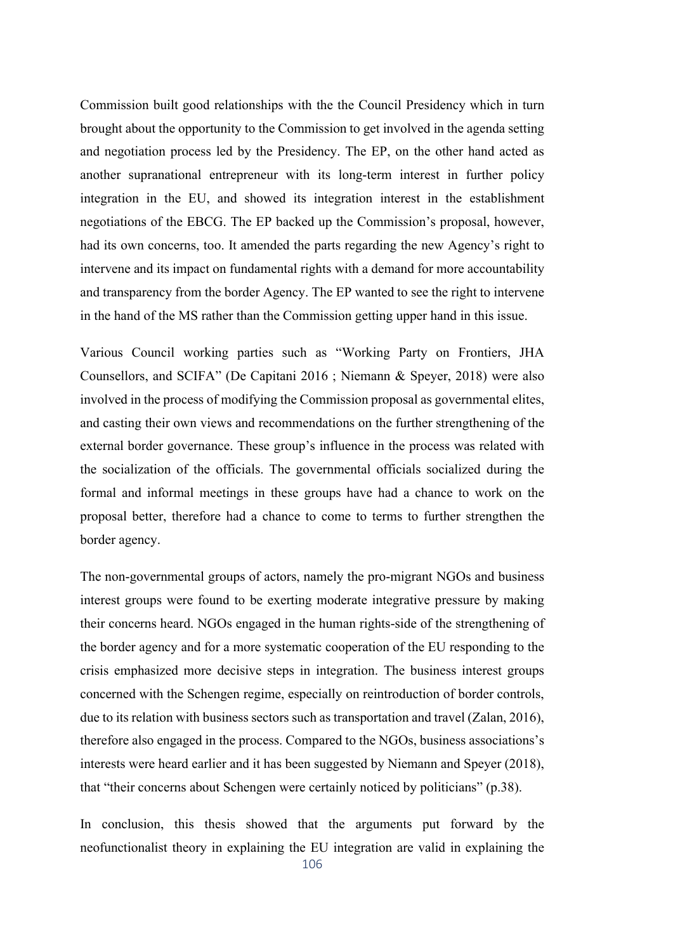Commission built good relationships with the the Council Presidency which in turn brought about the opportunity to the Commission to get involved in the agenda setting and negotiation process led by the Presidency. The EP, on the other hand acted as another supranational entrepreneur with its long-term interest in further policy integration in the EU, and showed its integration interest in the establishment negotiations of the EBCG. The EP backed up the Commission's proposal, however, had its own concerns, too. It amended the parts regarding the new Agency's right to intervene and its impact on fundamental rights with a demand for more accountability and transparency from the border Agency. The EP wanted to see the right to intervene in the hand of the MS rather than the Commission getting upper hand in this issue.

Various Council working parties such as "Working Party on Frontiers, JHA Counsellors, and SCIFA" (De Capitani 2016 ; Niemann & Speyer, 2018) were also involved in the process of modifying the Commission proposal as governmental elites, and casting their own views and recommendations on the further strengthening of the external border governance. These group's influence in the process was related with the socialization of the officials. The governmental officials socialized during the formal and informal meetings in these groups have had a chance to work on the proposal better, therefore had a chance to come to terms to further strengthen the border agency.

The non-governmental groups of actors, namely the pro-migrant NGOs and business interest groups were found to be exerting moderate integrative pressure by making their concerns heard. NGOs engaged in the human rights-side of the strengthening of the border agency and for a more systematic cooperation of the EU responding to the crisis emphasized more decisive steps in integration. The business interest groups concerned with the Schengen regime, especially on reintroduction of border controls, due to its relation with business sectors such as transportation and travel (Zalan, 2016), therefore also engaged in the process. Compared to the NGOs, business associations's interests were heard earlier and it has been suggested by Niemann and Speyer (2018), that "their concerns about Schengen were certainly noticed by politicians" (p.38).

In conclusion, this thesis showed that the arguments put forward by the neofunctionalist theory in explaining the EU integration are valid in explaining the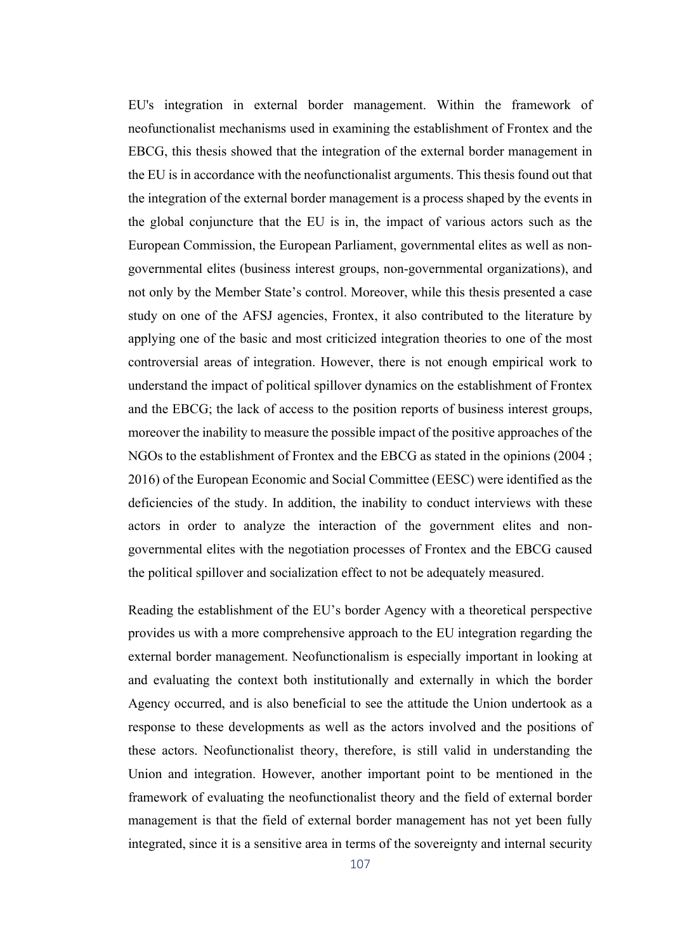EU's integration in external border management. Within the framework of neofunctionalist mechanisms used in examining the establishment of Frontex and the EBCG, this thesis showed that the integration of the external border management in the EU is in accordance with the neofunctionalist arguments. This thesis found out that the integration of the external border management is a process shaped by the events in the global conjuncture that the EU is in, the impact of various actors such as the European Commission, the European Parliament, governmental elites as well as nongovernmental elites (business interest groups, non-governmental organizations), and not only by the Member State's control. Moreover, while this thesis presented a case study on one of the AFSJ agencies, Frontex, it also contributed to the literature by applying one of the basic and most criticized integration theories to one of the most controversial areas of integration. However, there is not enough empirical work to understand the impact of political spillover dynamics on the establishment of Frontex and the EBCG; the lack of access to the position reports of business interest groups, moreover the inability to measure the possible impact of the positive approaches of the NGOs to the establishment of Frontex and the EBCG as stated in the opinions (2004 ; 2016) of the European Economic and Social Committee (EESC) were identified as the deficiencies of the study. In addition, the inability to conduct interviews with these actors in order to analyze the interaction of the government elites and nongovernmental elites with the negotiation processes of Frontex and the EBCG caused the political spillover and socialization effect to not be adequately measured.

Reading the establishment of the EU's border Agency with a theoretical perspective provides us with a more comprehensive approach to the EU integration regarding the external border management. Neofunctionalism is especially important in looking at and evaluating the context both institutionally and externally in which the border Agency occurred, and is also beneficial to see the attitude the Union undertook as a response to these developments as well as the actors involved and the positions of these actors. Neofunctionalist theory, therefore, is still valid in understanding the Union and integration. However, another important point to be mentioned in the framework of evaluating the neofunctionalist theory and the field of external border management is that the field of external border management has not yet been fully integrated, since it is a sensitive area in terms of the sovereignty and internal security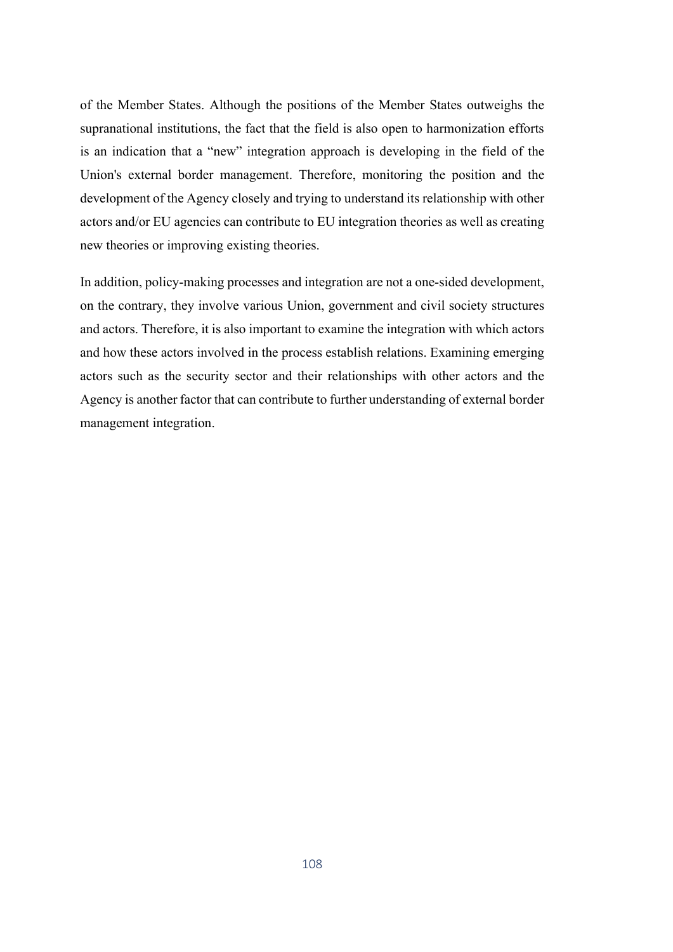of the Member States. Although the positions of the Member States outweighs the supranational institutions, the fact that the field is also open to harmonization efforts is an indication that a "new" integration approach is developing in the field of the Union's external border management. Therefore, monitoring the position and the development of the Agency closely and trying to understand its relationship with other actors and/or EU agencies can contribute to EU integration theories as well as creating new theories or improving existing theories.

In addition, policy-making processes and integration are not a one-sided development, on the contrary, they involve various Union, government and civil society structures and actors. Therefore, it is also important to examine the integration with which actors and how these actors involved in the process establish relations. Examining emerging actors such as the security sector and their relationships with other actors and the Agency is another factor that can contribute to further understanding of external border management integration.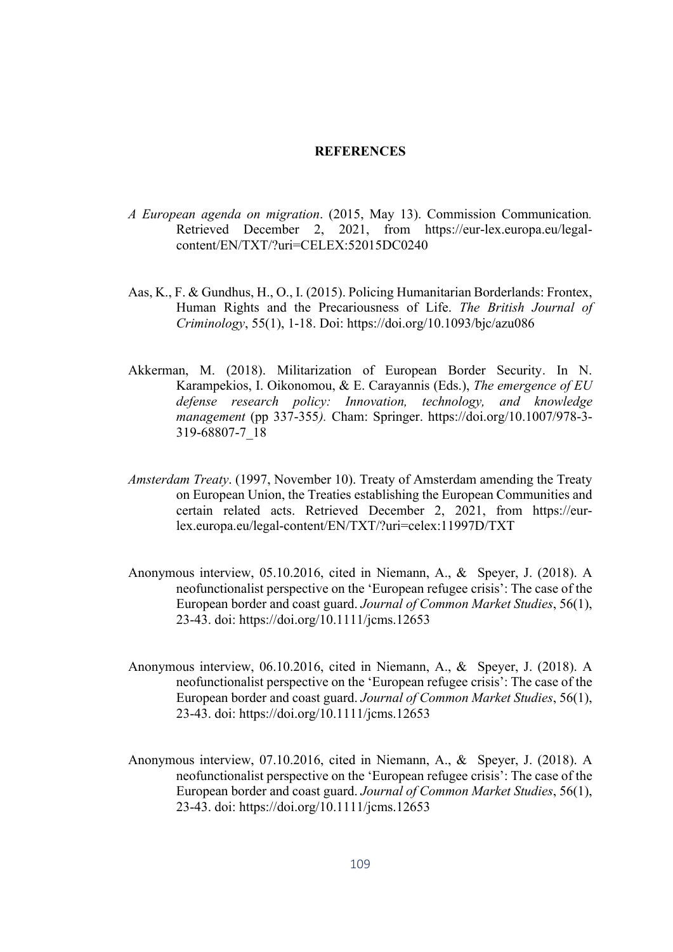## **REFERENCES**

- *A European agenda on migration*. (2015, May 13). Commission Communication*.* Retrieved December 2, 2021, from https://eur-lex.europa.eu/legalcontent/EN/TXT/?uri=CELEX:52015DC0240
- Aas, K., F. & Gundhus, H., O., I. (2015). Policing Humanitarian Borderlands: Frontex, Human Rights and the Precariousness of Life. *The British Journal of Criminology*, 55(1), 1-18. Doi: https://doi.org/10.1093/bjc/azu086
- Akkerman, M. (2018). Militarization of European Border Security. In N. Karampekios, I. Oikonomou, & E. Carayannis (Eds.), *The emergence of EU defense research policy: Innovation, technology, and knowledge management* (pp 337-355*).* Cham: Springer. https://doi.org/10.1007/978-3- 319-68807-7\_18
- *Amsterdam Treaty*. (1997, November 10). Treaty of Amsterdam amending the Treaty on European Union, the Treaties establishing the European Communities and certain related acts. Retrieved December 2, 2021, from https://eurlex.europa.eu/legal-content/EN/TXT/?uri=celex:11997D/TXT
- Anonymous interview, 05.10.2016, cited in Niemann, A., & Speyer, J. (2018). A neofunctionalist perspective on the 'European refugee crisis': The case of the European border and coast guard. *Journal of Common Market Studies*, 56(1), 23-43. doi: https://doi.org/10.1111/jcms.12653
- Anonymous interview, 06.10.2016, cited in Niemann, A., & Speyer, J. (2018). A neofunctionalist perspective on the 'European refugee crisis': The case of the European border and coast guard. *Journal of Common Market Studies*, 56(1), 23-43. doi: https://doi.org/10.1111/jcms.12653
- Anonymous interview, 07.10.2016, cited in Niemann, A., & Speyer, J. (2018). A neofunctionalist perspective on the 'European refugee crisis': The case of the European border and coast guard. *Journal of Common Market Studies*, 56(1), 23-43. doi: https://doi.org/10.1111/jcms.12653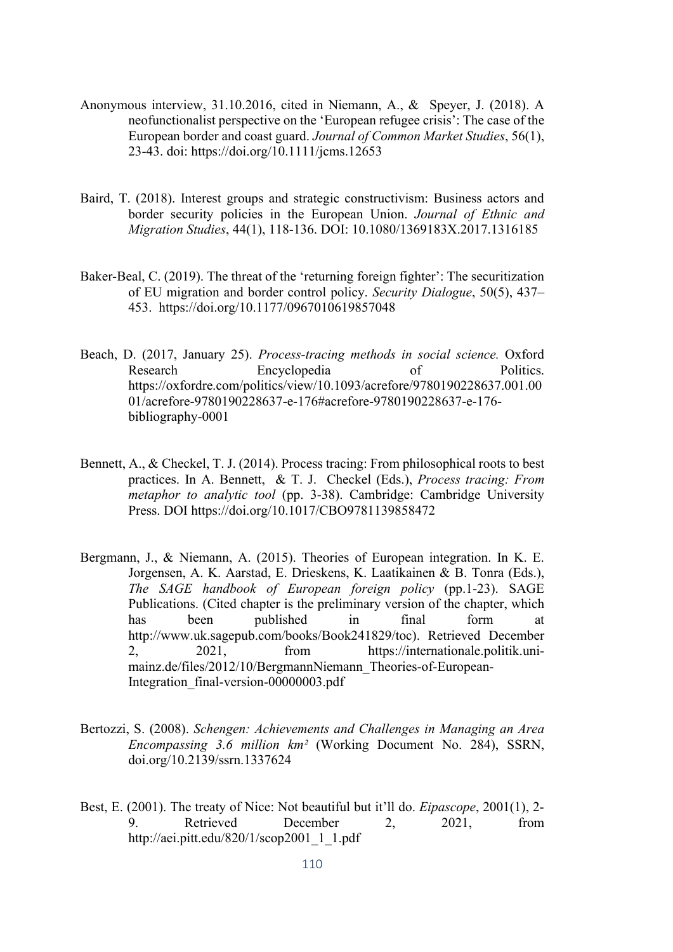- Anonymous interview, 31.10.2016, cited in Niemann, A., & Speyer, J. (2018). A neofunctionalist perspective on the 'European refugee crisis': The case of the European border and coast guard. *Journal of Common Market Studies*, 56(1), 23-43. doi: https://doi.org/10.1111/jcms.12653
- Baird, T. (2018). Interest groups and strategic constructivism: Business actors and border security policies in the European Union. *Journal of Ethnic and Migration Studies*, 44(1), 118-136. DOI: 10.1080/1369183X.2017.1316185
- Baker-Beal, C. (2019). The threat of the 'returning foreign fighter': The securitization of EU migration and border control policy. *Security Dialogue*, 50(5), 437– 453. https://doi.org/10.1177/0967010619857048
- Beach, D. (2017, January 25). *Process-tracing methods in social science.* Oxford Research Encyclopedia of Politics. https://oxfordre.com/politics/view/10.1093/acrefore/9780190228637.001.00 01/acrefore-9780190228637-e-176#acrefore-9780190228637-e-176 bibliography-0001
- Bennett, A., & Checkel, T. J. (2014). Process tracing: From philosophical roots to best practices. In A. Bennett, & T. J. Checkel (Eds.), *Process tracing: From metaphor to analytic tool* (pp. 3-38). Cambridge: Cambridge University Press. DOI https://doi.org/10.1017/CBO9781139858472
- Bergmann, J., & Niemann, A. (2015). Theories of European integration. In K. E. Jorgensen, A. K. Aarstad, E. Drieskens, K. Laatikainen & B. Tonra (Eds.), *The SAGE handbook of European foreign policy* (pp.1-23). SAGE Publications. (Cited chapter is the preliminary version of the chapter, which has been published in final form at http://www.uk.sagepub.com/books/Book241829/toc). Retrieved December 2, 2021, from https://internationale.politik.unimainz.de/files/2012/10/BergmannNiemann\_Theories-of-European-Integration\_final-version-00000003.pdf
- Bertozzi, S. (2008). *Schengen: Achievements and Challenges in Managing an Area Encompassing 3.6 million km²* (Working Document No. 284), SSRN, doi.org/10.2139/ssrn.1337624
- Best, E. (2001). The treaty of Nice: Not beautiful but it'll do. *Eipascope*, 2001(1), 2- 9. Retrieved December 2, 2021, from http://aei.pitt.edu/820/1/scop2001\_1\_1.pdf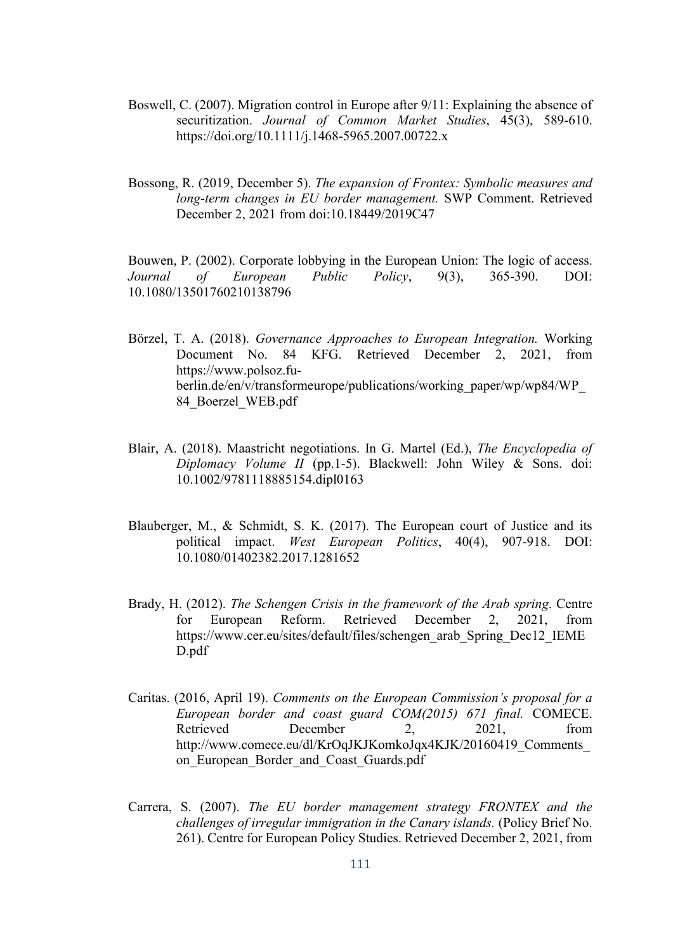- Boswell, C. (2007). Migration control in Europe after 9/11: Explaining the absence of securitization. *Journal of Common Market Studies*, 45(3), 589-610. https://doi.org/10.1111/j.1468-5965.2007.00722.x
- Bossong, R. (2019, December 5). *The expansion of Frontex: Symbolic measures and long-term changes in EU border management.* SWP Comment. Retrieved December 2, 2021 from doi:10.18449/2019C47

Bouwen, P. (2002). Corporate lobbying in the European Union: The logic of access. *Journal of European Public Policy*, 9(3), 365-390. DOI: 10.1080/13501760210138796

- Börzel, T. A. (2018). *Governance Approaches to European Integration.* Working Document No. 84 KFG. Retrieved December 2, 2021, from https://www.polsoz.fuberlin.de/en/v/transformeurope/publications/working\_paper/wp/wp84/WP 84\_Boerzel\_WEB.pdf
- Blair, A. (2018). Maastricht negotiations. In G. Martel (Ed.), *The Encyclopedia of Diplomacy Volume II* (pp.1-5). Blackwell: John Wiley & Sons. doi: 10.1002/9781118885154.dipl0163
- Blauberger, M., & Schmidt, S. K. (2017). The European court of Justice and its political impact. *West European Politics*, 40(4), 907-918. DOI: 10.1080/01402382.2017.1281652
- Brady, H. (2012). *The Schengen Crisis in the framework of the Arab spring*. Centre for European Reform. Retrieved December 2, 2021, from https://www.cer.eu/sites/default/files/schengen arab Spring Dec12 IEME D.pdf
- Caritas. (2016, April 19). *Comments on the European Commission's proposal for a European border and coast guard COM(2015) 671 final.* COMECE. RetrievedDecember 2, 2021, from [http://www.comece.eu/dl/KrOqJKJKomkoJqx4KJK/20160419\\_Comments\\_](http://www.comece.eu/dl/KrOqJKJKomkoJqx4KJK/20160419_Comments_on_European_Border_and_Coast_Guards.pdf) on European Border and Coast Guards.pdf
- Carrera, S. (2007). *The EU border management strategy FRONTEX and the challenges of irregular immigration in the Canary islands.* (Policy Brief No. 261). Centre for European Policy Studies. Retrieved December 2, 2021, from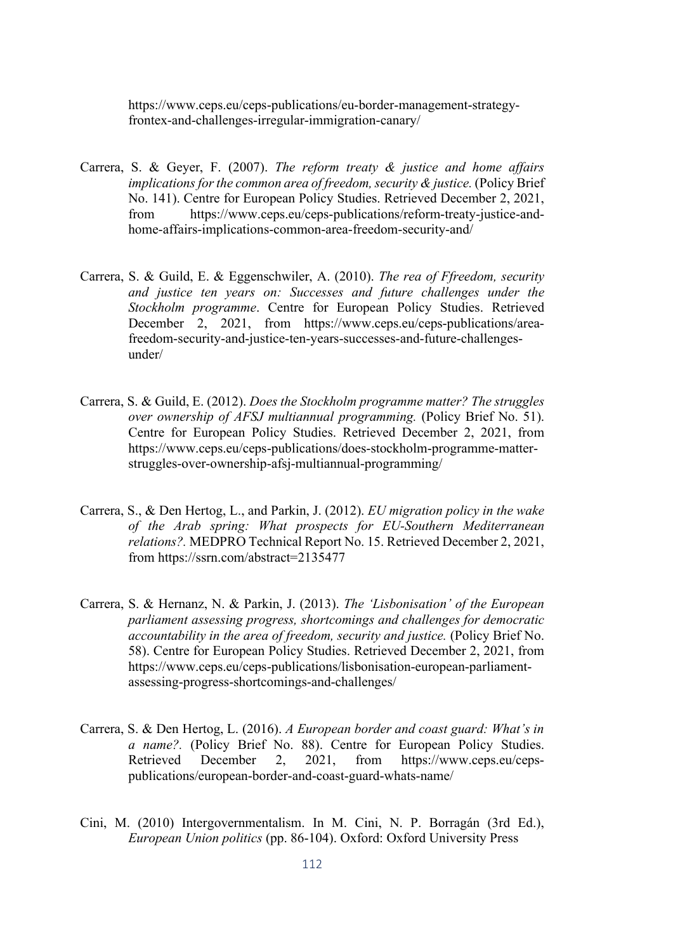https://www.ceps.eu/ceps-publications/eu-border-management-strategyfrontex-and-challenges-irregular-immigration-canary/

- Carrera, S. & Geyer, F. (2007). *The reform treaty & justice and home affairs implications for the common area of freedom, security & justice.* (Policy Brief No. 141). Centre for European Policy Studies. Retrieved December 2, 2021, from https://www.ceps.eu/ceps-publications/reform-treaty-justice-andhome-affairs-implications-common-area-freedom-security-and/
- Carrera, S. & Guild, E. & Eggenschwiler, A. (2010). *The rea of Ffreedom, security and justice ten years on: Successes and future challenges under the Stockholm programme*. Centre for European Policy Studies. Retrieved December 2, 2021, from https://www.ceps.eu/ceps-publications/areafreedom-security-and-justice-ten-years-successes-and-future-challengesunder/
- Carrera, S. & Guild, E. (2012). *Does the Stockholm programme matter? The struggles over ownership of AFSJ multiannual programming.* (Policy Brief No. 51). Centre for European Policy Studies. Retrieved December 2, 2021, from https://www.ceps.eu/ceps-publications/does-stockholm-programme-matterstruggles-over-ownership-afsj-multiannual-programming/
- Carrera, S., & Den Hertog, L., and Parkin, J. (2012). *EU migration policy in the wake of the Arab spring: What prospects for EU-Southern Mediterranean relations?.* MEDPRO Technical Report No. 15. Retrieved December 2, 2021, from https://ssrn.com/abstract=2135477
- Carrera, S. & Hernanz, N. & Parkin, J. (2013). *The 'Lisbonisation' of the European parliament assessing progress, shortcomings and challenges for democratic accountability in the area of freedom, security and justice.* (Policy Brief No. 58). Centre for European Policy Studies. Retrieved December 2, 2021, from https://www.ceps.eu/ceps-publications/lisbonisation-european-parliamentassessing-progress-shortcomings-and-challenges/
- Carrera, S. & Den Hertog, L. (2016). *A European border and coast guard: What's in a name?.* (Policy Brief No. 88). Centre for European Policy Studies. Retrieved December 2, 2021, from https://www.ceps.eu/cepspublications/european-border-and-coast-guard-whats-name/
- Cini, M. (2010) Intergovernmentalism. In M. Cini, N. P. Borragán (3rd Ed.), *European Union politics* (pp. 86-104). Oxford: Oxford University Press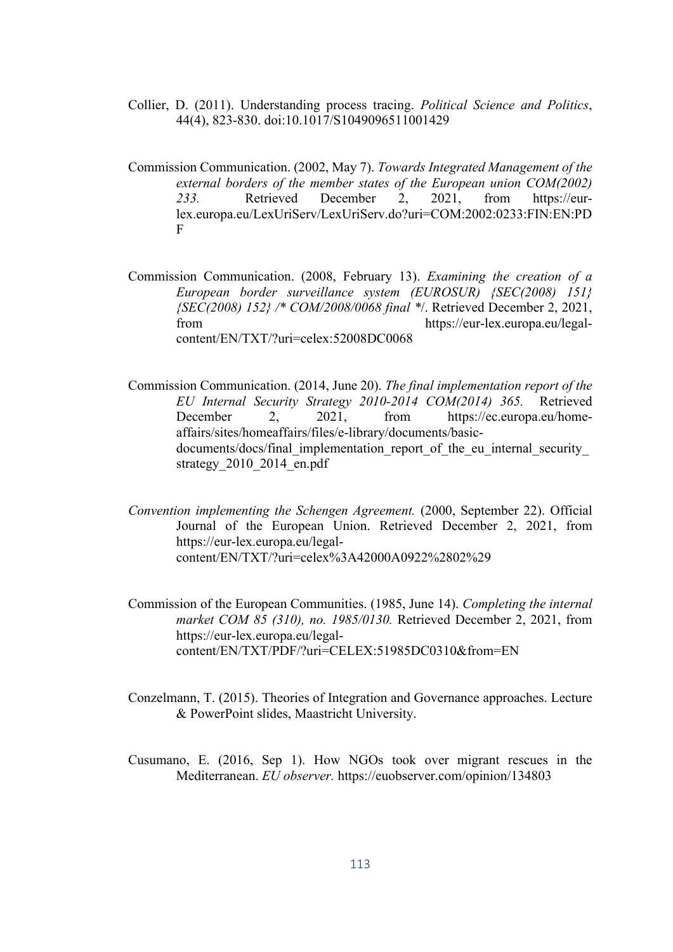Collier, D. (2011). Understanding process tracing. *Political Science and Politics*, 44(4), 823-830. doi:10.1017/S1049096511001429

Commission Communication. (2002, May 7). *Towards Integrated Management of the external borders of the member states of the European union COM(2002) 233.* Retrieved December 2, 2021, from https://eurlex.europa.eu/LexUriServ/LexUriServ.do?uri=COM:2002:0233:FIN:EN:PD F

Commission Communication. (2008, February 13). *Examining the creation of a European border surveillance system (EUROSUR) {SEC(2008) 151} {SEC(2008) 152} /\* COM/2008/0068 final \**/. Retrieved December 2, 2021, from https://eur-lex.europa.eu/legalcontent/EN/TXT/?uri=celex:52008DC0068

Commission Communication. (2014, June 20). *The final implementation report of the EU Internal Security Strategy 2010-2014 COM(2014) 365.* Retrieved December 2, 2021, from https://ec.europa.eu/homeaffairs/sites/homeaffairs/files/e-library/documents/basicdocuments/docs/final\_implementation\_report\_of\_the\_eu\_internal\_security strategy 2010 2014 en.pdf

- *Convention implementing the Schengen Agreement.* (2000, September 22). Official Journal of the European Union. Retrieved December 2, 2021, from https://eur-lex.europa.eu/legalcontent/EN/TXT/?uri=celex%3A42000A0922%2802%29
- Commission of the European Communities. (1985, June 14). *Completing the internal market COM 85 (310), no. 1985/0130.* Retrieved December 2, 2021, from https://eur-lex.europa.eu/legalcontent/EN/TXT/PDF/?uri=CELEX:51985DC0310&from=EN
- Conzelmann, T. (2015). Theories of Integration and Governance approaches. Lecture & PowerPoint slides, Maastricht University.
- Cusumano, E. (2016, Sep 1). How NGOs took over migrant rescues in the Mediterranean. *EU observer.* https://euobserver.com/opinion/134803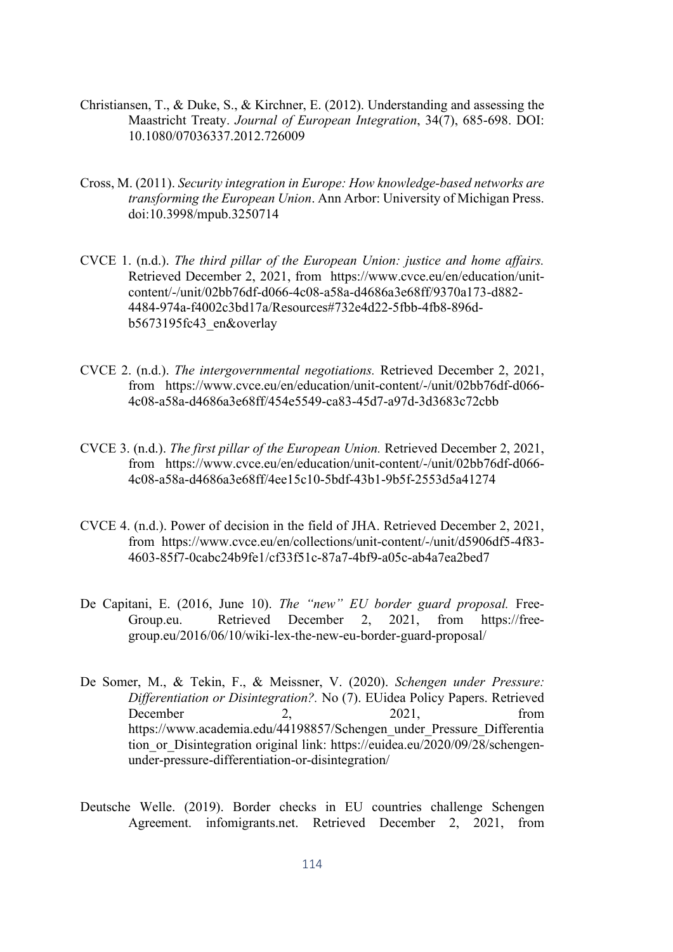- Christiansen, T., & Duke, S., & Kirchner, E. (2012). Understanding and assessing the Maastricht Treaty. *Journal of European Integration*, 34(7), 685-698. DOI: 10.1080/07036337.2012.726009
- Cross, M. (2011). *Security integration in Europe: How knowledge-based networks are transforming the European Union*. Ann Arbor: University of Michigan Press. doi:10.3998/mpub.3250714
- CVCE 1. (n.d.). *The third pillar of the European Union: justice and home affairs.* Retrieved December 2, 2021, from https://www.cvce.eu/en/education/unitcontent/-/unit/02bb76df-d066-4c08-a58a-d4686a3e68ff/9370a173-d882- 4484-974a-f4002c3bd17a/Resources#732e4d22-5fbb-4fb8-896db5673195fc43\_en&overlay
- CVCE 2. (n.d.). *The intergovernmental negotiations.* Retrieved December 2, 2021, from https://www.cvce.eu/en/education/unit-content/-/unit/02bb76df-d066- 4c08-a58a-d4686a3e68ff/454e5549-ca83-45d7-a97d-3d3683c72cbb
- CVCE 3. (n.d.). *The first pillar of the European Union.* Retrieved December 2, 2021, from https://www.cvce.eu/en/education/unit-content/-/unit/02bb76df-d066- 4c08-a58a-d4686a3e68ff/4ee15c10-5bdf-43b1-9b5f-2553d5a41274
- CVCE 4. (n.d.). Power of decision in the field of JHA. Retrieved December 2, 2021, from https://www.cvce.eu/en/collections/unit-content/-/unit/d5906df5-4f83- 4603-85f7-0cabc24b9fe1/cf33f51c-87a7-4bf9-a05c-ab4a7ea2bed7
- De Capitani, E. (2016, June 10). *The "new" EU border guard proposal.* Free-Group.eu. Retrieved December 2, 2021, from https://freegroup.eu/2016/06/10/wiki-lex-the-new-eu-border-guard-proposal/
- De Somer, M., & Tekin, F., & Meissner, V. (2020). *Schengen under Pressure: Differentiation or Disintegration?.* No (7). EUidea Policy Papers. Retrieved December 2, 2021, from https://www.academia.edu/44198857/Schengen\_under\_Pressure\_Differentia tion or Disintegration original link: https://euidea.eu/2020/09/28/schengenunder-pressure-differentiation-or-disintegration/
- Deutsche Welle. (2019). Border checks in EU countries challenge Schengen Agreement. infomigrants.net. Retrieved December 2, 2021, from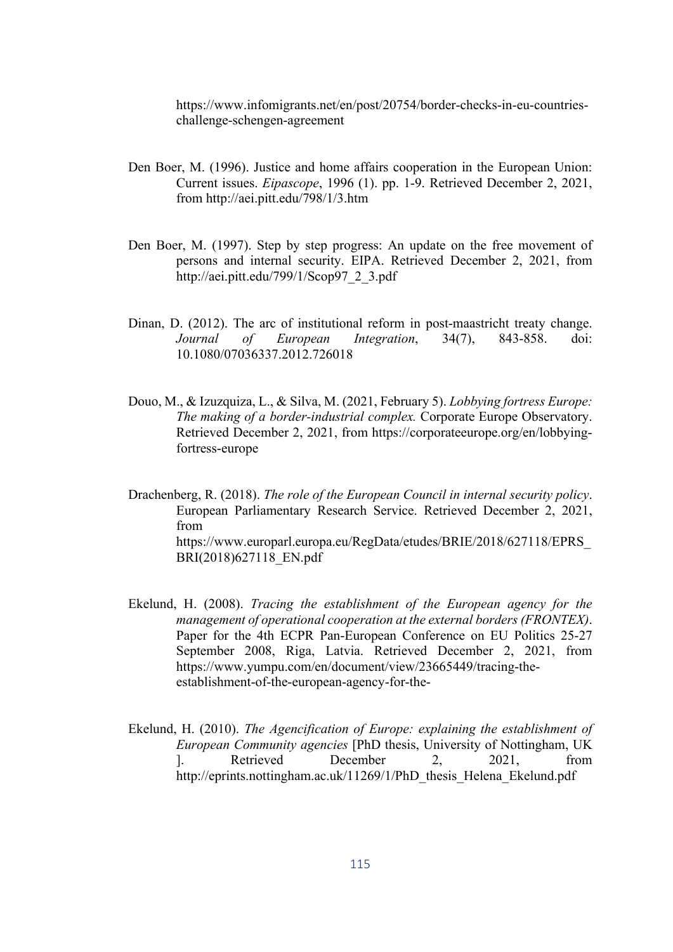https://www.infomigrants.net/en/post/20754/border-checks-in-eu-countrieschallenge-schengen-agreement

- Den Boer, M. (1996). Justice and home affairs cooperation in the European Union: Current issues. *Eipascope*, 1996 (1). pp. 1-9. Retrieved December 2, 2021, from<http://aei.pitt.edu/798/1/3.htm>
- Den Boer, M. (1997). Step by step progress: An update on the free movement of persons and internal security. EIPA. Retrieved December 2, 2021, from http://aei.pitt.edu/799/1/Scop97\_2\_3.pdf
- Dinan, D. (2012). The arc of institutional reform in post-maastricht treaty change. *Journal of European Integration*, 34(7), 843-858. doi: 10.1080/07036337.2012.726018
- Douo, M., & Izuzquiza, L., & Silva, M. (2021, February 5). *Lobbying fortress Europe: The making of a border-industrial complex.* Corporate Europe Observatory. Retrieved December 2, 2021, from https://corporateeurope.org/en/lobbyingfortress-europe
- Drachenberg, R. (2018). *The role of the European Council in internal security policy*. European Parliamentary Research Service. Retrieved December 2, 2021, from https://www.europarl.europa.eu/RegData/etudes/BRIE/2018/627118/EPRS\_ BRI(2018)627118\_EN.pdf
- Ekelund, H. (2008). *Tracing the establishment of the European agency for the management of operational cooperation at the external borders (FRONTEX)*. Paper for the 4th ECPR Pan-European Conference on EU Politics 25-27 September 2008, Riga, Latvia. Retrieved December 2, 2021, from https://www.yumpu.com/en/document/view/23665449/tracing-theestablishment-of-the-european-agency-for-the-
- Ekelund, H. (2010). *The Agencification of Europe: explaining the establishment of European Community agencies* [PhD thesis, University of Nottingham, UK ]. Retrieved December 2, 2021, from [http://eprints.nottingham.ac.uk/11269/1/PhD\\_thesis\\_Helena\\_Ekelund.pdf](http://eprints.nottingham.ac.uk/11269/1/PhD_thesis_Helena_Ekelund.pdf)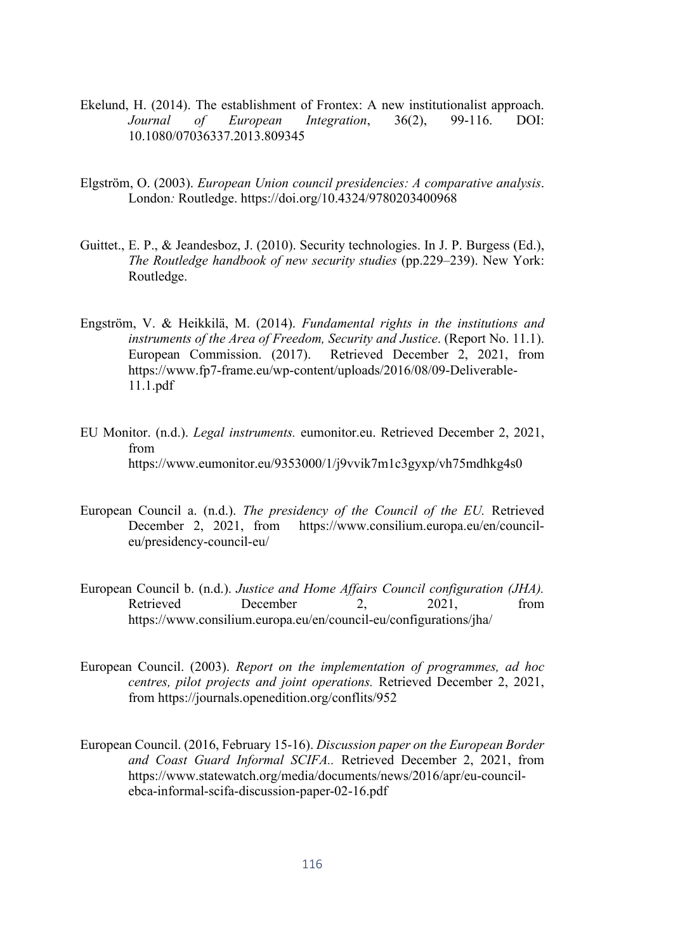- Ekelund, H. (2014). The establishment of Frontex: A new institutionalist approach.<br>
Journal of Euronean Integration. 36(2). 99-116. DOI: *Journal of European Integration*, 36(2), 99-116. DOI: 10.1080/07036337.2013.809345
- Elgström, O. (2003). *European Union council presidencies: A comparative analysis*. London*:* Routledge. https://doi.org/10.4324/9780203400968
- Guittet., E. P., & Jeandesboz, J. (2010). Security technologies. In J. P. Burgess (Ed.), *The Routledge handbook of new security studies* (pp.229–239). New York: Routledge.
- Engström, V. & Heikkilä, M. (2014). *Fundamental rights in the institutions and instruments of the Area of Freedom, Security and Justice*. (Report No. 11.1). European Commission. (2017). Retrieved December 2, 2021, from https://www.fp7-frame.eu/wp-content/uploads/2016/08/09-Deliverable-11.1.pdf
- EU Monitor. (n.d.). *Legal instruments.* eumonitor.eu. Retrieved December 2, 2021, from https://www.eumonitor.eu/9353000/1/j9vvik7m1c3gyxp/vh75mdhkg4s0
- European Council a. (n.d.). *The presidency of the Council of the EU.* Retrieved December 2, 2021, from https://www.consilium.europa.eu/en/councileu/presidency-council-eu/
- European Council b. (n.d.). *Justice and Home Affairs Council configuration (JHA).* Retrieved December 2, 2021, from https://www.consilium.europa.eu/en/council-eu/configurations/jha/
- European Council. (2003). *Report on the implementation of programmes, ad hoc centres, pilot projects and joint operations.* Retrieved December 2, 2021, from https://journals.openedition.org/conflits/952
- European Council. (2016, February 15-16). *Discussion paper on the European Border and Coast Guard Informal SCIFA..* Retrieved December 2, 2021, from https://www.statewatch.org/media/documents/news/2016/apr/eu-councilebca-informal-scifa-discussion-paper-02-16.pdf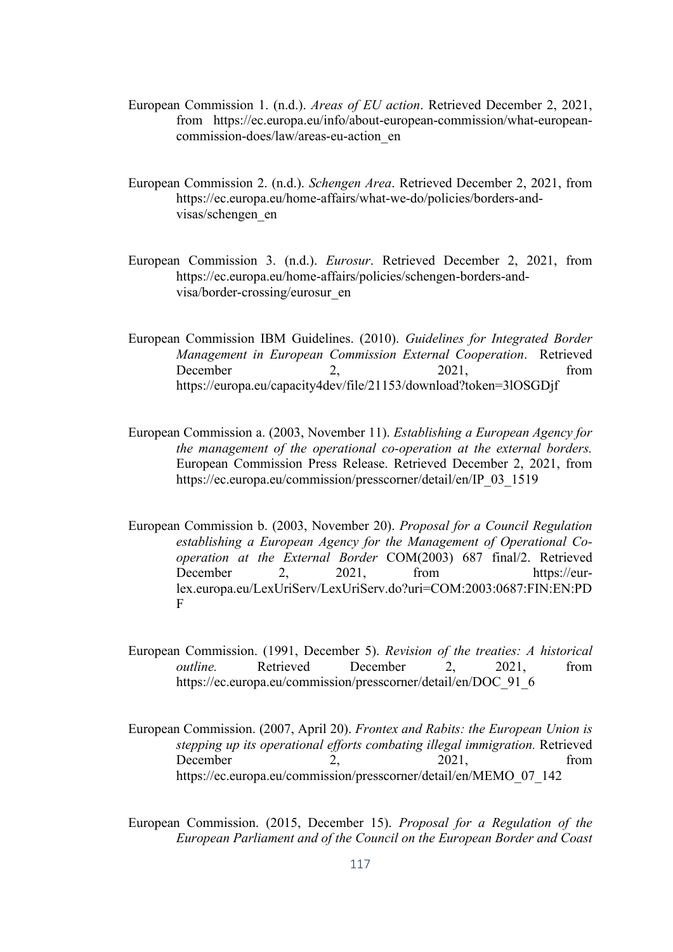- European Commission 1. (n.d.). *Areas of EU action*. Retrieved December 2, 2021, from https://ec.europa.eu/info/about-european-commission/what-europeancommission-does/law/areas-eu-action\_en
- European Commission 2. (n.d.). *Schengen Area*. Retrieved December 2, 2021, from https://ec.europa.eu/home-affairs/what-we-do/policies/borders-andvisas/schengen\_en
- European Commission 3. (n.d.). *Eurosur*. Retrieved December 2, 2021, from https://ec.europa.eu/home-affairs/policies/schengen-borders-andvisa/border-crossing/eurosur\_en
- European Commission IBM Guidelines. (2010). *Guidelines for Integrated Border Management in European Commission External Cooperation*. Retrieved December 2, 2021, from https://europa.eu/capacity4dev/file/21153/download?token=3lOSGDjf
- European Commission a. (2003, November 11). *Establishing a European Agency for the management of the operational co-operation at the external borders.*  European Commission Press Release. Retrieved December 2, 2021, from https://ec.europa.eu/commission/presscorner/detail/en/IP\_03\_1519
- European Commission b. (2003, November 20). *Proposal for a Council Regulation establishing a European Agency for the Management of Operational Cooperation at the External Border* COM(2003) 687 final/2. Retrieved December 2, 2021, from https://eurlex.europa.eu/LexUriServ/LexUriServ.do?uri=COM:2003:0687:FIN:EN:PD F
- European Commission. (1991, December 5). *Revision of the treaties: A historical outline.* Retrieved December 2, 2021, from https://ec.europa.eu/commission/presscorner/detail/en/DOC\_91\_6
- European Commission. (2007, April 20). *Frontex and Rabits: the European Union is stepping up its operational efforts combating illegal immigration.* Retrieved December 2, 2021, from https://ec.europa.eu/commission/presscorner/detail/en/MEMO\_07\_142
- European Commission. (2015, December 15). *Proposal for a Regulation of the European Parliament and of the Council on the European Border and Coast*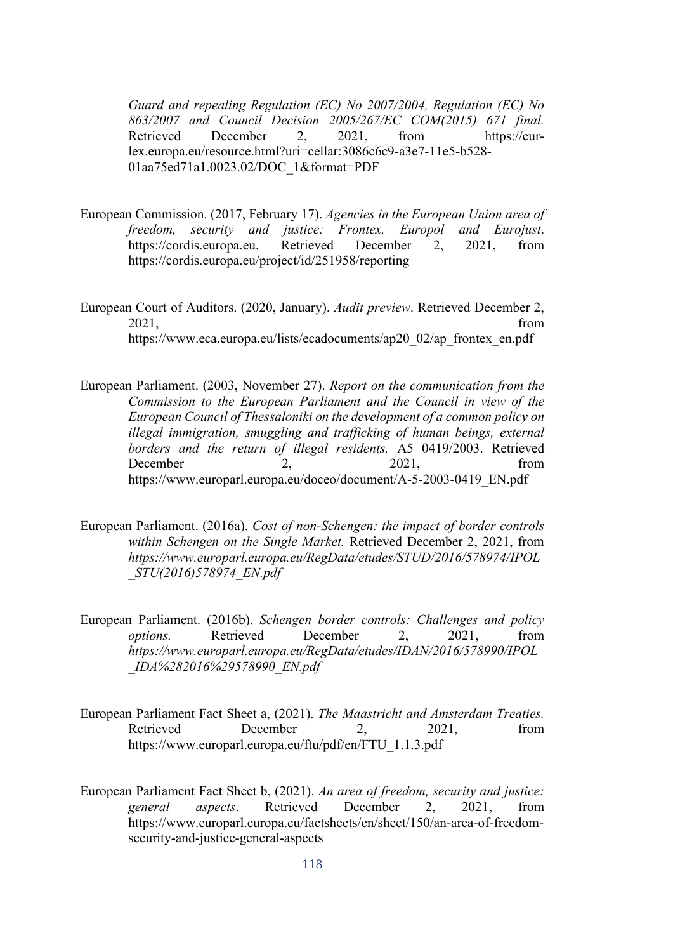*Guard and repealing Regulation (EC) No 2007/2004, Regulation (EC) No 863/2007 and Council Decision 2005/267/EC COM(2015) 671 final.* Retrieved December 2, 2021, from https://eurlex.europa.eu/resource.html?uri=cellar:3086c6c9-a3e7-11e5-b528- 01aa75ed71a1.0023.02/DOC\_1&format=PDF

- European Commission. (2017, February 17). *Agencies in the European Union area of freedom, security and justice: Frontex, Europol and Eurojust*. https://cordis.europa.eu. Retrieved December 2, 2021, from https://cordis.europa.eu/project/id/251958/reporting
- European Court of Auditors. (2020, January). *Audit preview*. Retrieved December 2, 2021, from https://www.eca.europa.eu/lists/ecadocuments/ap20\_02/ap\_frontex\_en.pdf
- European Parliament. (2003, November 27). *Report on the communication from the Commission to the European Parliament and the Council in view of the European Council of Thessaloniki on the development of a common policy on illegal immigration, smuggling and trafficking of human beings, external borders and the return of illegal residents.* A5 0419/2003. Retrieved December 2, 2021, from https://www.europarl.europa.eu/doceo/document/A-5-2003-0419\_EN.pdf
- European Parliament. (2016a). *Cost of non-Schengen: the impact of border controls within Schengen on the Single Market.* Retrieved December 2, 2021, from *https://www.europarl.europa.eu/RegData/etudes/STUD/2016/578974/IPOL \_STU(2016)578974\_EN.pdf*
- European Parliament. (2016b). *Schengen border controls: Challenges and policy options.* Retrieved December 2, 2021, from *https://www.europarl.europa.eu/RegData/etudes/IDAN/2016/578990/IPOL \_IDA%282016%29578990\_EN.pdf*
- European Parliament Fact Sheet a, (2021). *The Maastricht and Amsterdam Treaties.* Retrieved December 2, 2021, from https://www.europarl.europa.eu/ftu/pdf/en/FTU\_1.1.3.pdf
- European Parliament Fact Sheet b, (2021). *An area of freedom, security and justice: general aspects*. Retrieved December 2, 2021, from https://www.europarl.europa.eu/factsheets/en/sheet/150/an-area-of-freedomsecurity-and-justice-general-aspects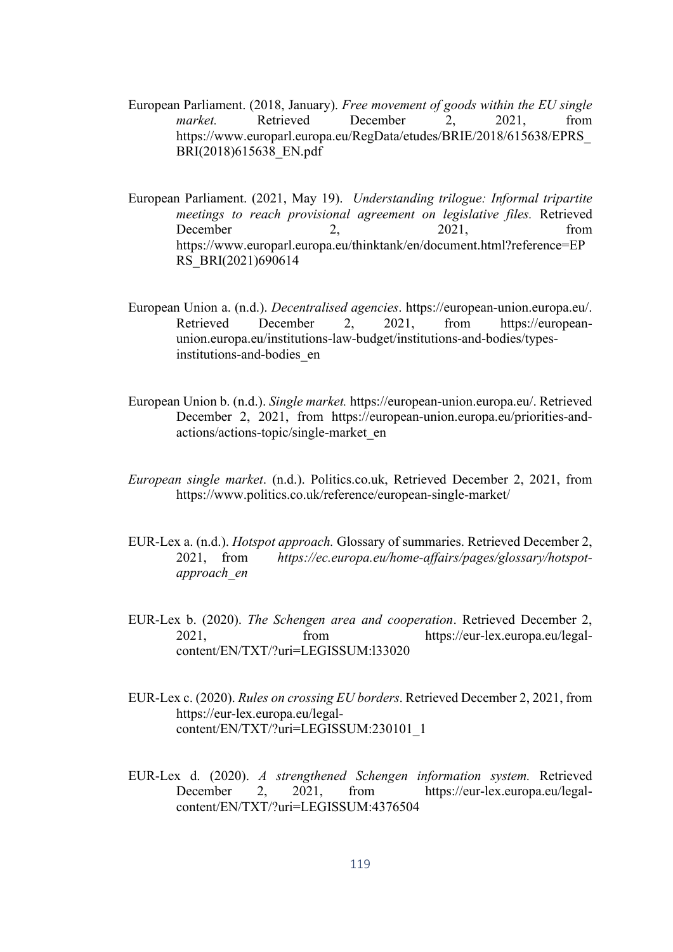- European Parliament. (2018, January). *Free movement of goods within the EU single market.* Retrieved December 2, 2021, from https://www.europarl.europa.eu/RegData/etudes/BRIE/2018/615638/EPRS\_ BRI(2018)615638\_EN.pdf
- European Parliament. (2021, May 19). *Understanding trilogue: Informal tripartite meetings to reach provisional agreement on legislative files.* Retrieved December 2, 2021, from https://www.europarl.europa.eu/thinktank/en/document.html?reference=EP RS\_BRI(2021)690614
- European Union a. (n.d.). *Decentralised agencies*. https://european-union.europa.eu/. Retrieved December 2, 2021, from https://europeanunion.europa.eu/institutions-law-budget/institutions-and-bodies/typesinstitutions-and-bodies\_en
- European Union b. (n.d.). *Single market.* https://european-union.europa.eu/. Retrieved December 2, 2021, from https://european-union.europa.eu/priorities-andactions/actions-topic/single-market\_en
- *European single market*. (n.d.). Politics.co.uk, Retrieved December 2, 2021, from https://www.politics.co.uk/reference/european-single-market/
- EUR-Lex a. (n.d.). *Hotspot approach.* Glossary of summaries. Retrieved December 2, 2021, from *https://ec.europa.eu/home-affairs/pages/glossary/hotspotapproach\_en*
- EUR-Lex b. (2020). *The Schengen area and cooperation*. Retrieved December 2, 2021, from https://eur-lex.europa.eu/legalcontent/EN/TXT/?uri=LEGISSUM:l33020
- EUR-Lex c. (2020). *Rules on crossing EU borders*. Retrieved December 2, 2021, from https://eur-lex.europa.eu/legalcontent/EN/TXT/?uri=LEGISSUM:230101\_1
- EUR-Lex d. (2020). *A strengthened Schengen information system.* Retrieved December 2, 2021, from https://eur-lex.europa.eu/legalcontent/EN/TXT/?uri=LEGISSUM:4376504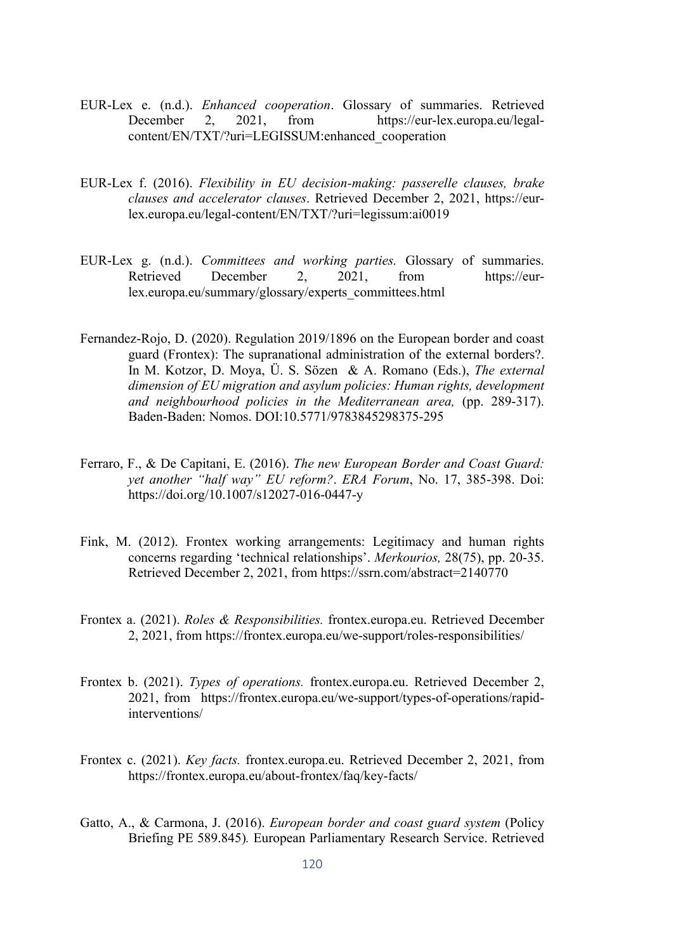- EUR-Lex e. (n.d.). *Enhanced cooperation*. Glossary of summaries. Retrieved December 2, 2021, from https://eur-lex.europa.eu/legalcontent/EN/TXT/?uri=LEGISSUM:enhanced\_cooperation
- EUR-Lex f. (2016). *Flexibility in EU decision-making: passerelle clauses, brake clauses and accelerator clauses*. Retrieved December 2, 2021, https://eurlex.europa.eu/legal-content/EN/TXT/?uri=legissum:ai0019
- EUR-Lex g. (n.d.). *Committees and working parties.* Glossary of summaries. Retrieved December 2, 2021, from https://eurlex.europa.eu/summary/glossary/experts\_committees.html
- Fernandez-Rojo, D. (2020). Regulation 2019/1896 on the European border and coast guard (Frontex): The supranational administration of the external borders?. In M. Kotzor, D. Moya, Ü. S. Sözen & A. Romano (Eds.), *The external dimension of EU migration and asylum policies: Human rights, development and neighbourhood policies in the Mediterranean area,* (pp. 289-317). Baden-Baden: Nomos. DOI[:10.5771/9783845298375-295](http://dx.doi.org/10.5771/9783845298375-295)
- Ferraro, F., & De Capitani, E. (2016). *The new European Border and Coast Guard: yet another "half way" EU reform?*. *ERA Forum*, No. 17, 385-398. Doi: https://doi.org/10.1007/s12027-016-0447-y
- Fink, M. (2012). Frontex working arrangements: Legitimacy and human rights concerns regarding 'technical relationships'. *Merkourios,* 28(75), pp. 20-35. Retrieved December 2, 2021, from https://ssrn.com/abstract=2140770
- Frontex a. (2021). *Roles & Responsibilities.* frontex.europa.eu. Retrieved December 2, 2021, from https://frontex.europa.eu/we-support/roles-responsibilities/
- Frontex b. (2021). *Types of operations.* frontex.europa.eu. Retrieved December 2, 2021, from https://frontex.europa.eu/we-support/types-of-operations/rapidinterventions/
- Frontex c. (2021). *Key facts.* frontex.europa.eu. Retrieved December 2, 2021, from https://frontex.europa.eu/about-frontex/faq/key-facts/
- Gatto, A., & Carmona, J. (2016). *European border and coast guard system* (Policy Briefing PE 589.845)*.* European Parliamentary Research Service. Retrieved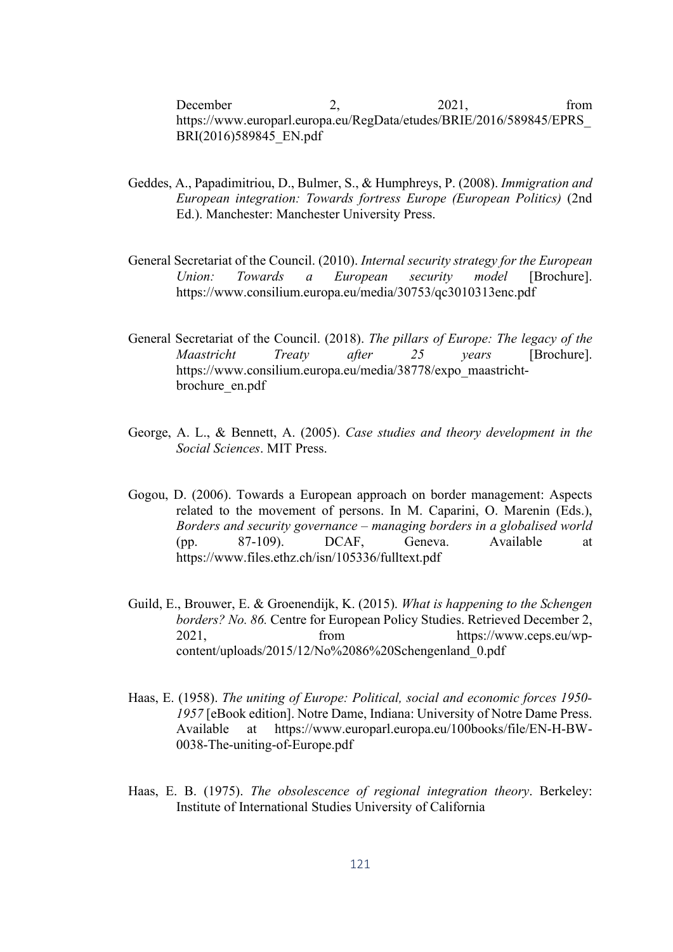December 2, 2021, from https://www.europarl.europa.eu/RegData/etudes/BRIE/2016/589845/EPRS\_ BRI(2016)589845\_EN.pdf

- Geddes, A., Papadimitriou, D., Bulmer, S., & Humphreys, P. (2008). *Immigration and European integration: Towards fortress Europe (European Politics)* (2nd Ed.). Manchester: Manchester University Press.
- General Secretariat of the Council. (2010). *Internal security strategy for the European Union: Towards a European security model* [Brochure]. https://www.consilium.europa.eu/media/30753/qc3010313enc.pdf
- General Secretariat of the Council. (2018). *The pillars of Europe: The legacy of the Maastricht Treaty after 25 years* [Brochure]. https://www.consilium.europa.eu/media/38778/expo\_maastrichtbrochure\_en.pdf
- George, A. L., & Bennett, A. (2005). *Case studies and theory development in the Social Sciences*. MIT Press.
- Gogou, D. (2006). Towards a European approach on border management: Aspects related to the movement of persons. In M. Caparini, O. Marenin (Eds.), *Borders and security governance – managing borders in a globalised world*  (pp. 87-109). DCAF, Geneva. Available at https://www.files.ethz.ch/isn/105336/fulltext.pdf
- Guild, E., Brouwer, E. & Groenendijk, K. (2015). *What is happening to the Schengen borders? No. 86.* Centre for European Policy Studies. Retrieved December 2, 2021, from https://www.ceps.eu/wpcontent/uploads/2015/12/No%2086%20Schengenland\_0.pdf
- Haas, E. (1958). *The uniting of Europe: Political, social and economic forces 1950- 1957* [eBook edition]. Notre Dame, Indiana: University of Notre Dame Press. Available at https://www.europarl.europa.eu/100books/file/EN-H-BW-0038-The-uniting-of-Europe.pdf
- Haas, E. B. (1975). *The obsolescence of regional integration theory*. Berkeley: Institute of International Studies University of California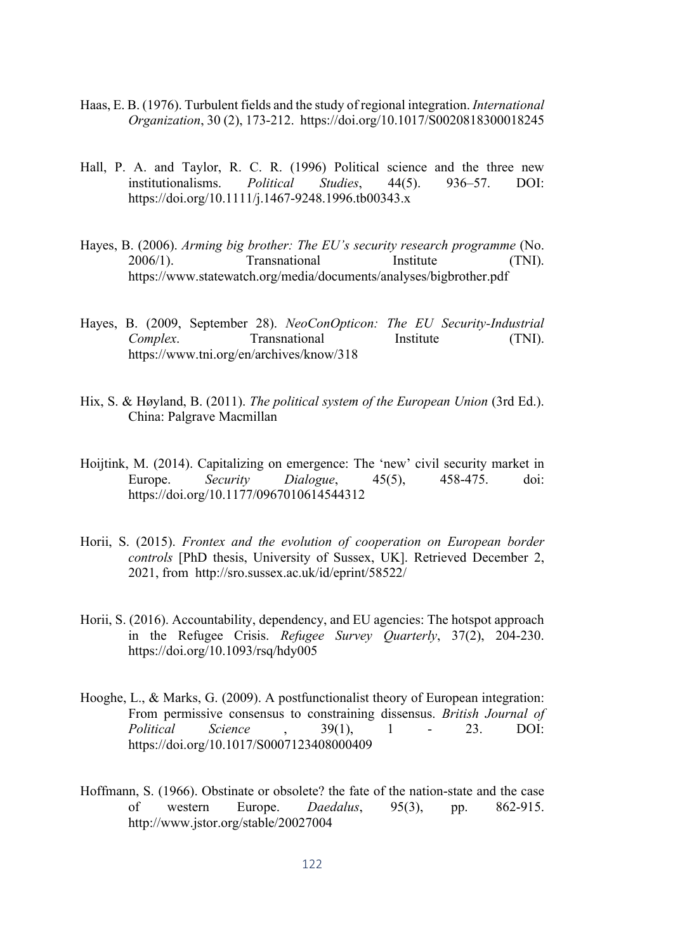- Haas, E. B. (1976). Turbulent fields and the study of regional integration. *International Organization*, 30 (2), 173-212. https://doi.org/10.1017/S0020818300018245
- Hall, P. A. and Taylor, R. C. R. (1996) Political science and the three new institutionalisms. *Political Studies*, 44(5). 936–57. DOI: https://doi.org/10.1111/j.1467-9248.1996.tb00343.x
- Hayes, B. (2006). *Arming big brother: The EU's security research programme* (No. 2006/1). Transnational Institute (TNI). https://www.statewatch.org/media/documents/analyses/bigbrother.pdf
- Hayes, B. (2009, September 28). *NeoConOpticon: The EU Security-Industrial Complex.* Transnational Institute (TNI). https://www.tni.org/en/archives/know/318
- Hix, S. & Høyland, B. (2011). *The political system of the European Union* (3rd Ed.). China: Palgrave Macmillan
- Hoijtink, M. (2014). Capitalizing on emergence: The 'new' civil security market in Europe. *Security Dialogue*, 45(5), 458-475. doi: https://doi.org/10.1177/0967010614544312
- Horii, S. (2015). *Frontex and the evolution of cooperation on European border controls* [PhD thesis, University of Sussex, UK]. Retrieved December 2, 2021, from<http://sro.sussex.ac.uk/id/eprint/58522/>
- Horii, S. (2016). Accountability, dependency, and EU agencies: The hotspot approach in the Refugee Crisis. *Refugee Survey Quarterly*, 37(2), 204-230. https://doi.org/10.1093/rsq/hdy005
- Hooghe, L., & Marks, G. (2009). A postfunctionalist theory of European integration: From permissive consensus to constraining dissensus. *British Journal of Political Science* , 39(1), 1 - 23. DOI: https://doi.org/10.1017/S0007123408000409
- Hoffmann, S. (1966). Obstinate or obsolete? the fate of the nation-state and the case of western Europe. *Daedalus*, 95(3), pp. 862-915. http://www.jstor.org/stable/20027004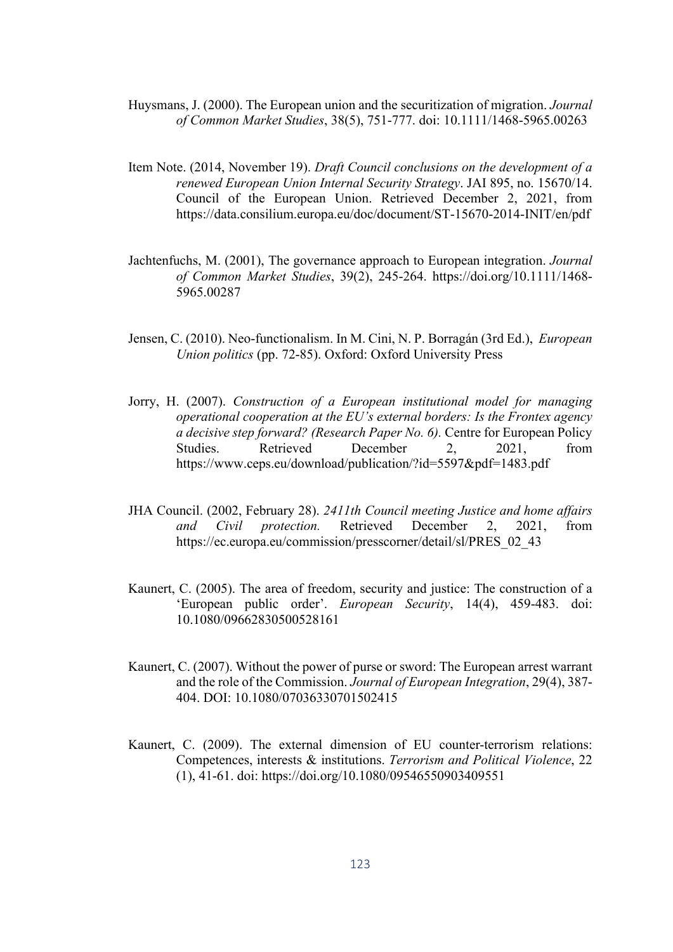- Huysmans, J. (2000). The European union and the securitization of migration. *Journal of Common Market Studies*, 38(5), 751-777. doi: 10.1111/1468-5965.00263
- Item Note. (2014, November 19). *Draft Council conclusions on the development of a renewed European Union Internal Security Strategy*. JAI 895, no. 15670/14. Council of the European Union. Retrieved December 2, 2021, from https://data.consilium.europa.eu/doc/document/ST-15670-2014-INIT/en/pdf
- Jachtenfuchs, M. (2001), The governance approach to European integration. *Journal of Common Market Studies*, 39(2), 245-264. https://doi.org/10.1111/1468- 5965.00287
- Jensen, C. (2010). Neo-functionalism. In M. Cini, N. P. Borragán (3rd Ed.), *European Union politics* (pp. 72-85). Oxford: Oxford University Press
- Jorry, H. (2007). *Construction of a European institutional model for managing operational cooperation at the EU's external borders: Is the Frontex agency a decisive step forward? (Research Paper No. 6).* Centre for European Policy Studies. Retrieved December 2, 2021, from https://www.ceps.eu/download/publication/?id=5597&pdf=1483.pdf
- JHA Council. (2002, February 28). *2411th Council meeting Justice and home affairs and Civil protection.* Retrieved December 2, 2021, from https://ec.europa.eu/commission/presscorner/detail/sl/PRES\_02\_43
- Kaunert, C. (2005). The area of freedom, security and justice: The construction of a 'European public order'. *European Security*, 14(4), 459-483. doi: 10.1080/09662830500528161
- Kaunert, C. (2007). Without the power of purse or sword: The European arrest warrant and the role of the Commission. *Journal of European Integration*, 29(4), 387- 404. DOI: 10.1080/07036330701502415
- Kaunert, C. (2009). The external dimension of EU counter-terrorism relations: Competences, interests & institutions. *Terrorism and Political Violence*, 22 (1), 41-61. doi: https://doi.org/10.1080/09546550903409551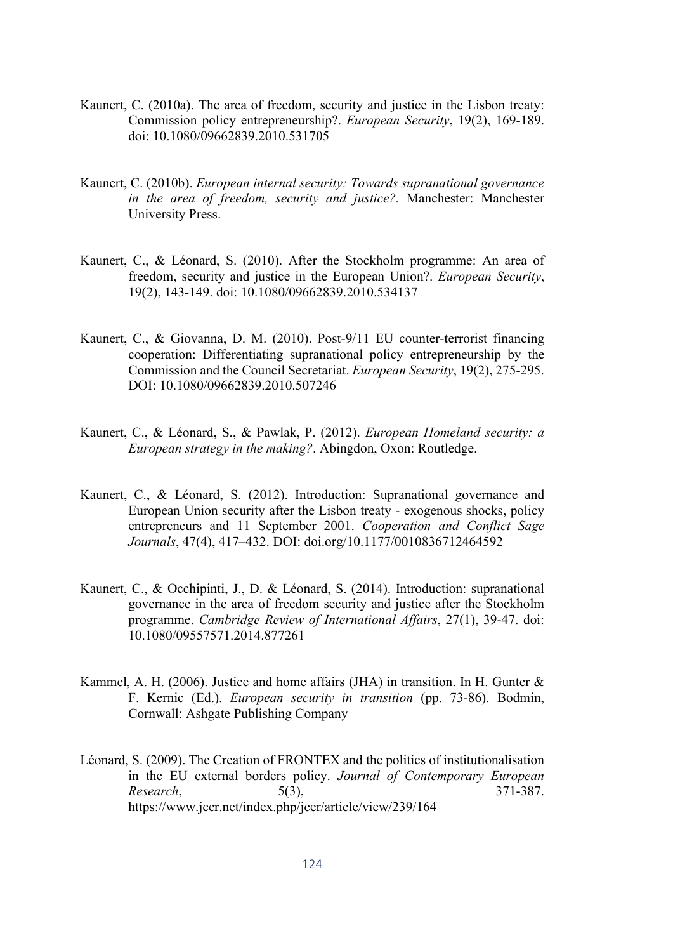- Kaunert, C. (2010a). The area of freedom, security and justice in the Lisbon treaty: Commission policy entrepreneurship?. *European Security*, 19(2), 169-189. doi: 10.1080/09662839.2010.531705
- Kaunert, C. (2010b). *European internal security: Towards supranational governance in the area of freedom, security and justice?.* Manchester: Manchester University Press.
- Kaunert, C., & Léonard, S. (2010). After the Stockholm programme: An area of freedom, security and justice in the European Union?. *European Security*, 19(2), 143-149. doi: 10.1080/09662839.2010.534137
- Kaunert, C., & Giovanna, D. M. (2010). Post-9/11 EU counter-terrorist financing cooperation: Differentiating supranational policy entrepreneurship by the Commission and the Council Secretariat. *European Security*, 19(2), 275-295. DOI: 10.1080/09662839.2010.507246
- Kaunert, C., & Léonard, S., & Pawlak, P. (2012). *European Homeland security: a European strategy in the making?*. Abingdon, Oxon: Routledge.
- Kaunert, C., & Léonard, S. (2012). Introduction: Supranational governance and European Union security after the Lisbon treaty - exogenous shocks, policy entrepreneurs and 11 September 2001. *Cooperation and Conflict Sage Journals*, 47(4), 417–432. DOI: doi.org/10.1177/0010836712464592
- Kaunert, C., & Occhipinti, J., D. & Léonard, S. (2014). Introduction: supranational governance in the area of freedom security and justice after the Stockholm programme. *Cambridge Review of International Affairs*, 27(1), 39-47. doi: 10.1080/09557571.2014.877261
- Kammel, A. H. (2006). Justice and home affairs (JHA) in transition. In H. Gunter & F. Kernic (Ed.). *European security in transition* (pp. 73-86). Bodmin, Cornwall: Ashgate Publishing Company
- Léonard, S. (2009). The Creation of FRONTEX and the politics of institutionalisation in the EU external borders policy. *Journal of Contemporary European Research*, 5(3), 371-387. https://www.jcer.net/index.php/jcer/article/view/239/164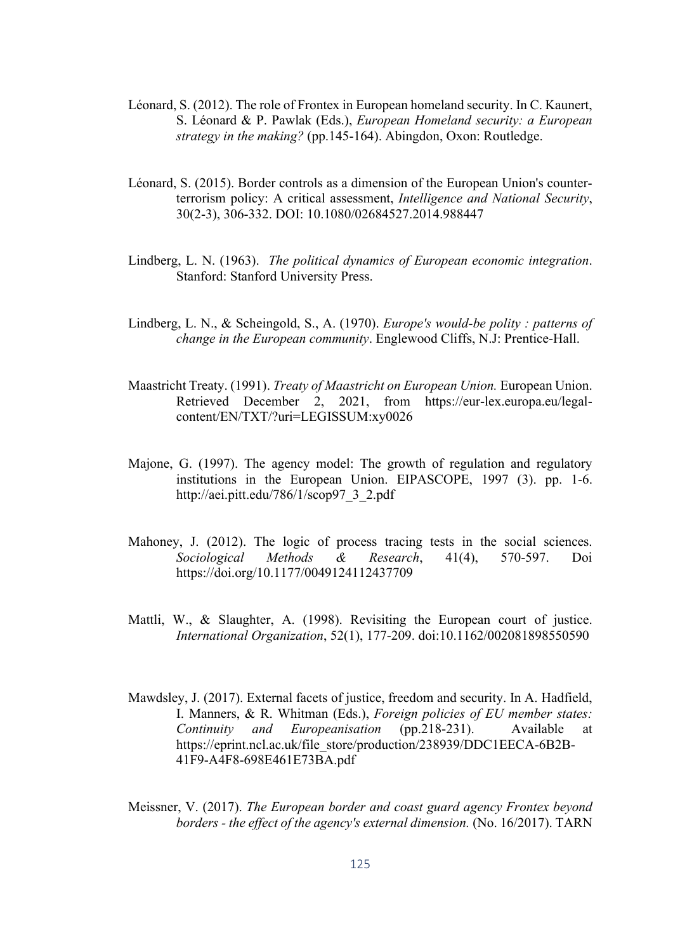- Léonard, S. (2012). The role of Frontex in European homeland security. In C. Kaunert, S. Léonard & P. Pawlak (Eds.), *European Homeland security: a European strategy in the making?* (pp.145-164). Abingdon, Oxon: Routledge.
- Léonard, S. (2015). Border controls as a dimension of the European Union's counterterrorism policy: A critical assessment, *Intelligence and National Security*, 30(2-3), 306-332. DOI: 10.1080/02684527.2014.988447
- Lindberg, L. N. (1963). *The political dynamics of European economic integration*. Stanford: Stanford University Press.
- Lindberg, L. N., & Scheingold, S., A. (1970). *Europe's would-be polity : patterns of change in the European community*. Englewood Cliffs, N.J: Prentice-Hall.
- Maastricht Treaty. (1991). *Treaty of Maastricht on European Union.* European Union. Retrieved December 2, 2021, from https://eur-lex.europa.eu/legalcontent/EN/TXT/?uri=LEGISSUM:xy0026
- Majone, G. (1997). The agency model: The growth of regulation and regulatory institutions in the European Union. EIPASCOPE, 1997 (3). pp. 1-6[.](http://aei.pitt.edu/786/1/scop97_3_2.pdf) [http://aei.pitt.edu/786/1/scop97\\_3\\_2.pdf](http://aei.pitt.edu/786/1/scop97_3_2.pdf)
- Mahoney, J. (2012). The logic of process tracing tests in the social sciences. *Sociological Methods & Research*, 41(4), 570-597. Doi https://doi.org/10.1177/0049124112437709
- Mattli, W., & Slaughter, A. (1998). Revisiting the European court of justice. *International Organization*, 52(1), 177-209. doi:10.1162/002081898550590
- Mawdsley, J. (2017). External facets of justice, freedom and security. In A. Hadfield, I. Manners, & R. Whitman (Eds.), *Foreign policies of EU member states: Continuity and Europeanisation* (pp.218-231). Available at https://eprint.ncl.ac.uk/file\_store/production/238939/DDC1EECA-6B2B-41F9-A4F8-698E461E73BA.pdf
- Meissner, V. (2017). *The European border and coast guard agency Frontex beyond borders - the effect of the agency's external dimension.* (No. 16/2017). TARN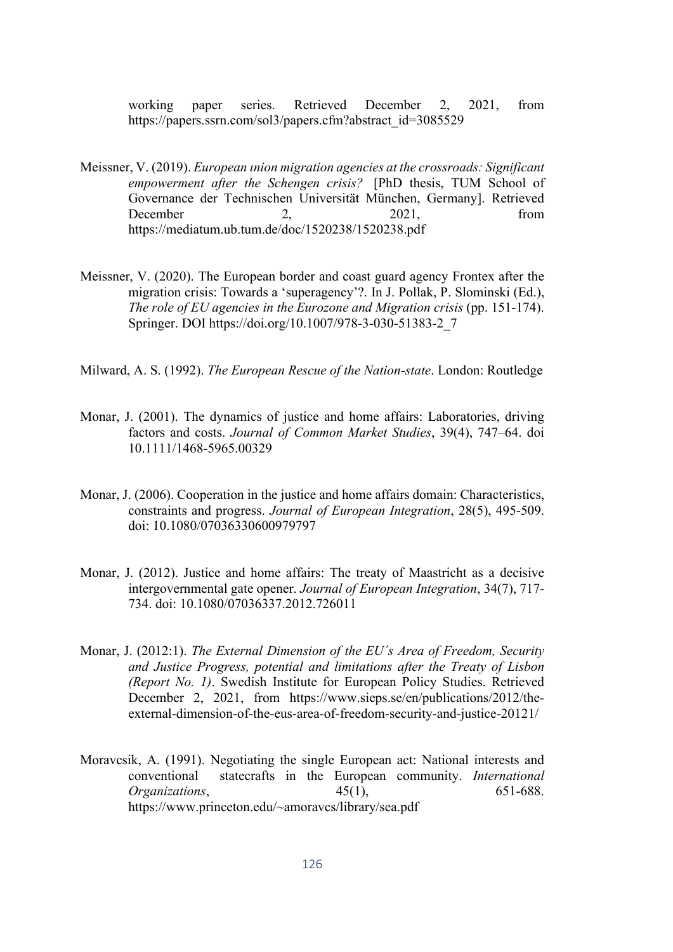working paper series. Retrieved December 2, 2021, from https://papers.ssrn.com/sol3/papers.cfm?abstract\_id=3085529

- Meissner, V. (2019). *European ınion migration agencies at the crossroads: Significant empowerment after the Schengen crisis?* [PhD thesis, TUM School of Governance der Technischen Universität München, Germany]. Retrieved December 2, 2021, from https://mediatum.ub.tum.de/doc/1520238/1520238.pdf
- Meissner, V. (2020). The European border and coast guard agency Frontex after the migration crisis: Towards a 'superagency'?. In J. Pollak, P. Slominski (Ed.), *The role of EU agencies in the Eurozone and Migration crisis* (pp. 151-174). Springer. DOI https://doi.org/10.1007/978-3-030-51383-2\_7
- Milward, A. S. (1992). *The European Rescue of the Nation-state*. London: Routledge
- Monar, J. (2001). The dynamics of justice and home affairs: Laboratories, driving factors and costs. *Journal of Common Market Studies*, 39(4), 747–64. doi 10.1111/1468-5965.00329
- Monar, J. (2006). Cooperation in the justice and home affairs domain: Characteristics, constraints and progress. *Journal of European Integration*, 28(5), 495-509. doi: 10.1080/07036330600979797
- Monar, J. (2012). Justice and home affairs: The treaty of Maastricht as a decisive intergovernmental gate opener. *Journal of European Integration*, 34(7), 717- 734. doi: 10.1080/07036337.2012.726011
- Monar, J. (2012:1). *The External Dimension of the EU´s Area of Freedom, Security and Justice Progress, potential and limitations after the Treaty of Lisbon (Report No. 1)*. Swedish Institute for European Policy Studies. Retrieved December 2, 2021, from https://www.sieps.se/en/publications/2012/theexternal-dimension-of-the-eus-area-of-freedom-security-and-justice-20121/
- Moravcsik, A. (1991). Negotiating the single European act: National interests and conventional statecrafts in the European community. *International Organizations*, 45(1), 651-688. https://www.princeton.edu/~amoravcs/library/sea.pdf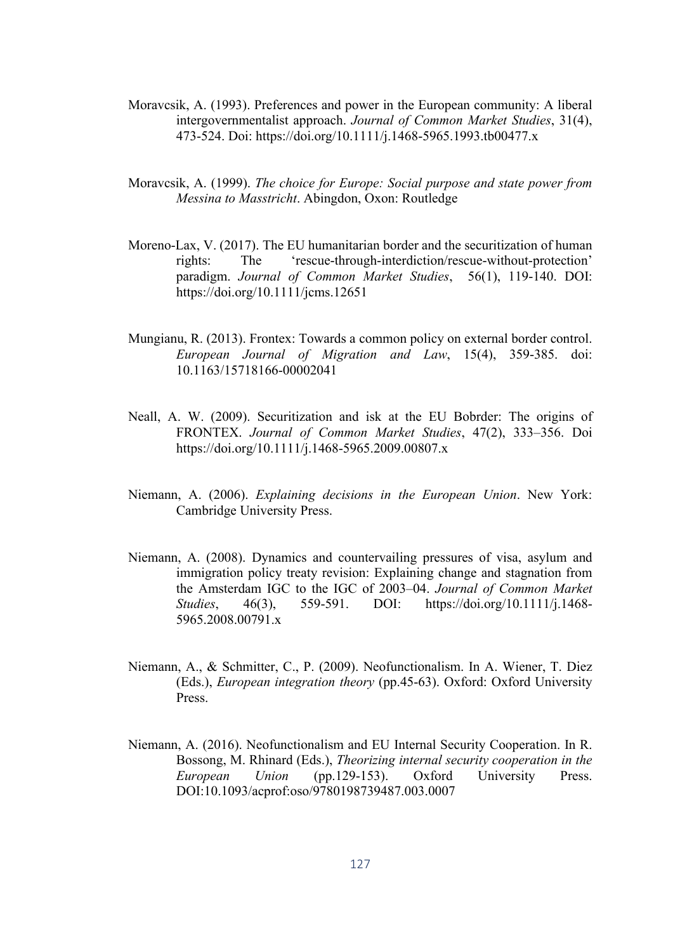- Moravcsik, A. (1993). Preferences and power in the European community: A liberal intergovernmentalist approach. *Journal of Common Market Studies*, 31(4), 473-524. Doi: https://doi.org/10.1111/j.1468-5965.1993.tb00477.x
- Moravcsik, A. (1999). *The choice for Europe: Social purpose and state power from Messina to Masstricht*. Abingdon, Oxon: Routledge
- Moreno-Lax, V. (2017). The EU humanitarian border and the securitization of human rights: The 'rescue‐through‐interdiction/rescue‐without‐protection' paradigm. *Journal of Common Market Studies*, 56(1), 119-140. DOI: https://doi.org/10.1111/jcms.12651
- Mungianu, R. (2013). Frontex: Towards a common policy on external border control. *European Journal of Migration and Law*, 15(4), 359-385. doi: 10.1163/15718166-00002041
- Neall, A. W. (2009). Securitization and isk at the EU Bobrder: The origins of FRONTEX. *Journal of Common Market Studies*, 47(2), 333–356. Doi https://doi.org/10.1111/j.1468-5965.2009.00807.x
- Niemann, A. (2006). *Explaining decisions in the European Union*. New York: Cambridge University Press.
- Niemann, A. (2008). Dynamics and countervailing pressures of visa, asylum and immigration policy treaty revision: Explaining change and stagnation from the Amsterdam IGC to the IGC of 2003–04. *Journal of Common Market Studies*, 46(3), 559-591. DOI: https://doi.org/10.1111/j.1468- 5965.2008.00791.x
- Niemann, A., & Schmitter, C., P. (2009). Neofunctionalism. In A. Wiener, T. Diez (Eds.), *European integration theory* (pp.45-63). Oxford: Oxford University Press.
- Niemann, A. (2016). Neofunctionalism and EU Internal Security Cooperation. In R. Bossong, M. Rhinard (Eds.), *Theorizing internal security cooperation in the European Union* (pp.129-153). Oxford University Press. DOI:10.1093/acprof:oso/9780198739487.003.0007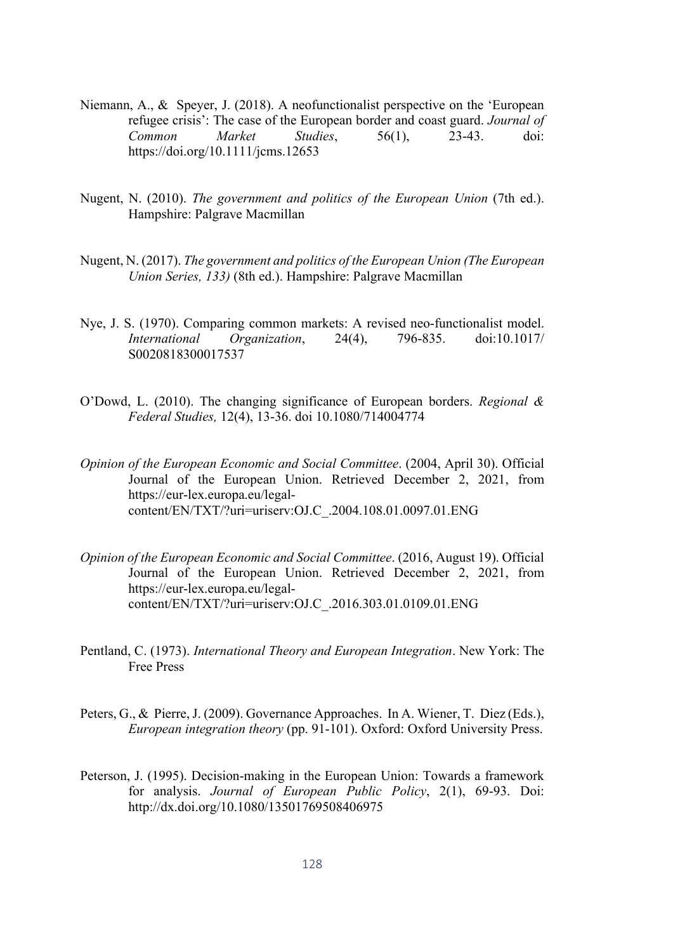- Niemann, A., & Speyer, J. (2018). A neofunctionalist perspective on the 'European refugee crisis': The case of the European border and coast guard. *Journal of Common Market Studies*, 56(1), 23-43. doi: https://doi.org/10.1111/jcms.12653
- Nugent, N. (2010). *The government and politics of the European Union* (7th ed.). Hampshire: Palgrave Macmillan
- Nugent, N. (2017). *The government and politics of the European Union (The European Union Series, 133)* (8th ed.). Hampshire: Palgrave Macmillan
- Nye, J. S. (1970). Comparing common markets: A revised neo-functionalist model. *International Organization*, 24(4), 796-835. doi:10.1017/ S0020818300017537
- O'Dowd, L. (2010). The changing significance of European borders. *Regional & Federal Studies,* 12(4), 13-36. doi 10.1080/714004774
- *Opinion of the European Economic and Social Committee*. (2004, April 30). Official Journal of the European Union. Retrieved December 2, 2021, from https://eur-lex.europa.eu/legalcontent/EN/TXT/?uri=uriserv:OJ.C\_.2004.108.01.0097.01.ENG
- *Opinion of the European Economic and Social Committee*. (2016, August 19). Official Journal of the European Union. Retrieved December 2, 2021, from https://eur-lex.europa.eu/legalcontent/EN/TXT/?uri=uriserv:OJ.C\_.2016.303.01.0109.01.ENG
- Pentland, C. (1973). *International Theory and European Integration*. New York: The Free Press
- Peters, G., & Pierre, J. (2009). Governance Approaches. In A. Wiener, T. Diez (Eds.), *European integration theory* (pp. 91-101). Oxford: Oxford University Press.
- Peterson, J. (1995). Decision‐making in the European Union: Towards a framework for analysis. *Journal of European Public Policy*, 2(1), 69-93. Doi: <http://dx.doi.org/10.1080/13501769508406975>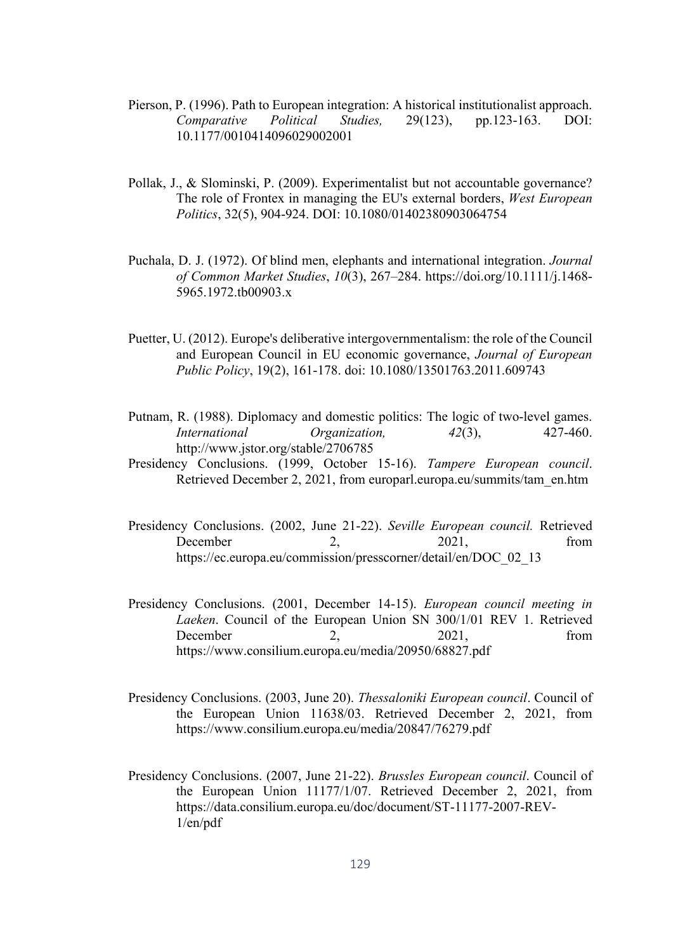- Pierson, P. (1996). Path to European integration: A historical institutionalist approach. *Comparative Political Studies,* 29(123), pp.123-163. DOI: 10.1177/0010414096029002001
- Pollak, J., & Slominski, P. (2009). Experimentalist but not accountable governance? The role of Frontex in managing the EU's external borders, *West European Politics*, 32(5), 904-924. DOI: 10.1080/01402380903064754
- Puchala, D. J. (1972). Of blind men, elephants and international integration. *Journal of Common Market Studies*, *10*(3), 267–284. https://doi.org/10.1111/j.1468- 5965.1972.tb00903.x
- Puetter, U. (2012). Europe's deliberative intergovernmentalism: the role of the Council and European Council in EU economic governance, *Journal of European Public Policy*, 19(2), 161-178. doi: 10.1080/13501763.2011.609743
- Putnam, R. (1988). Diplomacy and domestic politics: The logic of two-level games. *International Organization, 42*(3), 427-460. <http://www.jstor.org/stable/2706785>
- Presidency Conclusions. (1999, October 15-16). *Tampere European council*. Retrieved December 2, 2021, from europarl.europa.eu/summits/tam\_en.htm
- Presidency Conclusions. (2002, June 21-22). *Seville European council.* Retrieved December 2, 2021, from https://ec.europa.eu/commission/presscorner/detail/en/DOC\_02\_13
- Presidency Conclusions. (2001, December 14-15). *European council meeting in Laeken*. Council of the European Union SN 300/1/01 REV 1. Retrieved December 2, 2021, from https://www.consilium.europa.eu/media/20950/68827.pdf
- Presidency Conclusions. (2003, June 20). *Thessaloniki European council*. Council of the European Union 11638/03. Retrieved December 2, 2021, from https://www.consilium.europa.eu/media/20847/76279.pdf
- Presidency Conclusions. (2007, June 21-22). *Brussles European council*. Council of the European Union 11177/1/07. Retrieved December 2, 2021, from https://data.consilium.europa.eu/doc/document/ST-11177-2007-REV-1/en/pdf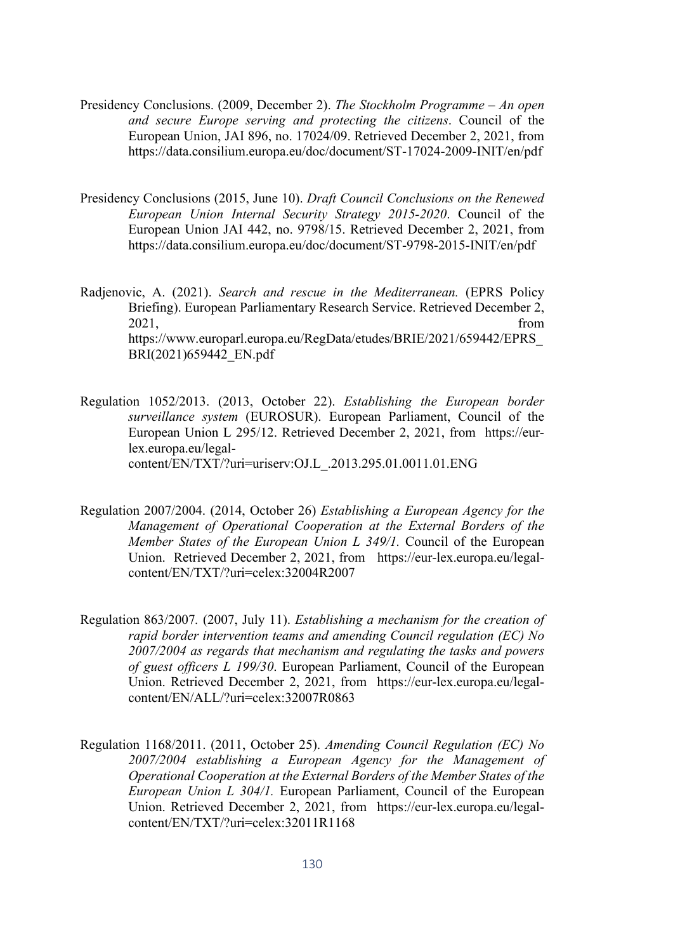- Presidency Conclusions. (2009, December 2). *The Stockholm Programme – An open and secure Europe serving and protecting the citizens*. Council of the European Union, JAI 896, no. 17024/09. Retrieved December 2, 2021, from https://data.consilium.europa.eu/doc/document/ST-17024-2009-INIT/en/pdf
- Presidency Conclusions (2015, June 10). *Draft Council Conclusions on the Renewed European Union Internal Security Strategy 2015-2020*. Council of the European Union JAI 442, no. 9798/15. Retrieved December 2, 2021, from https://data.consilium.europa.eu/doc/document/ST-9798-2015-INIT/en/pdf
- Radjenovic, A. (2021). *Search and rescue in the Mediterranean.* (EPRS Policy Briefing). European Parliamentary Research Service. Retrieved December 2, 2021, from https://www.europarl.europa.eu/RegData/etudes/BRIE/2021/659442/EPRS\_ BRI(2021)659442\_EN.pdf
- Regulation 1052/2013. (2013, October 22). *Establishing the European border surveillance system* (EUROSUR). European Parliament, Council of the European Union L 295/12. Retrieved December 2, 2021, from https://eurlex.europa.eu/legalcontent/EN/TXT/?uri=uriserv:OJ.L\_.2013.295.01.0011.01.ENG
- Regulation 2007/2004. (2014, October 26) *Establishing a European Agency for the Management of Operational Cooperation at the External Borders of the Member States of the European Union L 349/1.* Council of the European Union. Retrieved December 2, 2021, from https://eur-lex.europa.eu/legalcontent/EN/TXT/?uri=celex:32004R2007
- Regulation 863/2007*.* (2007, July 11). *Establishing a mechanism for the creation of rapid border intervention teams and amending Council regulation (EC) No 2007/2004 as regards that mechanism and regulating the tasks and powers of guest officers L 199/30*. European Parliament, Council of the European Union. Retrieved December 2, 2021, from https://eur-lex.europa.eu/legalcontent/EN/ALL/?uri=celex:32007R0863
- Regulation 1168/2011. (2011, October 25). *Amending Council Regulation (EC) No 2007/2004 establishing a European Agency for the Management of Operational Cooperation at the External Borders of the Member States of the European Union L 304/1.* European Parliament, Council of the European Union. Retrieved December 2, 2021, from https://eur-lex.europa.eu/legalcontent/EN/TXT/?uri=celex:32011R1168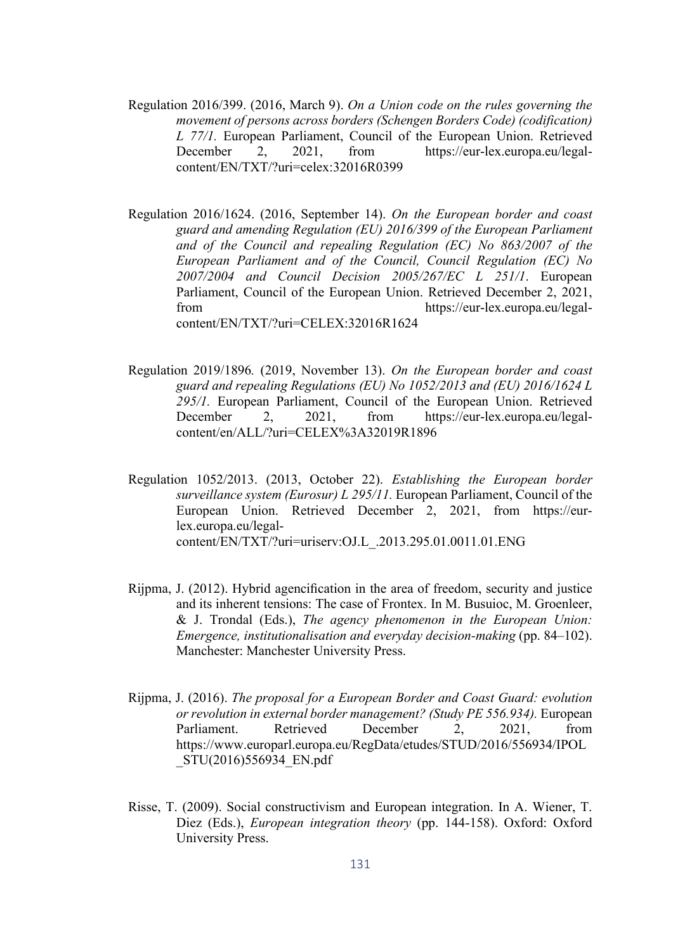Regulation 2016/399. (2016, March 9). *On a Union code on the rules governing the movement of persons across borders (Schengen Borders Code) (codification) L 77/1.* European Parliament, Council of the European Union. Retrieved December 2, 2021, from https://eur-lex.europa.eu/legalcontent/EN/TXT/?uri=celex:32016R0399

Regulation 2016/1624. (2016, September 14). *On the European border and coast guard and amending Regulation (EU) 2016/399 of the European Parliament and of the Council and repealing Regulation (EC) No 863/2007 of the European Parliament and of the Council, Council Regulation (EC) No 2007/2004 and Council Decision 2005/267/EC L 251/1*. European Parliament, Council of the European Union. Retrieved December 2, 2021, from https://eur-lex.europa.eu/legalcontent/EN/TXT/?uri=CELEX:32016R1624

- Regulation 2019/1896*.* (2019, November 13). *On the European border and coast guard and repealing Regulations (EU) No 1052/2013 and (EU) 2016/1624 L 295/1.* European Parliament, Council of the European Union. Retrieved December 2, 2021, from https://eur-lex.europa.eu/legalcontent/en/ALL/?uri=CELEX%3A32019R1896
- Regulation 1052/2013. (2013, October 22). *Establishing the European border surveillance system (Eurosur) L 295/11.* European Parliament, Council of the European Union. Retrieved December 2, 2021, from https://eurlex.europa.eu/legalcontent/EN/TXT/?uri=uriserv:OJ.L\_.2013.295.01.0011.01.ENG
- Rijpma, J. (2012). Hybrid agencification in the area of freedom, security and justice and its inherent tensions: The case of Frontex. In M. Busuioc, M. Groenleer, & J. Trondal (Eds.), *The agency phenomenon in the European Union: Emergence, institutionalisation and everyday decision-making (pp. 84–102).* Manchester: Manchester University Press.
- Rijpma, J. (2016). *The proposal for a European Border and Coast Guard: evolution or revolution in external border management? (Study PE 556.934).* European Parliament. Retrieved December 2, 2021, from https://www.europarl.europa.eu/RegData/etudes/STUD/2016/556934/IPOL \_STU(2016)556934\_EN.pdf
- Risse, T. (2009). Social constructivism and European integration. In A. Wiener, T. Diez (Eds.), *European integration theory* (pp. 144-158). Oxford: Oxford University Press.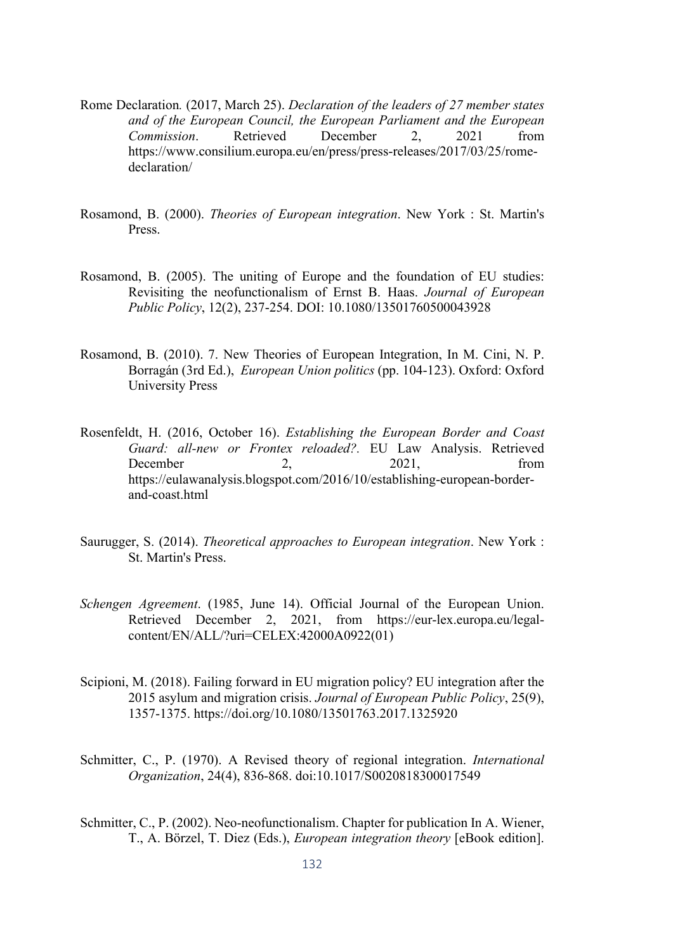- Rome Declaration*.* (2017, March 25). *Declaration of the leaders of 27 member states and of the European Council, the European Parliament and the European Commission*. Retrieved December 2, 2021 from https://www.consilium.europa.eu/en/press/press-releases/2017/03/25/romedeclaration/
- Rosamond, B. (2000). *Theories of European integration*. New York : St. Martin's Press.
- Rosamond, B. (2005). The uniting of Europe and the foundation of EU studies: Revisiting the neofunctionalism of Ernst B. Haas. *Journal of European Public Policy*, 12(2), 237-254. DOI: 10.1080/13501760500043928
- Rosamond, B. (2010). 7. New Theories of European Integration, In M. Cini, N. P. Borragán (3rd Ed.), *European Union politics* (pp. 104-123). Oxford: Oxford University Press
- Rosenfeldt, H. (2016, October 16). *Establishing the European Border and Coast Guard: all-new or Frontex reloaded?.* EU Law Analysis. Retrieved December 2, 2021, from https://eulawanalysis.blogspot.com/2016/10/establishing-european-borderand-coast.html
- Saurugger, S. (2014). *Theoretical approaches to European integration*. New York : St. Martin's Press.
- *Schengen Agreement*. (1985, June 14). Official Journal of the European Union. Retrieved December 2, 2021, from https://eur-lex.europa.eu/legalcontent/EN/ALL/?uri=CELEX:42000A0922(01)
- Scipioni, M. (2018). Failing forward in EU migration policy? EU integration after the 2015 asylum and migration crisis. *Journal of European Public Policy*, 25(9), 1357-1375. https://doi.org/10.1080/13501763.2017.1325920
- Schmitter, C., P. (1970). A Revised theory of regional integration. *International Organization*, 24(4), 836-868. doi:10.1017/S0020818300017549
- Schmitter, C., P. (2002). Neo-neofunctionalism. Chapter for publication In A. Wiener, T., A. Börzel, T. Diez (Eds.), *European integration theory* [eBook edition].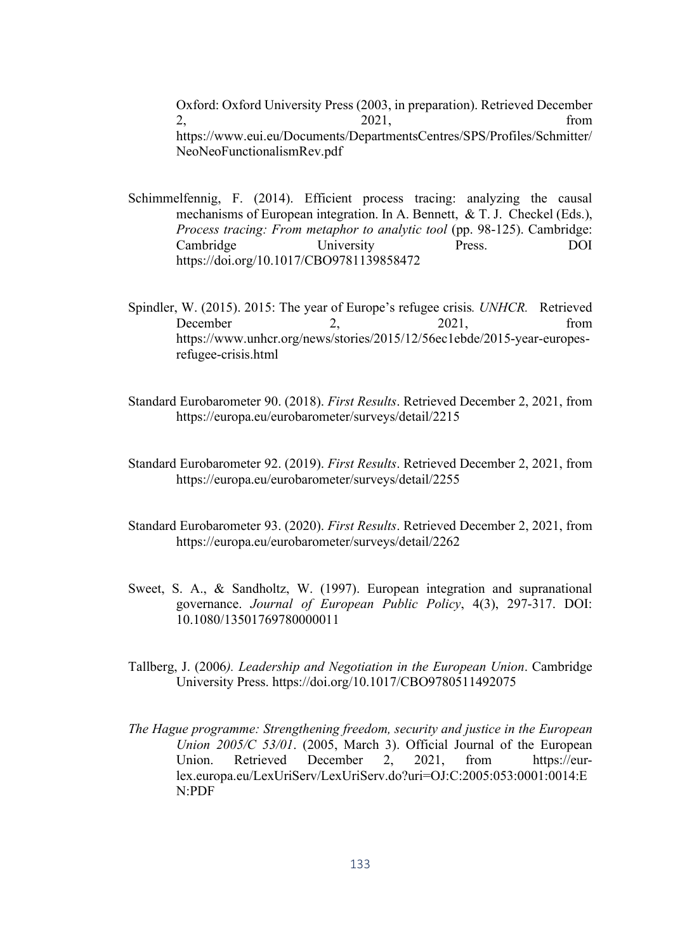Oxford: Oxford University Press (2003, in preparation). Retrieved December 2, 2021, from https://www.eui.eu/Documents/DepartmentsCentres/SPS/Profiles/Schmitter/ NeoNeoFunctionalismRev.pdf

- Schimmelfennig, F. (2014). Efficient process tracing: analyzing the causal mechanisms of European integration. In A. Bennett, & T. J. Checkel (Eds.), *Process tracing: From metaphor to analytic tool* (pp. 98-125). Cambridge: Cambridge University Press. DOI https://doi.org/10.1017/CBO9781139858472
- Spindler, W. (2015). 2015: The year of Europe's refugee crisis*. UNHCR.* Retrieved December 2, 2021, from https://www.unhcr.org/news/stories/2015/12/56ec1ebde/2015-year-europesrefugee-crisis.html
- Standard Eurobarometer 90. (2018). *First Results*. Retrieved December 2, 2021, from https://europa.eu/eurobarometer/surveys/detail/2215
- Standard Eurobarometer 92. (2019). *First Results*. Retrieved December 2, 2021, from https://europa.eu/eurobarometer/surveys/detail/2255
- Standard Eurobarometer 93. (2020). *First Results*. Retrieved December 2, 2021, from https://europa.eu/eurobarometer/surveys/detail/2262
- Sweet, S. A., & Sandholtz, W. (1997). European integration and supranational governance. *Journal of European Public Policy*, 4(3), 297-317. DOI: 10.1080/13501769780000011
- Tallberg, J. (2006*). Leadership and Negotiation in the European Union*. Cambridge University Press. https://doi.org/10.1017/CBO9780511492075
- *The Hague programme: Strengthening freedom, security and justice in the European Union 2005/C 53/01*. (2005, March 3). Official Journal of the European Union. Retrieved December 2, 2021, from https://eurlex.europa.eu/LexUriServ/LexUriServ.do?uri=OJ:C:2005:053:0001:0014:E N:PDF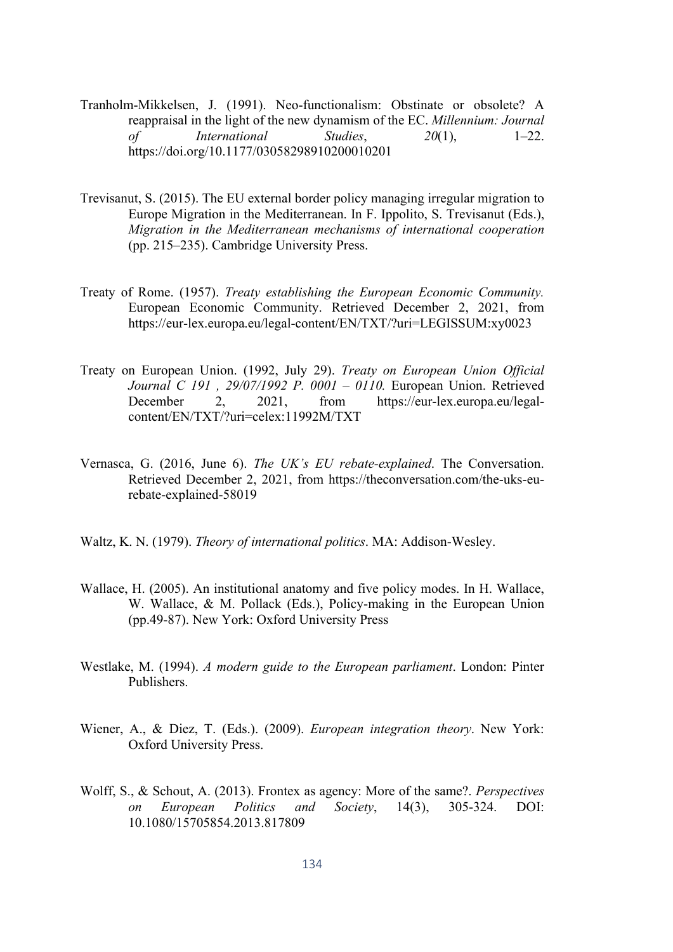- Tranholm-Mikkelsen, J. (1991). Neo-functionalism: Obstinate or obsolete? A reappraisal in the light of the new dynamism of the EC. *Millennium: Journal of International Studies*, *20*(1), 1–22. https://doi.org/10.1177/03058298910200010201
- Trevisanut, S. (2015). The EU external border policy managing irregular migration to Europe Migration in the Mediterranean. In F. Ippolito, S. Trevisanut (Eds.), *Migration in the Mediterranean mechanisms of international cooperation* (pp. 215–235). Cambridge University Press.
- Treaty of Rome. (1957). *Treaty establishing the European Economic Community.*  European Economic Community. Retrieved December 2, 2021, from https://eur-lex.europa.eu/legal-content/EN/TXT/?uri=LEGISSUM:xy0023
- Treaty on European Union. (1992, July 29). *Treaty on European Union Official Journal C 191 , 29/07/1992 P. 0001 – 0110.* European Union. Retrieved December 2, 2021, from https://eur-lex.europa.eu/legalcontent/EN/TXT/?uri=celex:11992M/TXT
- Vernasca, G. (2016, June 6). *The UK's EU rebate-explained*. The Conversation. Retrieved December 2, 2021, from https://theconversation.com/the-uks-eurebate-explained-58019
- Waltz, K. N. (1979). *Theory of international politics*. MA: Addison-Wesley.
- Wallace, H. (2005). An institutional anatomy and five policy modes. In H. Wallace, W. Wallace, & M. Pollack (Eds.), Policy-making in the European Union (pp.49-87). New York: Oxford University Press
- Westlake, M. (1994). *A modern guide to the European parliament*. London: Pinter Publishers.
- Wiener, A., & Diez, T. (Eds.). (2009). *European integration theory*. New York: Oxford University Press.
- Wolff, S., & Schout, A. (2013). Frontex as agency: More of the same?. *Perspectives on European Politics and Society*, 14(3), 305-324. DOI: 10.1080/15705854.2013.817809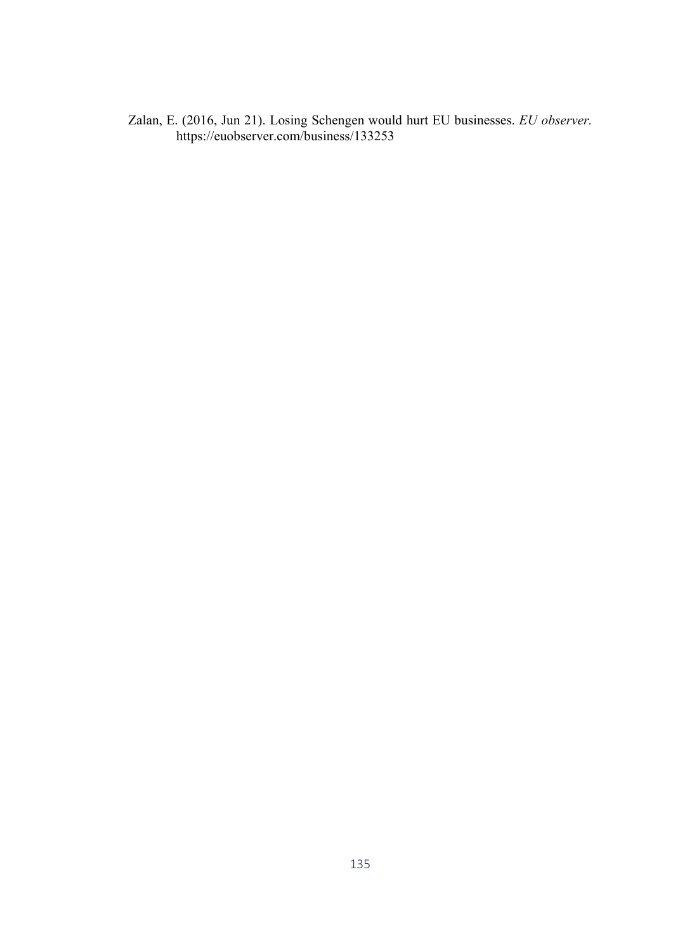Zalan, E. (2016, Jun 21). Losing Schengen would hurt EU businesses. *EU observer.*  https://euobserver.com/business/133253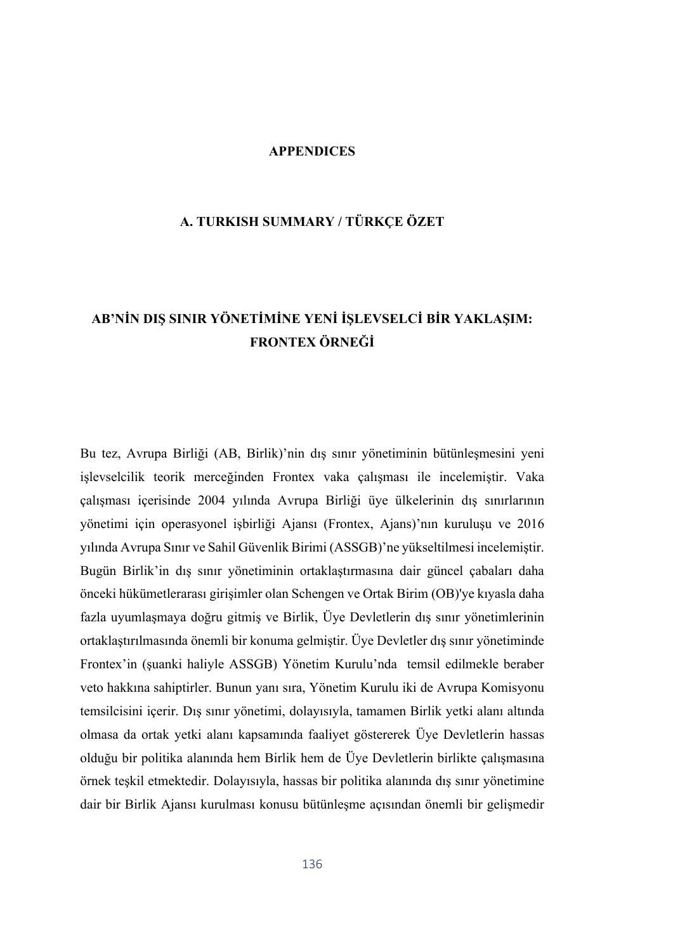#### APPENDICES

### A. TURKISH SUMMARY / TÜRKÇE ÖZET

# AB'NİN DIŞ SINIR YÖNETİMİNE YENİ İŞLEVSELCİ BİR YAKLAŞIM: FRONTEX ÖRNEĞİ

Bu tez, Avrupa Birliği (AB, Birlik)'nin dış sınır yönetiminin bütünleşmesini yeni işlevselcilik teorik merceğinden Frontex vaka çalışması ile incelemiştir. Vaka çalışması içerisinde 2004 yılında Avrupa Birliği üye ülkelerinin dış sınırlarının yönetimi için operasyonel işbirliği Ajansı (Frontex, Ajans)'nın kuruluşu ve 2016 yılında Avrupa Sınır ve Sahil Güvenlik Birimi (ASSGB)'ne yükseltilmesi incelemiştir. Bugün Birlik'in dış sınır yönetiminin ortaklaştırmasına dair güncel çabaları daha önceki hükümetlerarası girişimler olan Schengen ve Ortak Birim (OB)'ye kıyasla daha fazla uyumlaşmaya doğru gitmiş ve Birlik, Üye Devletlerin dış sınır yönetimlerinin ortaklaştırılmasında önemli bir konuma gelmiştir. Üye Devletler dış sınır yönetiminde Frontex'in (şuanki haliyle ASSGB) Yönetim Kurulu'nda temsil edilmekle beraber veto hakkına sahiptirler. Bunun yanı sıra, Yönetim Kurulu iki de Avrupa Komisyonu temsilcisini içerir. Dış sınır yönetimi, dolayısıyla, tamamen Birlik yetki alanı altında olmasa da ortak yetki alanı kapsamında faaliyet göstererek Üye Devletlerin hassas olduğu bir politika alanında hem Birlik hem de Üye Devletlerin birlikte çalışmasına örnek teşkil etmektedir. Dolayısıyla, hassas bir politika alanında dış sınır yönetimine dair bir Birlik Ajansı kurulması konusu bütünleşme açısından önemli bir gelişmedir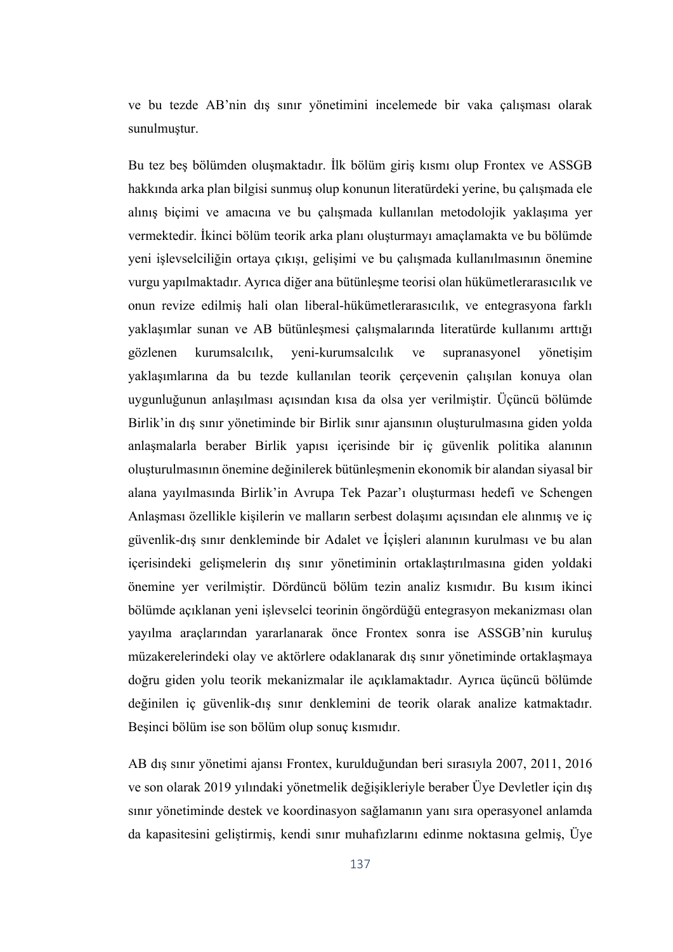ve bu tezde AB'nin dış sınır yönetimini incelemede bir vaka çalışması olarak sunulmuştur.

Bu tez beş bölümden oluşmaktadır. İlk bölüm giriş kısmı olup Frontex ve ASSGB hakkında arka plan bilgisi sunmuş olup konunun literatürdeki yerine, bu çalışmada ele alınış biçimi ve amacına ve bu çalışmada kullanılan metodolojik yaklaşıma yer vermektedir. İkinci bölüm teorik arka planı oluşturmayı amaçlamakta ve bu bölümde yeni işlevselciliğin ortaya çıkışı, gelişimi ve bu çalışmada kullanılmasının önemine vurgu yapılmaktadır. Ayrıca diğer ana bütünleşme teorisi olan hükümetlerarasıcılık ve onun revize edilmiş hali olan liberal-hükümetlerarasıcılık, ve entegrasyona farklı yaklaşımlar sunan ve AB bütünleşmesi çalışmalarında literatürde kullanımı arttığı gözlenen kurumsalcılık, yeni-kurumsalcılık ve supranasyonel yönetişim yaklaşımlarına da bu tezde kullanılan teorik çerçevenin çalışılan konuya olan uygunluğunun anlaşılması açısından kısa da olsa yer verilmiştir. Üçüncü bölümde Birlik'in dış sınır yönetiminde bir Birlik sınır ajansının oluşturulmasına giden yolda anlaşmalarla beraber Birlik yapısı içerisinde bir iç güvenlik politika alanının oluşturulmasının önemine değinilerek bütünleşmenin ekonomik bir alandan siyasal bir alana yayılmasında Birlik'in Avrupa Tek Pazar'ı oluşturması hedefi ve Schengen Anlaşması özellikle kişilerin ve malların serbest dolaşımı açısından ele alınmış ve iç güvenlik-dış sınır denkleminde bir Adalet ve İçişleri alanının kurulması ve bu alan içerisindeki gelişmelerin dış sınır yönetiminin ortaklaştırılmasına giden yoldaki önemine yer verilmiştir. Dördüncü bölüm tezin analiz kısmıdır. Bu kısım ikinci bölümde açıklanan yeni işlevselci teorinin öngördüğü entegrasyon mekanizması olan yayılma araçlarından yararlanarak önce Frontex sonra ise ASSGB'nin kuruluş müzakerelerindeki olay ve aktörlere odaklanarak dış sınır yönetiminde ortaklaşmaya doğru giden yolu teorik mekanizmalar ile açıklamaktadır. Ayrıca üçüncü bölümde değinilen iç güvenlik-dış sınır denklemini de teorik olarak analize katmaktadır. Beşinci bölüm ise son bölüm olup sonuç kısmıdır.

AB dış sınır yönetimi ajansı Frontex, kurulduğundan beri sırasıyla 2007, 2011, 2016 ve son olarak 2019 yılındaki yönetmelik değişikleriyle beraber Üye Devletler için dış sınır yönetiminde destek ve koordinasyon sağlamanın yanı sıra operasyonel anlamda da kapasitesini geliştirmiş, kendi sınır muhafızlarını edinme noktasına gelmiş, Üye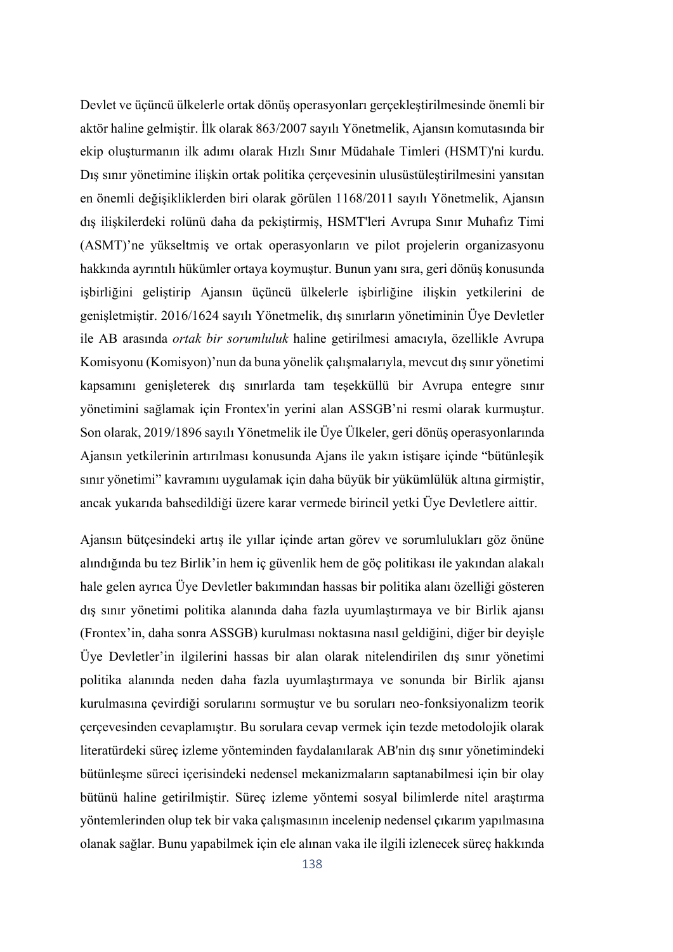Devlet ve üçüncü ülkelerle ortak dönüş operasyonları gerçekleştirilmesinde önemli bir aktör haline gelmiştir. İlk olarak 863/2007 sayılı Yönetmelik, Ajansın komutasında bir ekip oluşturmanın ilk adımı olarak Hızlı Sınır Müdahale Timleri (HSMT)'ni kurdu. Dış sınır yönetimine ilişkin ortak politika çerçevesinin ulusüstüleştirilmesini yansıtan en önemli değişikliklerden biri olarak görülen 1168/2011 sayılı Yönetmelik, Ajansın dış ilişkilerdeki rolünü daha da pekiştirmiş, HSMT'leri Avrupa Sınır Muhafız Timi (ASMT)'ne yükseltmiş ve ortak operasyonların ve pilot projelerin organizasyonu hakkında ayrıntılı hükümler ortaya koymuştur. Bunun yanı sıra, geri dönüş konusunda işbirliğini geliştirip Ajansın üçüncü ülkelerle işbirliğine ilişkin yetkilerini de genişletmiştir. 2016/1624 sayılı Yönetmelik, dış sınırların yönetiminin Üye Devletler ile AB arasında *ortak bir sorumluluk* haline getirilmesi amacıyla, özellikle Avrupa Komisyonu (Komisyon)'nun da buna yönelik çalışmalarıyla, mevcut dış sınır yönetimi kapsamını genişleterek dış sınırlarda tam teşekküllü bir Avrupa entegre sınır yönetimini sağlamak için Frontex'in yerini alan ASSGB'ni resmi olarak kurmuştur. Son olarak, 2019/1896 sayılı Yönetmelik ile Üye Ülkeler, geri dönüş operasyonlarında Ajansın yetkilerinin artırılması konusunda Ajans ile yakın istişare içinde "bütünleşik sınır yönetimi" kavramını uygulamak için daha büyük bir yükümlülük altına girmiştir, ancak yukarıda bahsedildiği üzere karar vermede birincil yetki Üye Devletlere aittir.

Ajansın bütçesindeki artış ile yıllar içinde artan görev ve sorumlulukları göz önüne alındığında bu tez Birlik'in hem iç güvenlik hem de göç politikası ile yakından alakalı hale gelen ayrıca Üye Devletler bakımından hassas bir politika alanı özelliği gösteren dış sınır yönetimi politika alanında daha fazla uyumlaştırmaya ve bir Birlik ajansı (Frontex'in, daha sonra ASSGB) kurulması noktasına nasıl geldiğini, diğer bir deyişle Üye Devletler'in ilgilerini hassas bir alan olarak nitelendirilen dış sınır yönetimi politika alanında neden daha fazla uyumlaştırmaya ve sonunda bir Birlik ajansı kurulmasına çevirdiği sorularını sormuştur ve bu soruları neo-fonksiyonalizm teorik çerçevesinden cevaplamıştır. Bu sorulara cevap vermek için tezde metodolojik olarak literatürdeki süreç izleme yönteminden faydalanılarak AB'nin dış sınır yönetimindeki bütünleşme süreci içerisindeki nedensel mekanizmaların saptanabilmesi için bir olay bütünü haline getirilmiştir. Süreç izleme yöntemi sosyal bilimlerde nitel araştırma yöntemlerinden olup tek bir vaka çalışmasının incelenip nedensel çıkarım yapılmasına olanak sağlar. Bunu yapabilmek için ele alınan vaka ile ilgili izlenecek süreç hakkında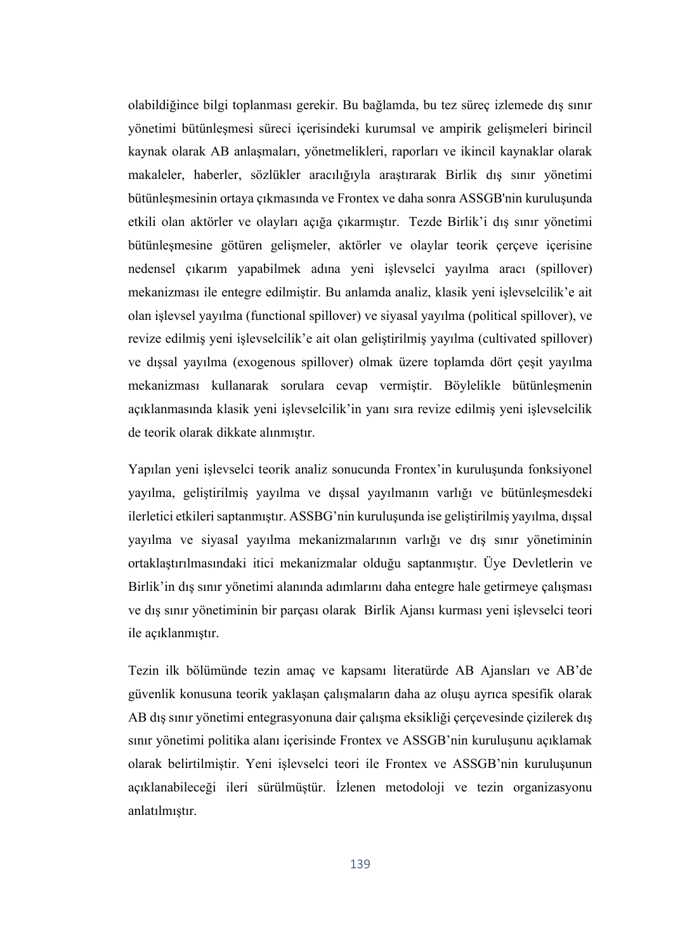olabildiğince bilgi toplanması gerekir. Bu bağlamda, bu tez süreç izlemede dış sınır yönetimi bütünleşmesi süreci içerisindeki kurumsal ve ampirik gelişmeleri birincil kaynak olarak AB anlaşmaları, yönetmelikleri, raporları ve ikincil kaynaklar olarak makaleler, haberler, sözlükler aracılığıyla araştırarak Birlik dış sınır yönetimi bütünleşmesinin ortaya çıkmasında ve Frontex ve daha sonra ASSGB'nin kuruluşunda etkili olan aktörler ve olayları açığa çıkarmıştır. Tezde Birlik'i dış sınır yönetimi bütünleşmesine götüren gelişmeler, aktörler ve olaylar teorik çerçeve içerisine nedensel çıkarım yapabilmek adına yeni işlevselci yayılma aracı (spillover) mekanizması ile entegre edilmiştir. Bu anlamda analiz, klasik yeni işlevselcilik'e ait olan işlevsel yayılma (functional spillover) ve siyasal yayılma (political spillover), ve revize edilmiş yeni işlevselcilik'e ait olan geliştirilmiş yayılma (cultivated spillover) ve dışsal yayılma (exogenous spillover) olmak üzere toplamda dört çeşit yayılma mekanizması kullanarak sorulara cevap vermiştir. Böylelikle bütünleşmenin açıklanmasında klasik yeni işlevselcilik'in yanı sıra revize edilmiş yeni işlevselcilik de teorik olarak dikkate alınmıştır.

Yapılan yeni işlevselci teorik analiz sonucunda Frontex'in kuruluşunda fonksiyonel yayılma, geliştirilmiş yayılma ve dışsal yayılmanın varlığı ve bütünleşmesdeki ilerletici etkileri saptanmıştır. ASSBG'nin kuruluşunda ise geliştirilmiş yayılma, dışsal yayılma ve siyasal yayılma mekanizmalarının varlığı ve dış sınır yönetiminin ortaklaştırılmasındaki itici mekanizmalar olduğu saptanmıştır. Üye Devletlerin ve Birlik'in dış sınır yönetimi alanında adımlarını daha entegre hale getirmeye çalışması ve dış sınır yönetiminin bir parçası olarak Birlik Ajansı kurması yeni işlevselci teori ile açıklanmıştır.

Tezin ilk bölümünde tezin amaç ve kapsamı literatürde AB Ajansları ve AB'de güvenlik konusuna teorik yaklaşan çalışmaların daha az oluşu ayrıca spesifik olarak AB dış sınır yönetimi entegrasyonuna dair çalışma eksikliği çerçevesinde çizilerek dış sınır yönetimi politika alanı içerisinde Frontex ve ASSGB'nin kuruluşunu açıklamak olarak belirtilmiştir. Yeni işlevselci teori ile Frontex ve ASSGB'nin kuruluşunun açıklanabileceği ileri sürülmüştür. İzlenen metodoloji ve tezin organizasyonu anlatılmıştır.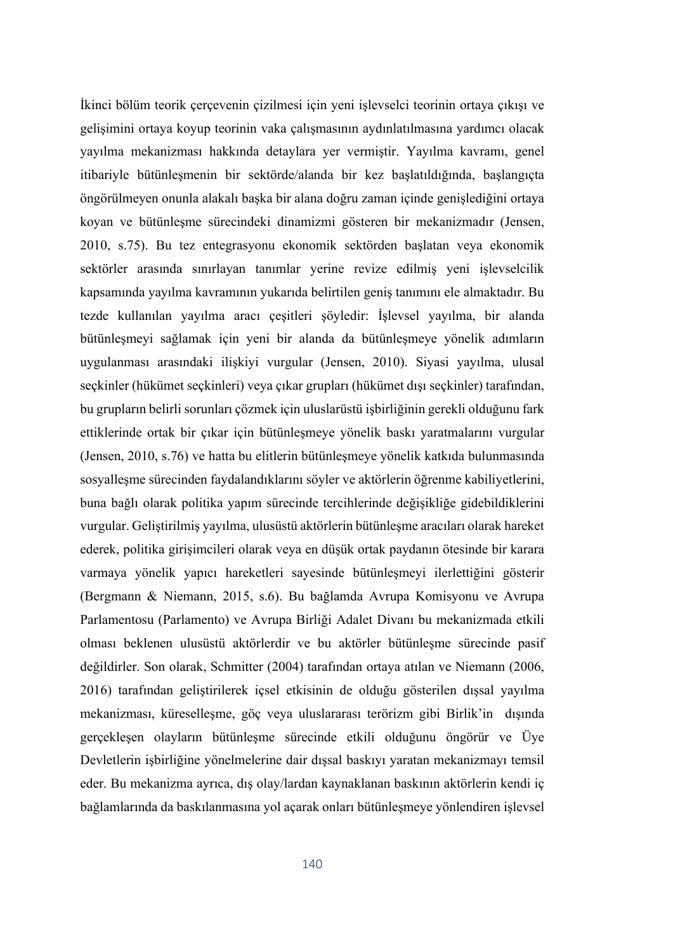İkinci bölüm teorik çerçevenin çizilmesi için yeni işlevselci teorinin ortaya çıkışı ve gelişimini ortaya koyup teorinin vaka çalışmasının aydınlatılmasına yardımcı olacak yayılma mekanizması hakkında detaylara yer vermiştir. Yayılma kavramı, genel itibariyle bütünleşmenin bir sektörde/alanda bir kez başlatıldığında, başlangıçta öngörülmeyen onunla alakalı başka bir alana doğru zaman içinde genişlediğini ortaya koyan ve bütünleşme sürecindeki dinamizmi gösteren bir mekanizmadır (Jensen, 2010, s.75). Bu tez entegrasyonu ekonomik sektörden başlatan veya ekonomik sektörler arasında sınırlayan tanımlar yerine revize edilmiş yeni işlevselcilik kapsamında yayılma kavramının yukarıda belirtilen geniş tanımını ele almaktadır. Bu tezde kullanılan yayılma aracı çeşitleri şöyledir: İşlevsel yayılma, bir alanda bütünleşmeyi sağlamak için yeni bir alanda da bütünleşmeye yönelik adımların uygulanması arasındaki ilişkiyi vurgular (Jensen, 2010). Siyasi yayılma, ulusal seçkinler (hükümet seçkinleri) veya çıkar grupları (hükümet dışı seçkinler) tarafından, bu grupların belirli sorunları çözmek için uluslarüstü işbirliğinin gerekli olduğunu fark ettiklerinde ortak bir çıkar için bütünleşmeye yönelik baskı yaratmalarını vurgular (Jensen, 2010, s.76) ve hatta bu elitlerin bütünleşmeye yönelik katkıda bulunmasında sosyalleşme sürecinden faydalandıklarını söyler ve aktörlerin öğrenme kabiliyetlerini, buna bağlı olarak politika yapım sürecinde tercihlerinde değişikliğe gidebildiklerini vurgular. Geliştirilmiş yayılma, ulusüstü aktörlerin bütünleşme aracıları olarak hareket ederek, politika girişimcileri olarak veya en düşük ortak paydanın ötesinde bir karara varmaya yönelik yapıcı hareketleri sayesinde bütünleşmeyi ilerlettiğini gösterir (Bergmann & Niemann, 2015, s.6). Bu bağlamda Avrupa Komisyonu ve Avrupa Parlamentosu (Parlamento) ve Avrupa Birliği Adalet Divanı bu mekanizmada etkili olması beklenen ulusüstü aktörlerdir ve bu aktörler bütünleşme sürecinde pasif değildirler. Son olarak, Schmitter (2004) tarafından ortaya atılan ve Niemann (2006, 2016) tarafından geliştirilerek içsel etkisinin de olduğu gösterilen dışsal yayılma mekanizması, küreselleşme, göç veya uluslararası terörizm gibi Birlik'in dışında gerçekleşen olayların bütünleşme sürecinde etkili olduğunu öngörür ve Üye Devletlerin işbirliğine yönelmelerine dair dışsal baskıyı yaratan mekanizmayı temsil eder. Bu mekanizma ayrıca, dış olay/lardan kaynaklanan baskının aktörlerin kendi iç bağlamlarında da baskılanmasına yol açarak onları bütünleşmeye yönlendiren işlevsel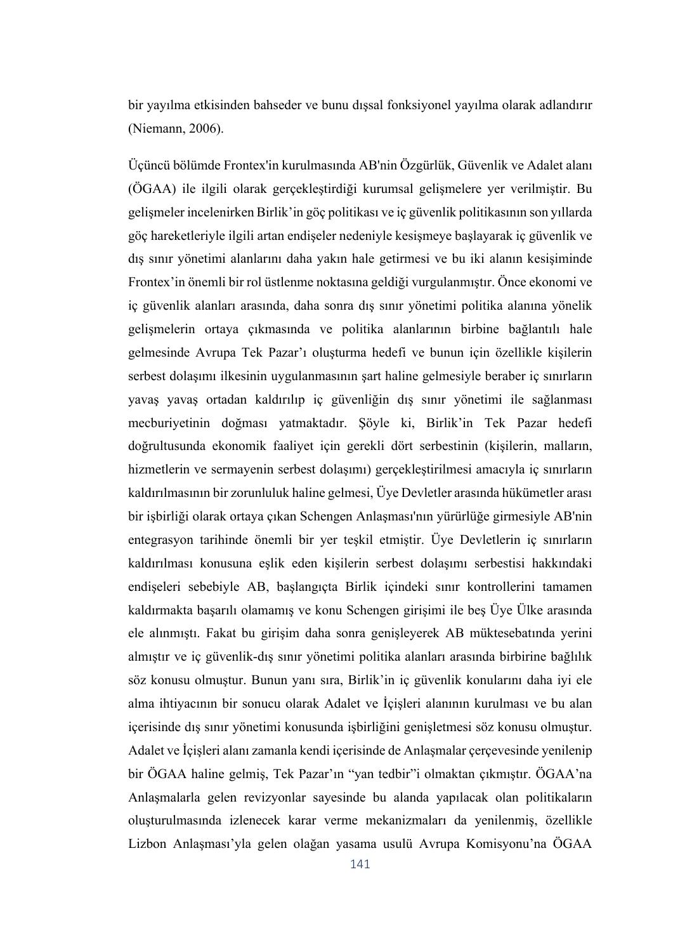bir yayılma etkisinden bahseder ve bunu dışsal fonksiyonel yayılma olarak adlandırır (Niemann, 2006).

Üçüncü bölümde Frontex'in kurulmasında AB'nin Özgürlük, Güvenlik ve Adalet alanı (ÖGAA) ile ilgili olarak gerçekleştirdiği kurumsal gelişmelere yer verilmiştir. Bu gelişmeler incelenirken Birlik'in göç politikası ve iç güvenlik politikasının son yıllarda göç hareketleriyle ilgili artan endişeler nedeniyle kesişmeye başlayarak iç güvenlik ve dış sınır yönetimi alanlarını daha yakın hale getirmesi ve bu iki alanın kesişiminde Frontex'in önemli bir rol üstlenme noktasına geldiği vurgulanmıştır. Önce ekonomi ve iç güvenlik alanları arasında, daha sonra dış sınır yönetimi politika alanına yönelik gelişmelerin ortaya çıkmasında ve politika alanlarının birbine bağlantılı hale gelmesinde Avrupa Tek Pazar'ı oluşturma hedefi ve bunun için özellikle kişilerin serbest dolaşımı ilkesinin uygulanmasının şart haline gelmesiyle beraber iç sınırların yavaş yavaş ortadan kaldırılıp iç güvenliğin dış sınır yönetimi ile sağlanması mecburiyetinin doğması yatmaktadır. Şöyle ki, Birlik'in Tek Pazar hedefi doğrultusunda ekonomik faaliyet için gerekli dört serbestinin (kişilerin, malların, hizmetlerin ve sermayenin serbest dolaşımı) gerçekleştirilmesi amacıyla iç sınırların kaldırılmasının bir zorunluluk haline gelmesi, Üye Devletler arasında hükümetler arası bir işbirliği olarak ortaya çıkan Schengen Anlaşması'nın yürürlüğe girmesiyle AB'nin entegrasyon tarihinde önemli bir yer teşkil etmiştir. Üye Devletlerin iç sınırların kaldırılması konusuna eşlik eden kişilerin serbest dolaşımı serbestisi hakkındaki endişeleri sebebiyle AB, başlangıçta Birlik içindeki sınır kontrollerini tamamen kaldırmakta başarılı olamamış ve konu Schengen girişimi ile beş Üye Ülke arasında ele alınmıştı. Fakat bu girişim daha sonra genişleyerek AB müktesebatında yerini almıştır ve iç güvenlik-dış sınır yönetimi politika alanları arasında birbirine bağlılık söz konusu olmuştur. Bunun yanı sıra, Birlik'in iç güvenlik konularını daha iyi ele alma ihtiyacının bir sonucu olarak Adalet ve İçişleri alanının kurulması ve bu alan içerisinde dış sınır yönetimi konusunda işbirliğini genişletmesi söz konusu olmuştur. Adalet ve İçişleri alanı zamanla kendi içerisinde de Anlaşmalar çerçevesinde yenilenip bir ÖGAA haline gelmiş, Tek Pazar'ın "yan tedbir"i olmaktan çıkmıştır. ÖGAA'na Anlaşmalarla gelen revizyonlar sayesinde bu alanda yapılacak olan politikaların oluşturulmasında izlenecek karar verme mekanizmaları da yenilenmiş, özellikle Lizbon Anlaşması'yla gelen olağan yasama usulü Avrupa Komisyonu'na ÖGAA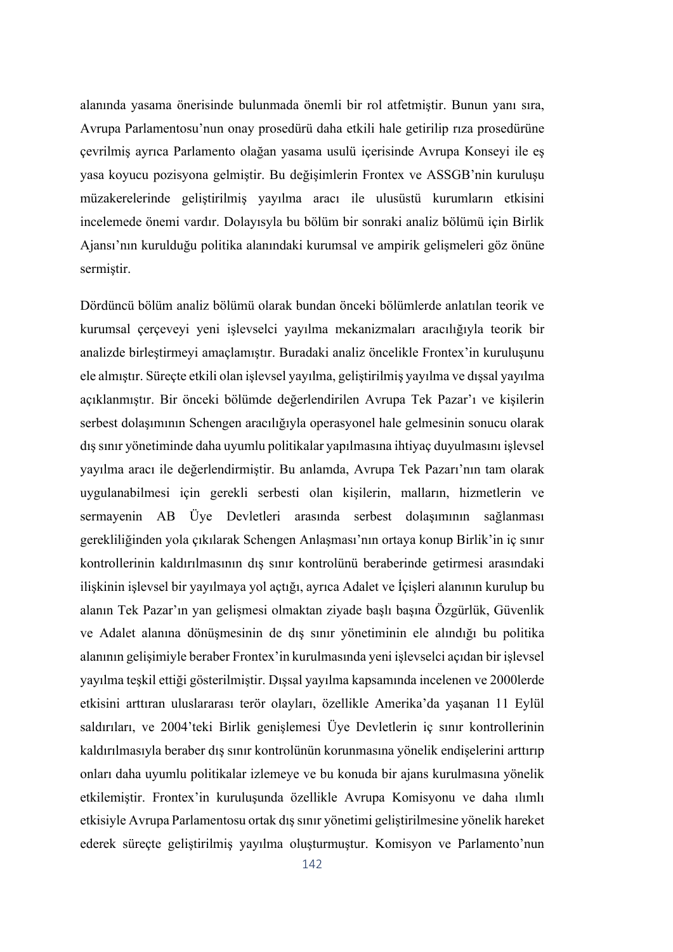alanında yasama önerisinde bulunmada önemli bir rol atfetmiştir. Bunun yanı sıra, Avrupa Parlamentosu'nun onay prosedürü daha etkili hale getirilip rıza prosedürüne çevrilmiş ayrıca Parlamento olağan yasama usulü içerisinde Avrupa Konseyi ile eş yasa koyucu pozisyona gelmiştir. Bu değişimlerin Frontex ve ASSGB'nin kuruluşu müzakerelerinde geliştirilmiş yayılma aracı ile ulusüstü kurumların etkisini incelemede önemi vardır. Dolayısyla bu bölüm bir sonraki analiz bölümü için Birlik Ajansı'nın kurulduğu politika alanındaki kurumsal ve ampirik gelişmeleri göz önüne sermiştir.

Dördüncü bölüm analiz bölümü olarak bundan önceki bölümlerde anlatılan teorik ve kurumsal çerçeveyi yeni işlevselci yayılma mekanizmaları aracılığıyla teorik bir analizde birleştirmeyi amaçlamıştır. Buradaki analiz öncelikle Frontex'in kuruluşunu ele almıştır. Süreçte etkili olan işlevsel yayılma, geliştirilmiş yayılma ve dışsal yayılma açıklanmıştır. Bir önceki bölümde değerlendirilen Avrupa Tek Pazar'ı ve kişilerin serbest dolaşımının Schengen aracılığıyla operasyonel hale gelmesinin sonucu olarak dış sınır yönetiminde daha uyumlu politikalar yapılmasına ihtiyaç duyulmasını işlevsel yayılma aracı ile değerlendirmiştir. Bu anlamda, Avrupa Tek Pazarı'nın tam olarak uygulanabilmesi için gerekli serbesti olan kişilerin, malların, hizmetlerin ve sermayenin AB Üye Devletleri arasında serbest dolaşımının sağlanması gerekliliğinden yola çıkılarak Schengen Anlaşması'nın ortaya konup Birlik'in iç sınır kontrollerinin kaldırılmasının dış sınır kontrolünü beraberinde getirmesi arasındaki ilişkinin işlevsel bir yayılmaya yol açtığı, ayrıca Adalet ve İçişleri alanının kurulup bu alanın Tek Pazar'ın yan gelişmesi olmaktan ziyade başlı başına Özgürlük, Güvenlik ve Adalet alanına dönüşmesinin de dış sınır yönetiminin ele alındığı bu politika alanının gelişimiyle beraber Frontex'in kurulmasında yeni işlevselci açıdan bir işlevsel yayılma teşkil ettiği gösterilmiştir. Dışsal yayılma kapsamında incelenen ve 2000lerde etkisini arttıran uluslararası terör olayları, özellikle Amerika'da yaşanan 11 Eylül saldırıları, ve 2004'teki Birlik genişlemesi Üye Devletlerin iç sınır kontrollerinin kaldırılmasıyla beraber dış sınır kontrolünün korunmasına yönelik endişelerini arttırıp onları daha uyumlu politikalar izlemeye ve bu konuda bir ajans kurulmasına yönelik etkilemiştir. Frontex'in kuruluşunda özellikle Avrupa Komisyonu ve daha ılımlı etkisiyle Avrupa Parlamentosu ortak dış sınır yönetimi geliştirilmesine yönelik hareket ederek süreçte geliştirilmiş yayılma oluşturmuştur. Komisyon ve Parlamento'nun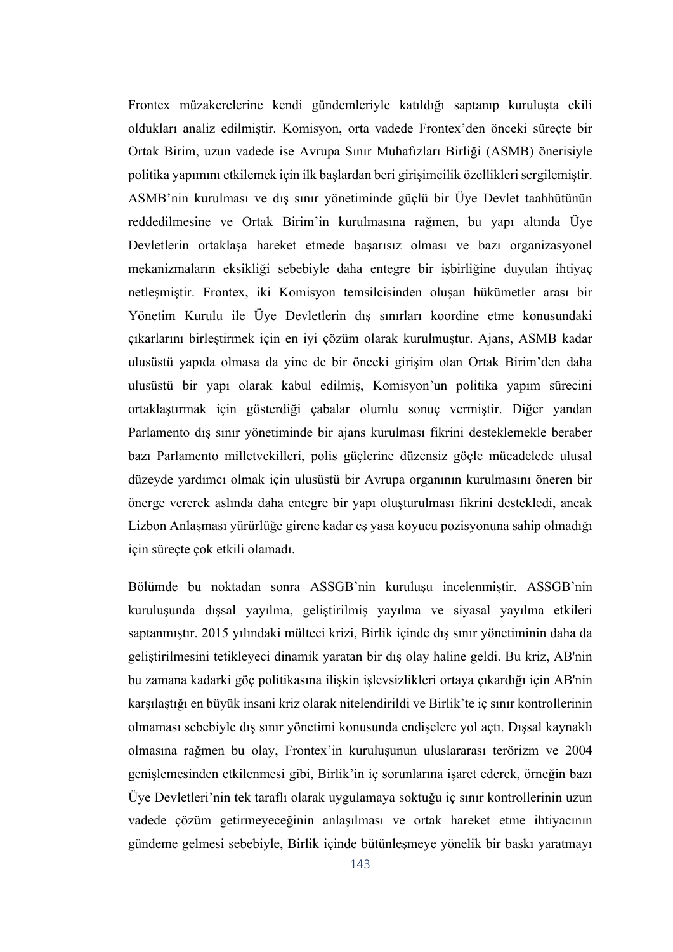Frontex müzakerelerine kendi gündemleriyle katıldığı saptanıp kuruluşta ekili oldukları analiz edilmiştir. Komisyon, orta vadede Frontex'den önceki süreçte bir Ortak Birim, uzun vadede ise Avrupa Sınır Muhafızları Birliği (ASMB) önerisiyle politika yapımını etkilemek için ilk başlardan beri girişimcilik özellikleri sergilemiştir. ASMB'nin kurulması ve dış sınır yönetiminde güçlü bir Üye Devlet taahhütünün reddedilmesine ve Ortak Birim'in kurulmasına rağmen, bu yapı altında Üye Devletlerin ortaklaşa hareket etmede başarısız olması ve bazı organizasyonel mekanizmaların eksikliği sebebiyle daha entegre bir işbirliğine duyulan ihtiyaç netleşmiştir. Frontex, iki Komisyon temsilcisinden oluşan hükümetler arası bir Yönetim Kurulu ile Üye Devletlerin dış sınırları koordine etme konusundaki çıkarlarını birleştirmek için en iyi çözüm olarak kurulmuştur. Ajans, ASMB kadar ulusüstü yapıda olmasa da yine de bir önceki girişim olan Ortak Birim'den daha ulusüstü bir yapı olarak kabul edilmiş, Komisyon'un politika yapım sürecini ortaklaştırmak için gösterdiği çabalar olumlu sonuç vermiştir. Diğer yandan Parlamento dış sınır yönetiminde bir ajans kurulması fikrini desteklemekle beraber bazı Parlamento milletvekilleri, polis güçlerine düzensiz göçle mücadelede ulusal düzeyde yardımcı olmak için ulusüstü bir Avrupa organının kurulmasını öneren bir önerge vererek aslında daha entegre bir yapı oluşturulması fikrini destekledi, ancak Lizbon Anlaşması yürürlüğe girene kadar eş yasa koyucu pozisyonuna sahip olmadığı için süreçte çok etkili olamadı.

Bölümde bu noktadan sonra ASSGB'nin kuruluşu incelenmiştir. ASSGB'nin kuruluşunda dışsal yayılma, geliştirilmiş yayılma ve siyasal yayılma etkileri saptanmıştır. 2015 yılındaki mülteci krizi, Birlik içinde dış sınır yönetiminin daha da geliştirilmesini tetikleyeci dinamik yaratan bir dış olay haline geldi. Bu kriz, AB'nin bu zamana kadarki göç politikasına ilişkin işlevsizlikleri ortaya çıkardığı için AB'nin karşılaştığı en büyük insani kriz olarak nitelendirildi ve Birlik'te iç sınır kontrollerinin olmaması sebebiyle dış sınır yönetimi konusunda endişelere yol açtı. Dışsal kaynaklı olmasına rağmen bu olay, Frontex'in kuruluşunun uluslararası terörizm ve 2004 genişlemesinden etkilenmesi gibi, Birlik'in iç sorunlarına işaret ederek, örneğin bazı Üye Devletleri'nin tek taraflı olarak uygulamaya soktuğu iç sınır kontrollerinin uzun vadede çözüm getirmeyeceğinin anlaşılması ve ortak hareket etme ihtiyacının gündeme gelmesi sebebiyle, Birlik içinde bütünleşmeye yönelik bir baskı yaratmayı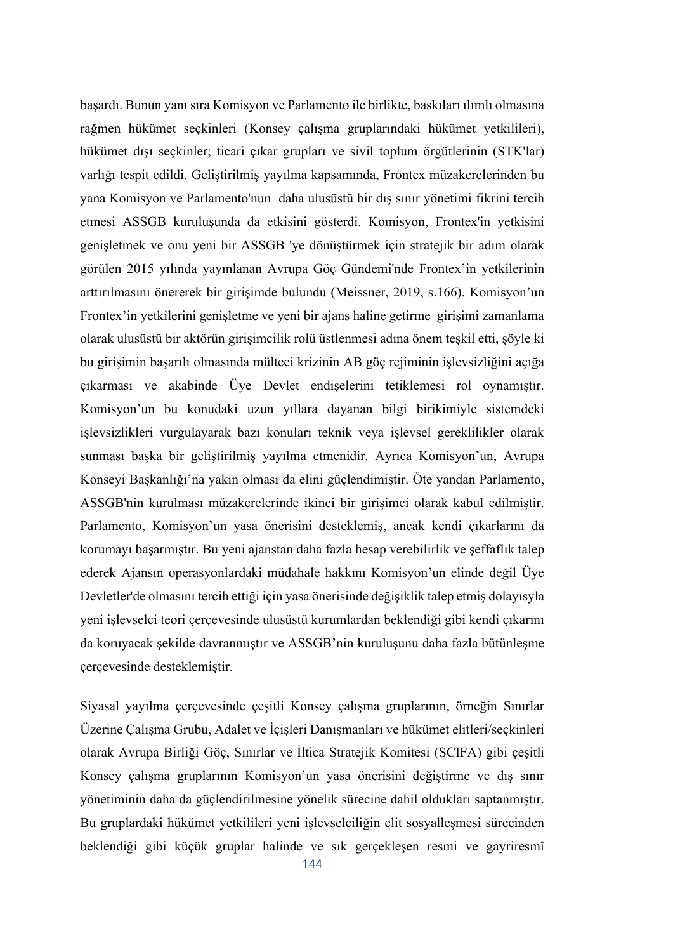başardı. Bunun yanı sıra Komisyon ve Parlamento ile birlikte, baskıları ılımlı olmasına rağmen hükümet seçkinleri (Konsey çalışma gruplarındaki hükümet yetkilileri), hükümet dışı seçkinler; ticari çıkar grupları ve sivil toplum örgütlerinin (STK'lar) varlığı tespit edildi. Geliştirilmiş yayılma kapsamında, Frontex müzakerelerinden bu yana Komisyon ve Parlamento'nun daha ulusüstü bir dış sınır yönetimi fikrini tercih etmesi ASSGB kuruluşunda da etkisini gösterdi. Komisyon, Frontex'in yetkisini genişletmek ve onu yeni bir ASSGB 'ye dönüştürmek için stratejik bir adım olarak görülen 2015 yılında yayınlanan Avrupa Göç Gündemi'nde Frontex'in yetkilerinin arttırılmasını önererek bir girişimde bulundu (Meissner, 2019, s.166). Komisyon'un Frontex'in yetkilerini genişletme ve yeni bir ajans haline getirme girişimi zamanlama olarak ulusüstü bir aktörün girişimcilik rolü üstlenmesi adına önem teşkil etti, şöyle ki bu girişimin başarılı olmasında mülteci krizinin AB göç rejiminin işlevsizliğini açığa çıkarması ve akabinde Üye Devlet endişelerini tetiklemesi rol oynamıştır. Komisyon'un bu konudaki uzun yıllara dayanan bilgi birikimiyle sistemdeki işlevsizlikleri vurgulayarak bazı konuları teknik veya işlevsel gereklilikler olarak sunması başka bir geliştirilmiş yayılma etmenidir. Ayrıca Komisyon'un, Avrupa Konseyi Başkanlığı'na yakın olması da elini güçlendimiştir. Öte yandan Parlamento, ASSGB'nin kurulması müzakerelerinde ikinci bir girişimci olarak kabul edilmiştir. Parlamento, Komisyon'un yasa önerisini desteklemiş, ancak kendi çıkarlarını da korumayı başarmıştır. Bu yeni ajanstan daha fazla hesap verebilirlik ve şeffaflık talep ederek Ajansın operasyonlardaki müdahale hakkını Komisyon'un elinde değil Üye Devletler'de olmasını tercih ettiği için yasa önerisinde değişiklik talep etmiş dolayısyla yeni işlevselci teori çerçevesinde ulusüstü kurumlardan beklendiği gibi kendi çıkarını da koruyacak şekilde davranmıştır ve ASSGB'nin kuruluşunu daha fazla bütünleşme çerçevesinde desteklemiştir.

Siyasal yayılma çerçevesinde çeşitli Konsey çalışma gruplarının, örneğin Sınırlar Üzerine Çalışma Grubu, Adalet ve İçişleri Danışmanları ve hükümet elitleri/seçkinleri olarak Avrupa Birliği Göç, Sınırlar ve İltica Stratejik Komitesi (SCIFA) gibi çeşitli Konsey çalışma gruplarının Komisyon'un yasa önerisini değiştirme ve dış sınır yönetiminin daha da güçlendirilmesine yönelik sürecine dahil oldukları saptanmıştır. Bu gruplardaki hükümet yetkilileri yeni işlevselciliğin elit sosyalleşmesi sürecinden beklendiği gibi küçük gruplar halinde ve sık gerçekleşen resmi ve gayriresmî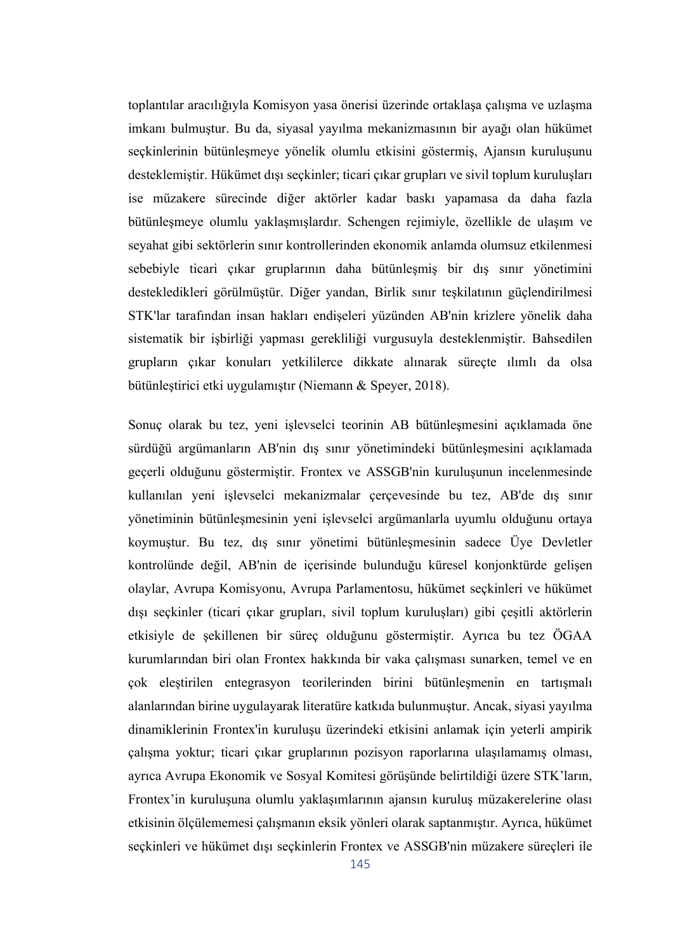toplantılar aracılığıyla Komisyon yasa önerisi üzerinde ortaklaşa çalışma ve uzlaşma imkanı bulmuştur. Bu da, siyasal yayılma mekanizmasının bir ayağı olan hükümet seçkinlerinin bütünleşmeye yönelik olumlu etkisini göstermiş, Ajansın kuruluşunu desteklemiştir. Hükümet dışı seçkinler; ticari çıkar grupları ve sivil toplum kuruluşları ise müzakere sürecinde diğer aktörler kadar baskı yapamasa da daha fazla bütünleşmeye olumlu yaklaşmışlardır. Schengen rejimiyle, özellikle de ulaşım ve seyahat gibi sektörlerin sınır kontrollerinden ekonomik anlamda olumsuz etkilenmesi sebebiyle ticari çıkar gruplarının daha bütünleşmiş bir dış sınır yönetimini destekledikleri görülmüştür. Diğer yandan, Birlik sınır teşkilatının güçlendirilmesi STK'lar tarafından insan hakları endişeleri yüzünden AB'nin krizlere yönelik daha sistematik bir işbirliği yapması gerekliliği vurgusuyla desteklenmiştir. Bahsedilen grupların çıkar konuları yetkililerce dikkate alınarak süreçte ılımlı da olsa bütünleştirici etki uygulamıştır (Niemann & Speyer, 2018).

Sonuç olarak bu tez, yeni işlevselci teorinin AB bütünleşmesini açıklamada öne sürdüğü argümanların AB'nin dış sınır yönetimindeki bütünleşmesini açıklamada geçerli olduğunu göstermiştir. Frontex ve ASSGB'nin kuruluşunun incelenmesinde kullanılan yeni işlevselci mekanizmalar çerçevesinde bu tez, AB'de dış sınır yönetiminin bütünleşmesinin yeni işlevselci argümanlarla uyumlu olduğunu ortaya koymuştur. Bu tez, dış sınır yönetimi bütünleşmesinin sadece Üye Devletler kontrolünde değil, AB'nin de içerisinde bulunduğu küresel konjonktürde gelişen olaylar, Avrupa Komisyonu, Avrupa Parlamentosu, hükümet seçkinleri ve hükümet dışı seçkinler (ticari çıkar grupları, sivil toplum kuruluşları) gibi çeşitli aktörlerin etkisiyle de şekillenen bir süreç olduğunu göstermiştir. Ayrıca bu tez ÖGAA kurumlarından biri olan Frontex hakkında bir vaka çalışması sunarken, temel ve en çok eleştirilen entegrasyon teorilerinden birini bütünleşmenin en tartışmalı alanlarından birine uygulayarak literatüre katkıda bulunmuştur. Ancak, siyasi yayılma dinamiklerinin Frontex'in kuruluşu üzerindeki etkisini anlamak için yeterli ampirik çalışma yoktur; ticari çıkar gruplarının pozisyon raporlarına ulaşılamamış olması, ayrıca Avrupa Ekonomik ve Sosyal Komitesi görüşünde belirtildiği üzere STK'ların, Frontex'in kuruluşuna olumlu yaklaşımlarının ajansın kuruluş müzakerelerine olası etkisinin ölçülememesi çalışmanın eksik yönleri olarak saptanmıştır. Ayrıca, hükümet seçkinleri ve hükümet dışı seçkinlerin Frontex ve ASSGB'nin müzakere süreçleri ile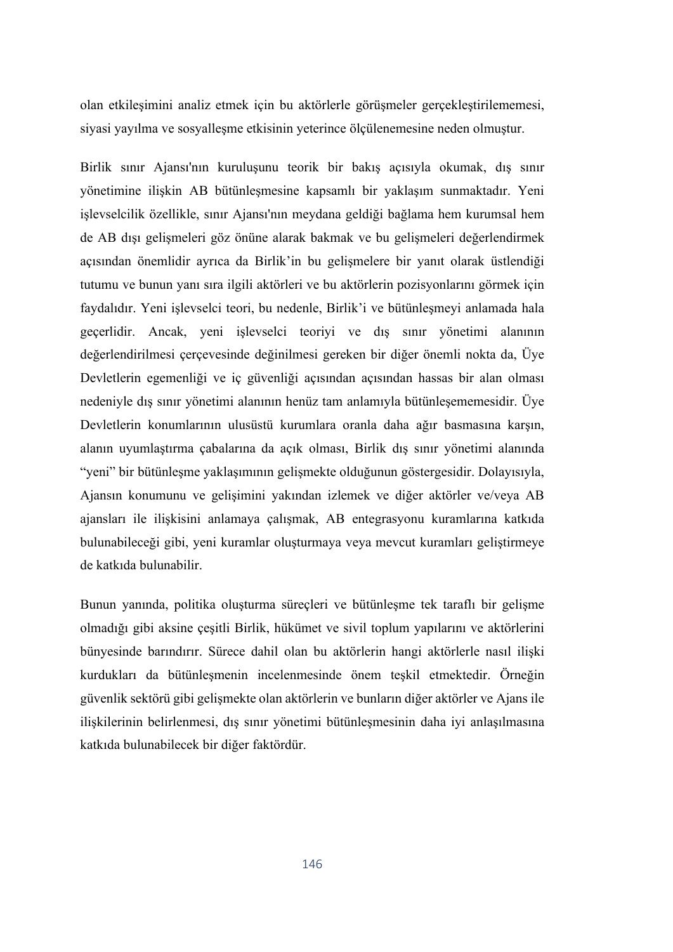olan etkileşimini analiz etmek için bu aktörlerle görüşmeler gerçekleştirilememesi, siyasi yayılma ve sosyalleşme etkisinin yeterince ölçülenemesine neden olmuştur.

Birlik sınır Ajansı'nın kuruluşunu teorik bir bakış açısıyla okumak, dış sınır yönetimine ilişkin AB bütünleşmesine kapsamlı bir yaklaşım sunmaktadır. Yeni işlevselcilik özellikle, sınır Ajansı'nın meydana geldiği bağlama hem kurumsal hem de AB dışı gelişmeleri göz önüne alarak bakmak ve bu gelişmeleri değerlendirmek açısından önemlidir ayrıca da Birlik'in bu gelişmelere bir yanıt olarak üstlendiği tutumu ve bunun yanı sıra ilgili aktörleri ve bu aktörlerin pozisyonlarını görmek için faydalıdır. Yeni işlevselci teori, bu nedenle, Birlik'i ve bütünleşmeyi anlamada hala geçerlidir. Ancak, yeni işlevselci teoriyi ve dış sınır yönetimi alanının değerlendirilmesi çerçevesinde değinilmesi gereken bir diğer önemli nokta da, Üye Devletlerin egemenliği ve iç güvenliği açısından açısından hassas bir alan olması nedeniyle dış sınır yönetimi alanının henüz tam anlamıyla bütünleşememesidir. Üye Devletlerin konumlarının ulusüstü kurumlara oranla daha ağır basmasına karşın, alanın uyumlaştırma çabalarına da açık olması, Birlik dış sınır yönetimi alanında "yeni" bir bütünleşme yaklaşımının gelişmekte olduğunun göstergesidir. Dolayısıyla, Ajansın konumunu ve gelişimini yakından izlemek ve diğer aktörler ve/veya AB ajansları ile ilişkisini anlamaya çalışmak, AB entegrasyonu kuramlarına katkıda bulunabileceği gibi, yeni kuramlar oluşturmaya veya mevcut kuramları geliştirmeye de katkıda bulunabilir.

Bunun yanında, politika oluşturma süreçleri ve bütünleşme tek taraflı bir gelişme olmadığı gibi aksine çeşitli Birlik, hükümet ve sivil toplum yapılarını ve aktörlerini bünyesinde barındırır. Sürece dahil olan bu aktörlerin hangi aktörlerle nasıl ilişki kurdukları da bütünleşmenin incelenmesinde önem teşkil etmektedir. Örneğin güvenlik sektörü gibi gelişmekte olan aktörlerin ve bunların diğer aktörler ve Ajans ile ilişkilerinin belirlenmesi, dış sınır yönetimi bütünleşmesinin daha iyi anlaşılmasına katkıda bulunabilecek bir diğer faktördür.